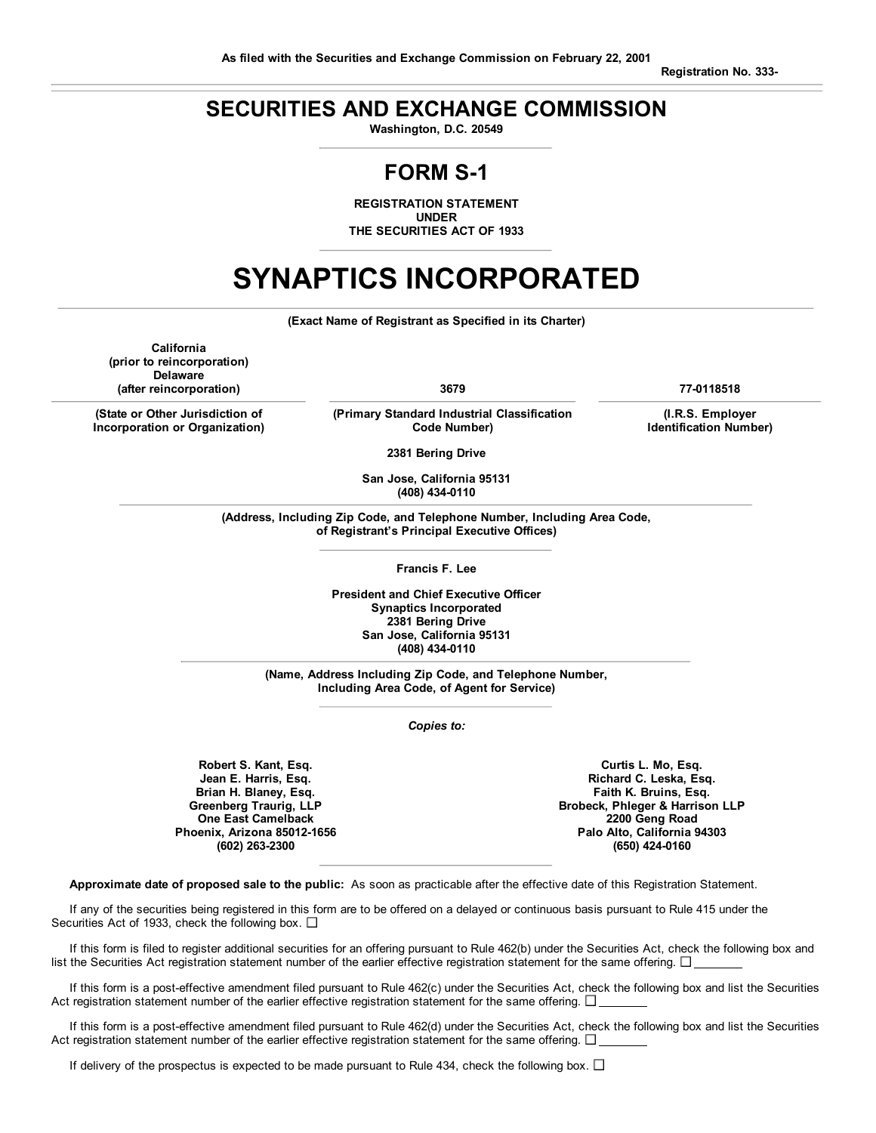**Registration No. 333-**

# **SECURITIES AND EXCHANGE COMMISSION**

**Washington, D.C. 20549**

# **FORM S-1**

**REGISTRATION STATEMENT UNDER THE SECURITIES ACT OF 1933**

# **SYNAPTICS INCORPORATED**

**(Exact Name of Registrant as Specified in its Charter)**

**California (prior to reincorporation) Delaware (after reincorporation) 3679 77-0118518**

**(State or Other Jurisdiction of Incorporation or Organization)**

**(Primary Standard Industrial Classification Code Number)**

**(I.R.S. Employer Identification Number)**

**2381 Bering Drive**

**San Jose, California 95131 (408) 434-0110**

**(Address, Including Zip Code, and Telephone Number, Including Area Code, of Registrant's Principal Executive Offices)**

**Francis F. Lee**

**President and Chief Executive Officer Synaptics Incorporated 2381 Bering Drive San Jose, California 95131 (408) 434-0110**

**(Name, Address Including Zip Code, and Telephone Number, Including Area Code, of Agent for Service)**

*Copies to:*

**Robert S. Kant, Esq. Jean E. Harris, Esq. Brian H. Blaney, Esq. Greenberg Traurig, LLP One East Camelback Phoenix, Arizona 85012-1656 (602) 263-2300**

**Curtis L. Mo, Esq. Richard C. Leska, Esq. Faith K. Bruins, Esq. Brobeck, Phleger & Harrison LLP 2200 Geng Road Palo Alto, California 94303 (650) 424-0160**

**Approximate date of proposed sale to the public:** As soon as practicable after the effective date of this Registration Statement.

If any of the securities being registered in this form are to be offered on a delayed or continuous basis pursuant to Rule 415 under the Securities Act of 1933, check the following box.  $\square$ 

If this form is filed to register additional securities for an offering pursuant to Rule 462(b) under the Securities Act, check the following box and list the Securities Act registration statement number of the earlier effective registration statement for the same offering.  $\square$ 

If this form is a post-effective amendment filed pursuant to Rule 462(c) under the Securities Act, check the following box and list the Securities Act registration statement number of the earlier effective registration statement for the same offering.  $\Box$ 

If this form is a post-effective amendment filed pursuant to Rule 462(d) under the Securities Act, check the following box and list the Securities Act registration statement number of the earlier effective registration statement for the same offering.  $\square$ 

If delivery of the prospectus is expected to be made pursuant to Rule 434, check the following box.  $\Box$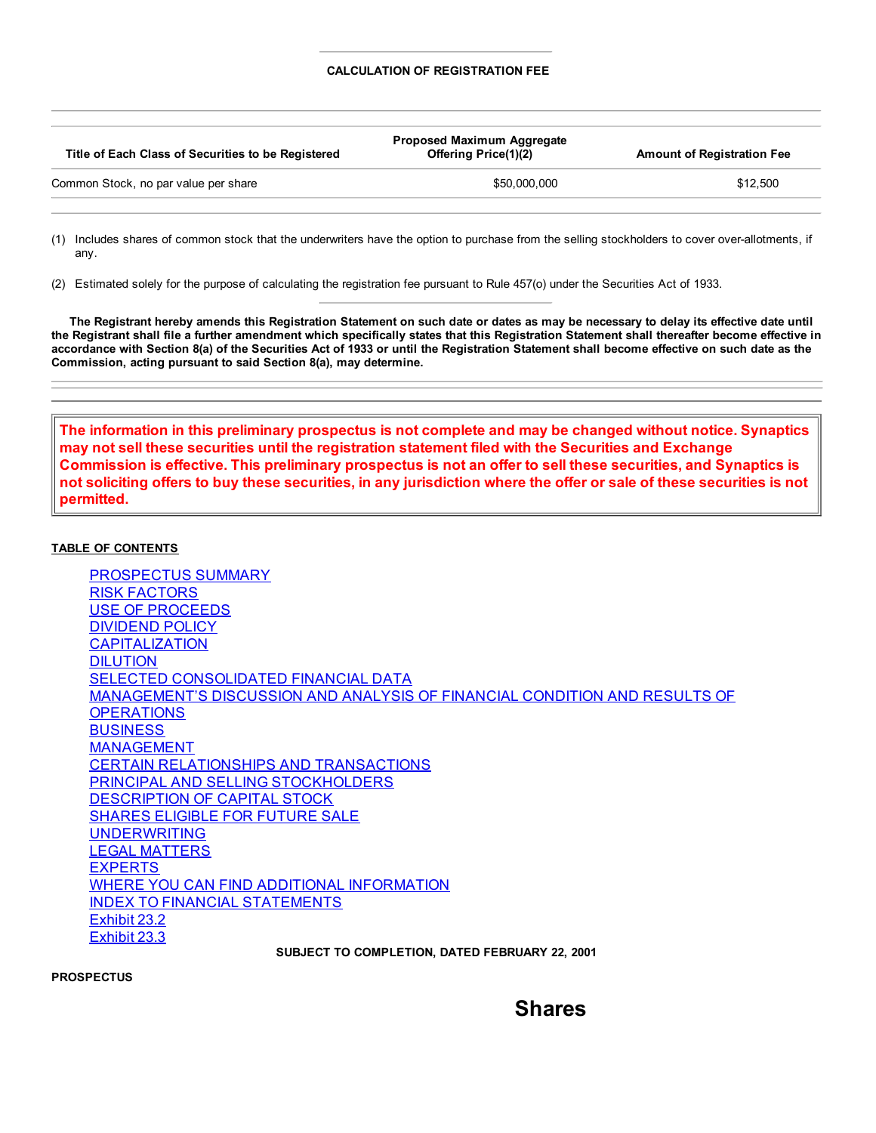## **CALCULATION OF REGISTRATION FEE**

| Title of Each Class of Securities to be Registered | <b>Proposed Maximum Aggregate</b><br><b>Offering Price(1)(2)</b> | <b>Amount of Registration Fee</b> |  |
|----------------------------------------------------|------------------------------------------------------------------|-----------------------------------|--|
| Common Stock, no par value per share               | \$50,000,000                                                     | \$12,500                          |  |

(1) Includes shares of common stock that the underwriters have the option to purchase from the selling stockholders to cover over-allotments, if any.

(2) Estimated solely for the purpose of calculating the registration fee pursuant to Rule 457(o) under the Securities Act of 1933.

The Registrant hereby amends this Registration Statement on such date or dates as may be necessary to delay its effective date until the Registrant shall file a further amendment which specifically states that this Registration Statement shall thereafter become effective in accordance with Section 8(a) of the Securities Act of 1933 or until the Registration Statement shall become effective on such date as the **Commission, acting pursuant to said Section 8(a), may determine.**

**The information in this preliminary prospectus is not complete and may be changed without notice. Synaptics may not sell these securities until the registration statement filed with the Securities and Exchange** Commission is effective. This preliminary prospectus is not an offer to sell these securities, and Synaptics is not soliciting offers to buy these securities, in any jurisdiction where the offer or sale of these securities is not **permitted.**

## **TABLE OF CONTENTS**

PROSPECTUS SUMMARY RISK FACTORS USE OF PROCEEDS DIVIDEND POLICY **CAPITALIZATION** DILUTION SELECTED CONSOLIDATED FINANCIAL DATA MANAGEMENT'S DISCUSSION AND ANALYSIS OF FINANCIAL CONDITION AND RESULTS OF **OPERATIONS BUSINESS** MANAGEMENT CERTAIN RELATIONSHIPS AND TRANSACTIONS PRINCIPAL AND SELLING STOCKHOLDERS DESCRIPTION OF CAPITAL STOCK SHARES ELIGIBLE FOR FUTURE SALE **UNDERWRITING** LEGAL MATTERS EXPERTS WHERE YOU CAN FIND ADDITIONAL INFORMATION INDEX TO FINANCIAL STATEMENTS Exhibit 23.2 Exhibit 23.3 **SUBJECT TO COMPLETION, DATED FEBRUARY 22, 2001**

**PROSPECTUS**

**Shares**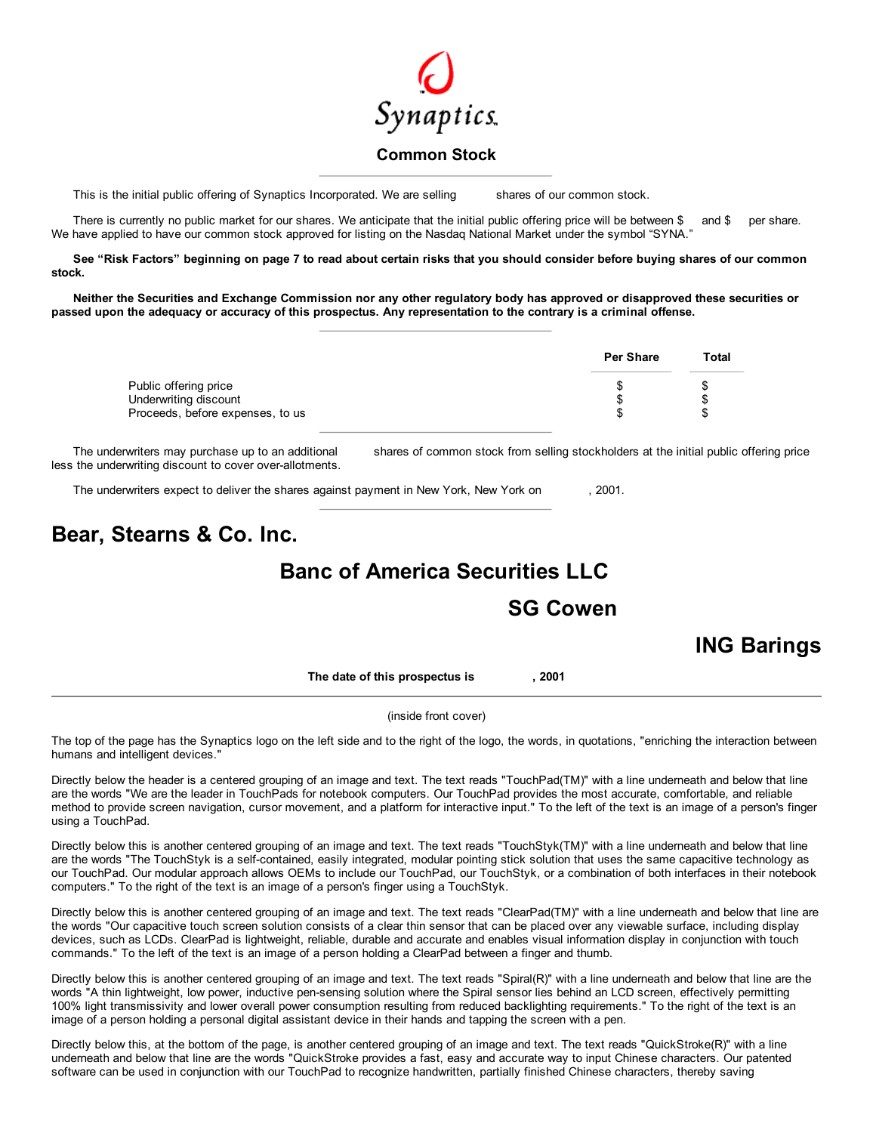

## **Common Stock**

This is the initial public offering of Synaptics Incorporated. We are selling shares of our common stock.

There is currently no public market for our shares. We anticipate that the initial public offering price will be between \$ and \$ per share. We have applied to have our common stock approved for listing on the Nasdaq National Market under the symbol "SYNA."

See "Risk Factors" beginning on page 7 to read about certain risks that you should consider before buying shares of our common **stock.**

Neither the Securities and Exchange Commission nor any other regulatory body has approved or disapproved these securities or passed upon the adequacy or accuracy of this prospectus. Any representation to the contrary is a criminal offense.

|                                                                                    | <b>Per Share</b> | Total |
|------------------------------------------------------------------------------------|------------------|-------|
| Public offering price<br>Underwriting discount<br>Proceeds, before expenses, to us |                  |       |

The underwriters may purchase up to an additional shares of common stock from selling stockholders at the initial public offering price less the underwriting discount to cover over-allotments.

The underwriters expect to deliver the shares against payment in New York, New York on , 2001.

# **Bear, Stearns & Co. Inc.**

# **Banc of America Securities LLC**

# **SG Cowen**

# **ING Barings**

**The date of this prospectus is , 2001**

## (inside front cover)

The top of the page has the Synaptics logo on the left side and to the right of the logo, the words, in quotations, "enriching the interaction between humans and intelligent devices."

Directly below the header is a centered grouping of an image and text. The text reads "TouchPad(TM)" with a line underneath and below that line are the words "We are the leader in TouchPads for notebook computers. Our TouchPad provides the most accurate, comfortable, and reliable method to provide screen navigation, cursor movement, and a platform for interactive input." To the left of the text is an image of a person's finger using a TouchPad.

Directly below this is another centered grouping of an image and text. The text reads "TouchStyk(TM)" with a line underneath and below that line are the words "The TouchStyk is a self-contained, easily integrated, modular pointing stick solution that uses the same capacitive technology as our TouchPad. Our modular approach allows OEMs to include our TouchPad, our TouchStyk, or a combination of both interfaces in their notebook computers." To the right of the text is an image of a person's finger using a TouchStyk.

Directly below this is another centered grouping of an image and text. The text reads "ClearPad(TM)" with a line underneath and below that line are the words "Our capacitive touch screen solution consists of a clear thin sensor that can be placed over any viewable surface, including display devices, such as LCDs. ClearPad is lightweight, reliable, durable and accurate and enables visual information display in conjunction with touch commands." To the left of the text is an image of a person holding a ClearPad between a finger and thumb.

Directly below this is another centered grouping of an image and text. The text reads "Spiral(R)" with a line underneath and below that line are the words "A thin lightweight, low power, inductive pen-sensing solution where the Spiral sensor lies behind an LCD screen, effectively permitting 100% light transmissivity and lower overall power consumption resulting from reduced backlighting requirements." To the right of the text is an image of a person holding a personal digital assistant device in their hands and tapping the screen with a pen.

Directly below this, at the bottom of the page, is another centered grouping of an image and text. The text reads "QuickStroke(R)" with a line underneath and below that line are the words "QuickStroke provides a fast, easy and accurate way to input Chinese characters. Our patented software can be used in conjunction with our TouchPad to recognize handwritten, partially finished Chinese characters, thereby saving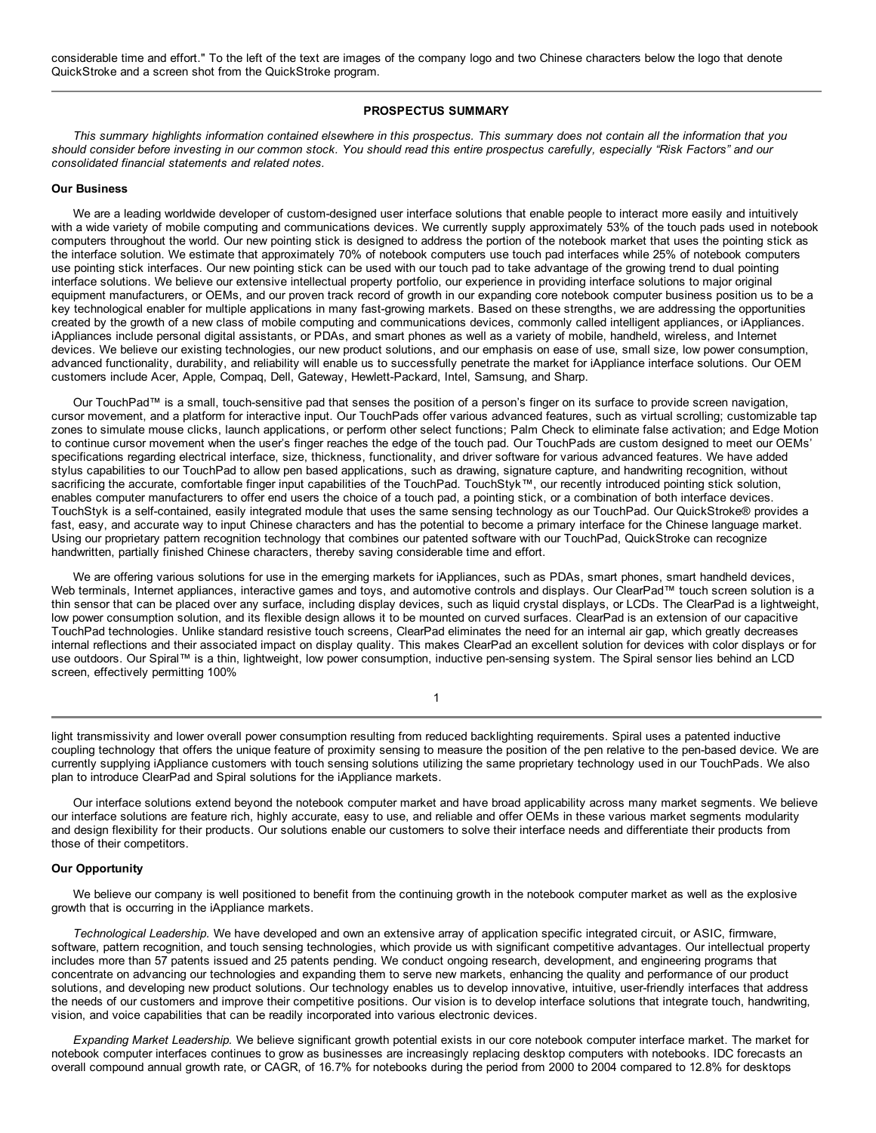considerable time and effort." To the left of the text are images of the company logo and two Chinese characters below the logo that denote QuickStroke and a screen shot from the QuickStroke program.

## **PROSPECTUS SUMMARY**

This summary highlights information contained elsewhere in this prospectus. This summary does not contain all the information that you should consider before investing in our common stock. You should read this entire prospectus carefully, especially "Risk Factors" and our *consolidated financial statements and related notes.*

## **Our Business**

We are a leading worldwide developer of custom-designed user interface solutions that enable people to interact more easily and intuitively with a wide variety of mobile computing and communications devices. We currently supply approximately 53% of the touch pads used in notebook computers throughout the world. Our new pointing stick is designed to address the portion of the notebook market that uses the pointing stick as the interface solution. We estimate that approximately 70% of notebook computers use touch pad interfaces while 25% of notebook computers use pointing stick interfaces. Our new pointing stick can be used with our touch pad to take advantage of the growing trend to dual pointing interface solutions. We believe our extensive intellectual property portfolio, our experience in providing interface solutions to major original equipment manufacturers, or OEMs, and our proven track record of growth in our expanding core notebook computer business position us to be a key technological enabler for multiple applications in many fast-growing markets. Based on these strengths, we are addressing the opportunities created by the growth of a new class of mobile computing and communications devices, commonly called intelligent appliances, or iAppliances. iAppliances include personal digital assistants, or PDAs, and smart phones as well as a variety of mobile, handheld, wireless, and Internet devices. We believe our existing technologies, our new product solutions, and our emphasis on ease of use, small size, low power consumption, advanced functionality, durability, and reliability will enable us to successfully penetrate the market for iAppliance interface solutions. Our OEM customers include Acer, Apple, Compaq, Dell, Gateway, Hewlett-Packard, Intel, Samsung, and Sharp.

Our TouchPad™ is a small, touch-sensitive pad that senses the position of a person's finger on its surface to provide screen navigation, cursor movement, and a platform for interactive input. Our TouchPads offer various advanced features, such as virtual scrolling; customizable tap zones to simulate mouse clicks, launch applications, or perform other select functions; Palm Check to eliminate false activation; and Edge Motion to continue cursor movement when the user's finger reaches the edge of the touch pad. Our TouchPads are custom designed to meet our OEMs' specifications regarding electrical interface, size, thickness, functionality, and driver software for various advanced features. We have added stylus capabilities to our TouchPad to allow pen based applications, such as drawing, signature capture, and handwriting recognition, without sacrificing the accurate, comfortable finger input capabilities of the TouchPad. TouchStyk™, our recently introduced pointing stick solution, enables computer manufacturers to offer end users the choice of a touch pad, a pointing stick, or a combination of both interface devices. TouchStyk is a self-contained, easily integrated module that uses the same sensing technology as our TouchPad. Our QuickStroke® provides a fast, easy, and accurate way to input Chinese characters and has the potential to become a primary interface for the Chinese language market. Using our proprietary pattern recognition technology that combines our patented software with our TouchPad, QuickStroke can recognize handwritten, partially finished Chinese characters, thereby saving considerable time and effort.

We are offering various solutions for use in the emerging markets for iAppliances, such as PDAs, smart phones, smart handheld devices, Web terminals, Internet appliances, interactive games and toys, and automotive controls and displays. Our ClearPad™ touch screen solution is a thin sensor that can be placed over any surface, including display devices, such as liquid crystal displays, or LCDs. The ClearPad is a lightweight, low power consumption solution, and its flexible design allows it to be mounted on curved surfaces. ClearPad is an extension of our capacitive TouchPad technologies. Unlike standard resistive touch screens, ClearPad eliminates the need for an internal air gap, which greatly decreases internal reflections and their associated impact on display quality. This makes ClearPad an excellent solution for devices with color displays or for use outdoors. Our Spiral™ is a thin, lightweight, low power consumption, inductive pen-sensing system. The Spiral sensor lies behind an LCD screen, effectively permitting 100%

light transmissivity and lower overall power consumption resulting from reduced backlighting requirements. Spiral uses a patented inductive coupling technology that offers the unique feature of proximity sensing to measure the position of the pen relative to the pen-based device. We are currently supplying iAppliance customers with touch sensing solutions utilizing the same proprietary technology used in our TouchPads. We also plan to introduce ClearPad and Spiral solutions for the iAppliance markets.

1

Our interface solutions extend beyond the notebook computer market and have broad applicability across many market segments. We believe our interface solutions are feature rich, highly accurate, easy to use, and reliable and offer OEMs in these various market segments modularity and design flexibility for their products. Our solutions enable our customers to solve their interface needs and differentiate their products from those of their competitors.

#### **Our Opportunity**

We believe our company is well positioned to benefit from the continuing growth in the notebook computer market as well as the explosive growth that is occurring in the iAppliance markets.

*Technological Leadership.* We have developed and own an extensive array of application specific integrated circuit, or ASIC, firmware, software, pattern recognition, and touch sensing technologies, which provide us with significant competitive advantages. Our intellectual property includes more than 57 patents issued and 25 patents pending. We conduct ongoing research, development, and engineering programs that concentrate on advancing our technologies and expanding them to serve new markets, enhancing the quality and performance of our product solutions, and developing new product solutions. Our technology enables us to develop innovative, intuitive, user-friendly interfaces that address the needs of our customers and improve their competitive positions. Our vision is to develop interface solutions that integrate touch, handwriting, vision, and voice capabilities that can be readily incorporated into various electronic devices.

*Expanding Market Leadership.* We believe significant growth potential exists in our core notebook computer interface market. The market for notebook computer interfaces continues to grow as businesses are increasingly replacing desktop computers with notebooks. IDC forecasts an overall compound annual growth rate, or CAGR, of 16.7% for notebooks during the period from 2000 to 2004 compared to 12.8% for desktops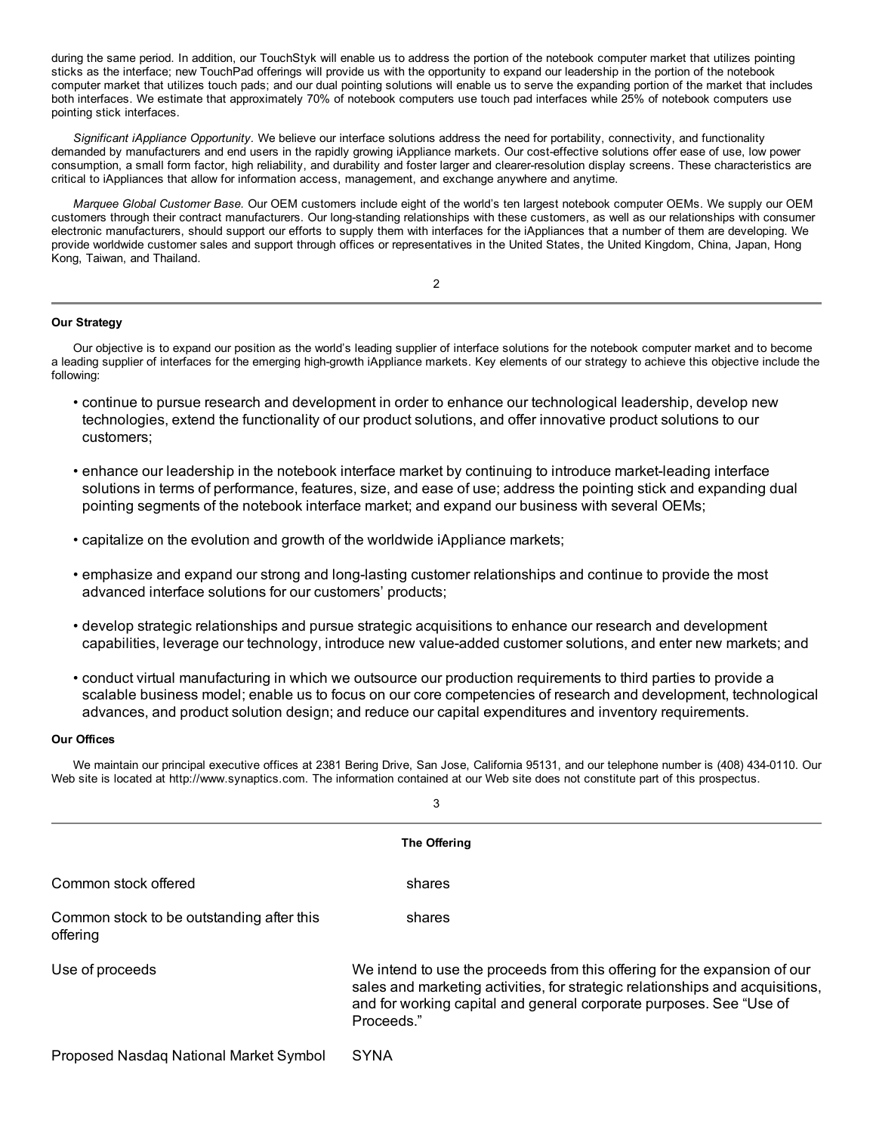during the same period. In addition, our TouchStyk will enable us to address the portion of the notebook computer market that utilizes pointing sticks as the interface; new TouchPad offerings will provide us with the opportunity to expand our leadership in the portion of the notebook computer market that utilizes touch pads; and our dual pointing solutions will enable us to serve the expanding portion of the market that includes both interfaces. We estimate that approximately 70% of notebook computers use touch pad interfaces while 25% of notebook computers use pointing stick interfaces.

*Significant iAppliance Opportunity.* We believe our interface solutions address the need for portability, connectivity, and functionality demanded by manufacturers and end users in the rapidly growing iAppliance markets. Our cost-effective solutions offer ease of use, low power consumption, a small form factor, high reliability, and durability and foster larger and clearer-resolution display screens. These characteristics are critical to iAppliances that allow for information access, management, and exchange anywhere and anytime.

*Marquee Global Customer Base.* Our OEM customers include eight of the world's ten largest notebook computer OEMs. We supply our OEM customers through their contract manufacturers. Our long-standing relationships with these customers, as well as our relationships with consumer electronic manufacturers, should support our efforts to supply them with interfaces for the iAppliances that a number of them are developing. We provide worldwide customer sales and support through offices or representatives in the United States, the United Kingdom, China, Japan, Hong Kong, Taiwan, and Thailand.

2

## **Our Strategy**

Our objective is to expand our position as the world's leading supplier of interface solutions for the notebook computer market and to become a leading supplier of interfaces for the emerging high-growth iAppliance markets. Key elements of our strategy to achieve this objective include the following:

- continue to pursue research and development in order to enhance our technological leadership, develop new technologies, extend the functionality of our product solutions, and offer innovative product solutions to our customers;
- enhance our leadership in the notebook interface market by continuing to introduce market-leading interface solutions in terms of performance, features, size, and ease of use; address the pointing stick and expanding dual pointing segments of the notebook interface market; and expand our business with several OEMs;
- capitalize on the evolution and growth of the worldwide iAppliance markets;
- emphasize and expand our strong and long-lasting customer relationships and continue to provide the most advanced interface solutions for our customers' products;
- develop strategic relationships and pursue strategic acquisitions to enhance our research and development capabilities, leverage our technology, introduce new value-added customer solutions, and enter new markets; and
- conduct virtual manufacturing in which we outsource our production requirements to third parties to provide a scalable business model; enable us to focus on our core competencies of research and development, technological advances, and product solution design; and reduce our capital expenditures and inventory requirements.

## **Our Offices**

We maintain our principal executive offices at 2381 Bering Drive, San Jose, California 95131, and our telephone number is (408) 434-0110. Our Web site is located at http://www.synaptics.com. The information contained at our Web site does not constitute part of this prospectus.

|                                                       | 3                                                                                                                                                                                                                                               |  |  |  |  |  |  |
|-------------------------------------------------------|-------------------------------------------------------------------------------------------------------------------------------------------------------------------------------------------------------------------------------------------------|--|--|--|--|--|--|
| The Offering                                          |                                                                                                                                                                                                                                                 |  |  |  |  |  |  |
| Common stock offered                                  | shares                                                                                                                                                                                                                                          |  |  |  |  |  |  |
| Common stock to be outstanding after this<br>offering | shares                                                                                                                                                                                                                                          |  |  |  |  |  |  |
| Use of proceeds                                       | We intend to use the proceeds from this offering for the expansion of our<br>sales and marketing activities, for strategic relationships and acquisitions,<br>and for working capital and general corporate purposes. See "Use of<br>Proceeds." |  |  |  |  |  |  |
| Proposed Nasdaq National Market Symbol                | <b>SYNA</b>                                                                                                                                                                                                                                     |  |  |  |  |  |  |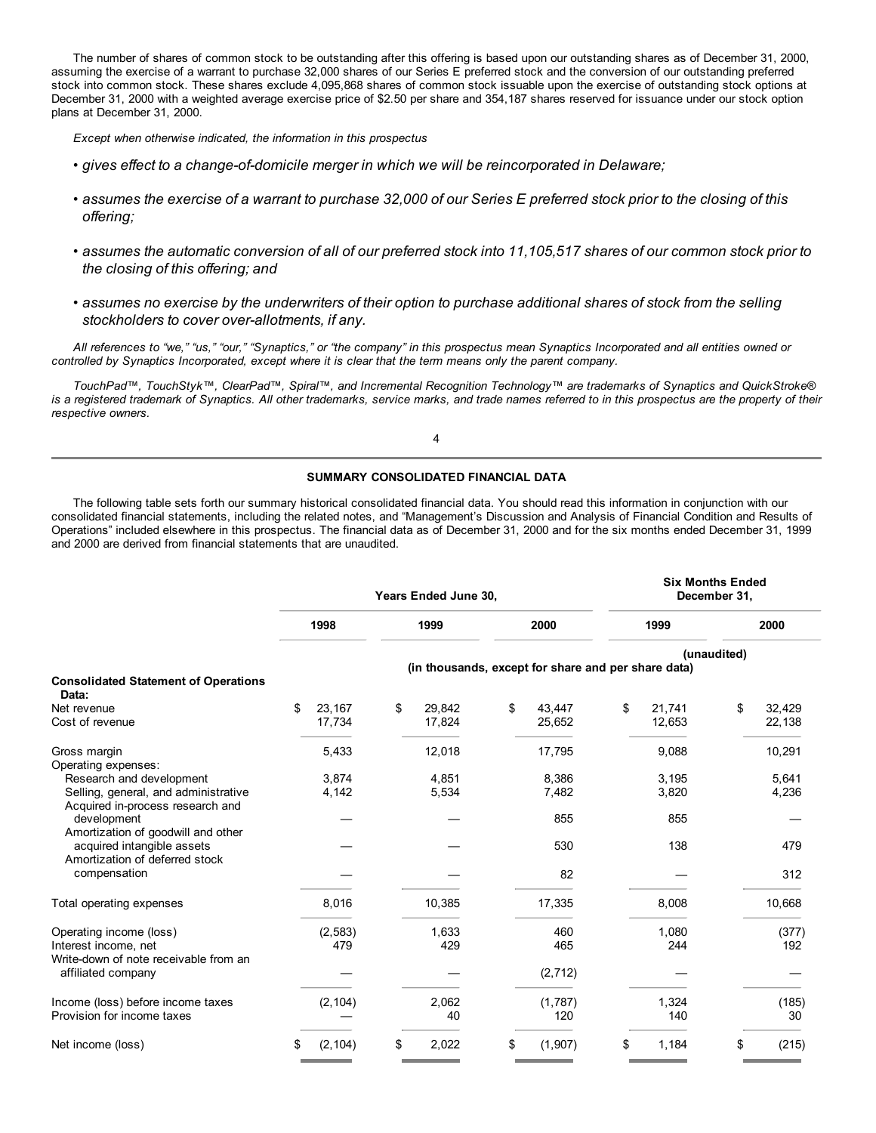The number of shares of common stock to be outstanding after this offering is based upon our outstanding shares as of December 31, 2000, assuming the exercise of a warrant to purchase 32,000 shares of our Series E preferred stock and the conversion of our outstanding preferred stock into common stock. These shares exclude 4,095,868 shares of common stock issuable upon the exercise of outstanding stock options at December 31, 2000 with a weighted average exercise price of \$2.50 per share and 354,187 shares reserved for issuance under our stock option plans at December 31, 2000.

*Except when otherwise indicated, the information in this prospectus*

- *gives effect to a change-of-domicile merger in which we will be reincorporated in Delaware;*
- assumes the exercise of a warrant to purchase 32,000 of our Series E preferred stock prior to the closing of this *offering;*
- assumes the automatic conversion of all of our preferred stock into 11,105,517 shares of our common stock prior to *the closing of this offering; and*
- assumes no exercise by the underwriters of their option to purchase additional shares of stock from the selling *stockholders to cover over-allotments, if any.*

All references to "we," "us," "our," "Synaptics," or "the company" in this prospectus mean Synaptics Incorporated and all entities owned or controlled by Synaptics Incorporated, except where it is clear that the term means only the parent company.

TouchPad™, TouchStyk™, ClearPad™, Spiral™, and Incremental Recognition Technology™ are trademarks of Synaptics and QuickStroke® is a registered trademark of Synaptics. All other trademarks, service marks, and trade names referred to in this prospectus are the property of their *respective owners.*

4

## **SUMMARY CONSOLIDATED FINANCIAL DATA**

The following table sets forth our summary historical consolidated financial data. You should read this information in conjunction with our consolidated financial statements, including the related notes, and "Management's Discussion and Analysis of Financial Condition and Results of Operations" included elsewhere in this prospectus. The financial data as of December 31, 2000 and for the six months ended December 31, 1999 and 2000 are derived from financial statements that are unaudited.

|                                                                          |    |                  |    | Years Ended June 30,                                |     |                  | <b>Six Months Ended</b><br>December 31, |             |                  |
|--------------------------------------------------------------------------|----|------------------|----|-----------------------------------------------------|-----|------------------|-----------------------------------------|-------------|------------------|
|                                                                          |    | 1998             |    | 1999                                                |     | 2000             | 1999                                    |             | 2000             |
| <b>Consolidated Statement of Operations</b>                              |    |                  |    | (in thousands, except for share and per share data) |     |                  |                                         | (unaudited) |                  |
| Data:                                                                    |    |                  |    |                                                     |     |                  |                                         |             |                  |
| Net revenue<br>Cost of revenue                                           | \$ | 23,167<br>17,734 | \$ | 29,842<br>17,824                                    | \$  | 43,447<br>25,652 | \$<br>21,741<br>12,653                  | \$          | 32,429<br>22,138 |
| Gross margin<br>Operating expenses:                                      |    | 5,433            |    | 12,018                                              |     | 17,795           | 9,088                                   |             | 10,291           |
| Research and development                                                 |    | 3,874            |    | 4,851                                               |     | 8,386            | 3,195                                   |             | 5,641            |
| Selling, general, and administrative<br>Acquired in-process research and |    | 4,142            |    | 5,534                                               |     | 7,482            | 3,820                                   |             | 4,236            |
| development<br>Amortization of goodwill and other                        |    |                  |    |                                                     |     | 855              | 855                                     |             |                  |
| acquired intangible assets<br>Amortization of deferred stock             |    |                  |    |                                                     |     | 530              | 138                                     |             | 479              |
| compensation                                                             |    |                  |    |                                                     |     | 82               |                                         |             | 312              |
| Total operating expenses                                                 |    | 8,016            |    | 10,385                                              |     | 17,335           | 8,008                                   |             | 10,668           |
| Operating income (loss)                                                  |    | (2, 583)         |    | 1,633                                               |     | 460              | 1,080                                   |             | (377)            |
| Interest income, net<br>Write-down of note receivable from an            |    | 479              |    | 429                                                 |     | 465              | 244                                     |             | 192              |
| affiliated company                                                       |    |                  |    |                                                     |     | (2, 712)         |                                         |             |                  |
| Income (loss) before income taxes<br>Provision for income taxes          |    | (2, 104)         |    | 2,062<br>40                                         |     | (1,787)<br>120   | 1,324<br>140                            |             | (185)<br>30      |
| Net income (loss)                                                        | \$ | (2, 104)         | \$ | 2,022                                               | \$. | (1,907)          | \$<br>1,184                             | \$          | (215)            |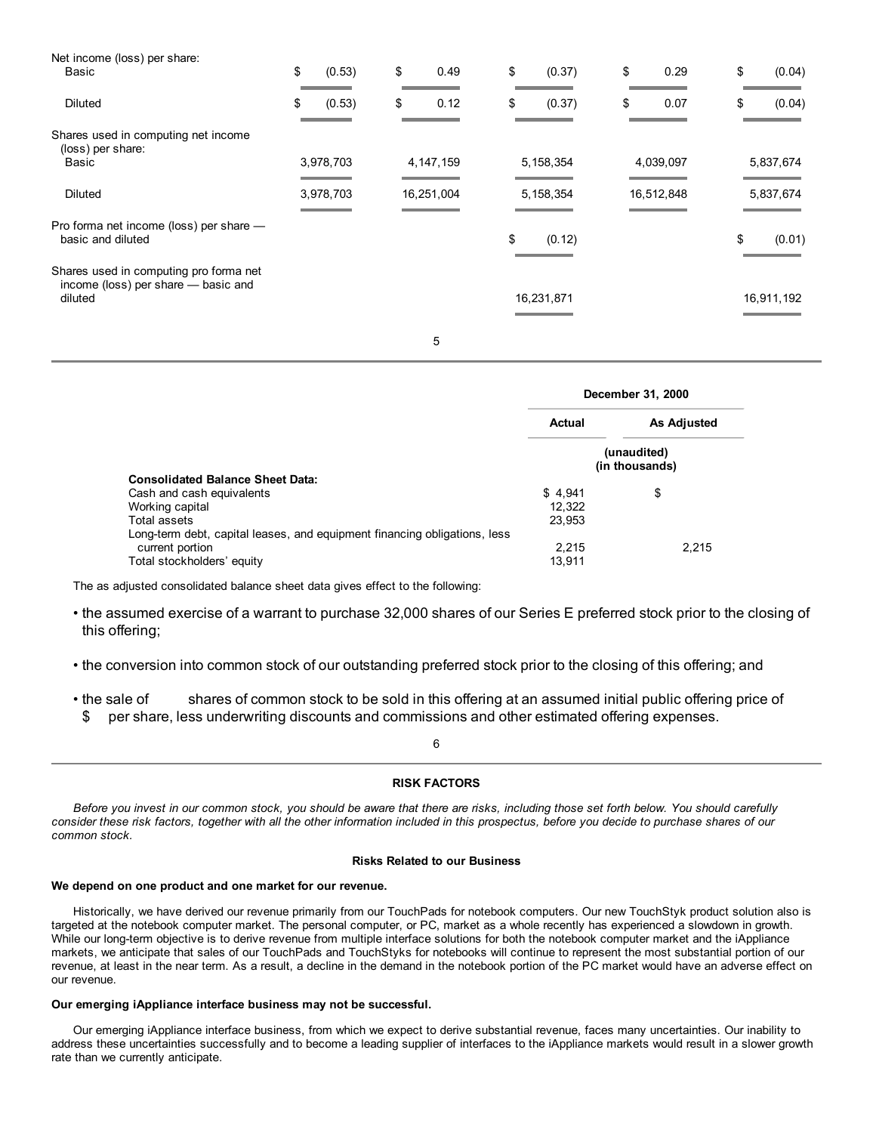| Net income (loss) per share:                                                  |              |             |              |            |              |
|-------------------------------------------------------------------------------|--------------|-------------|--------------|------------|--------------|
| Basic                                                                         | \$<br>(0.53) | \$<br>0.49  | \$<br>(0.37) | \$<br>0.29 | \$<br>(0.04) |
| <b>Diluted</b>                                                                | \$<br>(0.53) | \$<br>0.12  | \$<br>(0.37) | \$<br>0.07 | \$<br>(0.04) |
| Shares used in computing net income<br>(loss) per share:                      |              |             |              |            |              |
| Basic                                                                         | 3,978,703    | 4, 147, 159 | 5,158,354    | 4,039,097  | 5,837,674    |
| <b>Diluted</b>                                                                | 3,978,703    | 16,251,004  | 5, 158, 354  | 16,512,848 | 5,837,674    |
| Pro forma net income (loss) per share -<br>basic and diluted                  |              |             | \$<br>(0.12) |            | \$<br>(0.01) |
| Shares used in computing pro forma net<br>income (loss) per share - basic and |              |             |              |            |              |
| diluted                                                                       |              |             | 16,231,871   |            | 16,911,192   |
|                                                                               |              | 5           |              |            |              |

|                                                                           | December 31, 2000             |                    |  |  |
|---------------------------------------------------------------------------|-------------------------------|--------------------|--|--|
|                                                                           | <b>Actual</b>                 | <b>As Adjusted</b> |  |  |
| <b>Consolidated Balance Sheet Data:</b>                                   | (unaudited)<br>(in thousands) |                    |  |  |
| Cash and cash equivalents                                                 | \$4,941                       | \$                 |  |  |
| Working capital                                                           | 12.322                        |                    |  |  |
| Total assets                                                              | 23,953                        |                    |  |  |
| Long-term debt, capital leases, and equipment financing obligations, less |                               |                    |  |  |
| current portion                                                           | 2.215                         | 2.215              |  |  |
| Total stockholders' equity                                                | 13.911                        |                    |  |  |

The as adjusted consolidated balance sheet data gives effect to the following:

- the assumed exercise of a warrant to purchase 32,000 shares of our Series E preferred stock prior to the closing of this offering;
- the conversion into common stock of our outstanding preferred stock prior to the closing of this offering; and
- the sale of shares of common stock to be sold in this offering at an assumed initial public offering price of
- \$ per share, less underwriting discounts and commissions and other estimated offering expenses.

6

## **RISK FACTORS**

Before you invest in our common stock, you should be aware that there are risks, including those set forth below. You should carefully consider these risk factors, together with all the other information included in this prospectus, before you decide to purchase shares of our *common stock.*

## **Risks Related to our Business**

#### **We depend on one product and one market for our revenue.**

Historically, we have derived our revenue primarily from our TouchPads for notebook computers. Our new TouchStyk product solution also is targeted at the notebook computer market. The personal computer, or PC, market as a whole recently has experienced a slowdown in growth. While our long-term objective is to derive revenue from multiple interface solutions for both the notebook computer market and the iAppliance markets, we anticipate that sales of our TouchPads and TouchStyks for notebooks will continue to represent the most substantial portion of our revenue, at least in the near term. As a result, a decline in the demand in the notebook portion of the PC market would have an adverse effect on our revenue.

## **Our emerging iAppliance interface business may not be successful.**

Our emerging iAppliance interface business, from which we expect to derive substantial revenue, faces many uncertainties. Our inability to address these uncertainties successfully and to become a leading supplier of interfaces to the iAppliance markets would result in a slower growth rate than we currently anticipate.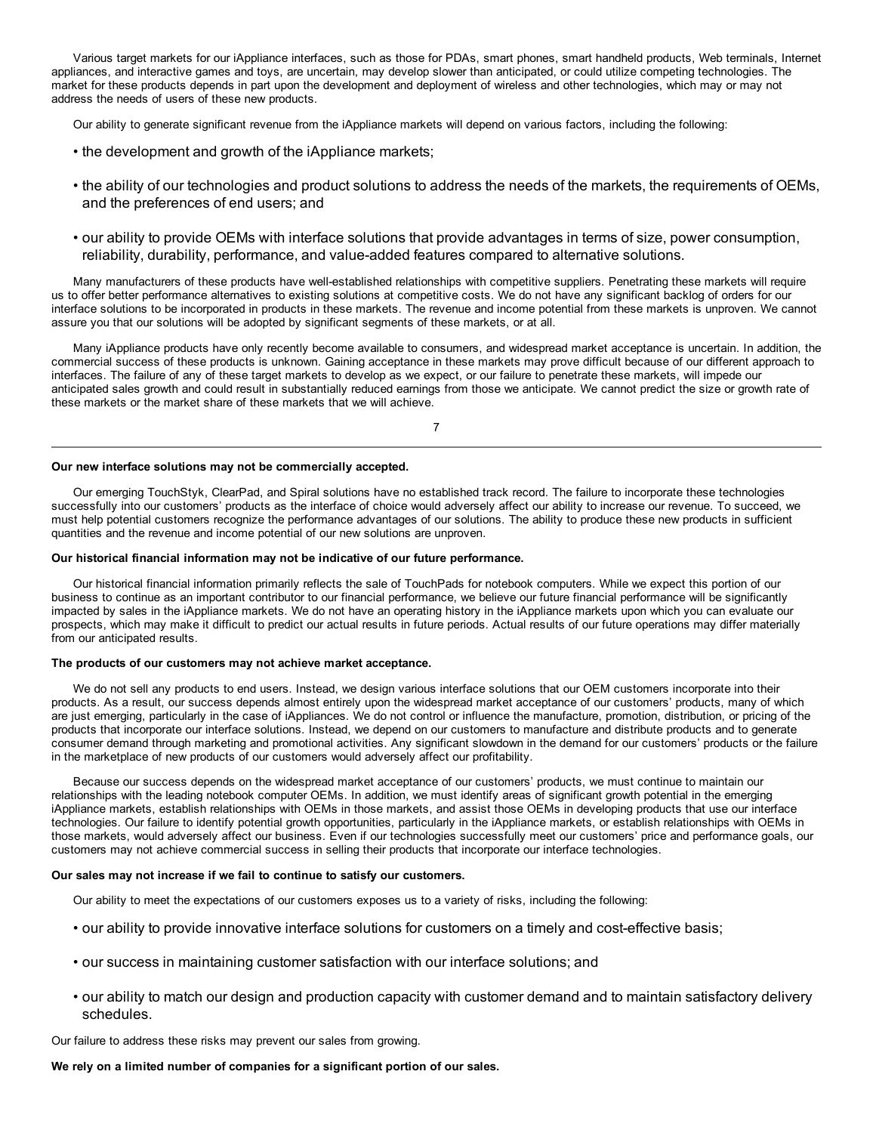Various target markets for our iAppliance interfaces, such as those for PDAs, smart phones, smart handheld products, Web terminals, Internet appliances, and interactive games and toys, are uncertain, may develop slower than anticipated, or could utilize competing technologies. The market for these products depends in part upon the development and deployment of wireless and other technologies, which may or may not address the needs of users of these new products.

Our ability to generate significant revenue from the iAppliance markets will depend on various factors, including the following:

- the development and growth of the iAppliance markets;
- the ability of our technologies and product solutions to address the needs of the markets, the requirements of OEMs, and the preferences of end users; and
- our ability to provide OEMs with interface solutions that provide advantages in terms of size, power consumption, reliability, durability, performance, and value-added features compared to alternative solutions.

Many manufacturers of these products have well-established relationships with competitive suppliers. Penetrating these markets will require us to offer better performance alternatives to existing solutions at competitive costs. We do not have any significant backlog of orders for our interface solutions to be incorporated in products in these markets. The revenue and income potential from these markets is unproven. We cannot assure you that our solutions will be adopted by significant segments of these markets, or at all.

Many iAppliance products have only recently become available to consumers, and widespread market acceptance is uncertain. In addition, the commercial success of these products is unknown. Gaining acceptance in these markets may prove difficult because of our different approach to interfaces. The failure of any of these target markets to develop as we expect, or our failure to penetrate these markets, will impede our anticipated sales growth and could result in substantially reduced earnings from those we anticipate. We cannot predict the size or growth rate of these markets or the market share of these markets that we will achieve.

7

#### **Our new interface solutions may not be commercially accepted.**

Our emerging TouchStyk, ClearPad, and Spiral solutions have no established track record. The failure to incorporate these technologies successfully into our customers' products as the interface of choice would adversely affect our ability to increase our revenue. To succeed, we must help potential customers recognize the performance advantages of our solutions. The ability to produce these new products in sufficient quantities and the revenue and income potential of our new solutions are unproven.

#### **Our historical financial information may not be indicative of our future performance.**

Our historical financial information primarily reflects the sale of TouchPads for notebook computers. While we expect this portion of our business to continue as an important contributor to our financial performance, we believe our future financial performance will be significantly impacted by sales in the iAppliance markets. We do not have an operating history in the iAppliance markets upon which you can evaluate our prospects, which may make it difficult to predict our actual results in future periods. Actual results of our future operations may differ materially from our anticipated results.

#### **The products of our customers may not achieve market acceptance.**

We do not sell any products to end users. Instead, we design various interface solutions that our OEM customers incorporate into their products. As a result, our success depends almost entirely upon the widespread market acceptance of our customers' products, many of which are just emerging, particularly in the case of iAppliances. We do not control or influence the manufacture, promotion, distribution, or pricing of the products that incorporate our interface solutions. Instead, we depend on our customers to manufacture and distribute products and to generate consumer demand through marketing and promotional activities. Any significant slowdown in the demand for our customers' products or the failure in the marketplace of new products of our customers would adversely affect our profitability.

Because our success depends on the widespread market acceptance of our customers' products, we must continue to maintain our relationships with the leading notebook computer OEMs. In addition, we must identify areas of significant growth potential in the emerging iAppliance markets, establish relationships with OEMs in those markets, and assist those OEMs in developing products that use our interface technologies. Our failure to identify potential growth opportunities, particularly in the iAppliance markets, or establish relationships with OEMs in those markets, would adversely affect our business. Even if our technologies successfully meet our customers' price and performance goals, our customers may not achieve commercial success in selling their products that incorporate our interface technologies.

## **Our sales may not increase if we fail to continue to satisfy our customers.**

Our ability to meet the expectations of our customers exposes us to a variety of risks, including the following:

- our ability to provide innovative interface solutions for customers on a timely and cost-effective basis;
- our success in maintaining customer satisfaction with our interface solutions; and
- our ability to match our design and production capacity with customer demand and to maintain satisfactory delivery schedules.

Our failure to address these risks may prevent our sales from growing.

#### **We rely on a limited number of companies for a significant portion of our sales.**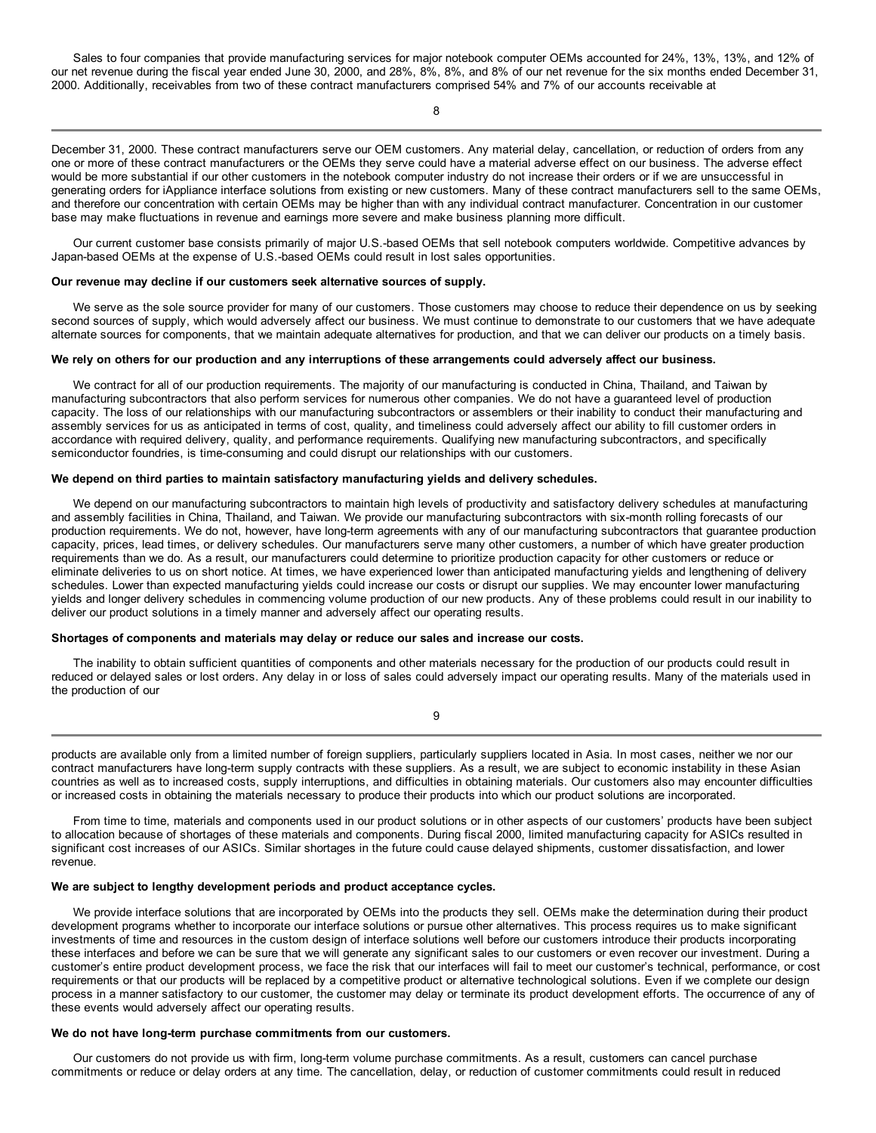Sales to four companies that provide manufacturing services for major notebook computer OEMs accounted for 24%, 13%, 13%, and 12% of our net revenue during the fiscal year ended June 30, 2000, and 28%, 8%, 8%, and 8% of our net revenue for the six months ended December 31, 2000. Additionally, receivables from two of these contract manufacturers comprised 54% and 7% of our accounts receivable at

December 31, 2000. These contract manufacturers serve our OEM customers. Any material delay, cancellation, or reduction of orders from any one or more of these contract manufacturers or the OEMs they serve could have a material adverse effect on our business. The adverse effect would be more substantial if our other customers in the notebook computer industry do not increase their orders or if we are unsuccessful in generating orders for iAppliance interface solutions from existing or new customers. Many of these contract manufacturers sell to the same OEMs, and therefore our concentration with certain OEMs may be higher than with any individual contract manufacturer. Concentration in our customer base may make fluctuations in revenue and earnings more severe and make business planning more difficult.

Our current customer base consists primarily of major U.S.-based OEMs that sell notebook computers worldwide. Competitive advances by Japan-based OEMs at the expense of U.S.-based OEMs could result in lost sales opportunities.

#### **Our revenue may decline if our customers seek alternative sources of supply.**

We serve as the sole source provider for many of our customers. Those customers may choose to reduce their dependence on us by seeking second sources of supply, which would adversely affect our business. We must continue to demonstrate to our customers that we have adequate alternate sources for components, that we maintain adequate alternatives for production, and that we can deliver our products on a timely basis.

## We rely on others for our production and any interruptions of these arrangements could adversely affect our business.

We contract for all of our production requirements. The majority of our manufacturing is conducted in China, Thailand, and Taiwan by manufacturing subcontractors that also perform services for numerous other companies. We do not have a guaranteed level of production capacity. The loss of our relationships with our manufacturing subcontractors or assemblers or their inability to conduct their manufacturing and assembly services for us as anticipated in terms of cost, quality, and timeliness could adversely affect our ability to fill customer orders in accordance with required delivery, quality, and performance requirements. Qualifying new manufacturing subcontractors, and specifically semiconductor foundries, is time-consuming and could disrupt our relationships with our customers.

#### **We depend on third parties to maintain satisfactory manufacturing yields and delivery schedules.**

We depend on our manufacturing subcontractors to maintain high levels of productivity and satisfactory delivery schedules at manufacturing and assembly facilities in China, Thailand, and Taiwan. We provide our manufacturing subcontractors with six-month rolling forecasts of our production requirements. We do not, however, have long-term agreements with any of our manufacturing subcontractors that guarantee production capacity, prices, lead times, or delivery schedules. Our manufacturers serve many other customers, a number of which have greater production requirements than we do. As a result, our manufacturers could determine to prioritize production capacity for other customers or reduce or eliminate deliveries to us on short notice. At times, we have experienced lower than anticipated manufacturing yields and lengthening of delivery schedules. Lower than expected manufacturing yields could increase our costs or disrupt our supplies. We may encounter lower manufacturing yields and longer delivery schedules in commencing volume production of our new products. Any of these problems could result in our inability to deliver our product solutions in a timely manner and adversely affect our operating results.

#### **Shortages of components and materials may delay or reduce our sales and increase our costs.**

The inability to obtain sufficient quantities of components and other materials necessary for the production of our products could result in reduced or delayed sales or lost orders. Any delay in or loss of sales could adversely impact our operating results. Many of the materials used in the production of our

**9** 

products are available only from a limited number of foreign suppliers, particularly suppliers located in Asia. In most cases, neither we nor our contract manufacturers have long-term supply contracts with these suppliers. As a result, we are subject to economic instability in these Asian countries as well as to increased costs, supply interruptions, and difficulties in obtaining materials. Our customers also may encounter difficulties or increased costs in obtaining the materials necessary to produce their products into which our product solutions are incorporated.

From time to time, materials and components used in our product solutions or in other aspects of our customers' products have been subject to allocation because of shortages of these materials and components. During fiscal 2000, limited manufacturing capacity for ASICs resulted in significant cost increases of our ASICs. Similar shortages in the future could cause delayed shipments, customer dissatisfaction, and lower revenue.

## **We are subject to lengthy development periods and product acceptance cycles.**

We provide interface solutions that are incorporated by OEMs into the products they sell. OEMs make the determination during their product development programs whether to incorporate our interface solutions or pursue other alternatives. This process requires us to make significant investments of time and resources in the custom design of interface solutions well before our customers introduce their products incorporating these interfaces and before we can be sure that we will generate any significant sales to our customers or even recover our investment. During a customer's entire product development process, we face the risk that our interfaces will fail to meet our customer's technical, performance, or cost requirements or that our products will be replaced by a competitive product or alternative technological solutions. Even if we complete our design process in a manner satisfactory to our customer, the customer may delay or terminate its product development efforts. The occurrence of any of these events would adversely affect our operating results.

## **We do not have long-term purchase commitments from our customers.**

Our customers do not provide us with firm, long-term volume purchase commitments. As a result, customers can cancel purchase commitments or reduce or delay orders at any time. The cancellation, delay, or reduction of customer commitments could result in reduced

8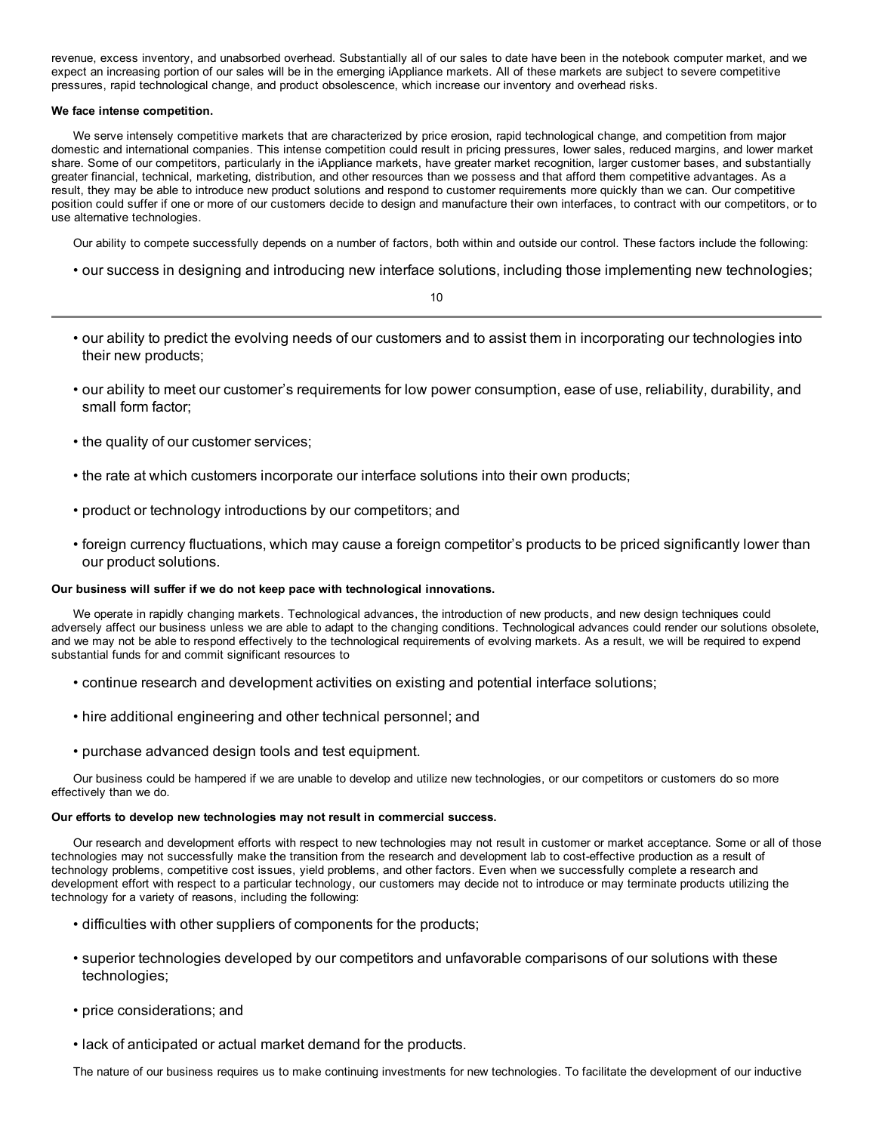revenue, excess inventory, and unabsorbed overhead. Substantially all of our sales to date have been in the notebook computer market, and we expect an increasing portion of our sales will be in the emerging iAppliance markets. All of these markets are subject to severe competitive pressures, rapid technological change, and product obsolescence, which increase our inventory and overhead risks.

## **We face intense competition.**

We serve intensely competitive markets that are characterized by price erosion, rapid technological change, and competition from major domestic and international companies. This intense competition could result in pricing pressures, lower sales, reduced margins, and lower market share. Some of our competitors, particularly in the iAppliance markets, have greater market recognition, larger customer bases, and substantially greater financial, technical, marketing, distribution, and other resources than we possess and that afford them competitive advantages. As a result, they may be able to introduce new product solutions and respond to customer requirements more quickly than we can. Our competitive position could suffer if one or more of our customers decide to design and manufacture their own interfaces, to contract with our competitors, or to use alternative technologies.

Our ability to compete successfully depends on a number of factors, both within and outside our control. These factors include the following:

• our success in designing and introducing new interface solutions, including those implementing new technologies;

10

- our ability to predict the evolving needs of our customers and to assist them in incorporating our technologies into their new products;
- our ability to meet our customer's requirements for low power consumption, ease of use, reliability, durability, and small form factor;
- the quality of our customer services;
- the rate at which customers incorporate our interface solutions into their own products;
- product or technology introductions by our competitors; and
- foreign currency fluctuations, which may cause a foreign competitor's products to be priced significantly lower than our product solutions.

## **Our business will suffer if we do not keep pace with technological innovations.**

We operate in rapidly changing markets. Technological advances, the introduction of new products, and new design techniques could adversely affect our business unless we are able to adapt to the changing conditions. Technological advances could render our solutions obsolete, and we may not be able to respond effectively to the technological requirements of evolving markets. As a result, we will be required to expend substantial funds for and commit significant resources to

- continue research and development activities on existing and potential interface solutions;
- hire additional engineering and other technical personnel; and
- purchase advanced design tools and test equipment.

Our business could be hampered if we are unable to develop and utilize new technologies, or our competitors or customers do so more effectively than we do.

## **Our efforts to develop new technologies may not result in commercial success.**

Our research and development efforts with respect to new technologies may not result in customer or market acceptance. Some or all of those technologies may not successfully make the transition from the research and development lab to cost-effective production as a result of technology problems, competitive cost issues, yield problems, and other factors. Even when we successfully complete a research and development effort with respect to a particular technology, our customers may decide not to introduce or may terminate products utilizing the technology for a variety of reasons, including the following:

- difficulties with other suppliers of components for the products;
- superior technologies developed by our competitors and unfavorable comparisons of our solutions with these technologies;
- price considerations; and
- lack of anticipated or actual market demand for the products.

The nature of our business requires us to make continuing investments for new technologies. To facilitate the development of our inductive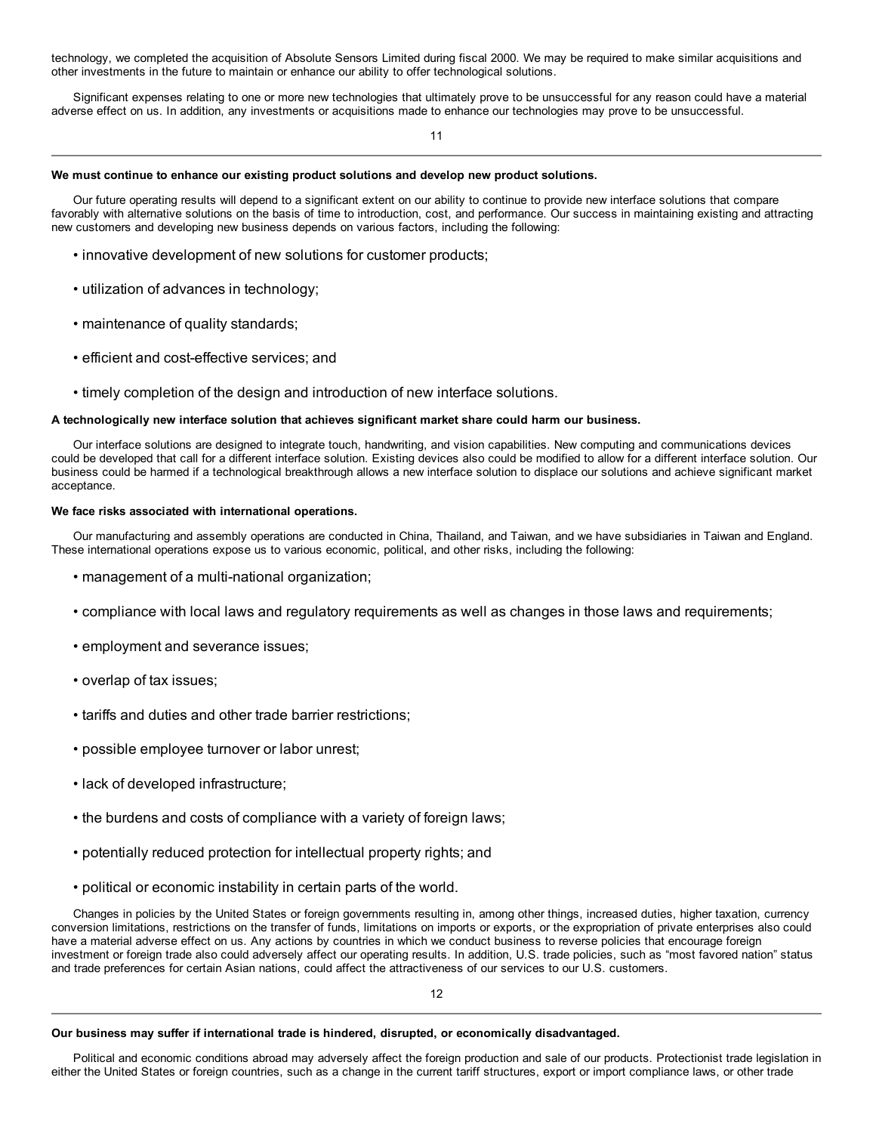technology, we completed the acquisition of Absolute Sensors Limited during fiscal 2000. We may be required to make similar acquisitions and other investments in the future to maintain or enhance our ability to offer technological solutions.

Significant expenses relating to one or more new technologies that ultimately prove to be unsuccessful for any reason could have a material adverse effect on us. In addition, any investments or acquisitions made to enhance our technologies may prove to be unsuccessful.

11

#### **We must continue to enhance our existing product solutions and develop new product solutions.**

Our future operating results will depend to a significant extent on our ability to continue to provide new interface solutions that compare favorably with alternative solutions on the basis of time to introduction, cost, and performance. Our success in maintaining existing and attracting new customers and developing new business depends on various factors, including the following:

- innovative development of new solutions for customer products;
- utilization of advances in technology;
- maintenance of quality standards;
- efficient and cost-effective services; and
- timely completion of the design and introduction of new interface solutions.

#### **A technologically new interface solution that achieves significant market share could harm our business.**

Our interface solutions are designed to integrate touch, handwriting, and vision capabilities. New computing and communications devices could be developed that call for a different interface solution. Existing devices also could be modified to allow for a different interface solution. Our business could be harmed if a technological breakthrough allows a new interface solution to displace our solutions and achieve significant market acceptance.

## **We face risks associated with international operations.**

Our manufacturing and assembly operations are conducted in China, Thailand, and Taiwan, and we have subsidiaries in Taiwan and England. These international operations expose us to various economic, political, and other risks, including the following:

- management of a multi-national organization;
- compliance with local laws and regulatory requirements as well as changes in those laws and requirements;
- employment and severance issues;
- overlap of tax issues;
- tariffs and duties and other trade barrier restrictions;
- possible employee turnover or labor unrest;
- lack of developed infrastructure;
- the burdens and costs of compliance with a variety of foreign laws;
- potentially reduced protection for intellectual property rights; and
- political or economic instability in certain parts of the world.

Changes in policies by the United States or foreign governments resulting in, among other things, increased duties, higher taxation, currency conversion limitations, restrictions on the transfer of funds, limitations on imports or exports, or the expropriation of private enterprises also could have a material adverse effect on us. Any actions by countries in which we conduct business to reverse policies that encourage foreign investment or foreign trade also could adversely affect our operating results. In addition, U.S. trade policies, such as "most favored nation" status and trade preferences for certain Asian nations, could affect the attractiveness of our services to our U.S. customers.

12

#### **Our business may suffer if international trade is hindered, disrupted, or economically disadvantaged.**

Political and economic conditions abroad may adversely affect the foreign production and sale of our products. Protectionist trade legislation in either the United States or foreign countries, such as a change in the current tariff structures, export or import compliance laws, or other trade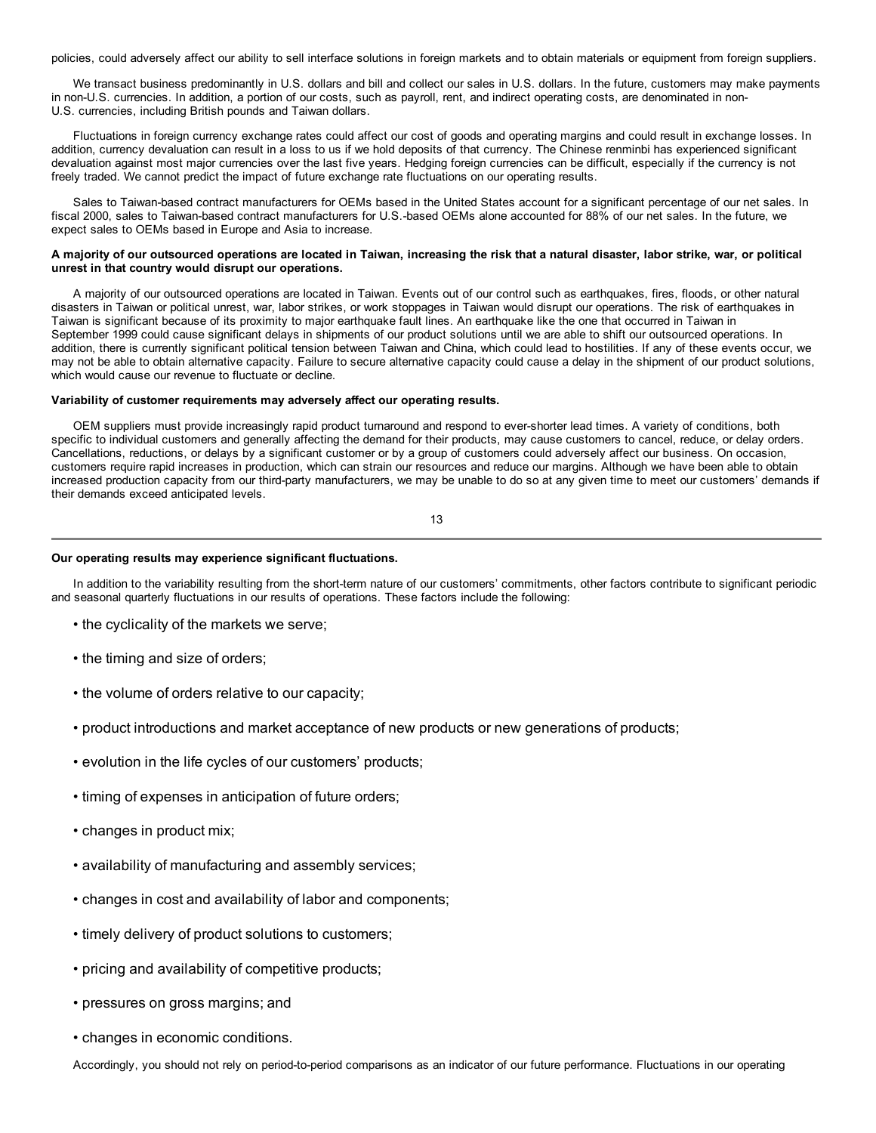policies, could adversely affect our ability to sell interface solutions in foreign markets and to obtain materials or equipment from foreign suppliers.

We transact business predominantly in U.S. dollars and bill and collect our sales in U.S. dollars. In the future, customers may make payments in non-U.S. currencies. In addition, a portion of our costs, such as payroll, rent, and indirect operating costs, are denominated in non-U.S. currencies, including British pounds and Taiwan dollars.

Fluctuations in foreign currency exchange rates could affect our cost of goods and operating margins and could result in exchange losses. In addition, currency devaluation can result in a loss to us if we hold deposits of that currency. The Chinese renminbi has experienced significant devaluation against most major currencies over the last five years. Hedging foreign currencies can be difficult, especially if the currency is not freely traded. We cannot predict the impact of future exchange rate fluctuations on our operating results.

Sales to Taiwan-based contract manufacturers for OEMs based in the United States account for a significant percentage of our net sales. In fiscal 2000, sales to Taiwan-based contract manufacturers for U.S.-based OEMs alone accounted for 88% of our net sales. In the future, we expect sales to OEMs based in Europe and Asia to increase.

## A majority of our outsourced operations are located in Taiwan, increasing the risk that a natural disaster, labor strike, war, or political **unrest in that country would disrupt our operations.**

A majority of our outsourced operations are located in Taiwan. Events out of our control such as earthquakes, fires, floods, or other natural disasters in Taiwan or political unrest, war, labor strikes, or work stoppages in Taiwan would disrupt our operations. The risk of earthquakes in Taiwan is significant because of its proximity to major earthquake fault lines. An earthquake like the one that occurred in Taiwan in September 1999 could cause significant delays in shipments of our product solutions until we are able to shift our outsourced operations. In addition, there is currently significant political tension between Taiwan and China, which could lead to hostilities. If any of these events occur, we may not be able to obtain alternative capacity. Failure to secure alternative capacity could cause a delay in the shipment of our product solutions, which would cause our revenue to fluctuate or decline.

## **Variability of customer requirements may adversely affect our operating results.**

OEM suppliers must provide increasingly rapid product turnaround and respond to ever-shorter lead times. A variety of conditions, both specific to individual customers and generally affecting the demand for their products, may cause customers to cancel, reduce, or delay orders. Cancellations, reductions, or delays by a significant customer or by a group of customers could adversely affect our business. On occasion, customers require rapid increases in production, which can strain our resources and reduce our margins. Although we have been able to obtain increased production capacity from our third-party manufacturers, we may be unable to do so at any given time to meet our customers' demands if their demands exceed anticipated levels.

13

## **Our operating results may experience significant fluctuations.**

In addition to the variability resulting from the short-term nature of our customers' commitments, other factors contribute to significant periodic and seasonal quarterly fluctuations in our results of operations. These factors include the following:

- the cyclicality of the markets we serve;
- the timing and size of orders;
- the volume of orders relative to our capacity;
- product introductions and market acceptance of new products or new generations of products;
- evolution in the life cycles of our customers' products;
- timing of expenses in anticipation of future orders;
- changes in product mix;
- availability of manufacturing and assembly services;
- changes in cost and availability of labor and components;
- timely delivery of product solutions to customers;
- pricing and availability of competitive products;
- pressures on gross margins; and
- changes in economic conditions.

Accordingly, you should not rely on period-to-period comparisons as an indicator of our future performance. Fluctuations in our operating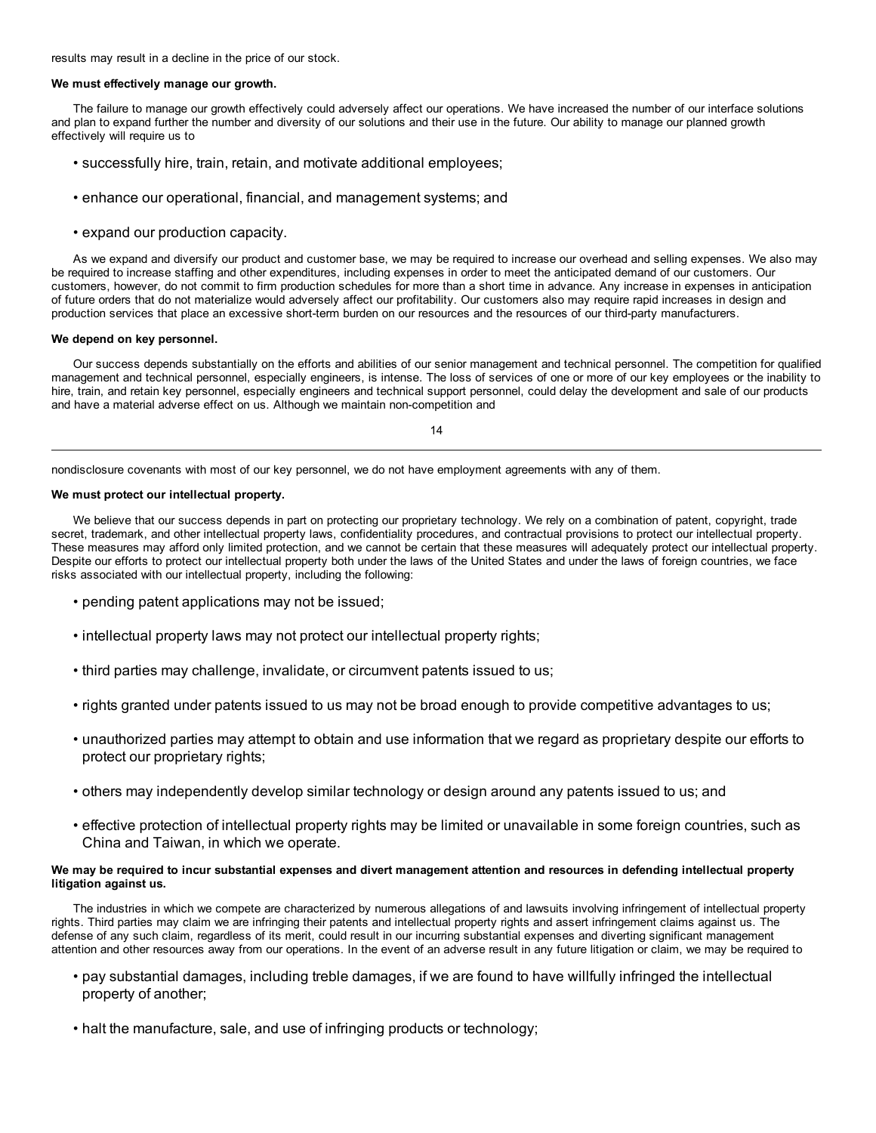results may result in a decline in the price of our stock.

## **We must effectively manage our growth.**

The failure to manage our growth effectively could adversely affect our operations. We have increased the number of our interface solutions and plan to expand further the number and diversity of our solutions and their use in the future. Our ability to manage our planned growth effectively will require us to

- successfully hire, train, retain, and motivate additional employees;
- enhance our operational, financial, and management systems; and
- expand our production capacity.

As we expand and diversify our product and customer base, we may be required to increase our overhead and selling expenses. We also may be required to increase staffing and other expenditures, including expenses in order to meet the anticipated demand of our customers. Our customers, however, do not commit to firm production schedules for more than a short time in advance. Any increase in expenses in anticipation of future orders that do not materialize would adversely affect our profitability. Our customers also may require rapid increases in design and production services that place an excessive short-term burden on our resources and the resources of our third-party manufacturers.

#### **We depend on key personnel.**

Our success depends substantially on the efforts and abilities of our senior management and technical personnel. The competition for qualified management and technical personnel, especially engineers, is intense. The loss of services of one or more of our key employees or the inability to hire, train, and retain key personnel, especially engineers and technical support personnel, could delay the development and sale of our products and have a material adverse effect on us. Although we maintain non-competition and

14

nondisclosure covenants with most of our key personnel, we do not have employment agreements with any of them.

## **We must protect our intellectual property.**

We believe that our success depends in part on protecting our proprietary technology. We rely on a combination of patent, copyright, trade secret, trademark, and other intellectual property laws, confidentiality procedures, and contractual provisions to protect our intellectual property. These measures may afford only limited protection, and we cannot be certain that these measures will adequately protect our intellectual property. Despite our efforts to protect our intellectual property both under the laws of the United States and under the laws of foreign countries, we face risks associated with our intellectual property, including the following:

- pending patent applications may not be issued;
- intellectual property laws may not protect our intellectual property rights;
- third parties may challenge, invalidate, or circumvent patents issued to us;
- rights granted under patents issued to us may not be broad enough to provide competitive advantages to us;
- unauthorized parties may attempt to obtain and use information that we regard as proprietary despite our efforts to protect our proprietary rights;
- others may independently develop similar technology or design around any patents issued to us; and
- effective protection of intellectual property rights may be limited or unavailable in some foreign countries, such as China and Taiwan, in which we operate.

## We may be required to incur substantial expenses and divert management attention and resources in defending intellectual property **litigation against us.**

The industries in which we compete are characterized by numerous allegations of and lawsuits involving infringement of intellectual property rights. Third parties may claim we are infringing their patents and intellectual property rights and assert infringement claims against us. The defense of any such claim, regardless of its merit, could result in our incurring substantial expenses and diverting significant management attention and other resources away from our operations. In the event of an adverse result in any future litigation or claim, we may be required to

- pay substantial damages, including treble damages, if we are found to have willfully infringed the intellectual property of another;
- halt the manufacture, sale, and use of infringing products or technology;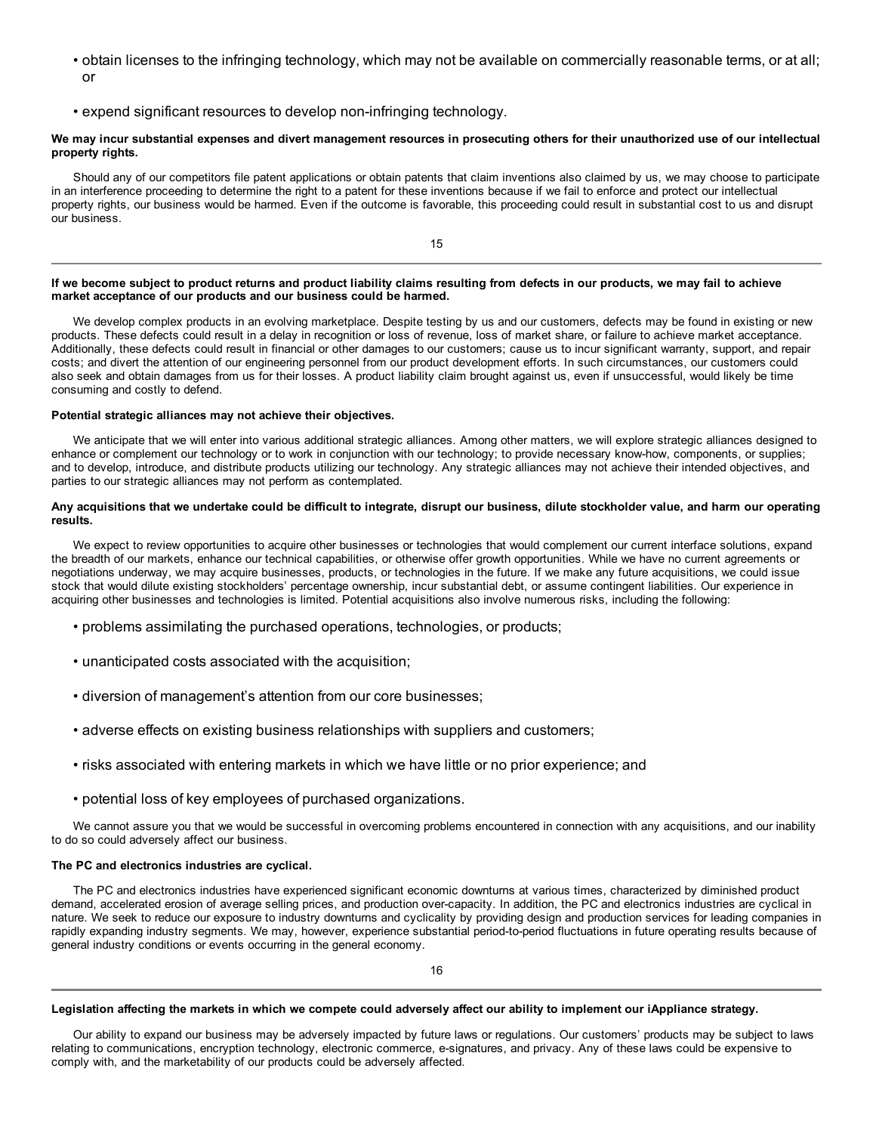- obtain licenses to the infringing technology, which may not be available on commercially reasonable terms, or at all; or
- expend significant resources to develop non-infringing technology.

## We may incur substantial expenses and divert management resources in prosecuting others for their unauthorized use of our intellectual **property rights.**

Should any of our competitors file patent applications or obtain patents that claim inventions also claimed by us, we may choose to participate in an interference proceeding to determine the right to a patent for these inventions because if we fail to enforce and protect our intellectual property rights, our business would be harmed. Even if the outcome is favorable, this proceeding could result in substantial cost to us and disrupt our business.

15

## If we become subject to product returns and product liability claims resulting from defects in our products, we may fail to achieve **market acceptance of our products and our business could be harmed.**

We develop complex products in an evolving marketplace. Despite testing by us and our customers, defects may be found in existing or new products. These defects could result in a delay in recognition or loss of revenue, loss of market share, or failure to achieve market acceptance. Additionally, these defects could result in financial or other damages to our customers; cause us to incur significant warranty, support, and repair costs; and divert the attention of our engineering personnel from our product development efforts. In such circumstances, our customers could also seek and obtain damages from us for their losses. A product liability claim brought against us, even if unsuccessful, would likely be time consuming and costly to defend.

## **Potential strategic alliances may not achieve their objectives.**

We anticipate that we will enter into various additional strategic alliances. Among other matters, we will explore strategic alliances designed to enhance or complement our technology or to work in conjunction with our technology; to provide necessary know-how, components, or supplies; and to develop, introduce, and distribute products utilizing our technology. Any strategic alliances may not achieve their intended objectives, and parties to our strategic alliances may not perform as contemplated.

## Any acquisitions that we undertake could be difficult to integrate, disrupt our business, dilute stockholder value, and harm our operating **results.**

We expect to review opportunities to acquire other businesses or technologies that would complement our current interface solutions, expand the breadth of our markets, enhance our technical capabilities, or otherwise offer growth opportunities. While we have no current agreements or negotiations underway, we may acquire businesses, products, or technologies in the future. If we make any future acquisitions, we could issue stock that would dilute existing stockholders' percentage ownership, incur substantial debt, or assume contingent liabilities. Our experience in acquiring other businesses and technologies is limited. Potential acquisitions also involve numerous risks, including the following:

- problems assimilating the purchased operations, technologies, or products;
- unanticipated costs associated with the acquisition;
- diversion of management's attention from our core businesses;
- adverse effects on existing business relationships with suppliers and customers;
- risks associated with entering markets in which we have little or no prior experience; and
- potential loss of key employees of purchased organizations.

We cannot assure you that we would be successful in overcoming problems encountered in connection with any acquisitions, and our inability to do so could adversely affect our business.

## **The PC and electronics industries are cyclical.**

The PC and electronics industries have experienced significant economic downturns at various times, characterized by diminished product demand, accelerated erosion of average selling prices, and production over-capacity. In addition, the PC and electronics industries are cyclical in nature. We seek to reduce our exposure to industry downturns and cyclicality by providing design and production services for leading companies in rapidly expanding industry segments. We may, however, experience substantial period-to-period fluctuations in future operating results because of general industry conditions or events occurring in the general economy.

## Legislation affecting the markets in which we compete could adversely affect our ability to implement our iAppliance strategy.

Our ability to expand our business may be adversely impacted by future laws or regulations. Our customers' products may be subject to laws relating to communications, encryption technology, electronic commerce, e-signatures, and privacy. Any of these laws could be expensive to comply with, and the marketability of our products could be adversely affected.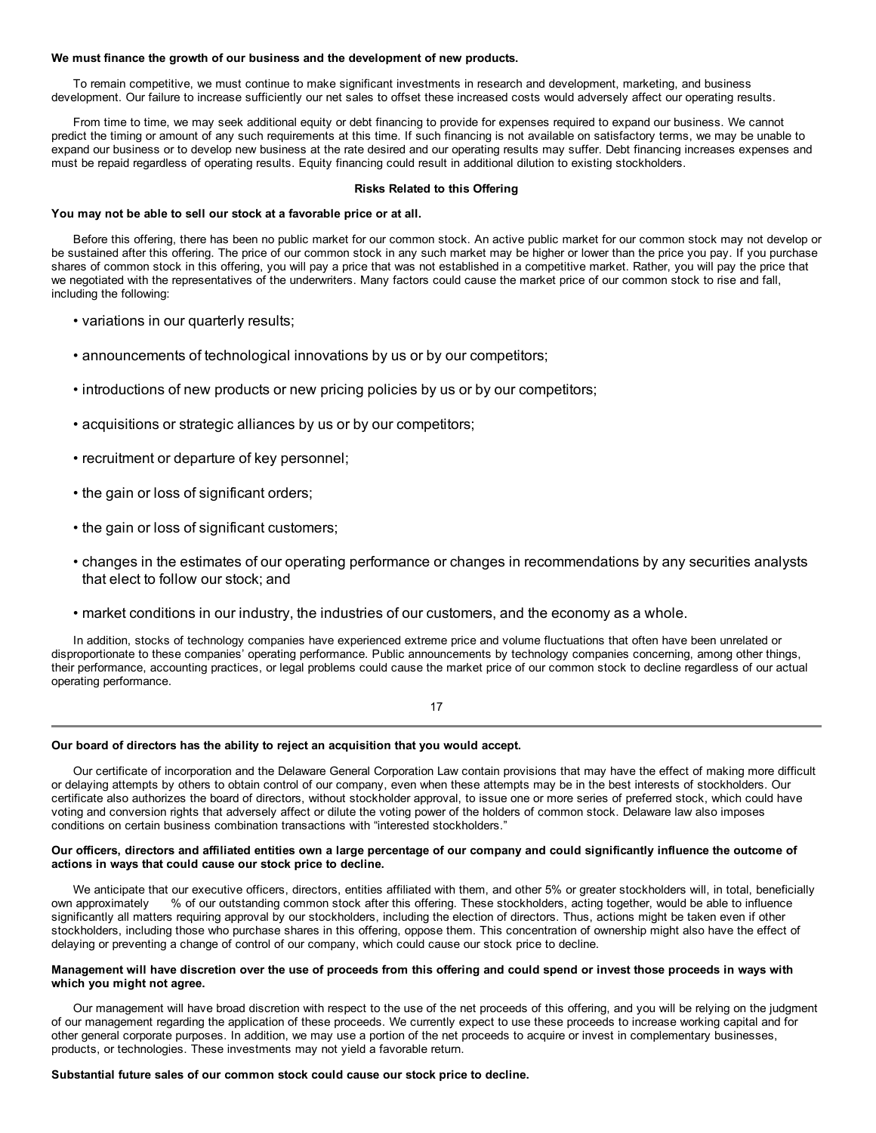#### **We must finance the growth of our business and the development of new products.**

To remain competitive, we must continue to make significant investments in research and development, marketing, and business development. Our failure to increase sufficiently our net sales to offset these increased costs would adversely affect our operating results.

From time to time, we may seek additional equity or debt financing to provide for expenses required to expand our business. We cannot predict the timing or amount of any such requirements at this time. If such financing is not available on satisfactory terms, we may be unable to expand our business or to develop new business at the rate desired and our operating results may suffer. Debt financing increases expenses and must be repaid regardless of operating results. Equity financing could result in additional dilution to existing stockholders.

## **Risks Related to this Offering**

## **You may not be able to sell our stock at a favorable price or at all.**

Before this offering, there has been no public market for our common stock. An active public market for our common stock may not develop or be sustained after this offering. The price of our common stock in any such market may be higher or lower than the price you pay. If you purchase shares of common stock in this offering, you will pay a price that was not established in a competitive market. Rather, you will pay the price that we negotiated with the representatives of the underwriters. Many factors could cause the market price of our common stock to rise and fall, including the following:

- variations in our quarterly results;
- announcements of technological innovations by us or by our competitors;
- introductions of new products or new pricing policies by us or by our competitors;
- acquisitions or strategic alliances by us or by our competitors;
- recruitment or departure of key personnel;
- the gain or loss of significant orders;
- the gain or loss of significant customers;
- changes in the estimates of our operating performance or changes in recommendations by any securities analysts that elect to follow our stock; and
- market conditions in our industry, the industries of our customers, and the economy as a whole.

In addition, stocks of technology companies have experienced extreme price and volume fluctuations that often have been unrelated or disproportionate to these companies' operating performance. Public announcements by technology companies concerning, among other things, their performance, accounting practices, or legal problems could cause the market price of our common stock to decline regardless of our actual operating performance.

## 17

## **Our board of directors has the ability to reject an acquisition that you would accept.**

Our certificate of incorporation and the Delaware General Corporation Law contain provisions that may have the effect of making more difficult or delaying attempts by others to obtain control of our company, even when these attempts may be in the best interests of stockholders. Our certificate also authorizes the board of directors, without stockholder approval, to issue one or more series of preferred stock, which could have voting and conversion rights that adversely affect or dilute the voting power of the holders of common stock. Delaware law also imposes conditions on certain business combination transactions with "interested stockholders."

## Our officers, directors and affiliated entities own a large percentage of our company and could significantly influence the outcome of **actions in ways that could cause our stock price to decline.**

We anticipate that our executive officers, directors, entities affiliated with them, and other 5% or greater stockholders will, in total, beneficially own approximately % of our outstanding common stock after this offering. These stockholders, acting together, would be able to influence significantly all matters requiring approval by our stockholders, including the election of directors. Thus, actions might be taken even if other stockholders, including those who purchase shares in this offering, oppose them. This concentration of ownership might also have the effect of delaying or preventing a change of control of our company, which could cause our stock price to decline.

## Management will have discretion over the use of proceeds from this offering and could spend or invest those proceeds in ways with **which you might not agree.**

Our management will have broad discretion with respect to the use of the net proceeds of this offering, and you will be relying on the judgment of our management regarding the application of these proceeds. We currently expect to use these proceeds to increase working capital and for other general corporate purposes. In addition, we may use a portion of the net proceeds to acquire or invest in complementary businesses, products, or technologies. These investments may not yield a favorable return.

## **Substantial future sales of our common stock could cause our stock price to decline.**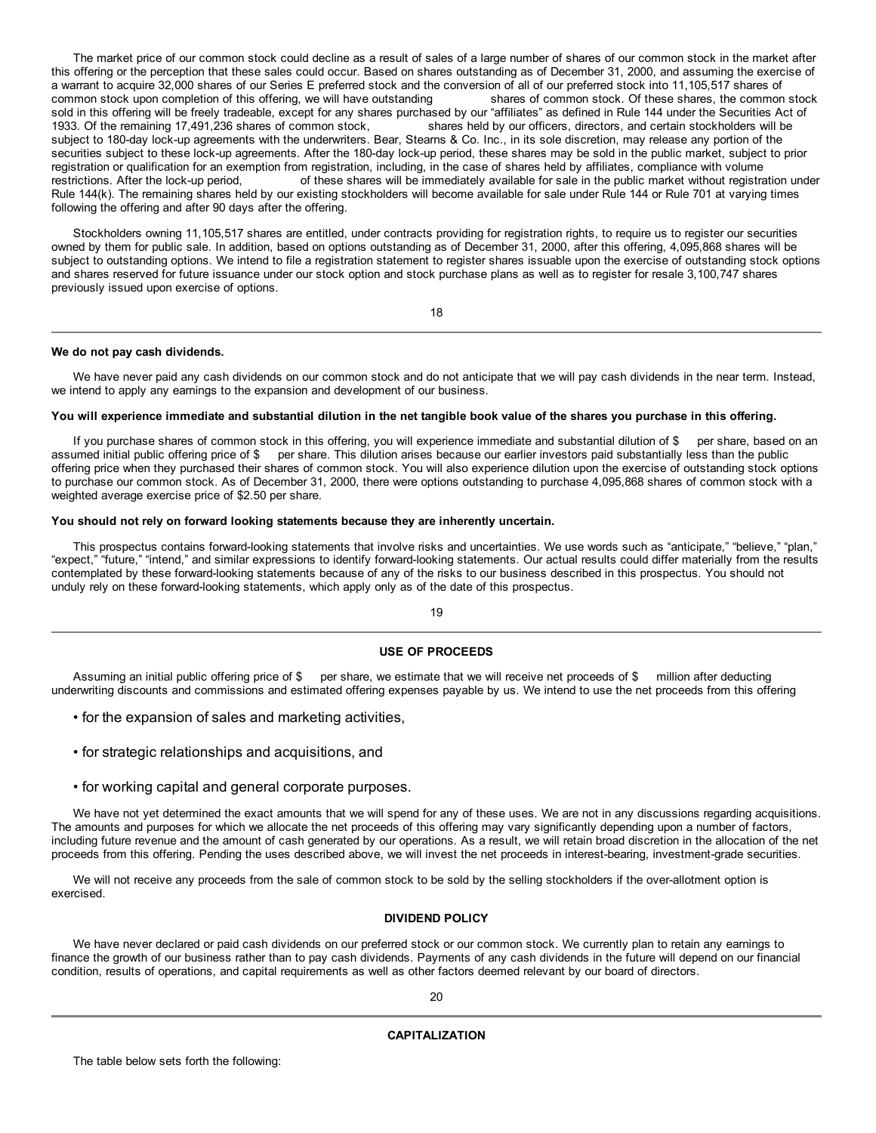The market price of our common stock could decline as a result of sales of a large number of shares of our common stock in the market after this offering or the perception that these sales could occur. Based on shares outstanding as of December 31, 2000, and assuming the exercise of a warrant to acquire 32,000 shares of our Series E preferred stock and the conversion of all of our preferred stock into 11,105,517 shares of common stock upon completion of this offering, we will have outstanding shares of common stock. Of these shares, the common stock sold in this offering will be freely tradeable, except for any shares purchased by our "affiliates" as defined in Rule 144 under the Securities Act of 1933. Of the remaining 17,491,236 shares of common stock, shares held b shares held by our officers, directors, and certain stockholders will be subject to 180-day lock-up agreements with the underwriters. Bear, Stearns & Co. Inc., in its sole discretion, may release any portion of the securities subject to these lock-up agreements. After the 180-day lock-up period, these shares may be sold in the public market, subject to prior registration or qualification for an exemption from registration, including, in the case of shares held by affiliates, compliance with volume restrictions. After the lock-up period, on these shares will be immediately available for sale in the public market without registration under Rule 144(k). The remaining shares held by our existing stockholders will become available for sale under Rule 144 or Rule 701 at varying times following the offering and after 90 days after the offering.

Stockholders owning 11,105,517 shares are entitled, under contracts providing for registration rights, to require us to register our securities owned by them for public sale. In addition, based on options outstanding as of December 31, 2000, after this offering, 4,095,868 shares will be subject to outstanding options. We intend to file a registration statement to register shares issuable upon the exercise of outstanding stock options and shares reserved for future issuance under our stock option and stock purchase plans as well as to register for resale 3,100,747 shares previously issued upon exercise of options.

18

## **We do not pay cash dividends.**

We have never paid any cash dividends on our common stock and do not anticipate that we will pay cash dividends in the near term. Instead, we intend to apply any earnings to the expansion and development of our business.

## You will experience immediate and substantial dilution in the net tangible book value of the shares you purchase in this offering.

If you purchase shares of common stock in this offering, you will experience immediate and substantial dilution of \$ per share, based on an assumed initial public offering price of \$ per share. This dilution arises because our earlier investors paid substantially less than the public offering price when they purchased their shares of common stock. You will also experience dilution upon the exercise of outstanding stock options to purchase our common stock. As of December 31, 2000, there were options outstanding to purchase 4,095,868 shares of common stock with a weighted average exercise price of \$2.50 per share.

## **You should not rely on forward looking statements because they are inherently uncertain.**

This prospectus contains forward-looking statements that involve risks and uncertainties. We use words such as "anticipate," "believe," "plan," "expect," "future," "intend," and similar expressions to identify forward-looking statements. Our actual results could differ materially from the results contemplated by these forward-looking statements because of any of the risks to our business described in this prospectus. You should not unduly rely on these forward-looking statements, which apply only as of the date of this prospectus.

19

## **USE OF PROCEEDS**

Assuming an initial public offering price of \$ per share, we estimate that we will receive net proceeds of \$ million after deducting underwriting discounts and commissions and estimated offering expenses payable by us. We intend to use the net proceeds from this offering

- for the expansion of sales and marketing activities,
- for strategic relationships and acquisitions, and
- for working capital and general corporate purposes.

We have not yet determined the exact amounts that we will spend for any of these uses. We are not in any discussions regarding acquisitions. The amounts and purposes for which we allocate the net proceeds of this offering may vary significantly depending upon a number of factors, including future revenue and the amount of cash generated by our operations. As a result, we will retain broad discretion in the allocation of the net proceeds from this offering. Pending the uses described above, we will invest the net proceeds in interest-bearing, investment-grade securities.

We will not receive any proceeds from the sale of common stock to be sold by the selling stockholders if the over-allotment option is exercised.

## **DIVIDEND POLICY**

We have never declared or paid cash dividends on our preferred stock or our common stock. We currently plan to retain any earnings to finance the growth of our business rather than to pay cash dividends. Payments of any cash dividends in the future will depend on our financial condition, results of operations, and capital requirements as well as other factors deemed relevant by our board of directors.

## **CAPITALIZATION**

The table below sets forth the following: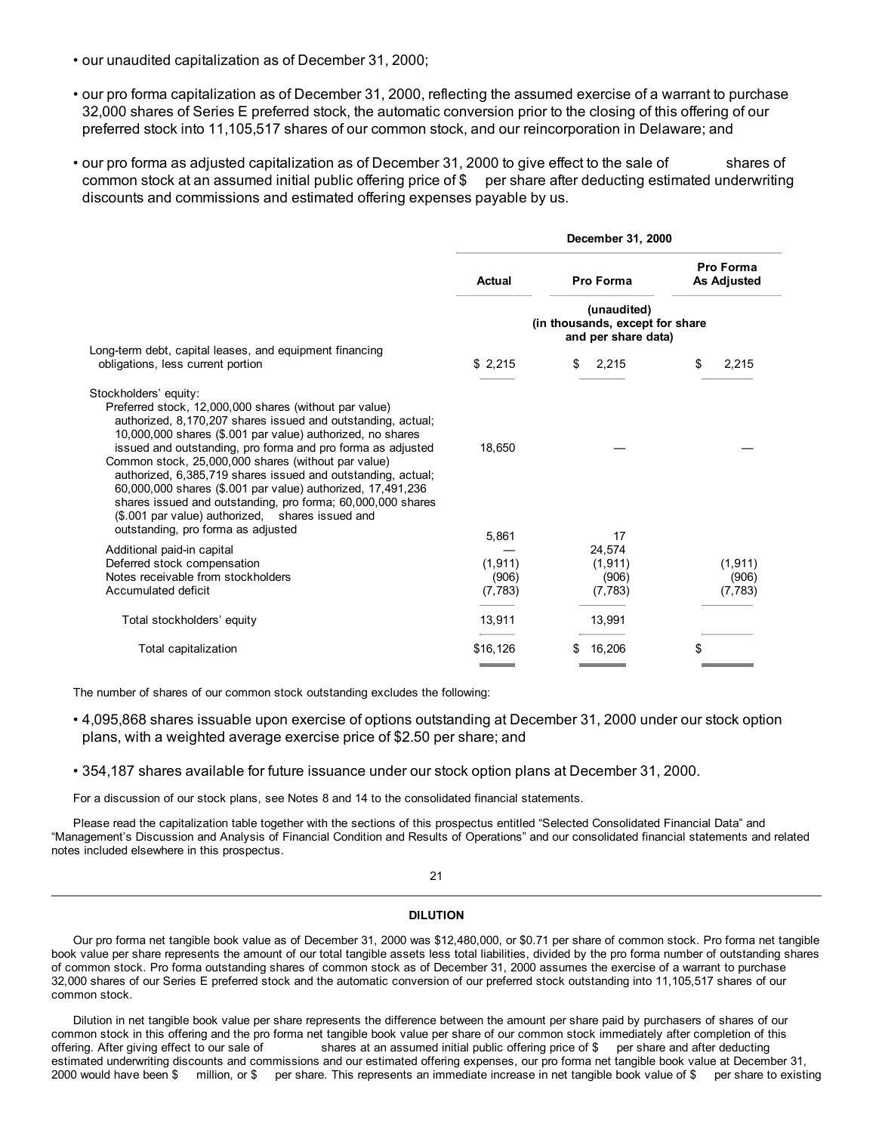- our unaudited capitalization as of December 31, 2000;
- our pro forma capitalization as of December 31, 2000, reflecting the assumed exercise of a warrant to purchase 32,000 shares of Series E preferred stock, the automatic conversion prior to the closing of this offering of our preferred stock into 11,105,517 shares of our common stock, and our reincorporation in Delaware; and
- our pro forma as adjusted capitalization as of December 31, 2000 to give effect to the sale of shares of common stock at an assumed initial public offering price of \$ per share after deducting estimated underwriting discounts and commissions and estimated offering expenses payable by us.

|                                                                                                                                                                                                                                                                                                                                                                                                                                                                                                                                                                                                                             | <b>Actual</b>              | Pro Forma                                                             | Pro Forma<br><b>As Adjusted</b> |
|-----------------------------------------------------------------------------------------------------------------------------------------------------------------------------------------------------------------------------------------------------------------------------------------------------------------------------------------------------------------------------------------------------------------------------------------------------------------------------------------------------------------------------------------------------------------------------------------------------------------------------|----------------------------|-----------------------------------------------------------------------|---------------------------------|
|                                                                                                                                                                                                                                                                                                                                                                                                                                                                                                                                                                                                                             |                            | (unaudited)<br>(in thousands, except for share<br>and per share data) |                                 |
| Long-term debt, capital leases, and equipment financing<br>obligations, less current portion                                                                                                                                                                                                                                                                                                                                                                                                                                                                                                                                | \$2,215                    | \$<br>2,215                                                           | 2,215<br>S                      |
| Stockholders' equity:<br>Preferred stock, 12,000,000 shares (without par value)<br>authorized, 8,170,207 shares issued and outstanding, actual;<br>10,000,000 shares (\$.001 par value) authorized, no shares<br>issued and outstanding, pro forma and pro forma as adjusted<br>Common stock, 25,000,000 shares (without par value)<br>authorized, 6,385,719 shares issued and outstanding, actual;<br>60,000,000 shares (\$.001 par value) authorized, 17,491,236<br>shares issued and outstanding, pro forma; 60,000,000 shares<br>(\$.001 par value) authorized, shares issued and<br>outstanding, pro forma as adjusted | 18,650                     |                                                                       |                                 |
| Additional paid-in capital<br>Deferred stock compensation<br>Notes receivable from stockholders                                                                                                                                                                                                                                                                                                                                                                                                                                                                                                                             | 5,861<br>(1, 911)<br>(906) | 17<br>24,574<br>(1, 911)<br>(906)                                     | (1, 911)<br>(906)               |
| Accumulated deficit                                                                                                                                                                                                                                                                                                                                                                                                                                                                                                                                                                                                         | (7, 783)                   | (7, 783)                                                              | (7, 783)                        |
| Total stockholders' equity                                                                                                                                                                                                                                                                                                                                                                                                                                                                                                                                                                                                  | 13,911                     | 13,991                                                                |                                 |
| Total capitalization                                                                                                                                                                                                                                                                                                                                                                                                                                                                                                                                                                                                        | \$16,126                   | 16,206<br>S                                                           | \$                              |
|                                                                                                                                                                                                                                                                                                                                                                                                                                                                                                                                                                                                                             |                            |                                                                       |                                 |

The number of shares of our common stock outstanding excludes the following:

- 4,095,868 shares issuable upon exercise of options outstanding at December 31, 2000 under our stock option plans, with a weighted average exercise price of \$2.50 per share; and
- 354,187 shares available for future issuance under our stock option plans at December 31, 2000.

For a discussion of our stock plans, see Notes 8 and 14 to the consolidated financial statements.

Please read the capitalization table together with the sections of this prospectus entitled "Selected Consolidated Financial Data" and "Management's Discussion and Analysis of Financial Condition and Results of Operations" and our consolidated financial statements and related notes included elsewhere in this prospectus.

## 21

## **DILUTION**

Our pro forma net tangible book value as of December 31, 2000 was \$12,480,000, or \$0.71 per share of common stock. Pro forma net tangible book value per share represents the amount of our total tangible assets less total liabilities, divided by the pro forma number of outstanding shares of common stock. Pro forma outstanding shares of common stock as of December 31, 2000 assumes the exercise of a warrant to purchase 32,000 shares of our Series E preferred stock and the automatic conversion of our preferred stock outstanding into 11,105,517 shares of our common stock.

Dilution in net tangible book value per share represents the difference between the amount per share paid by purchasers of shares of our common stock in this offering and the pro forma net tangible book value per share of our common stock immediately after completion of this offering. After giving effect to our sale of shares at an assumed initial public of shares at an assumed initial public offering price of \$ per share and after deducting estimated underwriting discounts and commissions and our estimated offering expenses, our pro forma net tangible book value at December 31, 2000 would have been \$ million, or \$ per share. This represents an immediate increase in net tangible book value of \$ per share to existing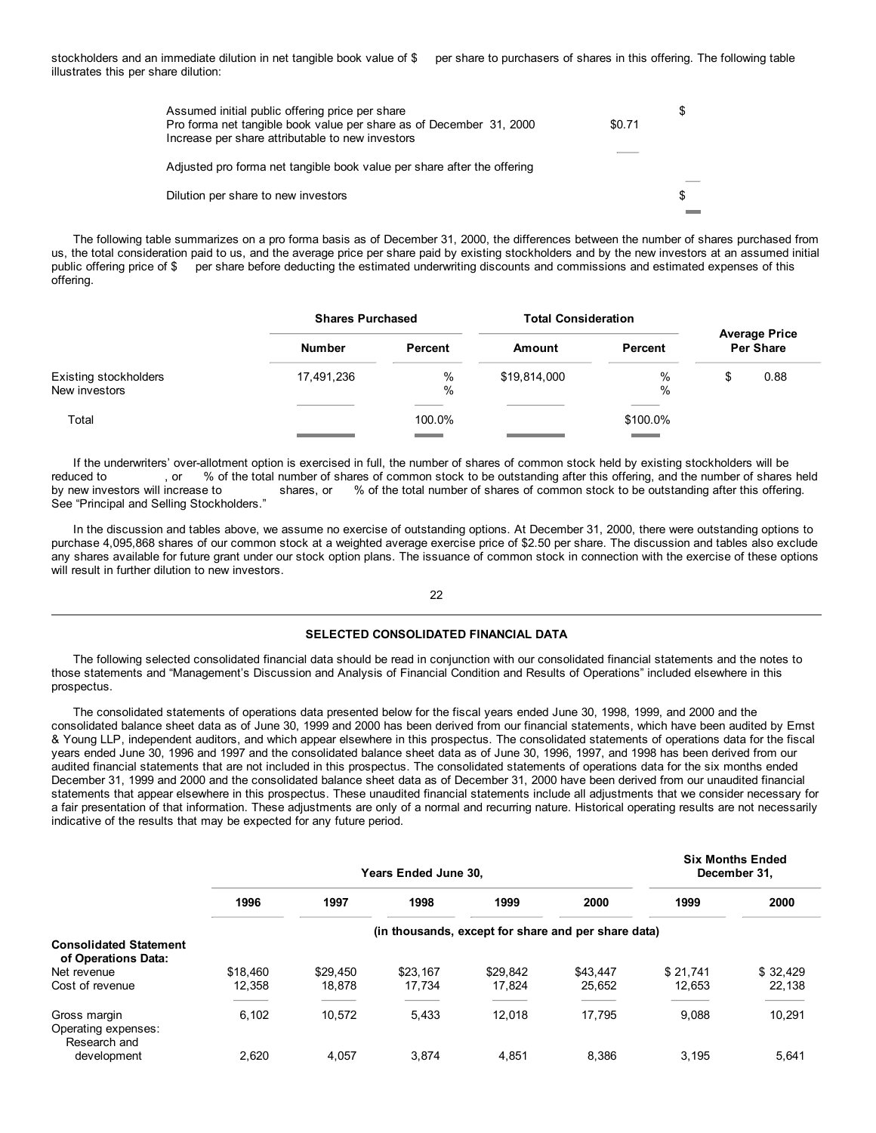stockholders and an immediate dilution in net tangible book value of \$ per share to purchasers of shares in this offering. The following table illustrates this per share dilution:

| Assumed initial public offering price per share<br>Pro forma net tangible book value per share as of December 31, 2000<br>Increase per share attributable to new investors | \$0.71 | S |
|----------------------------------------------------------------------------------------------------------------------------------------------------------------------------|--------|---|
| Adjusted pro forma net tangible book value per share after the offering                                                                                                    |        |   |
| Dilution per share to new investors                                                                                                                                        |        | S |

The following table summarizes on a pro forma basis as of December 31, 2000, the differences between the number of shares purchased from us, the total consideration paid to us, and the average price per share paid by existing stockholders and by the new investors at an assumed initial public offering price of \$ per share before deducting the estimated underwriting discounts and commissions and estimated expenses of this offering.

|                                        | <b>Shares Purchased</b> |              |              | <b>Total Consideration</b> |    |                                          |
|----------------------------------------|-------------------------|--------------|--------------|----------------------------|----|------------------------------------------|
|                                        | <b>Number</b>           | Percent      | Amount       | Percent                    |    | <b>Average Price</b><br><b>Per Share</b> |
| Existing stockholders<br>New investors | 17,491,236              | $\%$<br>$\%$ | \$19,814,000 | %<br>$\%$                  | \$ | 0.88                                     |
| Total                                  |                         | 100.0%       |              | \$100.0%                   |    |                                          |

If the underwriters' over-allotment option is exercised in full, the number of shares of common stock held by existing stockholders will be reduced to , or % of the total number of shares of common stock to be outstanding after this offering, and the number of shares held by new investors will increase to shares, or % of the total number of shares of common stock to be outstanding after this offering. See "Principal and Selling Stockholders."

In the discussion and tables above, we assume no exercise of outstanding options. At December 31, 2000, there were outstanding options to purchase 4,095,868 shares of our common stock at a weighted average exercise price of \$2.50 per share. The discussion and tables also exclude any shares available for future grant under our stock option plans. The issuance of common stock in connection with the exercise of these options will result in further dilution to new investors.

## 22

## **SELECTED CONSOLIDATED FINANCIAL DATA**

The following selected consolidated financial data should be read in conjunction with our consolidated financial statements and the notes to those statements and "Management's Discussion and Analysis of Financial Condition and Results of Operations" included elsewhere in this prospectus.

The consolidated statements of operations data presented below for the fiscal years ended June 30, 1998, 1999, and 2000 and the consolidated balance sheet data as of June 30, 1999 and 2000 has been derived from our financial statements, which have been audited by Ernst & Young LLP, independent auditors, and which appear elsewhere in this prospectus. The consolidated statements of operations data for the fiscal years ended June 30, 1996 and 1997 and the consolidated balance sheet data as of June 30, 1996, 1997, and 1998 has been derived from our audited financial statements that are not included in this prospectus. The consolidated statements of operations data for the six months ended December 31, 1999 and 2000 and the consolidated balance sheet data as of December 31, 2000 have been derived from our unaudited financial statements that appear elsewhere in this prospectus. These unaudited financial statements include all adjustments that we consider necessary for a fair presentation of that information. These adjustments are only of a normal and recurring nature. Historical operating results are not necessarily indicative of the results that may be expected for any future period.

|                                                      | <b>Years Ended June 30.</b> |                                                     |          |          |          |          | <b>Six Months Ended</b><br>December 31. |  |  |  |  |  |
|------------------------------------------------------|-----------------------------|-----------------------------------------------------|----------|----------|----------|----------|-----------------------------------------|--|--|--|--|--|
|                                                      | 1996                        | 1997                                                | 1998     | 1999     | 2000     | 1999     | 2000                                    |  |  |  |  |  |
|                                                      |                             | (in thousands, except for share and per share data) |          |          |          |          |                                         |  |  |  |  |  |
| <b>Consolidated Statement</b><br>of Operations Data: |                             |                                                     |          |          |          |          |                                         |  |  |  |  |  |
| Net revenue                                          | \$18,460                    | \$29,450                                            | \$23.167 | \$29,842 | \$43.447 | \$21.741 | \$32.429                                |  |  |  |  |  |
| Cost of revenue                                      | 12.358                      | 18.878                                              | 17.734   | 17.824   | 25,652   | 12.653   | 22,138                                  |  |  |  |  |  |
| Gross margin<br>Operating expenses:<br>Research and  | 6.102                       | 10.572                                              | 5,433    | 12.018   | 17.795   | 9.088    | 10,291                                  |  |  |  |  |  |
| development                                          | 2.620                       | 4.057                                               | 3.874    | 4.851    | 8.386    | 3.195    | 5.641                                   |  |  |  |  |  |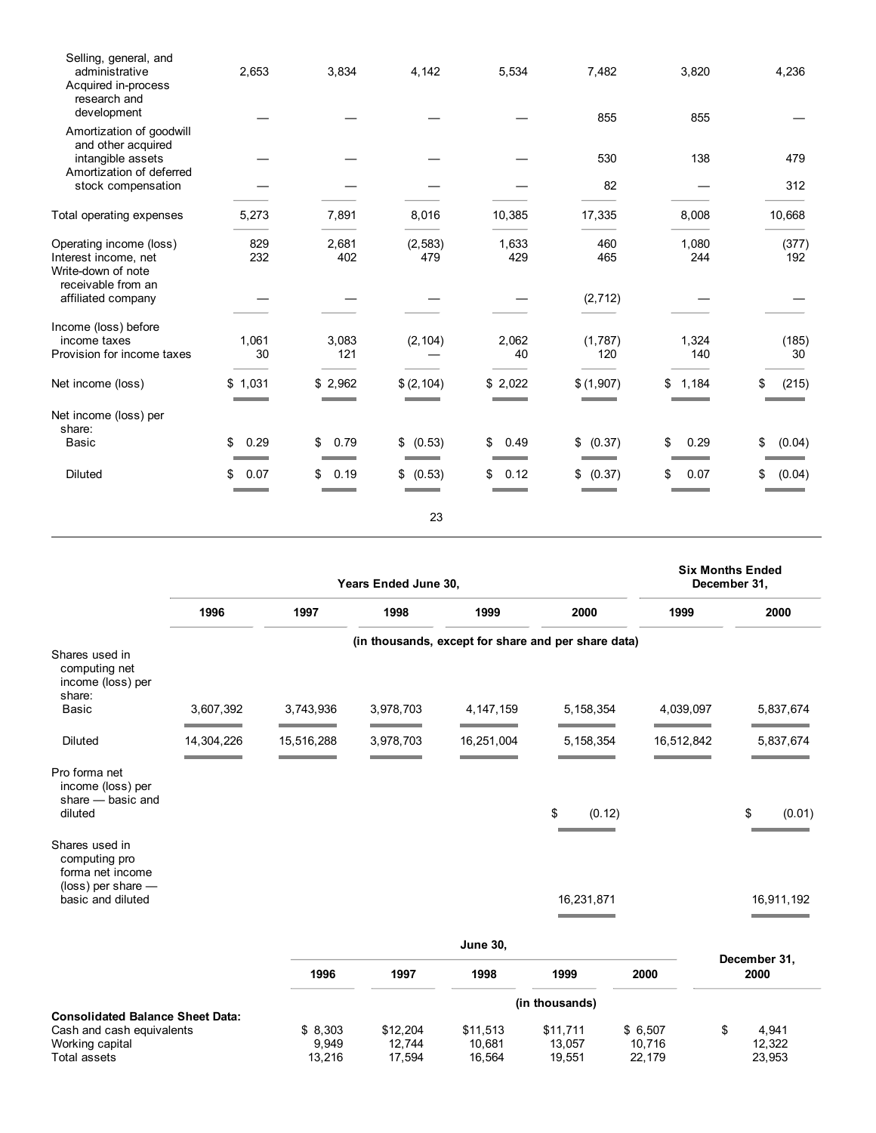| Selling, general, and<br>administrative<br>Acquired in-process<br>research and<br>development | 2,653       | 3,834        | 4,142           | 5,534        | 7,482<br>855 | 3,820<br>855 | 4,236        |
|-----------------------------------------------------------------------------------------------|-------------|--------------|-----------------|--------------|--------------|--------------|--------------|
| Amortization of goodwill<br>and other acquired<br>intangible assets                           |             |              |                 |              | 530          | 138          | 479          |
| Amortization of deferred<br>stock compensation                                                |             |              |                 |              | 82           |              | 312          |
| Total operating expenses                                                                      | 5,273       | 7,891        | 8,016           | 10,385       | 17,335       | 8,008        | 10,668       |
| Operating income (loss)<br>Interest income, net                                               | 829<br>232  | 2,681<br>402 | (2, 583)<br>479 | 1,633<br>429 | 460<br>465   | 1,080<br>244 | (377)<br>192 |
| Write-down of note<br>receivable from an<br>affiliated company                                |             |              |                 |              | (2, 712)     |              |              |
|                                                                                               |             |              |                 |              |              |              |              |
| Income (loss) before<br>income taxes                                                          | 1,061       | 3,083        | (2, 104)        | 2,062        | (1,787)      | 1,324        | (185)        |
| Provision for income taxes                                                                    | 30          | 121          |                 | 40           | 120          | 140          | 30           |
| Net income (loss)                                                                             | \$1,031     | \$2,962      | \$(2, 104)      | \$2,022      | \$(1,907)    | \$<br>1,184  | (215)        |
| Net income (loss) per<br>share:                                                               |             |              |                 |              |              |              |              |
| Basic                                                                                         | \$<br>0.29  | 0.79<br>\$   | \$ (0.53)       | \$<br>0.49   | (0.37)<br>\$ | \$<br>0.29   | \$<br>(0.04) |
| <b>Diluted</b>                                                                                | 0.07<br>\$. | 0.19<br>\$   | (0.53)<br>\$    | 0.12<br>\$   | (0.37)       | 0.07<br>\$   | (0.04)       |
|                                                                                               |             |              | 23              |              |              |              |              |

|                                                                                                                |            |                            | Years Ended June 30,         |                              |                                                     |                             | <b>Six Months Ended</b><br>December 31, |
|----------------------------------------------------------------------------------------------------------------|------------|----------------------------|------------------------------|------------------------------|-----------------------------------------------------|-----------------------------|-----------------------------------------|
|                                                                                                                | 1996       | 1997                       | 1998                         | 1999                         | 2000                                                | 1999                        | 2000                                    |
| Shares used in                                                                                                 |            |                            |                              |                              | (in thousands, except for share and per share data) |                             |                                         |
| computing net<br>income (loss) per<br>share:<br><b>Basic</b>                                                   | 3,607,392  | 3,743,936                  | 3,978,703                    | 4, 147, 159                  | 5, 158, 354                                         | 4,039,097                   | 5,837,674                               |
| <b>Diluted</b>                                                                                                 | 14,304,226 | 15,516,288                 | 3,978,703                    | 16,251,004                   | 5,158,354                                           | 16,512,842                  | 5,837,674                               |
| Pro forma net<br>income (loss) per<br>share - basic and<br>diluted                                             |            |                            |                              |                              | \$<br>(0.12)                                        |                             | \$<br>(0.01)                            |
| Shares used in<br>computing pro<br>forma net income<br>$(\text{loss})$ per share $-$<br>basic and diluted      |            |                            |                              |                              | 16,231,871                                          |                             | 16,911,192                              |
|                                                                                                                |            |                            |                              | <b>June 30,</b>              |                                                     |                             |                                         |
|                                                                                                                |            | 1996                       | 1997                         | 1998                         | 1999                                                | 2000                        | December 31,<br>2000                    |
|                                                                                                                |            |                            |                              |                              | (in thousands)                                      |                             |                                         |
| <b>Consolidated Balance Sheet Data:</b><br>Cash and cash equivalents<br>Working capital<br><b>Total assets</b> |            | \$8,303<br>9,949<br>13,216 | \$12,204<br>12,744<br>17,594 | \$11,513<br>10,681<br>16,564 | \$11,711<br>13,057<br>19,551                        | \$6,507<br>10,716<br>22,179 | \$<br>4,941<br>12,322<br>23,953         |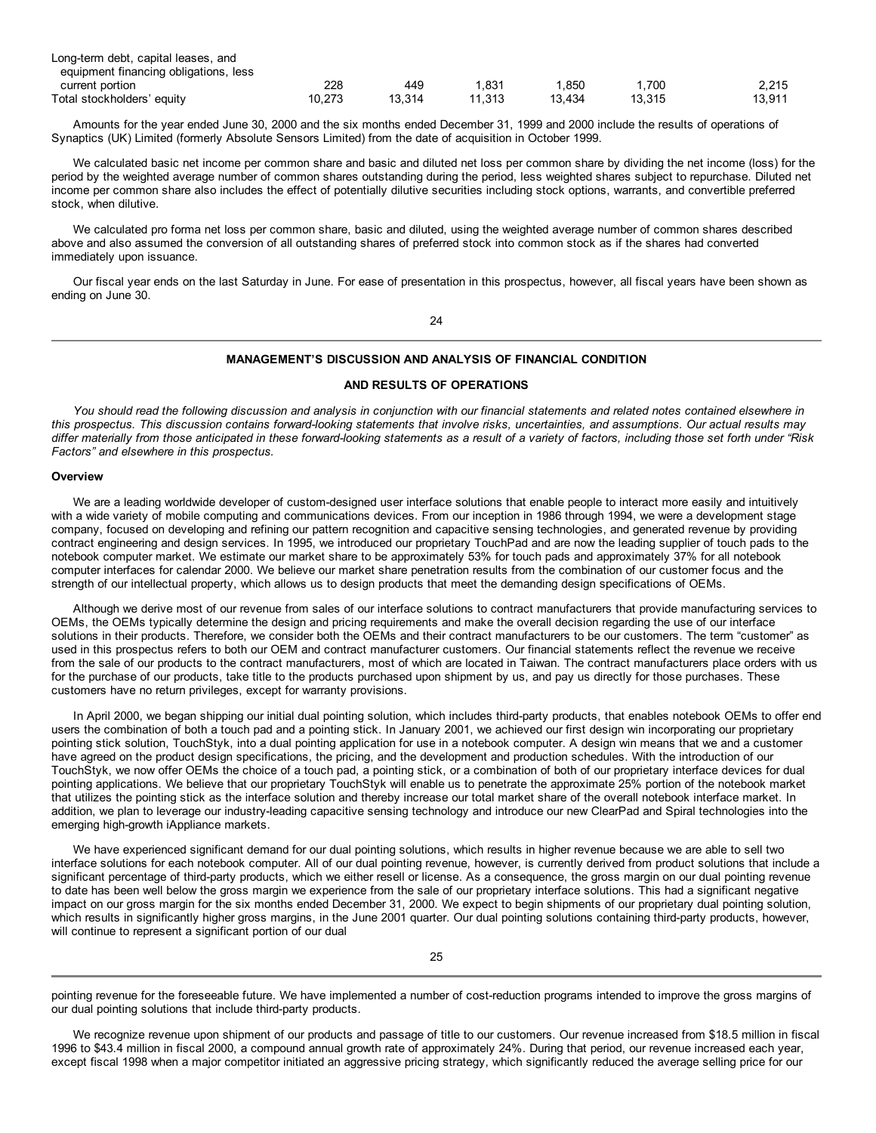| Long-term debt, capital leases, and   |        |        |        |        |        |        |
|---------------------------------------|--------|--------|--------|--------|--------|--------|
| equipment financing obligations, less |        |        |        |        |        |        |
| current portion                       | 228    | 449    | .831   | .850   | .700   | 2.215  |
| Total stockholders' equity            | 10.273 | 13.314 | 11.313 | 13.434 | 13.315 | 13.911 |

Amounts for the year ended June 30, 2000 and the six months ended December 31, 1999 and 2000 include the results of operations of Synaptics (UK) Limited (formerly Absolute Sensors Limited) from the date of acquisition in October 1999.

We calculated basic net income per common share and basic and diluted net loss per common share by dividing the net income (loss) for the period by the weighted average number of common shares outstanding during the period, less weighted shares subject to repurchase. Diluted net income per common share also includes the effect of potentially dilutive securities including stock options, warrants, and convertible preferred stock, when dilutive.

We calculated pro forma net loss per common share, basic and diluted, using the weighted average number of common shares described above and also assumed the conversion of all outstanding shares of preferred stock into common stock as if the shares had converted immediately upon issuance.

Our fiscal year ends on the last Saturday in June. For ease of presentation in this prospectus, however, all fiscal years have been shown as ending on June 30.

24

## **MANAGEMENT'S DISCUSSION AND ANALYSIS OF FINANCIAL CONDITION**

## **AND RESULTS OF OPERATIONS**

You should read the following discussion and analysis in conjunction with our financial statements and related notes contained elsewhere in this prospectus. This discussion contains forward-looking statements that involve risks, uncertainties, and assumptions. Our actual results may differ materially from those anticipated in these forward-looking statements as a result of a variety of factors, including those set forth under "Risk *Factors" and elsewhere in this prospectus.*

## **Overview**

We are a leading worldwide developer of custom-designed user interface solutions that enable people to interact more easily and intuitively with a wide variety of mobile computing and communications devices. From our inception in 1986 through 1994, we were a development stage company, focused on developing and refining our pattern recognition and capacitive sensing technologies, and generated revenue by providing contract engineering and design services. In 1995, we introduced our proprietary TouchPad and are now the leading supplier of touch pads to the notebook computer market. We estimate our market share to be approximately 53% for touch pads and approximately 37% for all notebook computer interfaces for calendar 2000. We believe our market share penetration results from the combination of our customer focus and the strength of our intellectual property, which allows us to design products that meet the demanding design specifications of OEMs.

Although we derive most of our revenue from sales of our interface solutions to contract manufacturers that provide manufacturing services to OEMs, the OEMs typically determine the design and pricing requirements and make the overall decision regarding the use of our interface solutions in their products. Therefore, we consider both the OEMs and their contract manufacturers to be our customers. The term "customer" as used in this prospectus refers to both our OEM and contract manufacturer customers. Our financial statements reflect the revenue we receive from the sale of our products to the contract manufacturers, most of which are located in Taiwan. The contract manufacturers place orders with us for the purchase of our products, take title to the products purchased upon shipment by us, and pay us directly for those purchases. These customers have no return privileges, except for warranty provisions.

In April 2000, we began shipping our initial dual pointing solution, which includes third-party products, that enables notebook OEMs to offer end users the combination of both a touch pad and a pointing stick. In January 2001, we achieved our first design win incorporating our proprietary pointing stick solution, TouchStyk, into a dual pointing application for use in a notebook computer. A design win means that we and a customer have agreed on the product design specifications, the pricing, and the development and production schedules. With the introduction of our TouchStyk, we now offer OEMs the choice of a touch pad, a pointing stick, or a combination of both of our proprietary interface devices for dual pointing applications. We believe that our proprietary TouchStyk will enable us to penetrate the approximate 25% portion of the notebook market that utilizes the pointing stick as the interface solution and thereby increase our total market share of the overall notebook interface market. In addition, we plan to leverage our industry-leading capacitive sensing technology and introduce our new ClearPad and Spiral technologies into the emerging high-growth iAppliance markets.

We have experienced significant demand for our dual pointing solutions, which results in higher revenue because we are able to sell two interface solutions for each notebook computer. All of our dual pointing revenue, however, is currently derived from product solutions that include a significant percentage of third-party products, which we either resell or license. As a consequence, the gross margin on our dual pointing revenue to date has been well below the gross margin we experience from the sale of our proprietary interface solutions. This had a significant negative impact on our gross margin for the six months ended December 31, 2000. We expect to begin shipments of our proprietary dual pointing solution, which results in significantly higher gross margins, in the June 2001 quarter. Our dual pointing solutions containing third-party products, however, will continue to represent a significant portion of our dual

pointing revenue for the foreseeable future. We have implemented a number of cost-reduction programs intended to improve the gross margins of our dual pointing solutions that include third-party products.

We recognize revenue upon shipment of our products and passage of title to our customers. Our revenue increased from \$18.5 million in fiscal 1996 to \$43.4 million in fiscal 2000, a compound annual growth rate of approximately 24%. During that period, our revenue increased each year, except fiscal 1998 when a major competitor initiated an aggressive pricing strategy, which significantly reduced the average selling price for our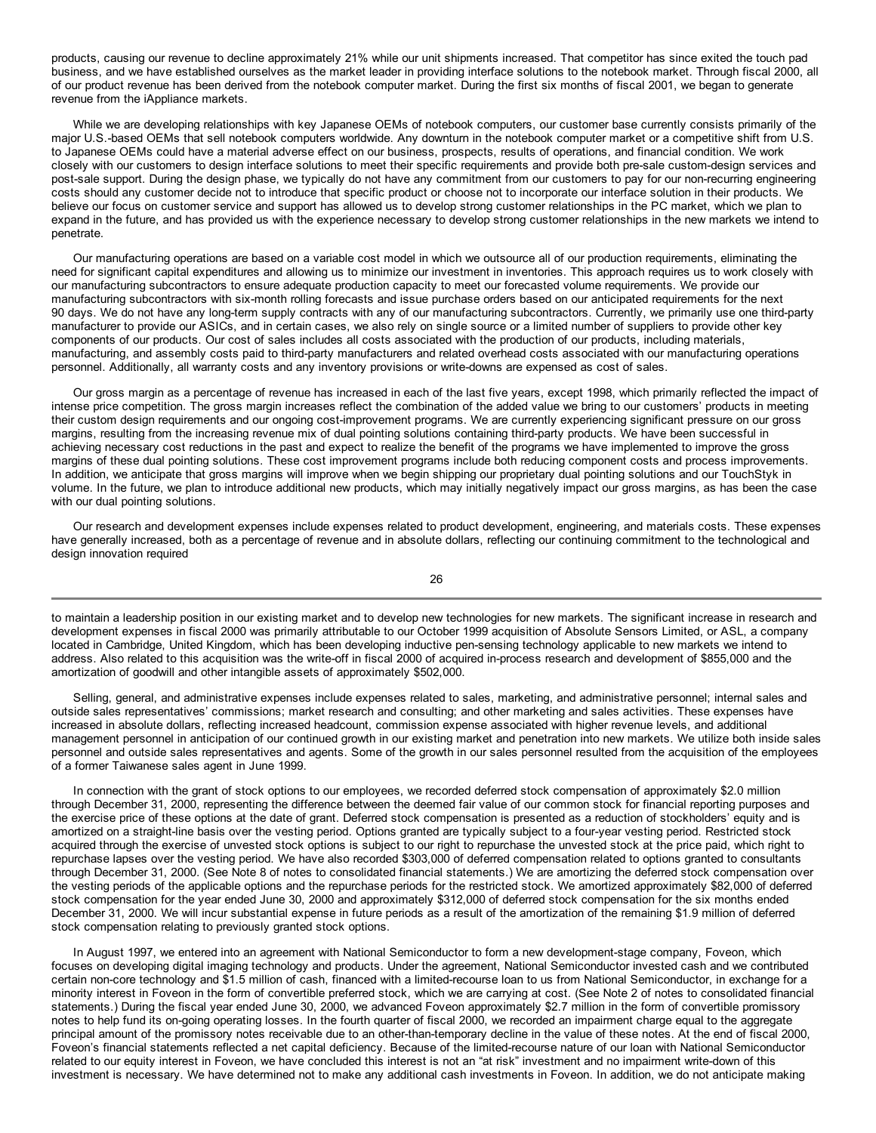products, causing our revenue to decline approximately 21% while our unit shipments increased. That competitor has since exited the touch pad business, and we have established ourselves as the market leader in providing interface solutions to the notebook market. Through fiscal 2000, all of our product revenue has been derived from the notebook computer market. During the first six months of fiscal 2001, we began to generate revenue from the iAppliance markets.

While we are developing relationships with key Japanese OEMs of notebook computers, our customer base currently consists primarily of the major U.S.-based OEMs that sell notebook computers worldwide. Any downturn in the notebook computer market or a competitive shift from U.S. to Japanese OEMs could have a material adverse effect on our business, prospects, results of operations, and financial condition. We work closely with our customers to design interface solutions to meet their specific requirements and provide both pre-sale custom-design services and post-sale support. During the design phase, we typically do not have any commitment from our customers to pay for our non-recurring engineering costs should any customer decide not to introduce that specific product or choose not to incorporate our interface solution in their products. We believe our focus on customer service and support has allowed us to develop strong customer relationships in the PC market, which we plan to expand in the future, and has provided us with the experience necessary to develop strong customer relationships in the new markets we intend to penetrate.

Our manufacturing operations are based on a variable cost model in which we outsource all of our production requirements, eliminating the need for significant capital expenditures and allowing us to minimize our investment in inventories. This approach requires us to work closely with our manufacturing subcontractors to ensure adequate production capacity to meet our forecasted volume requirements. We provide our manufacturing subcontractors with six-month rolling forecasts and issue purchase orders based on our anticipated requirements for the next 90 days. We do not have any long-term supply contracts with any of our manufacturing subcontractors. Currently, we primarily use one third-party manufacturer to provide our ASICs, and in certain cases, we also rely on single source or a limited number of suppliers to provide other key components of our products. Our cost of sales includes all costs associated with the production of our products, including materials, manufacturing, and assembly costs paid to third-party manufacturers and related overhead costs associated with our manufacturing operations personnel. Additionally, all warranty costs and any inventory provisions or write-downs are expensed as cost of sales.

Our gross margin as a percentage of revenue has increased in each of the last five years, except 1998, which primarily reflected the impact of intense price competition. The gross margin increases reflect the combination of the added value we bring to our customers' products in meeting their custom design requirements and our ongoing cost-improvement programs. We are currently experiencing significant pressure on our gross margins, resulting from the increasing revenue mix of dual pointing solutions containing third-party products. We have been successful in achieving necessary cost reductions in the past and expect to realize the benefit of the programs we have implemented to improve the gross margins of these dual pointing solutions. These cost improvement programs include both reducing component costs and process improvements. In addition, we anticipate that gross margins will improve when we begin shipping our proprietary dual pointing solutions and our TouchStyk in volume. In the future, we plan to introduce additional new products, which may initially negatively impact our gross margins, as has been the case with our dual pointing solutions.

Our research and development expenses include expenses related to product development, engineering, and materials costs. These expenses have generally increased, both as a percentage of revenue and in absolute dollars, reflecting our continuing commitment to the technological and design innovation required

26

to maintain a leadership position in our existing market and to develop new technologies for new markets. The significant increase in research and development expenses in fiscal 2000 was primarily attributable to our October 1999 acquisition of Absolute Sensors Limited, or ASL, a company located in Cambridge, United Kingdom, which has been developing inductive pen-sensing technology applicable to new markets we intend to address. Also related to this acquisition was the write-off in fiscal 2000 of acquired in-process research and development of \$855,000 and the amortization of goodwill and other intangible assets of approximately \$502,000.

Selling, general, and administrative expenses include expenses related to sales, marketing, and administrative personnel; internal sales and outside sales representatives' commissions; market research and consulting; and other marketing and sales activities. These expenses have increased in absolute dollars, reflecting increased headcount, commission expense associated with higher revenue levels, and additional management personnel in anticipation of our continued growth in our existing market and penetration into new markets. We utilize both inside sales personnel and outside sales representatives and agents. Some of the growth in our sales personnel resulted from the acquisition of the employees of a former Taiwanese sales agent in June 1999.

In connection with the grant of stock options to our employees, we recorded deferred stock compensation of approximately \$2.0 million through December 31, 2000, representing the difference between the deemed fair value of our common stock for financial reporting purposes and the exercise price of these options at the date of grant. Deferred stock compensation is presented as a reduction of stockholders' equity and is amortized on a straight-line basis over the vesting period. Options granted are typically subject to a four-year vesting period. Restricted stock acquired through the exercise of unvested stock options is subject to our right to repurchase the unvested stock at the price paid, which right to repurchase lapses over the vesting period. We have also recorded \$303,000 of deferred compensation related to options granted to consultants through December 31, 2000. (See Note 8 of notes to consolidated financial statements.) We are amortizing the deferred stock compensation over the vesting periods of the applicable options and the repurchase periods for the restricted stock. We amortized approximately \$82,000 of deferred stock compensation for the year ended June 30, 2000 and approximately \$312,000 of deferred stock compensation for the six months ended December 31, 2000. We will incur substantial expense in future periods as a result of the amortization of the remaining \$1.9 million of deferred stock compensation relating to previously granted stock options.

In August 1997, we entered into an agreement with National Semiconductor to form a new development-stage company, Foveon, which focuses on developing digital imaging technology and products. Under the agreement, National Semiconductor invested cash and we contributed certain non-core technology and \$1.5 million of cash, financed with a limited-recourse loan to us from National Semiconductor, in exchange for a minority interest in Foveon in the form of convertible preferred stock, which we are carrying at cost. (See Note 2 of notes to consolidated financial statements.) During the fiscal year ended June 30, 2000, we advanced Foveon approximately \$2.7 million in the form of convertible promissory notes to help fund its on-going operating losses. In the fourth quarter of fiscal 2000, we recorded an impairment charge equal to the aggregate principal amount of the promissory notes receivable due to an other-than-temporary decline in the value of these notes. At the end of fiscal 2000, Foveon's financial statements reflected a net capital deficiency. Because of the limited-recourse nature of our loan with National Semiconductor related to our equity interest in Foveon, we have concluded this interest is not an "at risk" investment and no impairment write-down of this investment is necessary. We have determined not to make any additional cash investments in Foveon. In addition, we do not anticipate making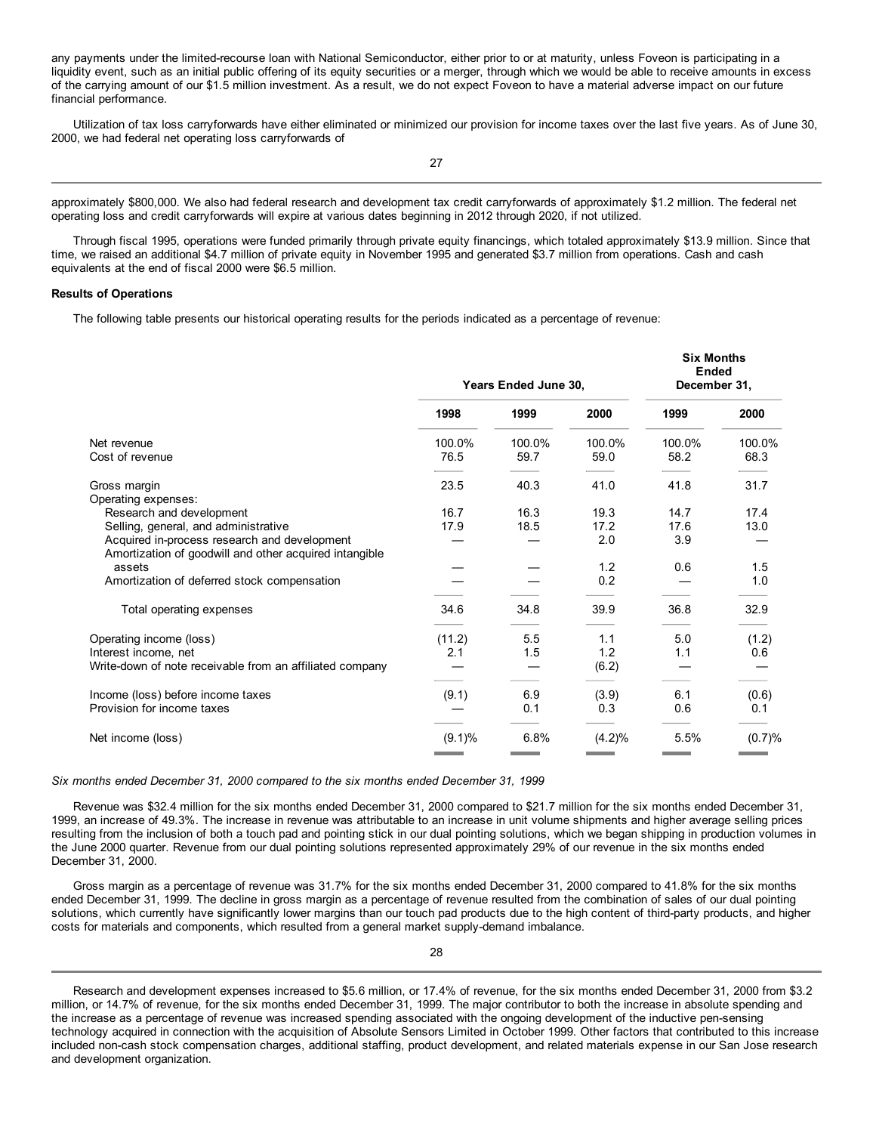any payments under the limited-recourse loan with National Semiconductor, either prior to or at maturity, unless Foveon is participating in a liquidity event, such as an initial public offering of its equity securities or a merger, through which we would be able to receive amounts in excess of the carrying amount of our \$1.5 million investment. As a result, we do not expect Foveon to have a material adverse impact on our future financial performance.

Utilization of tax loss carryforwards have either eliminated or minimized our provision for income taxes over the last five years. As of June 30, 2000, we had federal net operating loss carryforwards of

27

approximately \$800,000. We also had federal research and development tax credit carryforwards of approximately \$1.2 million. The federal net operating loss and credit carryforwards will expire at various dates beginning in 2012 through 2020, if not utilized.

Through fiscal 1995, operations were funded primarily through private equity financings, which totaled approximately \$13.9 million. Since that time, we raised an additional \$4.7 million of private equity in November 1995 and generated \$3.7 million from operations. Cash and cash equivalents at the end of fiscal 2000 were \$6.5 million.

#### **Results of Operations**

The following table presents our historical operating results for the periods indicated as a percentage of revenue:

| Years Ended June 30, |                      |             | <b>Six Months</b><br><b>Ended</b><br>December 31, |             |  |
|----------------------|----------------------|-------------|---------------------------------------------------|-------------|--|
| 1998                 | 1999                 | 2000        | 1999                                              | 2000        |  |
| 100.0%               | 100.0%               | 100.0%      | 100.0%                                            | 100.0%      |  |
|                      |                      |             |                                                   | 68.3        |  |
| 23.5                 | 40.3                 | 41.0        | 41.8                                              | 31.7        |  |
| 16.7                 | 16.3                 | 19.3        | 14.7                                              | 17.4        |  |
| 17.9                 | 18.5                 | 17.2        | 17.6                                              | 13.0        |  |
|                      |                      | 2.0         | 3.9                                               |             |  |
|                      |                      | 1.2         | 0.6                                               | 1.5         |  |
|                      |                      |             |                                                   | 1.0         |  |
| 34.6                 | 34.8                 | 39.9        | 36.8                                              | 32.9        |  |
| (11.2)               | 5.5                  | 1.1         | 5.0                                               | (1.2)       |  |
|                      |                      |             |                                                   | 0.6         |  |
|                      |                      |             |                                                   |             |  |
|                      | 6.9                  |             | 6.1                                               | (0.6)       |  |
|                      | 0.1                  | 0.3         | 0.6                                               | 0.1         |  |
| $(9.1)\%$            | 6.8%                 | $(4.2)\%$   | 5.5%                                              | (0.7)%      |  |
|                      | 76.5<br>2.1<br>(9.1) | 59.7<br>1.5 | 59.0<br>0.2<br>1.2<br>(6.2)<br>(3.9)              | 58.2<br>1.1 |  |

#### *Six months ended December 31, 2000 compared to the six months ended December 31, 1999*

Revenue was \$32.4 million for the six months ended December 31, 2000 compared to \$21.7 million for the six months ended December 31, 1999, an increase of 49.3%. The increase in revenue was attributable to an increase in unit volume shipments and higher average selling prices resulting from the inclusion of both a touch pad and pointing stick in our dual pointing solutions, which we began shipping in production volumes in the June 2000 quarter. Revenue from our dual pointing solutions represented approximately 29% of our revenue in the six months ended December 31, 2000.

Gross margin as a percentage of revenue was 31.7% for the six months ended December 31, 2000 compared to 41.8% for the six months ended December 31, 1999. The decline in gross margin as a percentage of revenue resulted from the combination of sales of our dual pointing solutions, which currently have significantly lower margins than our touch pad products due to the high content of third-party products, and higher costs for materials and components, which resulted from a general market supply-demand imbalance.

Research and development expenses increased to \$5.6 million, or 17.4% of revenue, for the six months ended December 31, 2000 from \$3.2 million, or 14.7% of revenue, for the six months ended December 31, 1999. The major contributor to both the increase in absolute spending and the increase as a percentage of revenue was increased spending associated with the ongoing development of the inductive pen-sensing technology acquired in connection with the acquisition of Absolute Sensors Limited in October 1999. Other factors that contributed to this increase included non-cash stock compensation charges, additional staffing, product development, and related materials expense in our San Jose research and development organization.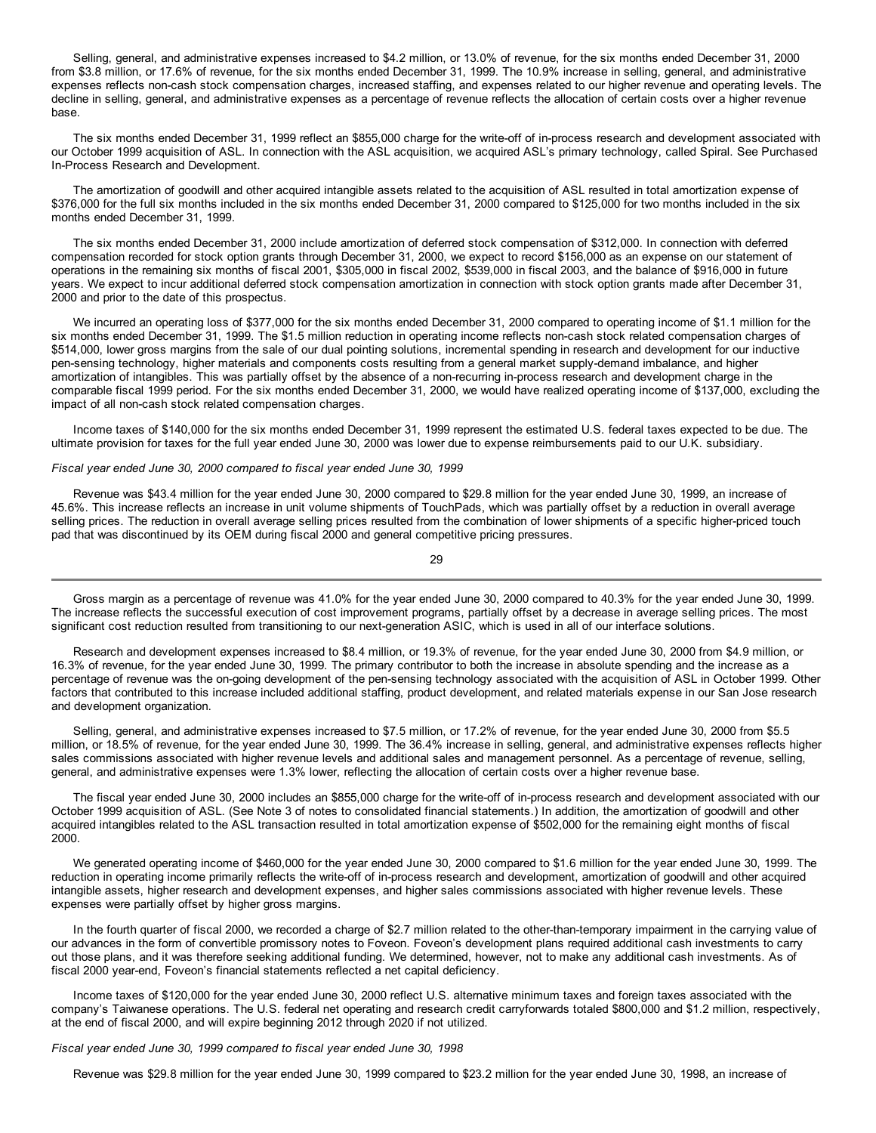Selling, general, and administrative expenses increased to \$4.2 million, or 13.0% of revenue, for the six months ended December 31, 2000 from \$3.8 million, or 17.6% of revenue, for the six months ended December 31, 1999. The 10.9% increase in selling, general, and administrative expenses reflects non-cash stock compensation charges, increased staffing, and expenses related to our higher revenue and operating levels. The decline in selling, general, and administrative expenses as a percentage of revenue reflects the allocation of certain costs over a higher revenue base.

The six months ended December 31, 1999 reflect an \$855,000 charge for the write-off of in-process research and development associated with our October 1999 acquisition of ASL. In connection with the ASL acquisition, we acquired ASL's primary technology, called Spiral. See Purchased In-Process Research and Development.

The amortization of goodwill and other acquired intangible assets related to the acquisition of ASL resulted in total amortization expense of \$376,000 for the full six months included in the six months ended December 31, 2000 compared to \$125,000 for two months included in the six months ended December 31, 1999.

The six months ended December 31, 2000 include amortization of deferred stock compensation of \$312,000. In connection with deferred compensation recorded for stock option grants through December 31, 2000, we expect to record \$156,000 as an expense on our statement of operations in the remaining six months of fiscal 2001, \$305,000 in fiscal 2002, \$539,000 in fiscal 2003, and the balance of \$916,000 in future years. We expect to incur additional deferred stock compensation amortization in connection with stock option grants made after December 31, 2000 and prior to the date of this prospectus.

We incurred an operating loss of \$377,000 for the six months ended December 31, 2000 compared to operating income of \$1.1 million for the six months ended December 31, 1999. The \$1.5 million reduction in operating income reflects non-cash stock related compensation charges of \$514,000, lower gross margins from the sale of our dual pointing solutions, incremental spending in research and development for our inductive pen-sensing technology, higher materials and components costs resulting from a general market supply-demand imbalance, and higher amortization of intangibles. This was partially offset by the absence of a non-recurring in-process research and development charge in the comparable fiscal 1999 period. For the six months ended December 31, 2000, we would have realized operating income of \$137,000, excluding the impact of all non-cash stock related compensation charges.

Income taxes of \$140,000 for the six months ended December 31, 1999 represent the estimated U.S. federal taxes expected to be due. The ultimate provision for taxes for the full year ended June 30, 2000 was lower due to expense reimbursements paid to our U.K. subsidiary.

## *Fiscal year ended June 30, 2000 compared to fiscal year ended June 30, 1999*

Revenue was \$43.4 million for the year ended June 30, 2000 compared to \$29.8 million for the year ended June 30, 1999, an increase of 45.6%. This increase reflects an increase in unit volume shipments of TouchPads, which was partially offset by a reduction in overall average selling prices. The reduction in overall average selling prices resulted from the combination of lower shipments of a specific higher-priced touch pad that was discontinued by its OEM during fiscal 2000 and general competitive pricing pressures.

29

Gross margin as a percentage of revenue was 41.0% for the year ended June 30, 2000 compared to 40.3% for the year ended June 30, 1999. The increase reflects the successful execution of cost improvement programs, partially offset by a decrease in average selling prices. The most significant cost reduction resulted from transitioning to our next-generation ASIC, which is used in all of our interface solutions.

Research and development expenses increased to \$8.4 million, or 19.3% of revenue, for the year ended June 30, 2000 from \$4.9 million, or 16.3% of revenue, for the year ended June 30, 1999. The primary contributor to both the increase in absolute spending and the increase as a percentage of revenue was the on-going development of the pen-sensing technology associated with the acquisition of ASL in October 1999. Other factors that contributed to this increase included additional staffing, product development, and related materials expense in our San Jose research and development organization.

Selling, general, and administrative expenses increased to \$7.5 million, or 17.2% of revenue, for the year ended June 30, 2000 from \$5.5 million, or 18.5% of revenue, for the year ended June 30, 1999. The 36.4% increase in selling, general, and administrative expenses reflects higher sales commissions associated with higher revenue levels and additional sales and management personnel. As a percentage of revenue, selling, general, and administrative expenses were 1.3% lower, reflecting the allocation of certain costs over a higher revenue base.

The fiscal year ended June 30, 2000 includes an \$855,000 charge for the write-off of in-process research and development associated with our October 1999 acquisition of ASL. (See Note 3 of notes to consolidated financial statements.) In addition, the amortization of goodwill and other acquired intangibles related to the ASL transaction resulted in total amortization expense of \$502,000 for the remaining eight months of fiscal 2000.

We generated operating income of \$460,000 for the year ended June 30, 2000 compared to \$1.6 million for the year ended June 30, 1999. The reduction in operating income primarily reflects the write-off of in-process research and development, amortization of goodwill and other acquired intangible assets, higher research and development expenses, and higher sales commissions associated with higher revenue levels. These expenses were partially offset by higher gross margins.

In the fourth quarter of fiscal 2000, we recorded a charge of \$2.7 million related to the other-than-temporary impairment in the carrying value of our advances in the form of convertible promissory notes to Foveon. Foveon's development plans required additional cash investments to carry out those plans, and it was therefore seeking additional funding. We determined, however, not to make any additional cash investments. As of fiscal 2000 year-end, Foveon's financial statements reflected a net capital deficiency.

Income taxes of \$120,000 for the year ended June 30, 2000 reflect U.S. alternative minimum taxes and foreign taxes associated with the company's Taiwanese operations. The U.S. federal net operating and research credit carryforwards totaled \$800,000 and \$1.2 million, respectively, at the end of fiscal 2000, and will expire beginning 2012 through 2020 if not utilized.

*Fiscal year ended June 30, 1999 compared to fiscal year ended June 30, 1998*

Revenue was \$29.8 million for the year ended June 30, 1999 compared to \$23.2 million for the year ended June 30, 1998, an increase of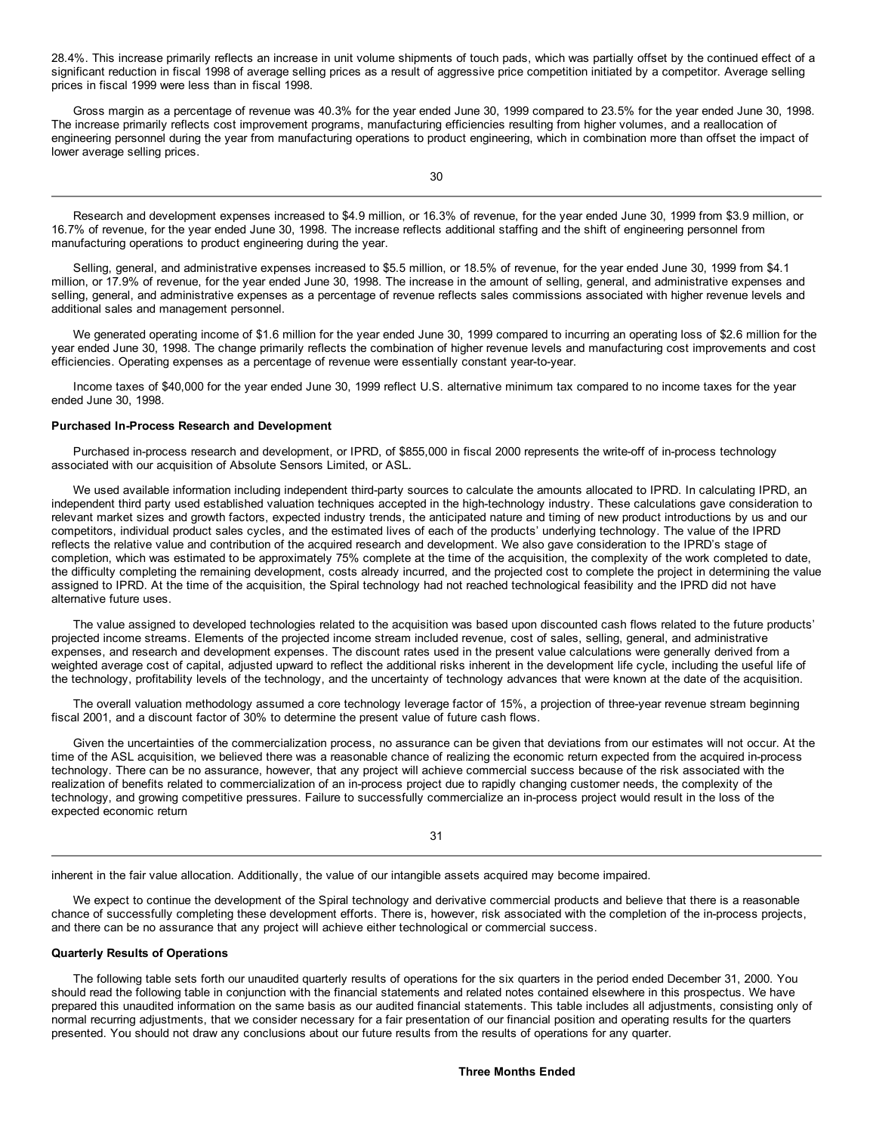28.4%. This increase primarily reflects an increase in unit volume shipments of touch pads, which was partially offset by the continued effect of a significant reduction in fiscal 1998 of average selling prices as a result of aggressive price competition initiated by a competitor. Average selling prices in fiscal 1999 were less than in fiscal 1998.

Gross margin as a percentage of revenue was 40.3% for the year ended June 30, 1999 compared to 23.5% for the year ended June 30, 1998. The increase primarily reflects cost improvement programs, manufacturing efficiencies resulting from higher volumes, and a reallocation of engineering personnel during the year from manufacturing operations to product engineering, which in combination more than offset the impact of lower average selling prices.

Research and development expenses increased to \$4.9 million, or 16.3% of revenue, for the year ended June 30, 1999 from \$3.9 million, or 16.7% of revenue, for the year ended June 30, 1998. The increase reflects additional staffing and the shift of engineering personnel from manufacturing operations to product engineering during the year.

Selling, general, and administrative expenses increased to \$5.5 million, or 18.5% of revenue, for the year ended June 30, 1999 from \$4.1 million, or 17.9% of revenue, for the year ended June 30, 1998. The increase in the amount of selling, general, and administrative expenses and selling, general, and administrative expenses as a percentage of revenue reflects sales commissions associated with higher revenue levels and additional sales and management personnel.

We generated operating income of \$1.6 million for the year ended June 30, 1999 compared to incurring an operating loss of \$2.6 million for the year ended June 30, 1998. The change primarily reflects the combination of higher revenue levels and manufacturing cost improvements and cost efficiencies. Operating expenses as a percentage of revenue were essentially constant year-to-year.

Income taxes of \$40,000 for the year ended June 30, 1999 reflect U.S. alternative minimum tax compared to no income taxes for the year ended June 30, 1998.

## **Purchased In-Process Research and Development**

Purchased in-process research and development, or IPRD, of \$855,000 in fiscal 2000 represents the write-off of in-process technology associated with our acquisition of Absolute Sensors Limited, or ASL.

We used available information including independent third-party sources to calculate the amounts allocated to IPRD. In calculating IPRD, an independent third party used established valuation techniques accepted in the high-technology industry. These calculations gave consideration to relevant market sizes and growth factors, expected industry trends, the anticipated nature and timing of new product introductions by us and our competitors, individual product sales cycles, and the estimated lives of each of the products' underlying technology. The value of the IPRD reflects the relative value and contribution of the acquired research and development. We also gave consideration to the IPRD's stage of completion, which was estimated to be approximately 75% complete at the time of the acquisition, the complexity of the work completed to date, the difficulty completing the remaining development, costs already incurred, and the projected cost to complete the project in determining the value assigned to IPRD. At the time of the acquisition, the Spiral technology had not reached technological feasibility and the IPRD did not have alternative future uses.

The value assigned to developed technologies related to the acquisition was based upon discounted cash flows related to the future products' projected income streams. Elements of the projected income stream included revenue, cost of sales, selling, general, and administrative expenses, and research and development expenses. The discount rates used in the present value calculations were generally derived from a weighted average cost of capital, adjusted upward to reflect the additional risks inherent in the development life cycle, including the useful life of the technology, profitability levels of the technology, and the uncertainty of technology advances that were known at the date of the acquisition.

The overall valuation methodology assumed a core technology leverage factor of 15%, a projection of three-year revenue stream beginning fiscal 2001, and a discount factor of 30% to determine the present value of future cash flows.

Given the uncertainties of the commercialization process, no assurance can be given that deviations from our estimates will not occur. At the time of the ASL acquisition, we believed there was a reasonable chance of realizing the economic return expected from the acquired in-process technology. There can be no assurance, however, that any project will achieve commercial success because of the risk associated with the realization of benefits related to commercialization of an in-process project due to rapidly changing customer needs, the complexity of the technology, and growing competitive pressures. Failure to successfully commercialize an in-process project would result in the loss of the expected economic return

inherent in the fair value allocation. Additionally, the value of our intangible assets acquired may become impaired.

We expect to continue the development of the Spiral technology and derivative commercial products and believe that there is a reasonable chance of successfully completing these development efforts. There is, however, risk associated with the completion of the in-process projects, and there can be no assurance that any project will achieve either technological or commercial success.

## **Quarterly Results of Operations**

The following table sets forth our unaudited quarterly results of operations for the six quarters in the period ended December 31, 2000. You should read the following table in conjunction with the financial statements and related notes contained elsewhere in this prospectus. We have prepared this unaudited information on the same basis as our audited financial statements. This table includes all adjustments, consisting only of normal recurring adjustments, that we consider necessary for a fair presentation of our financial position and operating results for the quarters presented. You should not draw any conclusions about our future results from the results of operations for any quarter.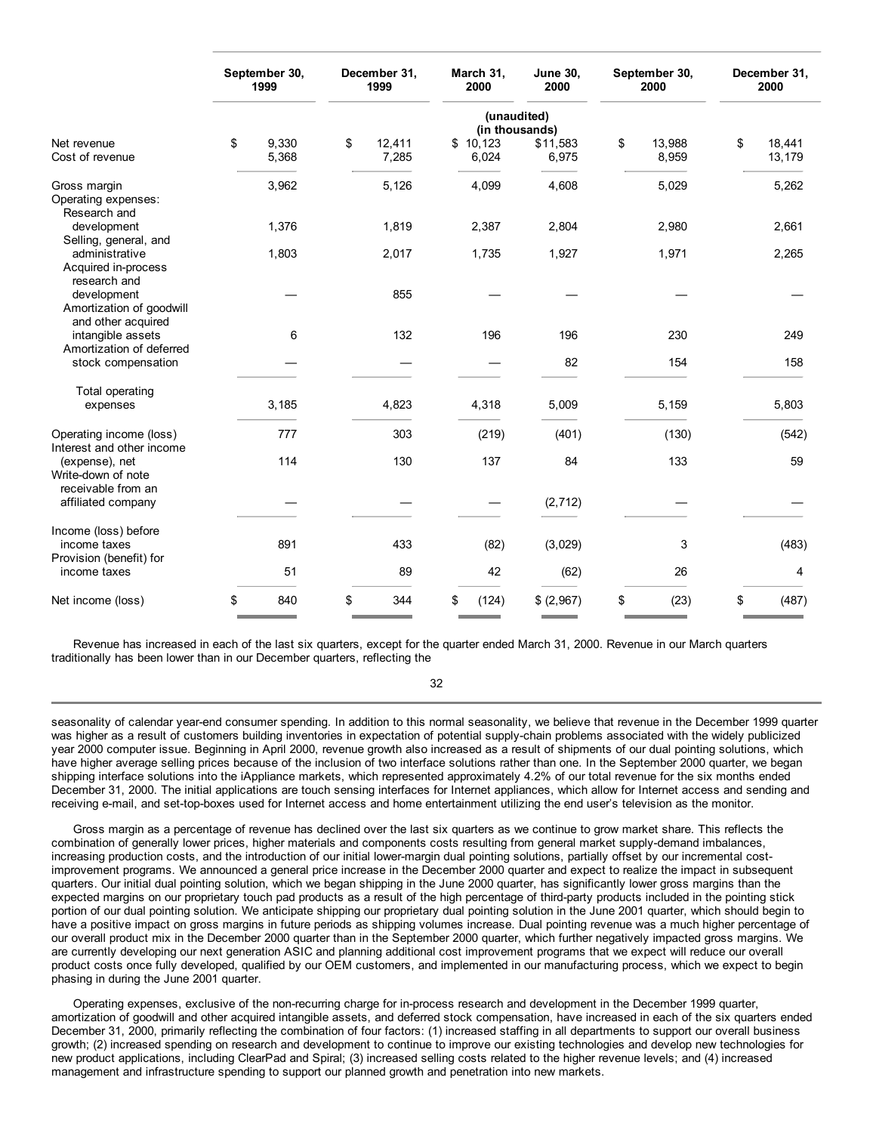|                                                                 | September 30,<br>1999 |       | December 31,<br>1999 |        | March 31,<br>2000 | <b>June 30,</b><br>2000    | September 30,<br>2000 |        | December 31,<br>2000 |        |
|-----------------------------------------------------------------|-----------------------|-------|----------------------|--------|-------------------|----------------------------|-----------------------|--------|----------------------|--------|
|                                                                 |                       |       |                      |        |                   | (unaudited)                |                       |        |                      |        |
| Net revenue                                                     | \$                    | 9,330 | \$                   | 12,411 | \$10,123          | (in thousands)<br>\$11,583 | \$                    | 13,988 | \$                   | 18,441 |
| Cost of revenue                                                 |                       | 5,368 |                      | 7,285  | 6,024             | 6,975                      |                       | 8,959  |                      | 13,179 |
| Gross margin<br>Operating expenses:<br>Research and             |                       | 3,962 |                      | 5,126  | 4,099             | 4,608                      |                       | 5,029  |                      | 5,262  |
| development<br>Selling, general, and                            |                       | 1,376 |                      | 1,819  | 2,387             | 2,804                      |                       | 2,980  |                      | 2,661  |
| administrative<br>Acquired in-process<br>research and           |                       | 1,803 |                      | 2,017  | 1,735             | 1,927                      |                       | 1,971  |                      | 2,265  |
| development<br>Amortization of goodwill<br>and other acquired   |                       |       |                      | 855    |                   |                            |                       |        |                      |        |
| intangible assets<br>Amortization of deferred                   |                       | 6     |                      | 132    | 196               | 196                        |                       | 230    |                      | 249    |
| stock compensation                                              |                       |       |                      |        |                   | 82                         |                       | 154    |                      | 158    |
| Total operating                                                 |                       |       |                      |        |                   |                            |                       |        |                      |        |
| expenses                                                        |                       | 3,185 |                      | 4,823  | 4,318             | 5,009                      |                       | 5,159  |                      | 5,803  |
| Operating income (loss)<br>Interest and other income            |                       | 777   |                      | 303    | (219)             | (401)                      |                       | (130)  |                      | (542)  |
| (expense), net<br>Write-down of note<br>receivable from an      |                       | 114   |                      | 130    | 137               | 84                         |                       | 133    |                      | 59     |
| affiliated company                                              |                       |       |                      |        |                   | (2, 712)                   |                       |        |                      |        |
| Income (loss) before<br>income taxes<br>Provision (benefit) for |                       | 891   |                      | 433    | (82)              | (3,029)                    |                       | 3      |                      | (483)  |
| income taxes                                                    |                       | 51    |                      | 89     | 42                | (62)                       |                       | 26     |                      | 4      |
| Net income (loss)                                               | \$                    | 840   | \$                   | 344    | \$<br>(124)       | \$ (2,967)                 | \$                    | (23)   | \$                   | (487)  |

Revenue has increased in each of the last six quarters, except for the quarter ended March 31, 2000. Revenue in our March quarters traditionally has been lower than in our December quarters, reflecting the

32

seasonality of calendar year-end consumer spending. In addition to this normal seasonality, we believe that revenue in the December 1999 quarter was higher as a result of customers building inventories in expectation of potential supply-chain problems associated with the widely publicized year 2000 computer issue. Beginning in April 2000, revenue growth also increased as a result of shipments of our dual pointing solutions, which have higher average selling prices because of the inclusion of two interface solutions rather than one. In the September 2000 quarter, we began shipping interface solutions into the iAppliance markets, which represented approximately 4.2% of our total revenue for the six months ended December 31, 2000. The initial applications are touch sensing interfaces for Internet appliances, which allow for Internet access and sending and receiving e-mail, and set-top-boxes used for Internet access and home entertainment utilizing the end user's television as the monitor.

Gross margin as a percentage of revenue has declined over the last six quarters as we continue to grow market share. This reflects the combination of generally lower prices, higher materials and components costs resulting from general market supply-demand imbalances, increasing production costs, and the introduction of our initial lower-margin dual pointing solutions, partially offset by our incremental costimprovement programs. We announced a general price increase in the December 2000 quarter and expect to realize the impact in subsequent quarters. Our initial dual pointing solution, which we began shipping in the June 2000 quarter, has significantly lower gross margins than the expected margins on our proprietary touch pad products as a result of the high percentage of third-party products included in the pointing stick portion of our dual pointing solution. We anticipate shipping our proprietary dual pointing solution in the June 2001 quarter, which should begin to have a positive impact on gross margins in future periods as shipping volumes increase. Dual pointing revenue was a much higher percentage of our overall product mix in the December 2000 quarter than in the September 2000 quarter, which further negatively impacted gross margins. We are currently developing our next generation ASIC and planning additional cost improvement programs that we expect will reduce our overall product costs once fully developed, qualified by our OEM customers, and implemented in our manufacturing process, which we expect to begin phasing in during the June 2001 quarter.

Operating expenses, exclusive of the non-recurring charge for in-process research and development in the December 1999 quarter, amortization of goodwill and other acquired intangible assets, and deferred stock compensation, have increased in each of the six quarters ended December 31, 2000, primarily reflecting the combination of four factors: (1) increased staffing in all departments to support our overall business growth; (2) increased spending on research and development to continue to improve our existing technologies and develop new technologies for new product applications, including ClearPad and Spiral; (3) increased selling costs related to the higher revenue levels; and (4) increased management and infrastructure spending to support our planned growth and penetration into new markets.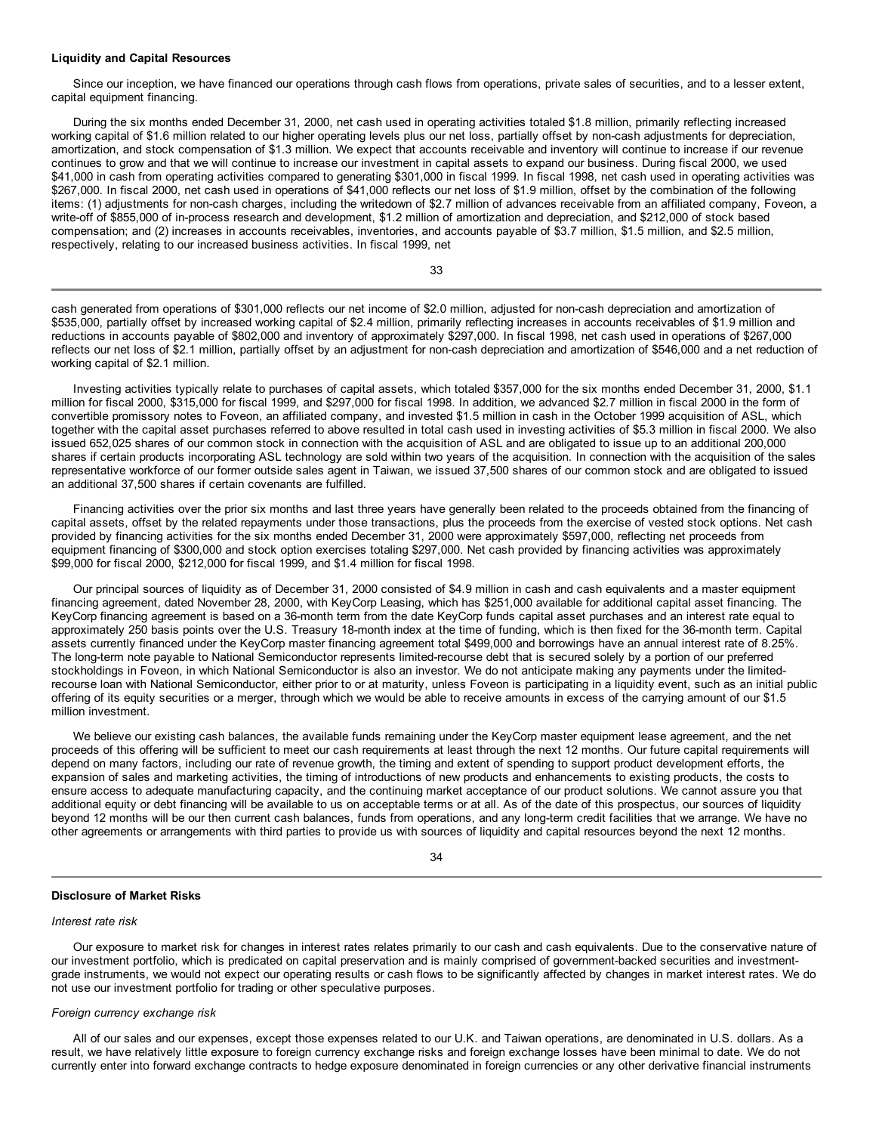#### **Liquidity and Capital Resources**

Since our inception, we have financed our operations through cash flows from operations, private sales of securities, and to a lesser extent, capital equipment financing.

During the six months ended December 31, 2000, net cash used in operating activities totaled \$1.8 million, primarily reflecting increased working capital of \$1.6 million related to our higher operating levels plus our net loss, partially offset by non-cash adjustments for depreciation, amortization, and stock compensation of \$1.3 million. We expect that accounts receivable and inventory will continue to increase if our revenue continues to grow and that we will continue to increase our investment in capital assets to expand our business. During fiscal 2000, we used \$41,000 in cash from operating activities compared to generating \$301,000 in fiscal 1999. In fiscal 1998, net cash used in operating activities was \$267,000. In fiscal 2000, net cash used in operations of \$41,000 reflects our net loss of \$1.9 million, offset by the combination of the following items: (1) adjustments for non-cash charges, including the writedown of \$2.7 million of advances receivable from an affiliated company, Foveon, a write-off of \$855,000 of in-process research and development, \$1.2 million of amortization and depreciation, and \$212,000 of stock based compensation; and (2) increases in accounts receivables, inventories, and accounts payable of \$3.7 million, \$1.5 million, and \$2.5 million, respectively, relating to our increased business activities. In fiscal 1999, net

33

cash generated from operations of \$301,000 reflects our net income of \$2.0 million, adjusted for non-cash depreciation and amortization of \$535,000, partially offset by increased working capital of \$2.4 million, primarily reflecting increases in accounts receivables of \$1.9 million and reductions in accounts payable of \$802,000 and inventory of approximately \$297,000. In fiscal 1998, net cash used in operations of \$267,000 reflects our net loss of \$2.1 million, partially offset by an adjustment for non-cash depreciation and amortization of \$546,000 and a net reduction of working capital of \$2.1 million.

Investing activities typically relate to purchases of capital assets, which totaled \$357,000 for the six months ended December 31, 2000, \$1.1 million for fiscal 2000, \$315,000 for fiscal 1999, and \$297,000 for fiscal 1998. In addition, we advanced \$2.7 million in fiscal 2000 in the form of convertible promissory notes to Foveon, an affiliated company, and invested \$1.5 million in cash in the October 1999 acquisition of ASL, which together with the capital asset purchases referred to above resulted in total cash used in investing activities of \$5.3 million in fiscal 2000. We also issued 652,025 shares of our common stock in connection with the acquisition of ASL and are obligated to issue up to an additional 200,000 shares if certain products incorporating ASL technology are sold within two years of the acquisition. In connection with the acquisition of the sales representative workforce of our former outside sales agent in Taiwan, we issued 37,500 shares of our common stock and are obligated to issued an additional 37,500 shares if certain covenants are fulfilled.

Financing activities over the prior six months and last three years have generally been related to the proceeds obtained from the financing of capital assets, offset by the related repayments under those transactions, plus the proceeds from the exercise of vested stock options. Net cash provided by financing activities for the six months ended December 31, 2000 were approximately \$597,000, reflecting net proceeds from equipment financing of \$300,000 and stock option exercises totaling \$297,000. Net cash provided by financing activities was approximately \$99,000 for fiscal 2000, \$212,000 for fiscal 1999, and \$1.4 million for fiscal 1998.

Our principal sources of liquidity as of December 31, 2000 consisted of \$4.9 million in cash and cash equivalents and a master equipment financing agreement, dated November 28, 2000, with KeyCorp Leasing, which has \$251,000 available for additional capital asset financing. The KeyCorp financing agreement is based on a 36-month term from the date KeyCorp funds capital asset purchases and an interest rate equal to approximately 250 basis points over the U.S. Treasury 18-month index at the time of funding, which is then fixed for the 36-month term. Capital assets currently financed under the KeyCorp master financing agreement total \$499,000 and borrowings have an annual interest rate of 8.25%. The long-term note payable to National Semiconductor represents limited-recourse debt that is secured solely by a portion of our preferred stockholdings in Foveon, in which National Semiconductor is also an investor. We do not anticipate making any payments under the limitedrecourse loan with National Semiconductor, either prior to or at maturity, unless Foveon is participating in a liquidity event, such as an initial public offering of its equity securities or a merger, through which we would be able to receive amounts in excess of the carrying amount of our \$1.5 million investment.

We believe our existing cash balances, the available funds remaining under the KeyCorp master equipment lease agreement, and the net proceeds of this offering will be sufficient to meet our cash requirements at least through the next 12 months. Our future capital requirements will depend on many factors, including our rate of revenue growth, the timing and extent of spending to support product development efforts, the expansion of sales and marketing activities, the timing of introductions of new products and enhancements to existing products, the costs to ensure access to adequate manufacturing capacity, and the continuing market acceptance of our product solutions. We cannot assure you that additional equity or debt financing will be available to us on acceptable terms or at all. As of the date of this prospectus, our sources of liquidity beyond 12 months will be our then current cash balances, funds from operations, and any long-term credit facilities that we arrange. We have no other agreements or arrangements with third parties to provide us with sources of liquidity and capital resources beyond the next 12 months.

## 34

## **Disclosure of Market Risks**

#### *Interest rate risk*

Our exposure to market risk for changes in interest rates relates primarily to our cash and cash equivalents. Due to the conservative nature of our investment portfolio, which is predicated on capital preservation and is mainly comprised of government-backed securities and investmentgrade instruments, we would not expect our operating results or cash flows to be significantly affected by changes in market interest rates. We do not use our investment portfolio for trading or other speculative purposes.

#### *Foreign currency exchange risk*

All of our sales and our expenses, except those expenses related to our U.K. and Taiwan operations, are denominated in U.S. dollars. As a result, we have relatively little exposure to foreign currency exchange risks and foreign exchange losses have been minimal to date. We do not currently enter into forward exchange contracts to hedge exposure denominated in foreign currencies or any other derivative financial instruments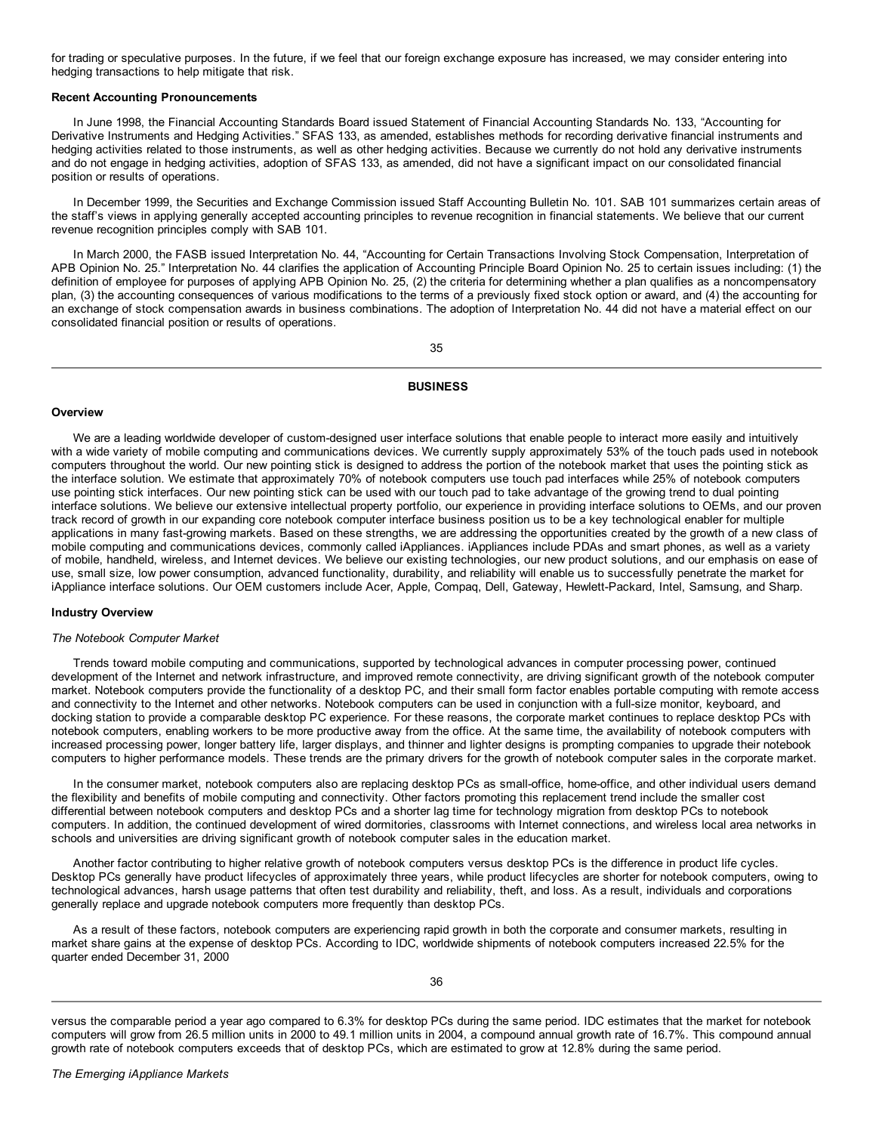for trading or speculative purposes. In the future, if we feel that our foreign exchange exposure has increased, we may consider entering into hedging transactions to help mitigate that risk.

## **Recent Accounting Pronouncements**

In June 1998, the Financial Accounting Standards Board issued Statement of Financial Accounting Standards No. 133, "Accounting for Derivative Instruments and Hedging Activities." SFAS 133, as amended, establishes methods for recording derivative financial instruments and hedging activities related to those instruments, as well as other hedging activities. Because we currently do not hold any derivative instruments and do not engage in hedging activities, adoption of SFAS 133, as amended, did not have a significant impact on our consolidated financial position or results of operations.

In December 1999, the Securities and Exchange Commission issued Staff Accounting Bulletin No. 101. SAB 101 summarizes certain areas of the staff's views in applying generally accepted accounting principles to revenue recognition in financial statements. We believe that our current revenue recognition principles comply with SAB 101.

In March 2000, the FASB issued Interpretation No. 44, "Accounting for Certain Transactions Involving Stock Compensation, Interpretation of APB Opinion No. 25." Interpretation No. 44 clarifies the application of Accounting Principle Board Opinion No. 25 to certain issues including: (1) the definition of employee for purposes of applying APB Opinion No. 25, (2) the criteria for determining whether a plan qualifies as a noncompensatory plan, (3) the accounting consequences of various modifications to the terms of a previously fixed stock option or award, and (4) the accounting for an exchange of stock compensation awards in business combinations. The adoption of Interpretation No. 44 did not have a material effect on our consolidated financial position or results of operations.

35

### **BUSINESS**

#### **Overview**

We are a leading worldwide developer of custom-designed user interface solutions that enable people to interact more easily and intuitively with a wide variety of mobile computing and communications devices. We currently supply approximately 53% of the touch pads used in notebook computers throughout the world. Our new pointing stick is designed to address the portion of the notebook market that uses the pointing stick as the interface solution. We estimate that approximately 70% of notebook computers use touch pad interfaces while 25% of notebook computers use pointing stick interfaces. Our new pointing stick can be used with our touch pad to take advantage of the growing trend to dual pointing interface solutions. We believe our extensive intellectual property portfolio, our experience in providing interface solutions to OEMs, and our proven track record of growth in our expanding core notebook computer interface business position us to be a key technological enabler for multiple applications in many fast-growing markets. Based on these strengths, we are addressing the opportunities created by the growth of a new class of mobile computing and communications devices, commonly called iAppliances. iAppliances include PDAs and smart phones, as well as a variety of mobile, handheld, wireless, and Internet devices. We believe our existing technologies, our new product solutions, and our emphasis on ease of use, small size, low power consumption, advanced functionality, durability, and reliability will enable us to successfully penetrate the market for iAppliance interface solutions. Our OEM customers include Acer, Apple, Compaq, Dell, Gateway, Hewlett-Packard, Intel, Samsung, and Sharp.

#### **Industry Overview**

#### *The Notebook Computer Market*

Trends toward mobile computing and communications, supported by technological advances in computer processing power, continued development of the Internet and network infrastructure, and improved remote connectivity, are driving significant growth of the notebook computer market. Notebook computers provide the functionality of a desktop PC, and their small form factor enables portable computing with remote access and connectivity to the Internet and other networks. Notebook computers can be used in conjunction with a full-size monitor, keyboard, and docking station to provide a comparable desktop PC experience. For these reasons, the corporate market continues to replace desktop PCs with notebook computers, enabling workers to be more productive away from the office. At the same time, the availability of notebook computers with increased processing power, longer battery life, larger displays, and thinner and lighter designs is prompting companies to upgrade their notebook computers to higher performance models. These trends are the primary drivers for the growth of notebook computer sales in the corporate market.

In the consumer market, notebook computers also are replacing desktop PCs as small-office, home-office, and other individual users demand the flexibility and benefits of mobile computing and connectivity. Other factors promoting this replacement trend include the smaller cost differential between notebook computers and desktop PCs and a shorter lag time for technology migration from desktop PCs to notebook computers. In addition, the continued development of wired dormitories, classrooms with Internet connections, and wireless local area networks in schools and universities are driving significant growth of notebook computer sales in the education market.

Another factor contributing to higher relative growth of notebook computers versus desktop PCs is the difference in product life cycles. Desktop PCs generally have product lifecycles of approximately three years, while product lifecycles are shorter for notebook computers, owing to technological advances, harsh usage patterns that often test durability and reliability, theft, and loss. As a result, individuals and corporations generally replace and upgrade notebook computers more frequently than desktop PCs.

As a result of these factors, notebook computers are experiencing rapid growth in both the corporate and consumer markets, resulting in market share gains at the expense of desktop PCs. According to IDC, worldwide shipments of notebook computers increased 22.5% for the quarter ended December 31, 2000

versus the comparable period a year ago compared to 6.3% for desktop PCs during the same period. IDC estimates that the market for notebook computers will grow from 26.5 million units in 2000 to 49.1 million units in 2004, a compound annual growth rate of 16.7%. This compound annual growth rate of notebook computers exceeds that of desktop PCs, which are estimated to grow at 12.8% during the same period.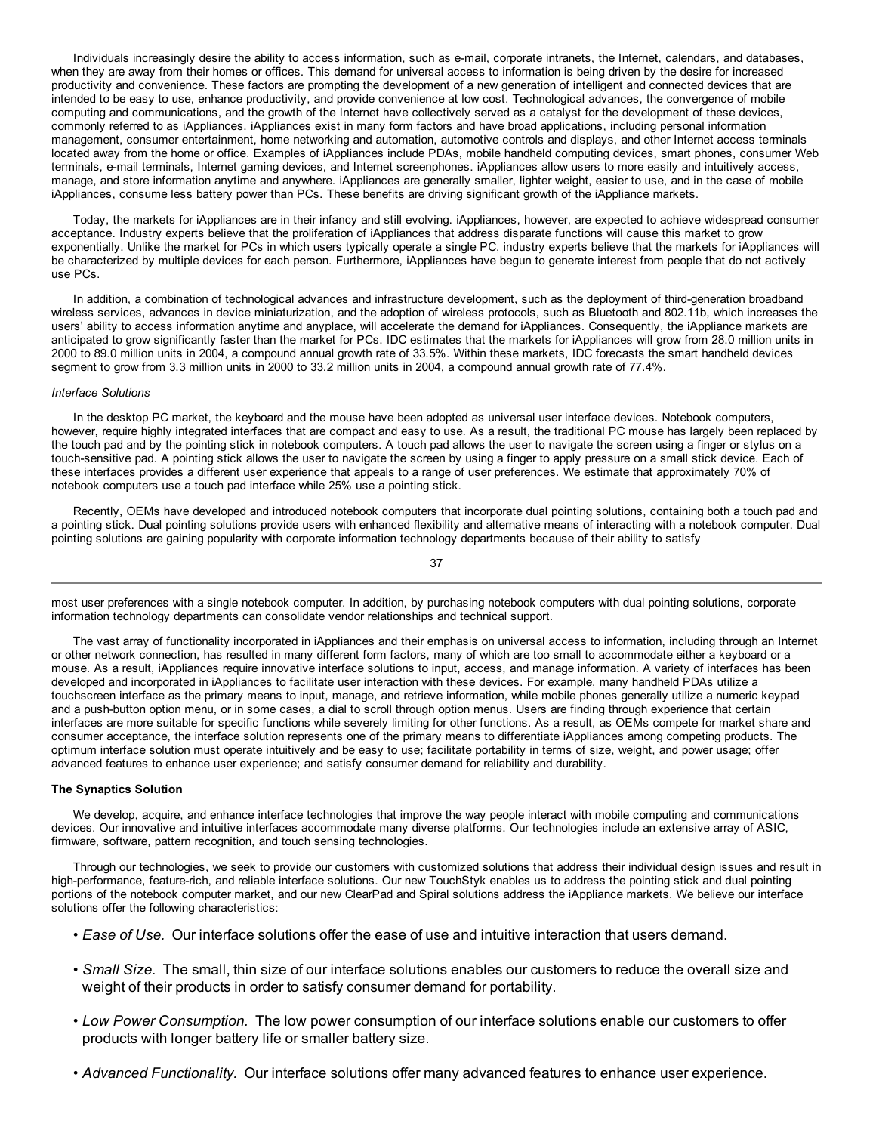Individuals increasingly desire the ability to access information, such as e-mail, corporate intranets, the Internet, calendars, and databases, when they are away from their homes or offices. This demand for universal access to information is being driven by the desire for increased productivity and convenience. These factors are prompting the development of a new generation of intelligent and connected devices that are intended to be easy to use, enhance productivity, and provide convenience at low cost. Technological advances, the convergence of mobile computing and communications, and the growth of the Internet have collectively served as a catalyst for the development of these devices, commonly referred to as iAppliances. iAppliances exist in many form factors and have broad applications, including personal information management, consumer entertainment, home networking and automation, automotive controls and displays, and other Internet access terminals located away from the home or office. Examples of iAppliances include PDAs, mobile handheld computing devices, smart phones, consumer Web terminals, e-mail terminals, Internet gaming devices, and Internet screenphones. iAppliances allow users to more easily and intuitively access, manage, and store information anytime and anywhere. iAppliances are generally smaller, lighter weight, easier to use, and in the case of mobile iAppliances, consume less battery power than PCs. These benefits are driving significant growth of the iAppliance markets.

Today, the markets for iAppliances are in their infancy and still evolving. iAppliances, however, are expected to achieve widespread consumer acceptance. Industry experts believe that the proliferation of iAppliances that address disparate functions will cause this market to grow exponentially. Unlike the market for PCs in which users typically operate a single PC, industry experts believe that the markets for iAppliances will be characterized by multiple devices for each person. Furthermore, iAppliances have begun to generate interest from people that do not actively use PCs.

In addition, a combination of technological advances and infrastructure development, such as the deployment of third-generation broadband wireless services, advances in device miniaturization, and the adoption of wireless protocols, such as Bluetooth and 802.11b, which increases the users' ability to access information anytime and anyplace, will accelerate the demand for iAppliances. Consequently, the iAppliance markets are anticipated to grow significantly faster than the market for PCs. IDC estimates that the markets for iAppliances will grow from 28.0 million units in 2000 to 89.0 million units in 2004, a compound annual growth rate of 33.5%. Within these markets, IDC forecasts the smart handheld devices segment to grow from 3.3 million units in 2000 to 33.2 million units in 2004, a compound annual growth rate of 77.4%.

## *Interface Solutions*

In the desktop PC market, the keyboard and the mouse have been adopted as universal user interface devices. Notebook computers, however, require highly integrated interfaces that are compact and easy to use. As a result, the traditional PC mouse has largely been replaced by the touch pad and by the pointing stick in notebook computers. A touch pad allows the user to navigate the screen using a finger or stylus on a touch-sensitive pad. A pointing stick allows the user to navigate the screen by using a finger to apply pressure on a small stick device. Each of these interfaces provides a different user experience that appeals to a range of user preferences. We estimate that approximately 70% of notebook computers use a touch pad interface while 25% use a pointing stick.

Recently, OEMs have developed and introduced notebook computers that incorporate dual pointing solutions, containing both a touch pad and a pointing stick. Dual pointing solutions provide users with enhanced flexibility and alternative means of interacting with a notebook computer. Dual pointing solutions are gaining popularity with corporate information technology departments because of their ability to satisfy

37

most user preferences with a single notebook computer. In addition, by purchasing notebook computers with dual pointing solutions, corporate information technology departments can consolidate vendor relationships and technical support.

The vast array of functionality incorporated in iAppliances and their emphasis on universal access to information, including through an Internet or other network connection, has resulted in many different form factors, many of which are too small to accommodate either a keyboard or a mouse. As a result, iAppliances require innovative interface solutions to input, access, and manage information. A variety of interfaces has been developed and incorporated in iAppliances to facilitate user interaction with these devices. For example, many handheld PDAs utilize a touchscreen interface as the primary means to input, manage, and retrieve information, while mobile phones generally utilize a numeric keypad and a push-button option menu, or in some cases, a dial to scroll through option menus. Users are finding through experience that certain interfaces are more suitable for specific functions while severely limiting for other functions. As a result, as OEMs compete for market share and consumer acceptance, the interface solution represents one of the primary means to differentiate iAppliances among competing products. The optimum interface solution must operate intuitively and be easy to use; facilitate portability in terms of size, weight, and power usage; offer advanced features to enhance user experience; and satisfy consumer demand for reliability and durability.

## **The Synaptics Solution**

We develop, acquire, and enhance interface technologies that improve the way people interact with mobile computing and communications devices. Our innovative and intuitive interfaces accommodate many diverse platforms. Our technologies include an extensive array of ASIC, firmware, software, pattern recognition, and touch sensing technologies.

Through our technologies, we seek to provide our customers with customized solutions that address their individual design issues and result in high-performance, feature-rich, and reliable interface solutions. Our new TouchStyk enables us to address the pointing stick and dual pointing portions of the notebook computer market, and our new ClearPad and Spiral solutions address the iAppliance markets. We believe our interface solutions offer the following characteristics:

- *Ease of Use.* Our interface solutions offer the ease of use and intuitive interaction that users demand.
- *Small Size.* The small, thin size of our interface solutions enables our customers to reduce the overall size and weight of their products in order to satisfy consumer demand for portability.
- *Low Power Consumption.* The low power consumption of our interface solutions enable our customers to offer products with longer battery life or smaller battery size.
- *Advanced Functionality.* Our interface solutions offer many advanced features to enhance user experience.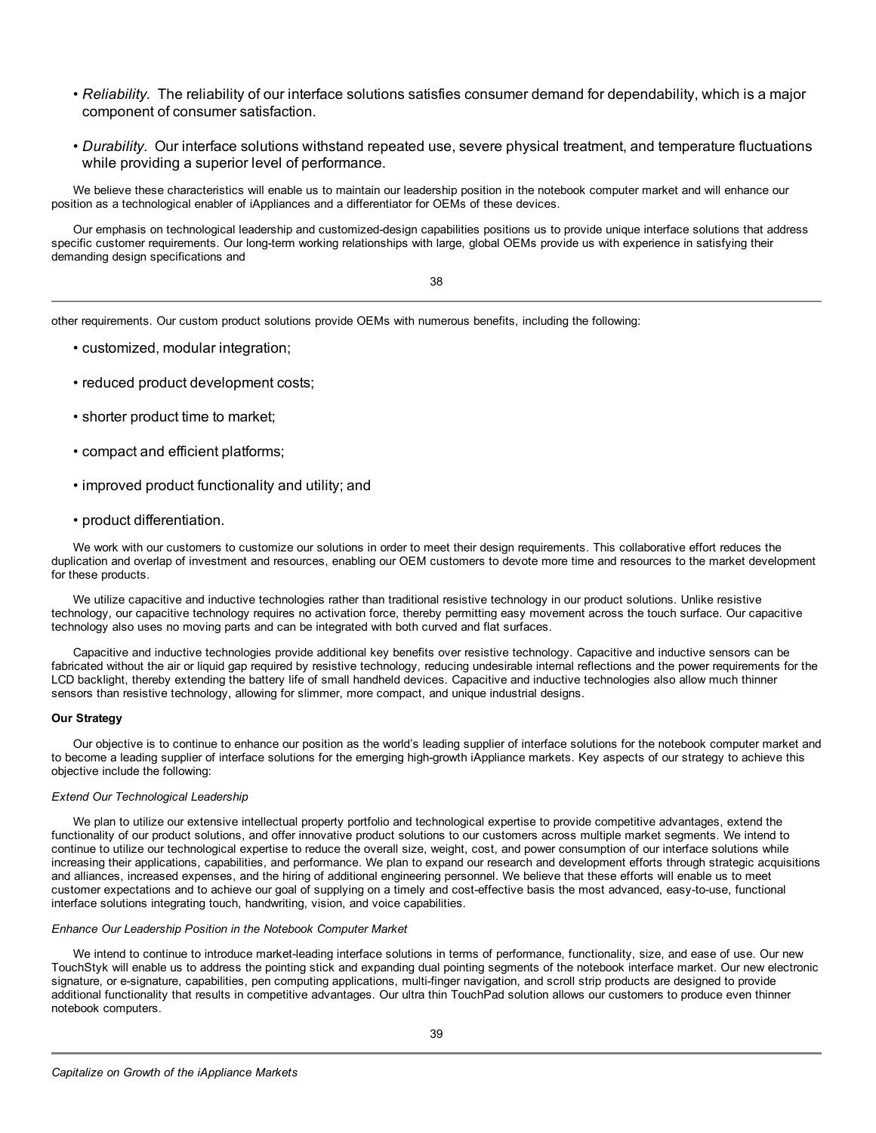- *Reliability.* The reliability of our interface solutions satisfies consumer demand for dependability, which is a major component of consumer satisfaction.
- *Durability.* Our interface solutions withstand repeated use, severe physical treatment, and temperature fluctuations while providing a superior level of performance.

We believe these characteristics will enable us to maintain our leadership position in the notebook computer market and will enhance our position as a technological enabler of iAppliances and a differentiator for OEMs of these devices.

Our emphasis on technological leadership and customized-design capabilities positions us to provide unique interface solutions that address specific customer requirements. Our long-term working relationships with large, global OEMs provide us with experience in satisfying their demanding design specifications and

38

other requirements. Our custom product solutions provide OEMs with numerous benefits, including the following:

- customized, modular integration;
- reduced product development costs;
- shorter product time to market;
- compact and efficient platforms;
- improved product functionality and utility; and
- product differentiation.

We work with our customers to customize our solutions in order to meet their design requirements. This collaborative effort reduces the duplication and overlap of investment and resources, enabling our OEM customers to devote more time and resources to the market development for these products.

We utilize capacitive and inductive technologies rather than traditional resistive technology in our product solutions. Unlike resistive technology, our capacitive technology requires no activation force, thereby permitting easy movement across the touch surface. Our capacitive technology also uses no moving parts and can be integrated with both curved and flat surfaces.

Capacitive and inductive technologies provide additional key benefits over resistive technology. Capacitive and inductive sensors can be fabricated without the air or liquid gap required by resistive technology, reducing undesirable internal reflections and the power requirements for the LCD backlight, thereby extending the battery life of small handheld devices. Capacitive and inductive technologies also allow much thinner sensors than resistive technology, allowing for slimmer, more compact, and unique industrial designs.

## **Our Strategy**

Our objective is to continue to enhance our position as the world's leading supplier of interface solutions for the notebook computer market and to become a leading supplier of interface solutions for the emerging high-growth iAppliance markets. Key aspects of our strategy to achieve this objective include the following:

## *Extend Our Technological Leadership*

We plan to utilize our extensive intellectual property portfolio and technological expertise to provide competitive advantages, extend the functionality of our product solutions, and offer innovative product solutions to our customers across multiple market segments. We intend to continue to utilize our technological expertise to reduce the overall size, weight, cost, and power consumption of our interface solutions while increasing their applications, capabilities, and performance. We plan to expand our research and development efforts through strategic acquisitions and alliances, increased expenses, and the hiring of additional engineering personnel. We believe that these efforts will enable us to meet customer expectations and to achieve our goal of supplying on a timely and cost-effective basis the most advanced, easy-to-use, functional interface solutions integrating touch, handwriting, vision, and voice capabilities.

## *Enhance Our Leadership Position in the Notebook Computer Market*

We intend to continue to introduce market-leading interface solutions in terms of performance, functionality, size, and ease of use. Our new TouchStyk will enable us to address the pointing stick and expanding dual pointing segments of the notebook interface market. Our new electronic signature, or e-signature, capabilities, pen computing applications, multi-finger navigation, and scroll strip products are designed to provide additional functionality that results in competitive advantages. Our ultra thin TouchPad solution allows our customers to produce even thinner notebook computers.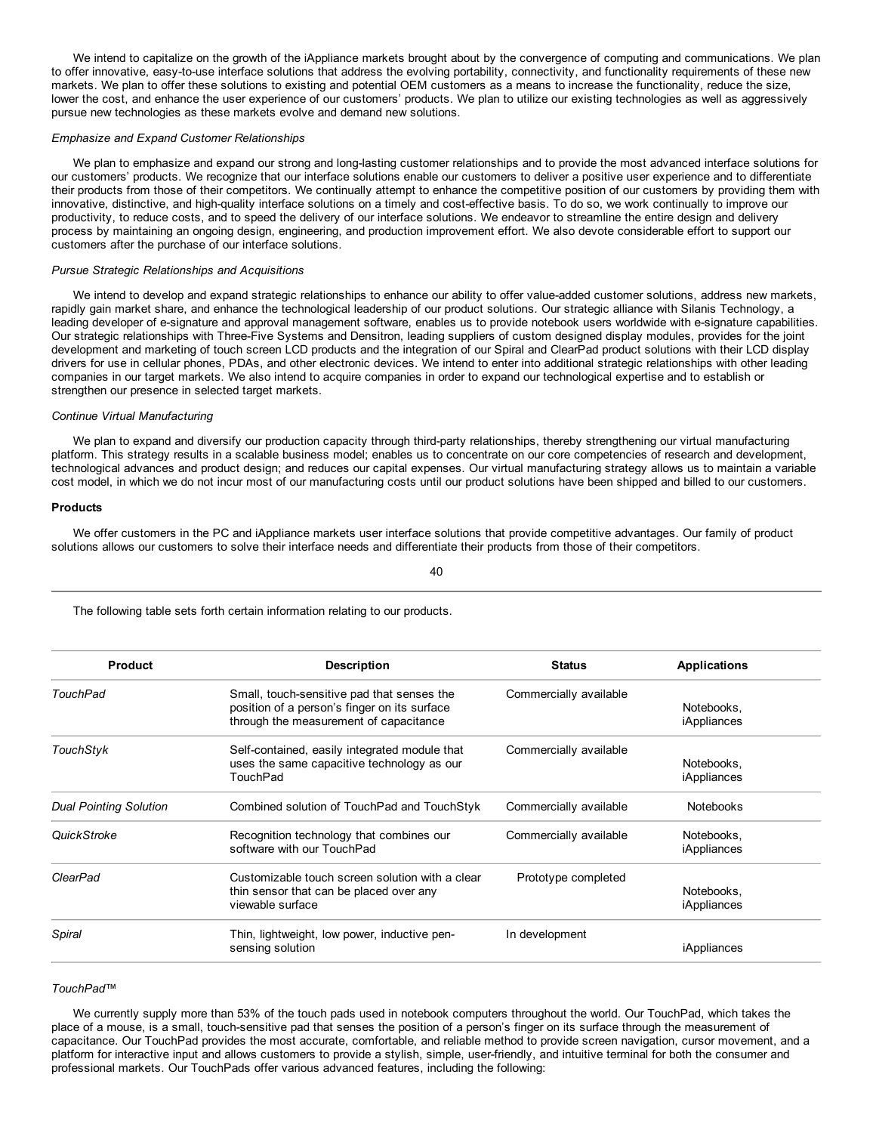We intend to capitalize on the growth of the iAppliance markets brought about by the convergence of computing and communications. We plan to offer innovative, easy-to-use interface solutions that address the evolving portability, connectivity, and functionality requirements of these new markets. We plan to offer these solutions to existing and potential OEM customers as a means to increase the functionality, reduce the size, lower the cost, and enhance the user experience of our customers' products. We plan to utilize our existing technologies as well as aggressively pursue new technologies as these markets evolve and demand new solutions.

#### *Emphasize and Expand Customer Relationships*

We plan to emphasize and expand our strong and long-lasting customer relationships and to provide the most advanced interface solutions for our customers' products. We recognize that our interface solutions enable our customers to deliver a positive user experience and to differentiate their products from those of their competitors. We continually attempt to enhance the competitive position of our customers by providing them with innovative, distinctive, and high-quality interface solutions on a timely and cost-effective basis. To do so, we work continually to improve our productivity, to reduce costs, and to speed the delivery of our interface solutions. We endeavor to streamline the entire design and delivery process by maintaining an ongoing design, engineering, and production improvement effort. We also devote considerable effort to support our customers after the purchase of our interface solutions.

#### *Pursue Strategic Relationships and Acquisitions*

We intend to develop and expand strategic relationships to enhance our ability to offer value-added customer solutions, address new markets, rapidly gain market share, and enhance the technological leadership of our product solutions. Our strategic alliance with Silanis Technology, a leading developer of e-signature and approval management software, enables us to provide notebook users worldwide with e-signature capabilities. Our strategic relationships with Three-Five Systems and Densitron, leading suppliers of custom designed display modules, provides for the joint development and marketing of touch screen LCD products and the integration of our Spiral and ClearPad product solutions with their LCD display drivers for use in cellular phones, PDAs, and other electronic devices. We intend to enter into additional strategic relationships with other leading companies in our target markets. We also intend to acquire companies in order to expand our technological expertise and to establish or strengthen our presence in selected target markets.

## *Continue Virtual Manufacturing*

We plan to expand and diversify our production capacity through third-party relationships, thereby strengthening our virtual manufacturing platform. This strategy results in a scalable business model; enables us to concentrate on our core competencies of research and development, technological advances and product design; and reduces our capital expenses. Our virtual manufacturing strategy allows us to maintain a variable cost model, in which we do not incur most of our manufacturing costs until our product solutions have been shipped and billed to our customers.

#### **Products**

We offer customers in the PC and iAppliance markets user interface solutions that provide competitive advantages. Our family of product solutions allows our customers to solve their interface needs and differentiate their products from those of their competitors.

| Product                | <b>Description</b>                              | <b>Status</b>          | <b>Applications</b> |
|------------------------|-------------------------------------------------|------------------------|---------------------|
| TouchPad               | Small, touch-sensitive pad that senses the      | Commercially available |                     |
|                        | position of a person's finger on its surface    |                        | Notebooks.          |
|                        | through the measurement of capacitance          |                        | iAppliances         |
| TouchStyk              | Self-contained, easily integrated module that   | Commercially available |                     |
|                        | uses the same capacitive technology as our      |                        | Notebooks.          |
|                        | TouchPad                                        |                        | iAppliances         |
| Dual Pointing Solution | Combined solution of TouchPad and TouchStyk     | Commercially available | <b>Notebooks</b>    |
| <b>QuickStroke</b>     | Recognition technology that combines our        | Commercially available | Notebooks,          |
|                        | software with our TouchPad                      |                        | iAppliances         |
| ClearPad               | Customizable touch screen solution with a clear | Prototype completed    |                     |
|                        | thin sensor that can be placed over any         |                        | Notebooks.          |
|                        | viewable surface                                |                        | iAppliances         |
| Spiral                 | Thin, lightweight, low power, inductive pen-    | In development         |                     |
|                        | sensing solution                                |                        | iAppliances         |

## The following table sets forth certain information relating to our products.

## *TouchPad™*

We currently supply more than 53% of the touch pads used in notebook computers throughout the world. Our TouchPad, which takes the place of a mouse, is a small, touch-sensitive pad that senses the position of a person's finger on its surface through the measurement of capacitance. Our TouchPad provides the most accurate, comfortable, and reliable method to provide screen navigation, cursor movement, and a platform for interactive input and allows customers to provide a stylish, simple, user-friendly, and intuitive terminal for both the consumer and professional markets. Our TouchPads offer various advanced features, including the following:

40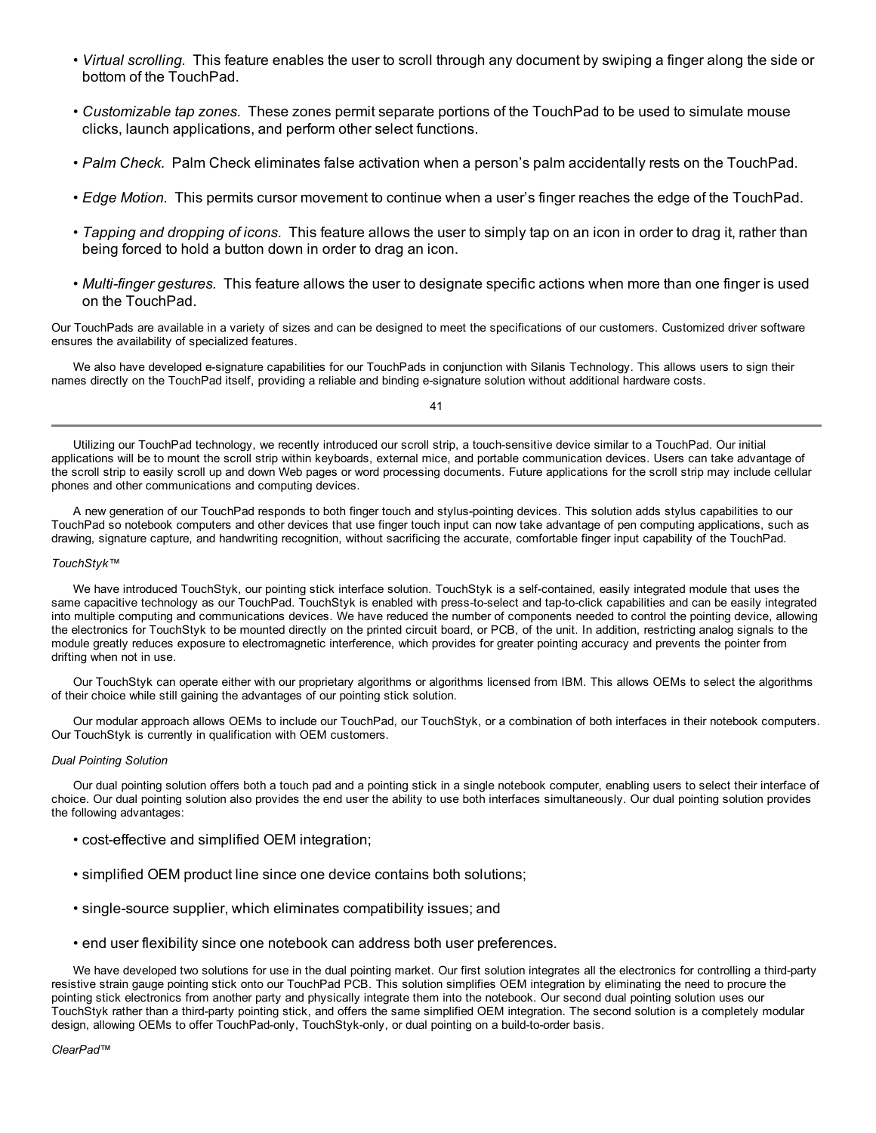- *Virtual scrolling.* This feature enables the user to scroll through any document by swiping a finger along the side or bottom of the TouchPad.
- *Customizable tap zones.* These zones permit separate portions of the TouchPad to be used to simulate mouse clicks, launch applications, and perform other select functions.
- *Palm Check.* Palm Check eliminates false activation when a person's palm accidentally rests on the TouchPad.
- *Edge Motion.* This permits cursor movement to continue when a user's finger reaches the edge of the TouchPad.
- *Tapping and dropping of icons.* This feature allows the user to simply tap on an icon in order to drag it, rather than being forced to hold a button down in order to drag an icon.
- *Multi-finger gestures.* This feature allows the user to designate specific actions when more than one finger is used on the TouchPad.

Our TouchPads are available in a variety of sizes and can be designed to meet the specifications of our customers. Customized driver software ensures the availability of specialized features.

We also have developed e-signature capabilities for our TouchPads in conjunction with Silanis Technology. This allows users to sign their names directly on the TouchPad itself, providing a reliable and binding e-signature solution without additional hardware costs.

41

Utilizing our TouchPad technology, we recently introduced our scroll strip, a touch-sensitive device similar to a TouchPad. Our initial applications will be to mount the scroll strip within keyboards, external mice, and portable communication devices. Users can take advantage of the scroll strip to easily scroll up and down Web pages or word processing documents. Future applications for the scroll strip may include cellular phones and other communications and computing devices.

A new generation of our TouchPad responds to both finger touch and stylus-pointing devices. This solution adds stylus capabilities to our TouchPad so notebook computers and other devices that use finger touch input can now take advantage of pen computing applications, such as drawing, signature capture, and handwriting recognition, without sacrificing the accurate, comfortable finger input capability of the TouchPad.

## *TouchStyk™*

We have introduced TouchStyk, our pointing stick interface solution. TouchStyk is a self-contained, easily integrated module that uses the same capacitive technology as our TouchPad. TouchStyk is enabled with press-to-select and tap-to-click capabilities and can be easily integrated into multiple computing and communications devices. We have reduced the number of components needed to control the pointing device, allowing the electronics for TouchStyk to be mounted directly on the printed circuit board, or PCB, of the unit. In addition, restricting analog signals to the module greatly reduces exposure to electromagnetic interference, which provides for greater pointing accuracy and prevents the pointer from drifting when not in use.

Our TouchStyk can operate either with our proprietary algorithms or algorithms licensed from IBM. This allows OEMs to select the algorithms of their choice while still gaining the advantages of our pointing stick solution.

Our modular approach allows OEMs to include our TouchPad, our TouchStyk, or a combination of both interfaces in their notebook computers. Our TouchStyk is currently in qualification with OEM customers.

## *Dual Pointing Solution*

Our dual pointing solution offers both a touch pad and a pointing stick in a single notebook computer, enabling users to select their interface of choice. Our dual pointing solution also provides the end user the ability to use both interfaces simultaneously. Our dual pointing solution provides the following advantages:

- cost-effective and simplified OEM integration;
- simplified OEM product line since one device contains both solutions;
- single-source supplier, which eliminates compatibility issues; and
- end user flexibility since one notebook can address both user preferences.

We have developed two solutions for use in the dual pointing market. Our first solution integrates all the electronics for controlling a third-party resistive strain gauge pointing stick onto our TouchPad PCB. This solution simplifies OEM integration by eliminating the need to procure the pointing stick electronics from another party and physically integrate them into the notebook. Our second dual pointing solution uses our TouchStyk rather than a third-party pointing stick, and offers the same simplified OEM integration. The second solution is a completely modular design, allowing OEMs to offer TouchPad-only, TouchStyk-only, or dual pointing on a build-to-order basis.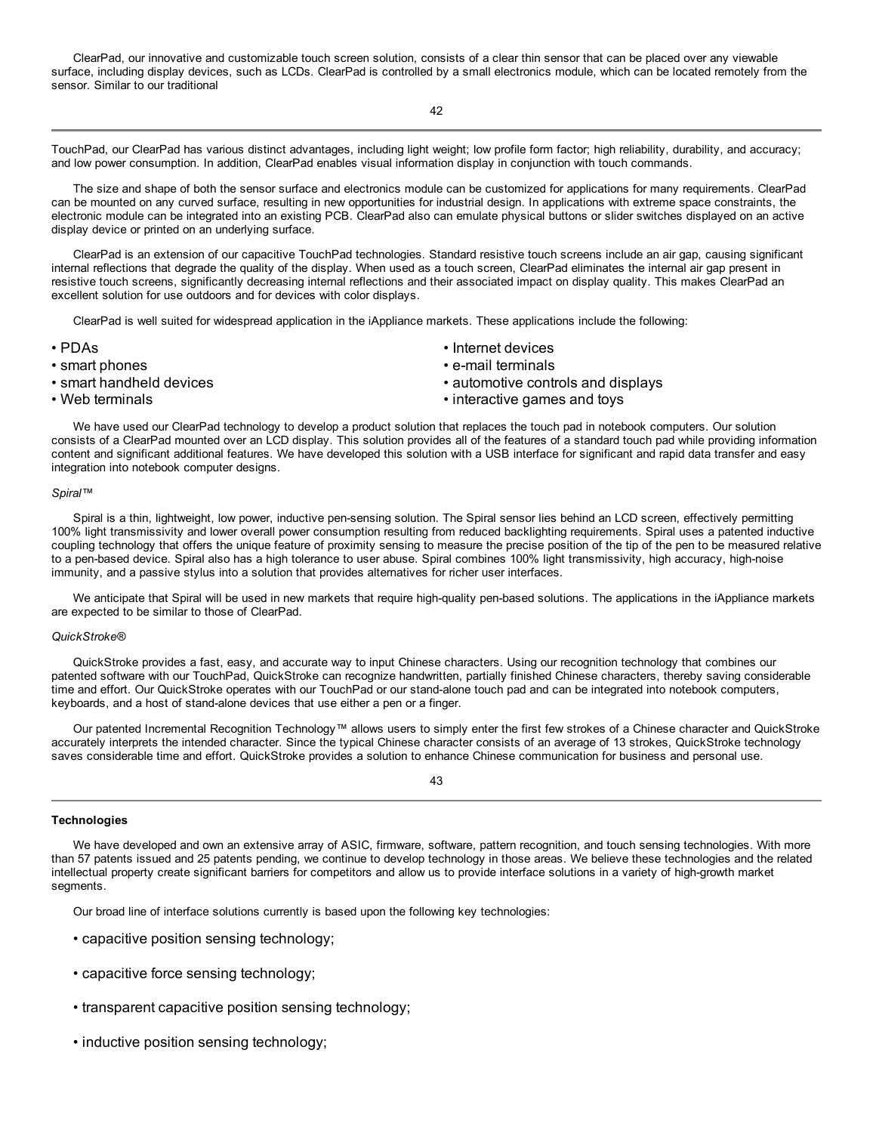ClearPad, our innovative and customizable touch screen solution, consists of a clear thin sensor that can be placed over any viewable surface, including display devices, such as LCDs. ClearPad is controlled by a small electronics module, which can be located remotely from the sensor. Similar to our traditional

42

TouchPad, our ClearPad has various distinct advantages, including light weight; low profile form factor; high reliability, durability, and accuracy; and low power consumption. In addition, ClearPad enables visual information display in conjunction with touch commands.

The size and shape of both the sensor surface and electronics module can be customized for applications for many requirements. ClearPad can be mounted on any curved surface, resulting in new opportunities for industrial design. In applications with extreme space constraints, the electronic module can be integrated into an existing PCB. ClearPad also can emulate physical buttons or slider switches displayed on an active display device or printed on an underlying surface.

ClearPad is an extension of our capacitive TouchPad technologies. Standard resistive touch screens include an air gap, causing significant internal reflections that degrade the quality of the display. When used as a touch screen, ClearPad eliminates the internal air gap present in resistive touch screens, significantly decreasing internal reflections and their associated impact on display quality. This makes ClearPad an excellent solution for use outdoors and for devices with color displays.

ClearPad is well suited for widespread application in the iAppliance markets. These applications include the following:

- 
- 
- 
- 
- PDAs Internet devices
- smart phones e-mail terminals
- smart handheld devices automotive controls and displays
- Web terminals  **interactive games and toys**

We have used our ClearPad technology to develop a product solution that replaces the touch pad in notebook computers. Our solution consists of a ClearPad mounted over an LCD display. This solution provides all of the features of a standard touch pad while providing information content and significant additional features. We have developed this solution with a USB interface for significant and rapid data transfer and easy integration into notebook computer designs.

#### *Spiral™*

Spiral is a thin, lightweight, low power, inductive pen-sensing solution. The Spiral sensor lies behind an LCD screen, effectively permitting 100% light transmissivity and lower overall power consumption resulting from reduced backlighting requirements. Spiral uses a patented inductive coupling technology that offers the unique feature of proximity sensing to measure the precise position of the tip of the pen to be measured relative to a pen-based device. Spiral also has a high tolerance to user abuse. Spiral combines 100% light transmissivity, high accuracy, high-noise immunity, and a passive stylus into a solution that provides alternatives for richer user interfaces.

We anticipate that Spiral will be used in new markets that require high-quality pen-based solutions. The applications in the iAppliance markets are expected to be similar to those of ClearPad.

## *QuickStroke®*

QuickStroke provides a fast, easy, and accurate way to input Chinese characters. Using our recognition technology that combines our patented software with our TouchPad, QuickStroke can recognize handwritten, partially finished Chinese characters, thereby saving considerable time and effort. Our QuickStroke operates with our TouchPad or our stand-alone touch pad and can be integrated into notebook computers, keyboards, and a host of stand-alone devices that use either a pen or a finger.

Our patented Incremental Recognition Technology™ allows users to simply enter the first few strokes of a Chinese character and QuickStroke accurately interprets the intended character. Since the typical Chinese character consists of an average of 13 strokes, QuickStroke technology saves considerable time and effort. QuickStroke provides a solution to enhance Chinese communication for business and personal use.

## 43

## **Technologies**

We have developed and own an extensive array of ASIC, firmware, software, pattern recognition, and touch sensing technologies. With more than 57 patents issued and 25 patents pending, we continue to develop technology in those areas. We believe these technologies and the related intellectual property create significant barriers for competitors and allow us to provide interface solutions in a variety of high-growth market segments.

Our broad line of interface solutions currently is based upon the following key technologies:

- capacitive position sensing technology;
- capacitive force sensing technology;
- transparent capacitive position sensing technology;
- inductive position sensing technology;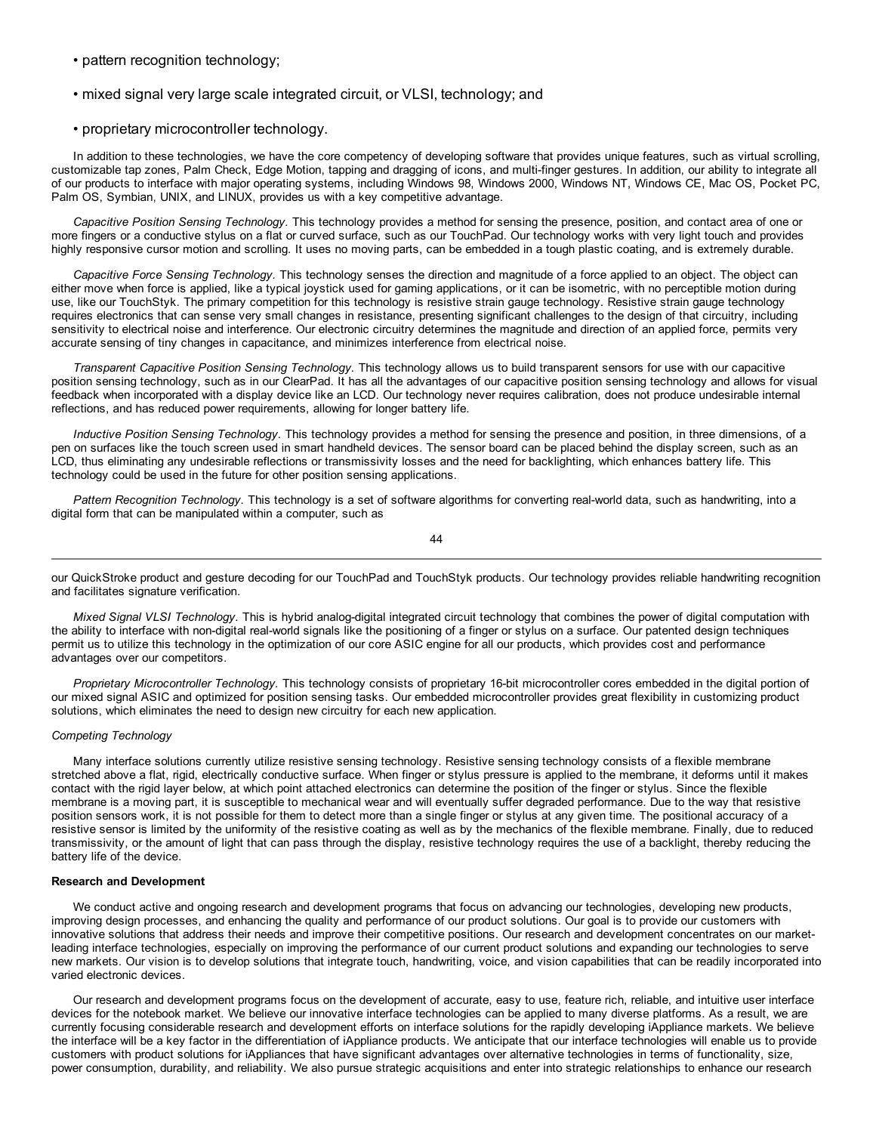- pattern recognition technology;
- mixed signal very large scale integrated circuit, or VLSI, technology; and
- proprietary microcontroller technology.

In addition to these technologies, we have the core competency of developing software that provides unique features, such as virtual scrolling, customizable tap zones, Palm Check, Edge Motion, tapping and dragging of icons, and multi-finger gestures. In addition, our ability to integrate all of our products to interface with major operating systems, including Windows 98, Windows 2000, Windows NT, Windows CE, Mac OS, Pocket PC, Palm OS, Symbian, UNIX, and LINUX, provides us with a key competitive advantage.

*Capacitive Position Sensing Technology.* This technology provides a method for sensing the presence, position, and contact area of one or more fingers or a conductive stylus on a flat or curved surface, such as our TouchPad. Our technology works with very light touch and provides highly responsive cursor motion and scrolling. It uses no moving parts, can be embedded in a tough plastic coating, and is extremely durable.

*Capacitive Force Sensing Technology.* This technology senses the direction and magnitude of a force applied to an object. The object can either move when force is applied, like a typical joystick used for gaming applications, or it can be isometric, with no perceptible motion during use, like our TouchStyk. The primary competition for this technology is resistive strain gauge technology. Resistive strain gauge technology requires electronics that can sense very small changes in resistance, presenting significant challenges to the design of that circuitry, including sensitivity to electrical noise and interference. Our electronic circuitry determines the magnitude and direction of an applied force, permits very accurate sensing of tiny changes in capacitance, and minimizes interference from electrical noise.

*Transparent Capacitive Position Sensing Technology.* This technology allows us to build transparent sensors for use with our capacitive position sensing technology, such as in our ClearPad. It has all the advantages of our capacitive position sensing technology and allows for visual feedback when incorporated with a display device like an LCD. Our technology never requires calibration, does not produce undesirable internal reflections, and has reduced power requirements, allowing for longer battery life.

*Inductive Position Sensing Technology.* This technology provides a method for sensing the presence and position, in three dimensions, of a pen on surfaces like the touch screen used in smart handheld devices. The sensor board can be placed behind the display screen, such as an LCD, thus eliminating any undesirable reflections or transmissivity losses and the need for backlighting, which enhances battery life. This technology could be used in the future for other position sensing applications.

*Pattern Recognition Technology.* This technology is a set of software algorithms for converting real-world data, such as handwriting, into a digital form that can be manipulated within a computer, such as

44

our QuickStroke product and gesture decoding for our TouchPad and TouchStyk products. Our technology provides reliable handwriting recognition and facilitates signature verification.

*Mixed Signal VLSI Technology.* This is hybrid analog-digital integrated circuit technology that combines the power of digital computation with the ability to interface with non-digital real-world signals like the positioning of a finger or stylus on a surface. Our patented design techniques permit us to utilize this technology in the optimization of our core ASIC engine for all our products, which provides cost and performance advantages over our competitors.

*Proprietary Microcontroller Technology.* This technology consists of proprietary 16-bit microcontroller cores embedded in the digital portion of our mixed signal ASIC and optimized for position sensing tasks. Our embedded microcontroller provides great flexibility in customizing product solutions, which eliminates the need to design new circuitry for each new application.

## *Competing Technology*

Many interface solutions currently utilize resistive sensing technology. Resistive sensing technology consists of a flexible membrane stretched above a flat, rigid, electrically conductive surface. When finger or stylus pressure is applied to the membrane, it deforms until it makes contact with the rigid layer below, at which point attached electronics can determine the position of the finger or stylus. Since the flexible membrane is a moving part, it is susceptible to mechanical wear and will eventually suffer degraded performance. Due to the way that resistive position sensors work, it is not possible for them to detect more than a single finger or stylus at any given time. The positional accuracy of a resistive sensor is limited by the uniformity of the resistive coating as well as by the mechanics of the flexible membrane. Finally, due to reduced transmissivity, or the amount of light that can pass through the display, resistive technology requires the use of a backlight, thereby reducing the battery life of the device.

## **Research and Development**

We conduct active and ongoing research and development programs that focus on advancing our technologies, developing new products, improving design processes, and enhancing the quality and performance of our product solutions. Our goal is to provide our customers with innovative solutions that address their needs and improve their competitive positions. Our research and development concentrates on our marketleading interface technologies, especially on improving the performance of our current product solutions and expanding our technologies to serve new markets. Our vision is to develop solutions that integrate touch, handwriting, voice, and vision capabilities that can be readily incorporated into varied electronic devices.

Our research and development programs focus on the development of accurate, easy to use, feature rich, reliable, and intuitive user interface devices for the notebook market. We believe our innovative interface technologies can be applied to many diverse platforms. As a result, we are currently focusing considerable research and development efforts on interface solutions for the rapidly developing iAppliance markets. We believe the interface will be a key factor in the differentiation of iAppliance products. We anticipate that our interface technologies will enable us to provide customers with product solutions for iAppliances that have significant advantages over alternative technologies in terms of functionality, size, power consumption, durability, and reliability. We also pursue strategic acquisitions and enter into strategic relationships to enhance our research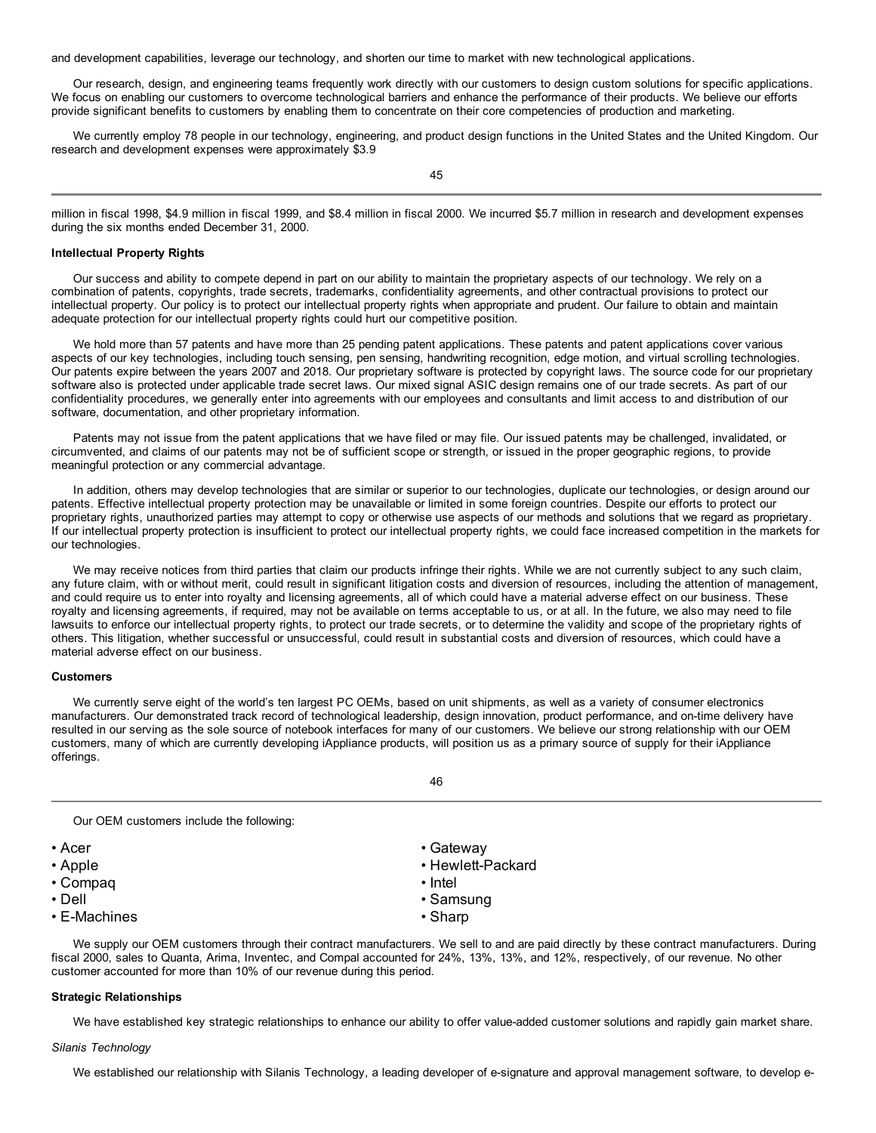and development capabilities, leverage our technology, and shorten our time to market with new technological applications.

Our research, design, and engineering teams frequently work directly with our customers to design custom solutions for specific applications. We focus on enabling our customers to overcome technological barriers and enhance the performance of their products. We believe our efforts provide significant benefits to customers by enabling them to concentrate on their core competencies of production and marketing.

We currently employ 78 people in our technology, engineering, and product design functions in the United States and the United Kingdom. Our research and development expenses were approximately \$3.9

45

million in fiscal 1998, \$4.9 million in fiscal 1999, and \$8.4 million in fiscal 2000. We incurred \$5.7 million in research and development expenses during the six months ended December 31, 2000.

#### **Intellectual Property Rights**

Our success and ability to compete depend in part on our ability to maintain the proprietary aspects of our technology. We rely on a combination of patents, copyrights, trade secrets, trademarks, confidentiality agreements, and other contractual provisions to protect our intellectual property. Our policy is to protect our intellectual property rights when appropriate and prudent. Our failure to obtain and maintain adequate protection for our intellectual property rights could hurt our competitive position.

We hold more than 57 patents and have more than 25 pending patent applications. These patents and patent applications cover various aspects of our key technologies, including touch sensing, pen sensing, handwriting recognition, edge motion, and virtual scrolling technologies. Our patents expire between the years 2007 and 2018. Our proprietary software is protected by copyright laws. The source code for our proprietary software also is protected under applicable trade secret laws. Our mixed signal ASIC design remains one of our trade secrets. As part of our confidentiality procedures, we generally enter into agreements with our employees and consultants and limit access to and distribution of our software, documentation, and other proprietary information.

Patents may not issue from the patent applications that we have filed or may file. Our issued patents may be challenged, invalidated, or circumvented, and claims of our patents may not be of sufficient scope or strength, or issued in the proper geographic regions, to provide meaningful protection or any commercial advantage.

In addition, others may develop technologies that are similar or superior to our technologies, duplicate our technologies, or design around our patents. Effective intellectual property protection may be unavailable or limited in some foreign countries. Despite our efforts to protect our proprietary rights, unauthorized parties may attempt to copy or otherwise use aspects of our methods and solutions that we regard as proprietary. If our intellectual property protection is insufficient to protect our intellectual property rights, we could face increased competition in the markets for our technologies.

We may receive notices from third parties that claim our products infringe their rights. While we are not currently subject to any such claim, any future claim, with or without merit, could result in significant litigation costs and diversion of resources, including the attention of management, and could require us to enter into royalty and licensing agreements, all of which could have a material adverse effect on our business. These royalty and licensing agreements, if required, may not be available on terms acceptable to us, or at all. In the future, we also may need to file lawsuits to enforce our intellectual property rights, to protect our trade secrets, or to determine the validity and scope of the proprietary rights of others. This litigation, whether successful or unsuccessful, could result in substantial costs and diversion of resources, which could have a material adverse effect on our business.

## **Customers**

We currently serve eight of the world's ten largest PC OEMs, based on unit shipments, as well as a variety of consumer electronics manufacturers. Our demonstrated track record of technological leadership, design innovation, product performance, and on-time delivery have resulted in our serving as the sole source of notebook interfaces for many of our customers. We believe our strong relationship with our OEM customers, many of which are currently developing iAppliance products, will position us as a primary source of supply for their iAppliance offerings.

46

Our OEM customers include the following:

- 
- 
- Compaq Intel
- 
- E-Machines Sharp
- Acer Gateway
- Apple Hewlett-Packard
	-
- Dell Samsung
	-

We supply our OEM customers through their contract manufacturers. We sell to and are paid directly by these contract manufacturers. During fiscal 2000, sales to Quanta, Arima, Inventec, and Compal accounted for 24%, 13%, 13%, and 12%, respectively, of our revenue. No other customer accounted for more than 10% of our revenue during this period.

#### **Strategic Relationships**

We have established key strategic relationships to enhance our ability to offer value-added customer solutions and rapidly gain market share.

#### *Silanis Technology*

We established our relationship with Silanis Technology, a leading developer of e-signature and approval management software, to develop e-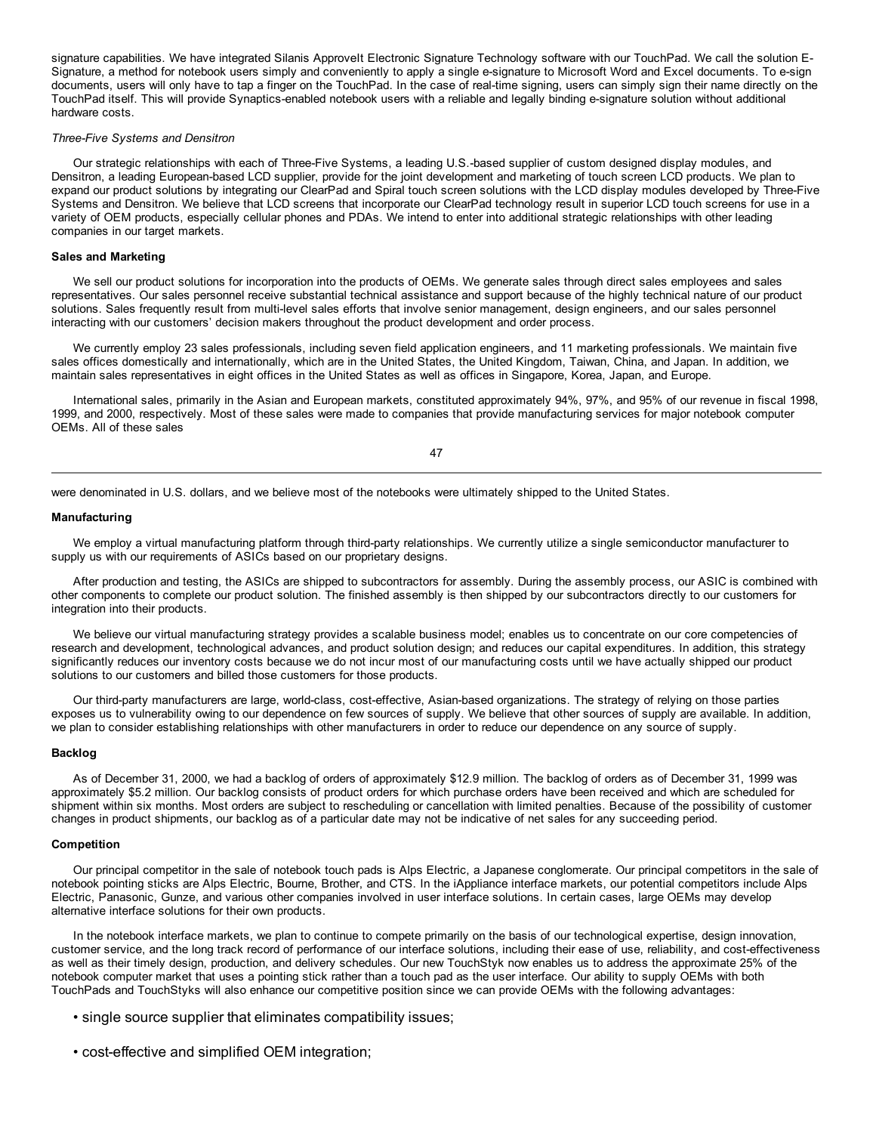signature capabilities. We have integrated Silanis ApproveIt Electronic Signature Technology software with our TouchPad. We call the solution E-Signature, a method for notebook users simply and conveniently to apply a single e-signature to Microsoft Word and Excel documents. To e-sign documents, users will only have to tap a finger on the TouchPad. In the case of real-time signing, users can simply sign their name directly on the TouchPad itself. This will provide Synaptics-enabled notebook users with a reliable and legally binding e-signature solution without additional hardware costs.

#### *Three-Five Systems and Densitron*

Our strategic relationships with each of Three-Five Systems, a leading U.S.-based supplier of custom designed display modules, and Densitron, a leading European-based LCD supplier, provide for the joint development and marketing of touch screen LCD products. We plan to expand our product solutions by integrating our ClearPad and Spiral touch screen solutions with the LCD display modules developed by Three-Five Systems and Densitron. We believe that LCD screens that incorporate our ClearPad technology result in superior LCD touch screens for use in a variety of OEM products, especially cellular phones and PDAs. We intend to enter into additional strategic relationships with other leading companies in our target markets.

## **Sales and Marketing**

We sell our product solutions for incorporation into the products of OEMs. We generate sales through direct sales employees and sales representatives. Our sales personnel receive substantial technical assistance and support because of the highly technical nature of our product solutions. Sales frequently result from multi-level sales efforts that involve senior management, design engineers, and our sales personnel interacting with our customers' decision makers throughout the product development and order process.

We currently employ 23 sales professionals, including seven field application engineers, and 11 marketing professionals. We maintain five sales offices domestically and internationally, which are in the United States, the United Kingdom, Taiwan, China, and Japan. In addition, we maintain sales representatives in eight offices in the United States as well as offices in Singapore, Korea, Japan, and Europe.

International sales, primarily in the Asian and European markets, constituted approximately 94%, 97%, and 95% of our revenue in fiscal 1998, 1999, and 2000, respectively. Most of these sales were made to companies that provide manufacturing services for major notebook computer OEMs. All of these sales

47

were denominated in U.S. dollars, and we believe most of the notebooks were ultimately shipped to the United States.

## **Manufacturing**

We employ a virtual manufacturing platform through third-party relationships. We currently utilize a single semiconductor manufacturer to supply us with our requirements of ASICs based on our proprietary designs.

After production and testing, the ASICs are shipped to subcontractors for assembly. During the assembly process, our ASIC is combined with other components to complete our product solution. The finished assembly is then shipped by our subcontractors directly to our customers for integration into their products.

We believe our virtual manufacturing strategy provides a scalable business model; enables us to concentrate on our core competencies of research and development, technological advances, and product solution design; and reduces our capital expenditures. In addition, this strategy significantly reduces our inventory costs because we do not incur most of our manufacturing costs until we have actually shipped our product solutions to our customers and billed those customers for those products.

Our third-party manufacturers are large, world-class, cost-effective, Asian-based organizations. The strategy of relying on those parties exposes us to vulnerability owing to our dependence on few sources of supply. We believe that other sources of supply are available. In addition, we plan to consider establishing relationships with other manufacturers in order to reduce our dependence on any source of supply.

## **Backlog**

As of December 31, 2000, we had a backlog of orders of approximately \$12.9 million. The backlog of orders as of December 31, 1999 was approximately \$5.2 million. Our backlog consists of product orders for which purchase orders have been received and which are scheduled for shipment within six months. Most orders are subject to rescheduling or cancellation with limited penalties. Because of the possibility of customer changes in product shipments, our backlog as of a particular date may not be indicative of net sales for any succeeding period.

#### **Competition**

Our principal competitor in the sale of notebook touch pads is Alps Electric, a Japanese conglomerate. Our principal competitors in the sale of notebook pointing sticks are Alps Electric, Bourne, Brother, and CTS. In the iAppliance interface markets, our potential competitors include Alps Electric, Panasonic, Gunze, and various other companies involved in user interface solutions. In certain cases, large OEMs may develop alternative interface solutions for their own products.

In the notebook interface markets, we plan to continue to compete primarily on the basis of our technological expertise, design innovation, customer service, and the long track record of performance of our interface solutions, including their ease of use, reliability, and cost-effectiveness as well as their timely design, production, and delivery schedules. Our new TouchStyk now enables us to address the approximate 25% of the notebook computer market that uses a pointing stick rather than a touch pad as the user interface. Our ability to supply OEMs with both TouchPads and TouchStyks will also enhance our competitive position since we can provide OEMs with the following advantages:

- single source supplier that eliminates compatibility issues;
- cost-effective and simplified OEM integration;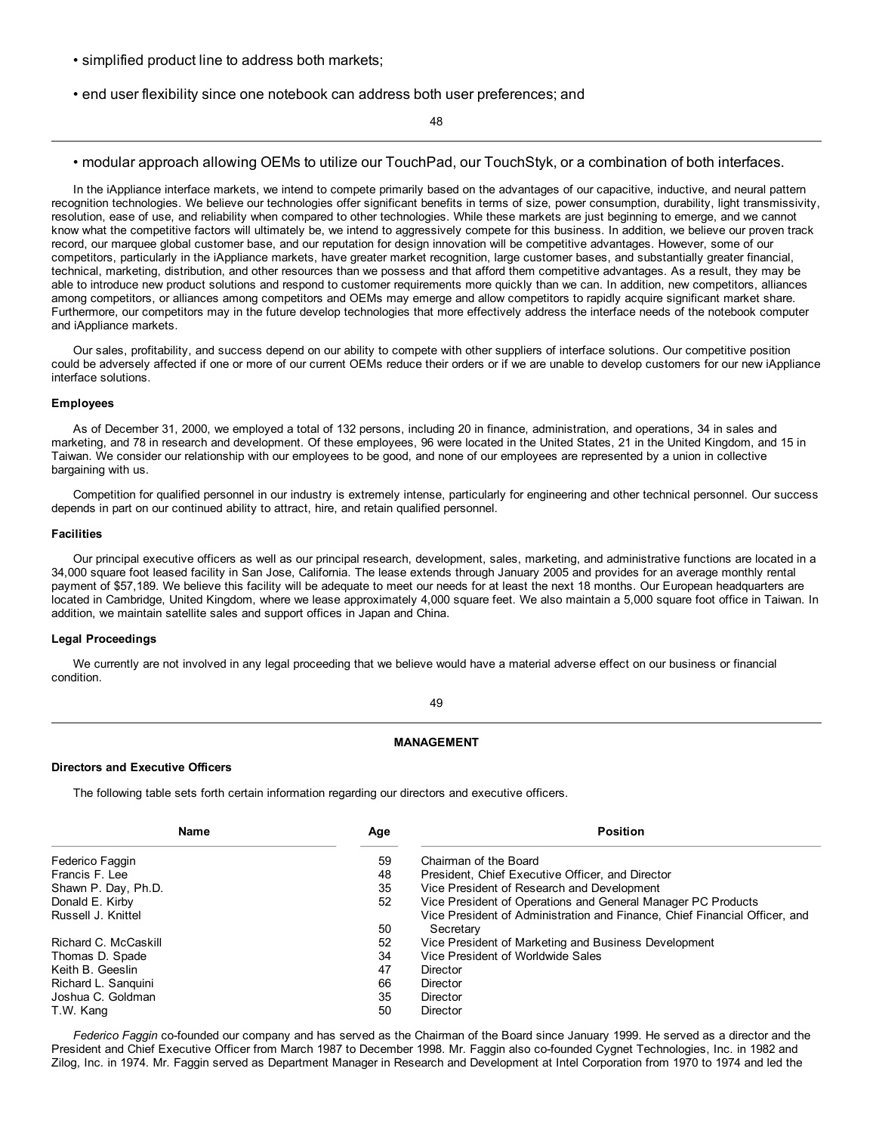- simplified product line to address both markets;
- end user flexibility since one notebook can address both user preferences; and

48

## • modular approach allowing OEMs to utilize our TouchPad, our TouchStyk, or a combination of both interfaces.

In the iAppliance interface markets, we intend to compete primarily based on the advantages of our capacitive, inductive, and neural pattern recognition technologies. We believe our technologies offer significant benefits in terms of size, power consumption, durability, light transmissivity, resolution, ease of use, and reliability when compared to other technologies. While these markets are just beginning to emerge, and we cannot know what the competitive factors will ultimately be, we intend to aggressively compete for this business. In addition, we believe our proven track record, our marquee global customer base, and our reputation for design innovation will be competitive advantages. However, some of our competitors, particularly in the iAppliance markets, have greater market recognition, large customer bases, and substantially greater financial, technical, marketing, distribution, and other resources than we possess and that afford them competitive advantages. As a result, they may be able to introduce new product solutions and respond to customer requirements more quickly than we can. In addition, new competitors, alliances among competitors, or alliances among competitors and OEMs may emerge and allow competitors to rapidly acquire significant market share. Furthermore, our competitors may in the future develop technologies that more effectively address the interface needs of the notebook computer and iAppliance markets.

Our sales, profitability, and success depend on our ability to compete with other suppliers of interface solutions. Our competitive position could be adversely affected if one or more of our current OEMs reduce their orders or if we are unable to develop customers for our new iAppliance interface solutions.

## **Employees**

As of December 31, 2000, we employed a total of 132 persons, including 20 in finance, administration, and operations, 34 in sales and marketing, and 78 in research and development. Of these employees, 96 were located in the United States, 21 in the United Kingdom, and 15 in Taiwan. We consider our relationship with our employees to be good, and none of our employees are represented by a union in collective bargaining with us.

Competition for qualified personnel in our industry is extremely intense, particularly for engineering and other technical personnel. Our success depends in part on our continued ability to attract, hire, and retain qualified personnel.

## **Facilities**

Our principal executive officers as well as our principal research, development, sales, marketing, and administrative functions are located in a 34,000 square foot leased facility in San Jose, California. The lease extends through January 2005 and provides for an average monthly rental payment of \$57,189. We believe this facility will be adequate to meet our needs for at least the next 18 months. Our European headquarters are located in Cambridge, United Kingdom, where we lease approximately 4,000 square feet. We also maintain a 5,000 square foot office in Taiwan. In addition, we maintain satellite sales and support offices in Japan and China.

## **Legal Proceedings**

We currently are not involved in any legal proceeding that we believe would have a material adverse effect on our business or financial condition.

#### 49

## **MANAGEMENT**

## **Directors and Executive Officers**

The following table sets forth certain information regarding our directors and executive officers.

| Name<br>Age                | <b>Position</b>                                                            |
|----------------------------|----------------------------------------------------------------------------|
| 59<br>Federico Faggin      | Chairman of the Board                                                      |
| 48<br>Francis F. Lee       | President, Chief Executive Officer, and Director                           |
| 35<br>Shawn P. Day, Ph.D.  | Vice President of Research and Development                                 |
| 52<br>Donald E. Kirby      | Vice President of Operations and General Manager PC Products               |
| Russell J. Knittel         | Vice President of Administration and Finance, Chief Financial Officer, and |
| 50                         | Secretary                                                                  |
| 52<br>Richard C. McCaskill | Vice President of Marketing and Business Development                       |
| 34<br>Thomas D. Spade      | Vice President of Worldwide Sales                                          |
| 47<br>Keith B. Geeslin     | Director                                                                   |
| 66<br>Richard L. Sanguini  | Director                                                                   |
| 35<br>Joshua C. Goldman    | Director                                                                   |
| 50<br>T.W. Kang            | <b>Director</b>                                                            |

*Federico Faggin* co-founded our company and has served as the Chairman of the Board since January 1999. He served as a director and the President and Chief Executive Officer from March 1987 to December 1998. Mr. Faggin also co-founded Cygnet Technologies, Inc. in 1982 and Zilog, Inc. in 1974. Mr. Faggin served as Department Manager in Research and Development at Intel Corporation from 1970 to 1974 and led the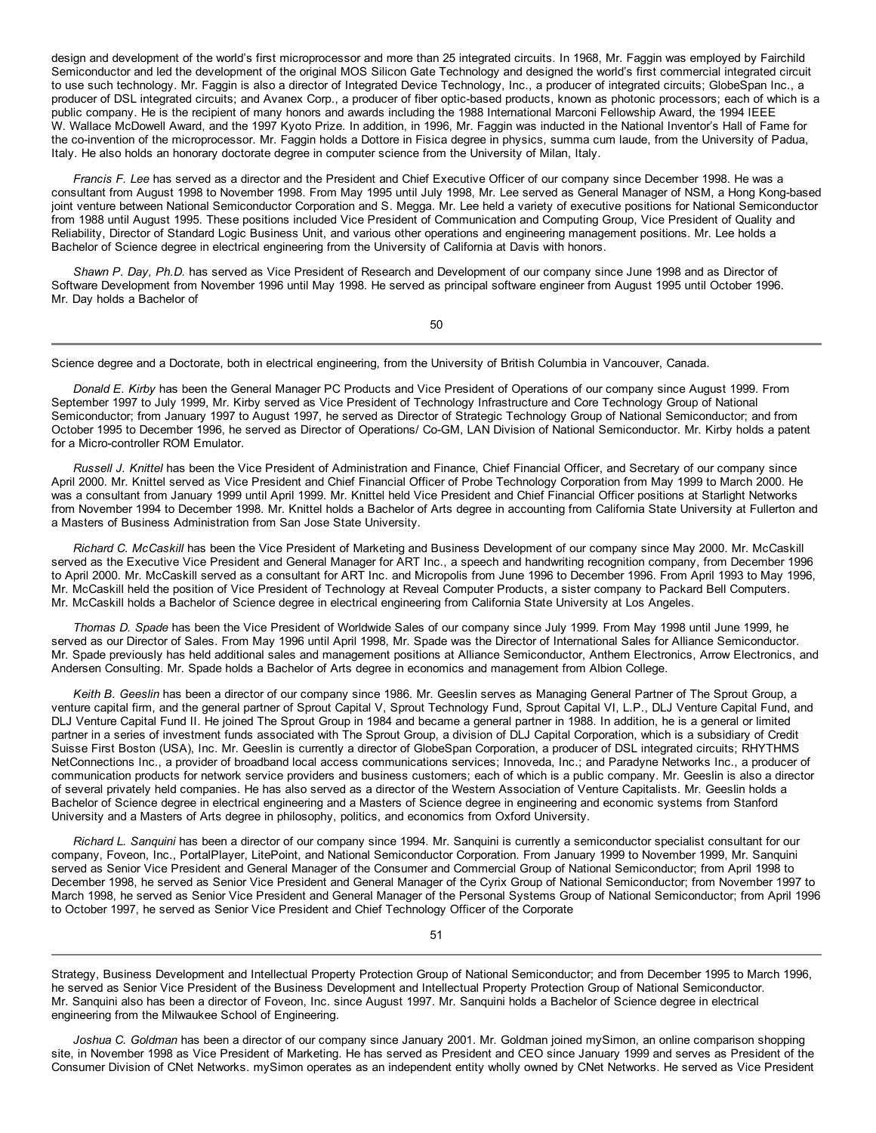design and development of the world's first microprocessor and more than 25 integrated circuits. In 1968, Mr. Faggin was employed by Fairchild Semiconductor and led the development of the original MOS Silicon Gate Technology and designed the world's first commercial integrated circuit to use such technology. Mr. Faggin is also a director of Integrated Device Technology, Inc., a producer of integrated circuits; GlobeSpan Inc., a producer of DSL integrated circuits; and Avanex Corp., a producer of fiber optic-based products, known as photonic processors; each of which is a public company. He is the recipient of many honors and awards including the 1988 International Marconi Fellowship Award, the 1994 IEEE W. Wallace McDowell Award, and the 1997 Kyoto Prize. In addition, in 1996, Mr. Faggin was inducted in the National Inventor's Hall of Fame for the co-invention of the microprocessor. Mr. Faggin holds a Dottore in Fisica degree in physics, summa cum laude, from the University of Padua, Italy. He also holds an honorary doctorate degree in computer science from the University of Milan, Italy.

*Francis F. Lee* has served as a director and the President and Chief Executive Officer of our company since December 1998. He was a consultant from August 1998 to November 1998. From May 1995 until July 1998, Mr. Lee served as General Manager of NSM, a Hong Kong-based joint venture between National Semiconductor Corporation and S. Megga. Mr. Lee held a variety of executive positions for National Semiconductor from 1988 until August 1995. These positions included Vice President of Communication and Computing Group, Vice President of Quality and Reliability, Director of Standard Logic Business Unit, and various other operations and engineering management positions. Mr. Lee holds a Bachelor of Science degree in electrical engineering from the University of California at Davis with honors.

*Shawn P. Day, Ph.D.* has served as Vice President of Research and Development of our company since June 1998 and as Director of Software Development from November 1996 until May 1998. He served as principal software engineer from August 1995 until October 1996. Mr. Day holds a Bachelor of

50

Science degree and a Doctorate, both in electrical engineering, from the University of British Columbia in Vancouver, Canada.

*Donald E. Kirby* has been the General Manager PC Products and Vice President of Operations of our company since August 1999. From September 1997 to July 1999, Mr. Kirby served as Vice President of Technology Infrastructure and Core Technology Group of National Semiconductor; from January 1997 to August 1997, he served as Director of Strategic Technology Group of National Semiconductor; and from October 1995 to December 1996, he served as Director of Operations/ Co-GM, LAN Division of National Semiconductor. Mr. Kirby holds a patent for a Micro-controller ROM Emulator.

*Russell J. Knittel* has been the Vice President of Administration and Finance, Chief Financial Officer, and Secretary of our company since April 2000. Mr. Knittel served as Vice President and Chief Financial Officer of Probe Technology Corporation from May 1999 to March 2000. He was a consultant from January 1999 until April 1999. Mr. Knittel held Vice President and Chief Financial Officer positions at Starlight Networks from November 1994 to December 1998. Mr. Knittel holds a Bachelor of Arts degree in accounting from California State University at Fullerton and a Masters of Business Administration from San Jose State University.

*Richard C. McCaskill* has been the Vice President of Marketing and Business Development of our company since May 2000. Mr. McCaskill served as the Executive Vice President and General Manager for ART Inc., a speech and handwriting recognition company, from December 1996 to April 2000. Mr. McCaskill served as a consultant for ART Inc. and Micropolis from June 1996 to December 1996. From April 1993 to May 1996, Mr. McCaskill held the position of Vice President of Technology at Reveal Computer Products, a sister company to Packard Bell Computers. Mr. McCaskill holds a Bachelor of Science degree in electrical engineering from California State University at Los Angeles.

*Thomas D. Spade* has been the Vice President of Worldwide Sales of our company since July 1999. From May 1998 until June 1999, he served as our Director of Sales. From May 1996 until April 1998, Mr. Spade was the Director of International Sales for Alliance Semiconductor. Mr. Spade previously has held additional sales and management positions at Alliance Semiconductor, Anthem Electronics, Arrow Electronics, and Andersen Consulting. Mr. Spade holds a Bachelor of Arts degree in economics and management from Albion College.

*Keith B. Geeslin* has been a director of our company since 1986. Mr. Geeslin serves as Managing General Partner of The Sprout Group, a venture capital firm, and the general partner of Sprout Capital V, Sprout Technology Fund, Sprout Capital VI, L.P., DLJ Venture Capital Fund, and DLJ Venture Capital Fund II. He joined The Sprout Group in 1984 and became a general partner in 1988. In addition, he is a general or limited partner in a series of investment funds associated with The Sprout Group, a division of DLJ Capital Corporation, which is a subsidiary of Credit Suisse First Boston (USA), Inc. Mr. Geeslin is currently a director of GlobeSpan Corporation, a producer of DSL integrated circuits; RHYTHMS NetConnections Inc., a provider of broadband local access communications services; Innoveda, Inc.; and Paradyne Networks Inc., a producer of communication products for network service providers and business customers; each of which is a public company. Mr. Geeslin is also a director of several privately held companies. He has also served as a director of the Western Association of Venture Capitalists. Mr. Geeslin holds a Bachelor of Science degree in electrical engineering and a Masters of Science degree in engineering and economic systems from Stanford University and a Masters of Arts degree in philosophy, politics, and economics from Oxford University.

*Richard L. Sanquini* has been a director of our company since 1994. Mr. Sanquini is currently a semiconductor specialist consultant for our company, Foveon, Inc., PortalPlayer, LitePoint, and National Semiconductor Corporation. From January 1999 to November 1999, Mr. Sanquini served as Senior Vice President and General Manager of the Consumer and Commercial Group of National Semiconductor; from April 1998 to December 1998, he served as Senior Vice President and General Manager of the Cyrix Group of National Semiconductor; from November 1997 to March 1998, he served as Senior Vice President and General Manager of the Personal Systems Group of National Semiconductor; from April 1996 to October 1997, he served as Senior Vice President and Chief Technology Officer of the Corporate

51

Strategy, Business Development and Intellectual Property Protection Group of National Semiconductor; and from December 1995 to March 1996, he served as Senior Vice President of the Business Development and Intellectual Property Protection Group of National Semiconductor. Mr. Sanquini also has been a director of Foveon, Inc. since August 1997. Mr. Sanquini holds a Bachelor of Science degree in electrical engineering from the Milwaukee School of Engineering.

*Joshua C. Goldman* has been a director of our company since January 2001. Mr. Goldman joined mySimon, an online comparison shopping site, in November 1998 as Vice President of Marketing. He has served as President and CEO since January 1999 and serves as President of the Consumer Division of CNet Networks. mySimon operates as an independent entity wholly owned by CNet Networks. He served as Vice President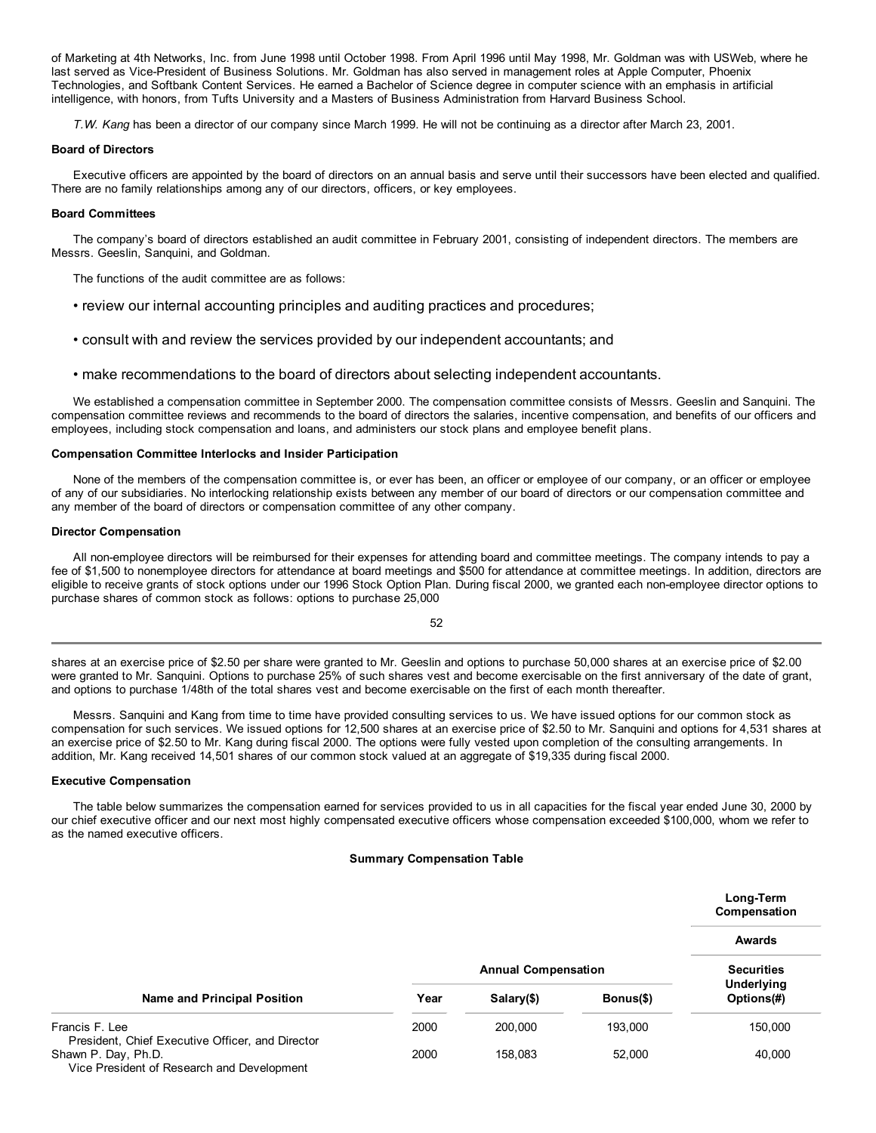of Marketing at 4th Networks, Inc. from June 1998 until October 1998. From April 1996 until May 1998, Mr. Goldman was with USWeb, where he last served as Vice-President of Business Solutions. Mr. Goldman has also served in management roles at Apple Computer, Phoenix Technologies, and Softbank Content Services. He earned a Bachelor of Science degree in computer science with an emphasis in artificial intelligence, with honors, from Tufts University and a Masters of Business Administration from Harvard Business School.

*T.W. Kang* has been a director of our company since March 1999. He will not be continuing as a director after March 23, 2001.

## **Board of Directors**

Executive officers are appointed by the board of directors on an annual basis and serve until their successors have been elected and qualified. There are no family relationships among any of our directors, officers, or key employees.

## **Board Committees**

The company's board of directors established an audit committee in February 2001, consisting of independent directors. The members are Messrs. Geeslin, Sanquini, and Goldman.

The functions of the audit committee are as follows:

- review our internal accounting principles and auditing practices and procedures;
- consult with and review the services provided by our independent accountants; and
- make recommendations to the board of directors about selecting independent accountants.

We established a compensation committee in September 2000. The compensation committee consists of Messrs. Geeslin and Sanquini. The compensation committee reviews and recommends to the board of directors the salaries, incentive compensation, and benefits of our officers and employees, including stock compensation and loans, and administers our stock plans and employee benefit plans.

## **Compensation Committee Interlocks and Insider Participation**

None of the members of the compensation committee is, or ever has been, an officer or employee of our company, or an officer or employee of any of our subsidiaries. No interlocking relationship exists between any member of our board of directors or our compensation committee and any member of the board of directors or compensation committee of any other company.

## **Director Compensation**

All non-employee directors will be reimbursed for their expenses for attending board and committee meetings. The company intends to pay a fee of \$1,500 to nonemployee directors for attendance at board meetings and \$500 for attendance at committee meetings. In addition, directors are eligible to receive grants of stock options under our 1996 Stock Option Plan. During fiscal 2000, we granted each non-employee director options to purchase shares of common stock as follows: options to purchase 25,000

52

shares at an exercise price of \$2.50 per share were granted to Mr. Geeslin and options to purchase 50,000 shares at an exercise price of \$2.00 were granted to Mr. Sanquini. Options to purchase 25% of such shares vest and become exercisable on the first anniversary of the date of grant, and options to purchase 1/48th of the total shares vest and become exercisable on the first of each month thereafter.

Messrs. Sanquini and Kang from time to time have provided consulting services to us. We have issued options for our common stock as compensation for such services. We issued options for 12,500 shares at an exercise price of \$2.50 to Mr. Sanquini and options for 4,531 shares at an exercise price of \$2.50 to Mr. Kang during fiscal 2000. The options were fully vested upon completion of the consulting arrangements. In addition, Mr. Kang received 14,501 shares of our common stock valued at an aggregate of \$19,335 during fiscal 2000.

# **Executive Compensation**

The table below summarizes the compensation earned for services provided to us in all capacities for the fiscal year ended June 30, 2000 by our chief executive officer and our next most highly compensated executive officers whose compensation exceeded \$100,000, whom we refer to as the named executive officers.

# **Summary Compensation Table**

|                                                                    |      |                            |           | Long-Term<br>Compensation |
|--------------------------------------------------------------------|------|----------------------------|-----------|---------------------------|
|                                                                    |      |                            |           | <b>Awards</b>             |
|                                                                    |      | <b>Annual Compensation</b> |           | <b>Securities</b>         |
| <b>Name and Principal Position</b>                                 | Year | Salary(\$)                 | Bonus(\$) | Underlying<br>Options(#)  |
| Francis F. Lee<br>President, Chief Executive Officer, and Director | 2000 | 200,000                    | 193,000   | 150,000                   |
| Shawn P. Day, Ph.D.<br>Vice President of Research and Development  | 2000 | 158.083                    | 52,000    | 40,000                    |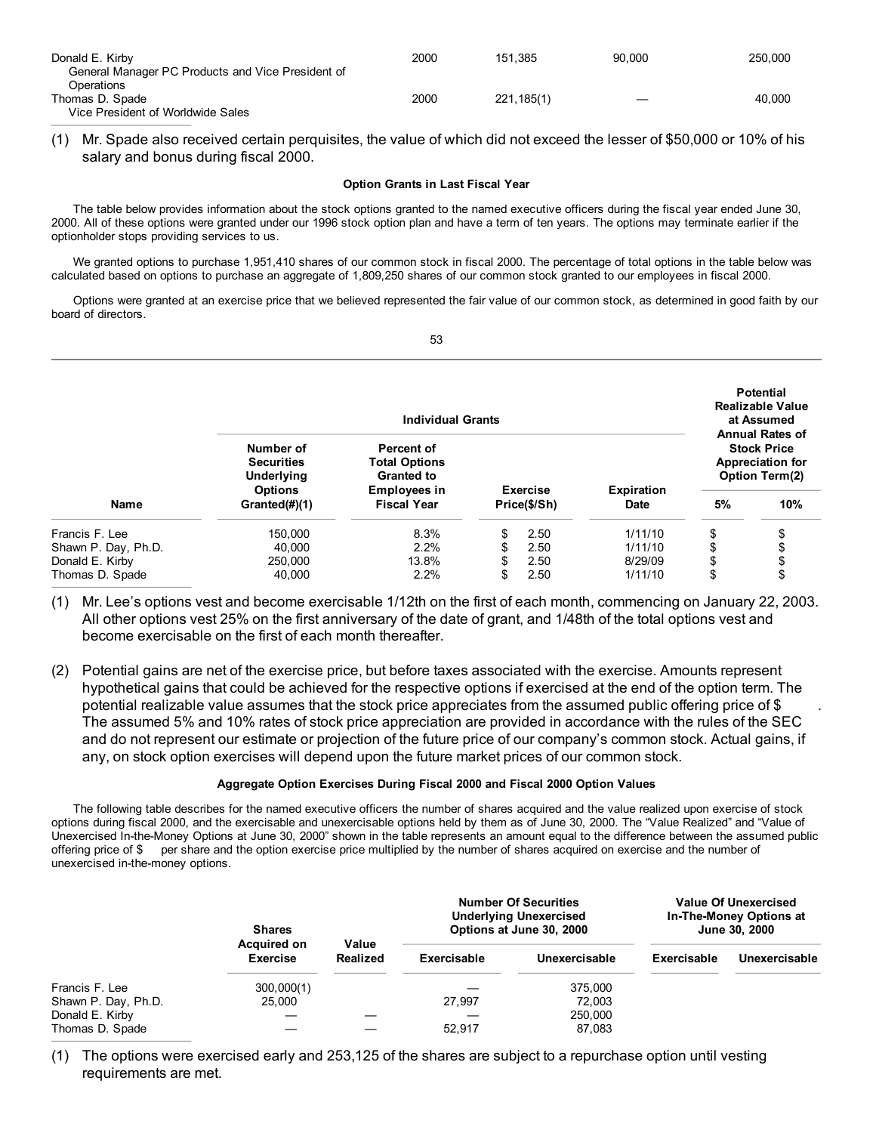| Donald E. Kirby                                   | 2000 | 151.385    | 90.000 | 250,000 |
|---------------------------------------------------|------|------------|--------|---------|
| General Manager PC Products and Vice President of |      |            |        |         |
| Operations                                        |      |            |        |         |
| Thomas D. Spade                                   | 2000 | 221.185(1) |        | 40.000  |
| Vice President of Worldwide Sales                 |      |            |        |         |

(1) Mr. Spade also received certain perquisites, the value of which did not exceed the lesser of \$50,000 or 10% of his salary and bonus during fiscal 2000.

# **Option Grants in Last Fiscal Year**

The table below provides information about the stock options granted to the named executive officers during the fiscal year ended June 30, 2000. All of these options were granted under our 1996 stock option plan and have a term of ten years. The options may terminate earlier if the optionholder stops providing services to us.

We granted options to purchase 1,951,410 shares of our common stock in fiscal 2000. The percentage of total options in the table below was calculated based on options to purchase an aggregate of 1,809,250 shares of our common stock granted to our employees in fiscal 2000.

Options were granted at an exercise price that we believed represented the fair value of our common stock, as determined in good faith by our board of directors.

| v                       |              |
|-------------------------|--------------|
| ٧<br>×<br>I<br>.,<br>۰. | I<br>I<br>۰. |

|                     |                                              | <b>Individual Grants</b>                                       |                                 |                                  |    | <b>Potential</b><br><b>Realizable Value</b><br>at Assumed<br><b>Annual Rates of</b> |
|---------------------|----------------------------------------------|----------------------------------------------------------------|---------------------------------|----------------------------------|----|-------------------------------------------------------------------------------------|
|                     | Number of<br><b>Securities</b><br>Underlying | <b>Percent of</b><br><b>Total Options</b><br><b>Granted to</b> |                                 |                                  |    | <b>Stock Price</b><br><b>Appreciation for</b><br><b>Option Term(2)</b>              |
| <b>Name</b>         | <b>Options</b><br>Granted(#)(1)              | <b>Employees in</b><br><b>Fiscal Year</b>                      | <b>Exercise</b><br>Price(\$/Sh) | <b>Expiration</b><br><b>Date</b> | 5% | 10%                                                                                 |
| Francis F. Lee      | 150,000                                      | 8.3%                                                           | \$<br>2.50                      | 1/11/10                          | \$ | Φ                                                                                   |
| Shawn P. Day, Ph.D. | 40.000                                       | 2.2%                                                           | 2.50                            | 1/11/10                          |    |                                                                                     |
| Donald E. Kirby     | 250,000                                      | 13.8%                                                          | \$<br>2.50                      | 8/29/09                          | \$ |                                                                                     |
| Thomas D. Spade     | 40.000                                       | 2.2%                                                           | \$<br>2.50                      | 1/11/10                          | \$ | \$                                                                                  |

- (1) Mr. Lee's options vest and become exercisable 1/12th on the first of each month, commencing on January 22, 2003. All other options vest 25% on the first anniversary of the date of grant, and 1/48th of the total options vest and become exercisable on the first of each month thereafter.
- (2) Potential gains are net of the exercise price, but before taxes associated with the exercise. Amounts represent hypothetical gains that could be achieved for the respective options if exercised at the end of the option term. The potential realizable value assumes that the stock price appreciates from the assumed public offering price of \$ . The assumed 5% and 10% rates of stock price appreciation are provided in accordance with the rules of the SEC and do not represent our estimate or projection of the future price of our company's common stock. Actual gains, if any, on stock option exercises will depend upon the future market prices of our common stock.

# **Aggregate Option Exercises During Fiscal 2000 and Fiscal 2000 Option Values**

The following table describes for the named executive officers the number of shares acquired and the value realized upon exercise of stock options during fiscal 2000, and the exercisable and unexercisable options held by them as of June 30, 2000. The "Value Realized" and "Value of Unexercised In-the-Money Options at June 30, 2000" shown in the table represents an amount equal to the difference between the assumed public offering price of \$ per share and the option exercise price multiplied by the number of shares acquired on exercise and the number of unexercised in-the-money options.

|                     | <b>Shares</b><br><b>Acquired on</b> | Value           |             | <b>Number Of Securities</b><br><b>Underlying Unexercised</b><br>Options at June 30, 2000 |             | Value Of Unexercised<br>In-The-Money Options at<br>June 30, 2000 |
|---------------------|-------------------------------------|-----------------|-------------|------------------------------------------------------------------------------------------|-------------|------------------------------------------------------------------|
|                     | <b>Exercise</b>                     | <b>Realized</b> | Exercisable | Unexercisable                                                                            | Exercisable | Unexercisable                                                    |
| Francis F. Lee      | 300,000(1)                          |                 |             | 375,000                                                                                  |             |                                                                  |
| Shawn P. Day, Ph.D. | 25,000                              |                 | 27.997      | 72.003                                                                                   |             |                                                                  |
| Donald E. Kirby     |                                     |                 |             | 250,000                                                                                  |             |                                                                  |
| Thomas D. Spade     |                                     |                 | 52.917      | 87,083                                                                                   |             |                                                                  |

(1) The options were exercised early and 253,125 of the shares are subject to a repurchase option until vesting requirements are met.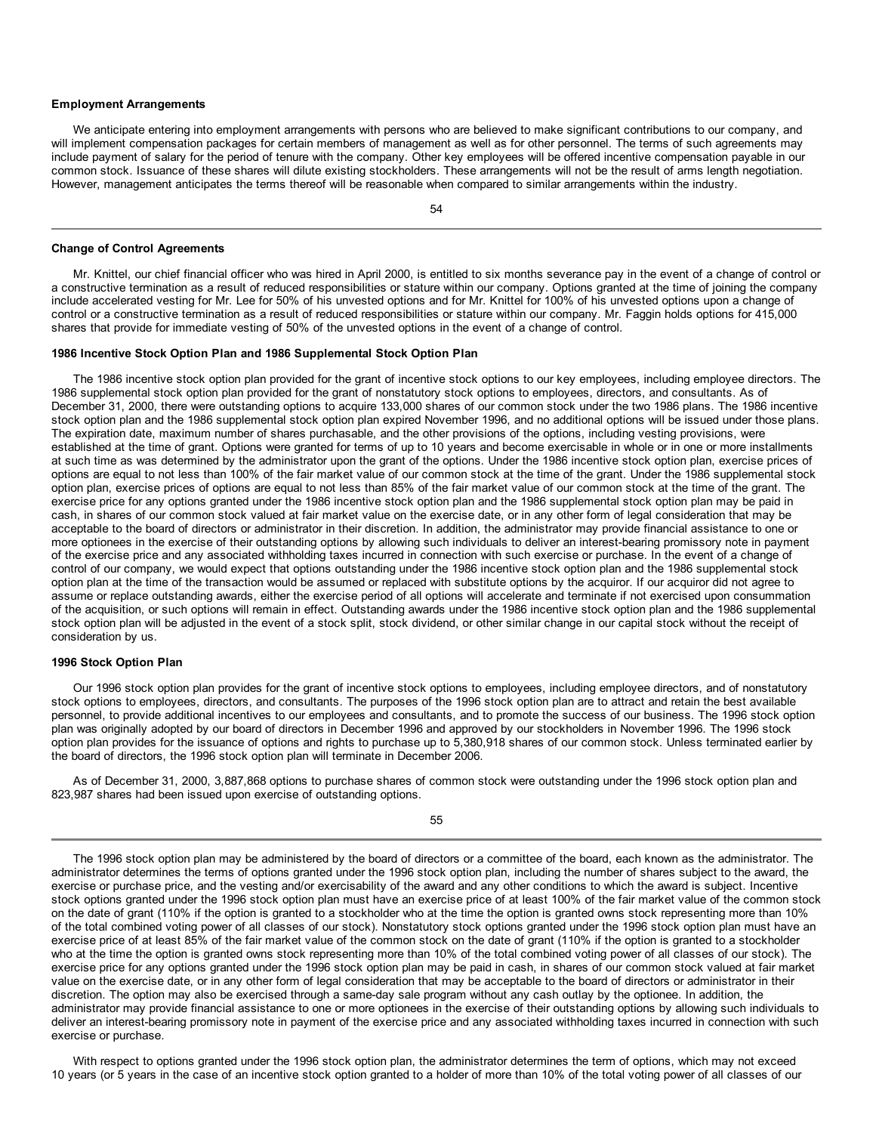### **Employment Arrangements**

We anticipate entering into employment arrangements with persons who are believed to make significant contributions to our company, and will implement compensation packages for certain members of management as well as for other personnel. The terms of such agreements may include payment of salary for the period of tenure with the company. Other key employees will be offered incentive compensation payable in our common stock. Issuance of these shares will dilute existing stockholders. These arrangements will not be the result of arms length negotiation. However, management anticipates the terms thereof will be reasonable when compared to similar arrangements within the industry.

54

#### **Change of Control Agreements**

Mr. Knittel, our chief financial officer who was hired in April 2000, is entitled to six months severance pay in the event of a change of control or a constructive termination as a result of reduced responsibilities or stature within our company. Options granted at the time of joining the company include accelerated vesting for Mr. Lee for 50% of his unvested options and for Mr. Knittel for 100% of his unvested options upon a change of control or a constructive termination as a result of reduced responsibilities or stature within our company. Mr. Faggin holds options for 415,000 shares that provide for immediate vesting of 50% of the unvested options in the event of a change of control.

## **1986 Incentive Stock Option Plan and 1986 Supplemental Stock Option Plan**

The 1986 incentive stock option plan provided for the grant of incentive stock options to our key employees, including employee directors. The 1986 supplemental stock option plan provided for the grant of nonstatutory stock options to employees, directors, and consultants. As of December 31, 2000, there were outstanding options to acquire 133,000 shares of our common stock under the two 1986 plans. The 1986 incentive stock option plan and the 1986 supplemental stock option plan expired November 1996, and no additional options will be issued under those plans. The expiration date, maximum number of shares purchasable, and the other provisions of the options, including vesting provisions, were established at the time of grant. Options were granted for terms of up to 10 years and become exercisable in whole or in one or more installments at such time as was determined by the administrator upon the grant of the options. Under the 1986 incentive stock option plan, exercise prices of options are equal to not less than 100% of the fair market value of our common stock at the time of the grant. Under the 1986 supplemental stock option plan, exercise prices of options are equal to not less than 85% of the fair market value of our common stock at the time of the grant. The exercise price for any options granted under the 1986 incentive stock option plan and the 1986 supplemental stock option plan may be paid in cash, in shares of our common stock valued at fair market value on the exercise date, or in any other form of legal consideration that may be acceptable to the board of directors or administrator in their discretion. In addition, the administrator may provide financial assistance to one or more optionees in the exercise of their outstanding options by allowing such individuals to deliver an interest-bearing promissory note in payment of the exercise price and any associated withholding taxes incurred in connection with such exercise or purchase. In the event of a change of control of our company, we would expect that options outstanding under the 1986 incentive stock option plan and the 1986 supplemental stock option plan at the time of the transaction would be assumed or replaced with substitute options by the acquiror. If our acquiror did not agree to assume or replace outstanding awards, either the exercise period of all options will accelerate and terminate if not exercised upon consummation of the acquisition, or such options will remain in effect. Outstanding awards under the 1986 incentive stock option plan and the 1986 supplemental stock option plan will be adjusted in the event of a stock split, stock dividend, or other similar change in our capital stock without the receipt of consideration by us.

## **1996 Stock Option Plan**

Our 1996 stock option plan provides for the grant of incentive stock options to employees, including employee directors, and of nonstatutory stock options to employees, directors, and consultants. The purposes of the 1996 stock option plan are to attract and retain the best available personnel, to provide additional incentives to our employees and consultants, and to promote the success of our business. The 1996 stock option plan was originally adopted by our board of directors in December 1996 and approved by our stockholders in November 1996. The 1996 stock option plan provides for the issuance of options and rights to purchase up to 5,380,918 shares of our common stock. Unless terminated earlier by the board of directors, the 1996 stock option plan will terminate in December 2006.

As of December 31, 2000, 3,887,868 options to purchase shares of common stock were outstanding under the 1996 stock option plan and 823,987 shares had been issued upon exercise of outstanding options.

55

The 1996 stock option plan may be administered by the board of directors or a committee of the board, each known as the administrator. The administrator determines the terms of options granted under the 1996 stock option plan, including the number of shares subject to the award, the exercise or purchase price, and the vesting and/or exercisability of the award and any other conditions to which the award is subject. Incentive stock options granted under the 1996 stock option plan must have an exercise price of at least 100% of the fair market value of the common stock on the date of grant (110% if the option is granted to a stockholder who at the time the option is granted owns stock representing more than 10% of the total combined voting power of all classes of our stock). Nonstatutory stock options granted under the 1996 stock option plan must have an exercise price of at least 85% of the fair market value of the common stock on the date of grant (110% if the option is granted to a stockholder who at the time the option is granted owns stock representing more than 10% of the total combined voting power of all classes of our stock). The exercise price for any options granted under the 1996 stock option plan may be paid in cash, in shares of our common stock valued at fair market value on the exercise date, or in any other form of legal consideration that may be acceptable to the board of directors or administrator in their discretion. The option may also be exercised through a same-day sale program without any cash outlay by the optionee. In addition, the administrator may provide financial assistance to one or more optionees in the exercise of their outstanding options by allowing such individuals to deliver an interest-bearing promissory note in payment of the exercise price and any associated withholding taxes incurred in connection with such exercise or purchase.

With respect to options granted under the 1996 stock option plan, the administrator determines the term of options, which may not exceed 10 years (or 5 years in the case of an incentive stock option granted to a holder of more than 10% of the total voting power of all classes of our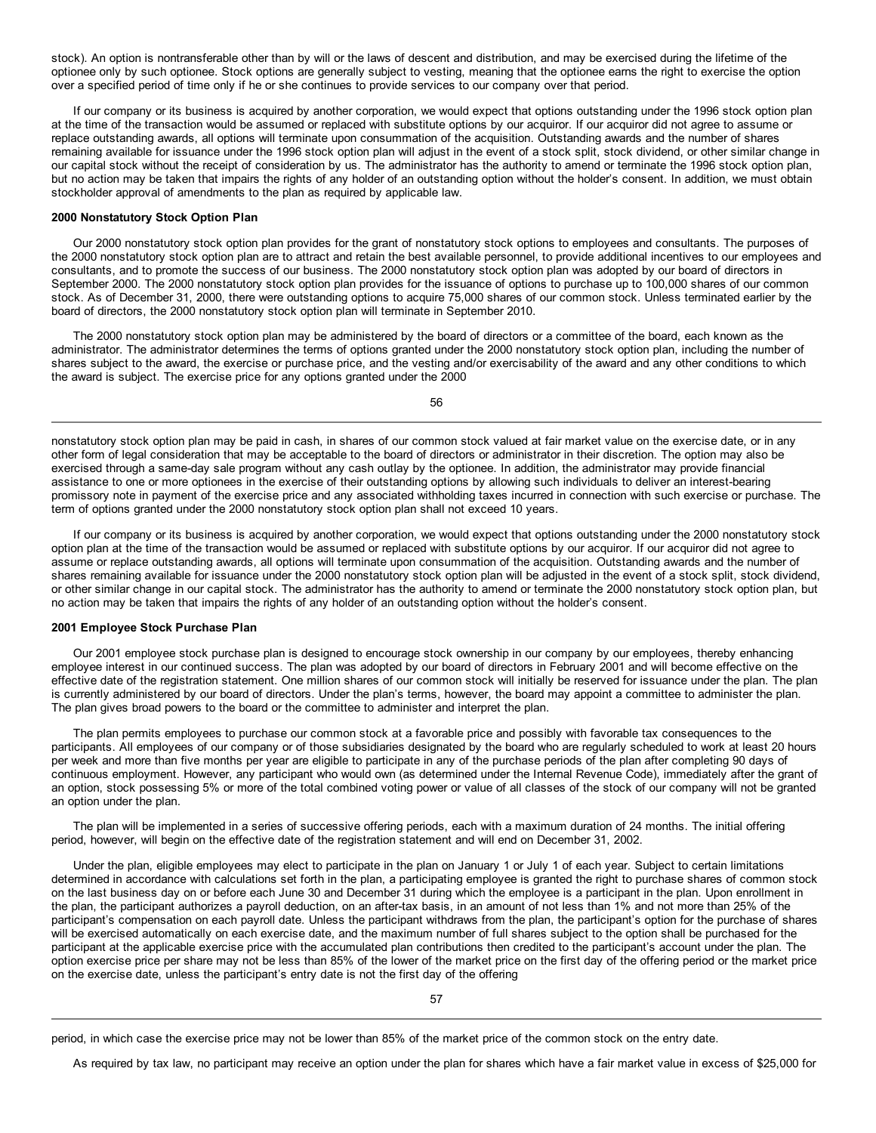stock). An option is nontransferable other than by will or the laws of descent and distribution, and may be exercised during the lifetime of the optionee only by such optionee. Stock options are generally subject to vesting, meaning that the optionee earns the right to exercise the option over a specified period of time only if he or she continues to provide services to our company over that period.

If our company or its business is acquired by another corporation, we would expect that options outstanding under the 1996 stock option plan at the time of the transaction would be assumed or replaced with substitute options by our acquiror. If our acquiror did not agree to assume or replace outstanding awards, all options will terminate upon consummation of the acquisition. Outstanding awards and the number of shares remaining available for issuance under the 1996 stock option plan will adjust in the event of a stock split, stock dividend, or other similar change in our capital stock without the receipt of consideration by us. The administrator has the authority to amend or terminate the 1996 stock option plan, but no action may be taken that impairs the rights of any holder of an outstanding option without the holder's consent. In addition, we must obtain stockholder approval of amendments to the plan as required by applicable law.

#### **2000 Nonstatutory Stock Option Plan**

Our 2000 nonstatutory stock option plan provides for the grant of nonstatutory stock options to employees and consultants. The purposes of the 2000 nonstatutory stock option plan are to attract and retain the best available personnel, to provide additional incentives to our employees and consultants, and to promote the success of our business. The 2000 nonstatutory stock option plan was adopted by our board of directors in September 2000. The 2000 nonstatutory stock option plan provides for the issuance of options to purchase up to 100,000 shares of our common stock. As of December 31, 2000, there were outstanding options to acquire 75,000 shares of our common stock. Unless terminated earlier by the board of directors, the 2000 nonstatutory stock option plan will terminate in September 2010.

The 2000 nonstatutory stock option plan may be administered by the board of directors or a committee of the board, each known as the administrator. The administrator determines the terms of options granted under the 2000 nonstatutory stock option plan, including the number of shares subject to the award, the exercise or purchase price, and the vesting and/or exercisability of the award and any other conditions to which the award is subject. The exercise price for any options granted under the 2000

56

nonstatutory stock option plan may be paid in cash, in shares of our common stock valued at fair market value on the exercise date, or in any other form of legal consideration that may be acceptable to the board of directors or administrator in their discretion. The option may also be exercised through a same-day sale program without any cash outlay by the optionee. In addition, the administrator may provide financial assistance to one or more optionees in the exercise of their outstanding options by allowing such individuals to deliver an interest-bearing promissory note in payment of the exercise price and any associated withholding taxes incurred in connection with such exercise or purchase. The term of options granted under the 2000 nonstatutory stock option plan shall not exceed 10 years.

If our company or its business is acquired by another corporation, we would expect that options outstanding under the 2000 nonstatutory stock option plan at the time of the transaction would be assumed or replaced with substitute options by our acquiror. If our acquiror did not agree to assume or replace outstanding awards, all options will terminate upon consummation of the acquisition. Outstanding awards and the number of shares remaining available for issuance under the 2000 nonstatutory stock option plan will be adjusted in the event of a stock split, stock dividend, or other similar change in our capital stock. The administrator has the authority to amend or terminate the 2000 nonstatutory stock option plan, but no action may be taken that impairs the rights of any holder of an outstanding option without the holder's consent.

# **2001 Employee Stock Purchase Plan**

Our 2001 employee stock purchase plan is designed to encourage stock ownership in our company by our employees, thereby enhancing employee interest in our continued success. The plan was adopted by our board of directors in February 2001 and will become effective on the effective date of the registration statement. One million shares of our common stock will initially be reserved for issuance under the plan. The plan is currently administered by our board of directors. Under the plan's terms, however, the board may appoint a committee to administer the plan. The plan gives broad powers to the board or the committee to administer and interpret the plan.

The plan permits employees to purchase our common stock at a favorable price and possibly with favorable tax consequences to the participants. All employees of our company or of those subsidiaries designated by the board who are regularly scheduled to work at least 20 hours per week and more than five months per year are eligible to participate in any of the purchase periods of the plan after completing 90 days of continuous employment. However, any participant who would own (as determined under the Internal Revenue Code), immediately after the grant of an option, stock possessing 5% or more of the total combined voting power or value of all classes of the stock of our company will not be granted an option under the plan.

The plan will be implemented in a series of successive offering periods, each with a maximum duration of 24 months. The initial offering period, however, will begin on the effective date of the registration statement and will end on December 31, 2002.

Under the plan, eligible employees may elect to participate in the plan on January 1 or July 1 of each year. Subject to certain limitations determined in accordance with calculations set forth in the plan, a participating employee is granted the right to purchase shares of common stock on the last business day on or before each June 30 and December 31 during which the employee is a participant in the plan. Upon enrollment in the plan, the participant authorizes a payroll deduction, on an after-tax basis, in an amount of not less than 1% and not more than 25% of the participant's compensation on each payroll date. Unless the participant withdraws from the plan, the participant's option for the purchase of shares will be exercised automatically on each exercise date, and the maximum number of full shares subject to the option shall be purchased for the participant at the applicable exercise price with the accumulated plan contributions then credited to the participant's account under the plan. The option exercise price per share may not be less than 85% of the lower of the market price on the first day of the offering period or the market price on the exercise date, unless the participant's entry date is not the first day of the offering

period, in which case the exercise price may not be lower than 85% of the market price of the common stock on the entry date.

As required by tax law, no participant may receive an option under the plan for shares which have a fair market value in excess of \$25,000 for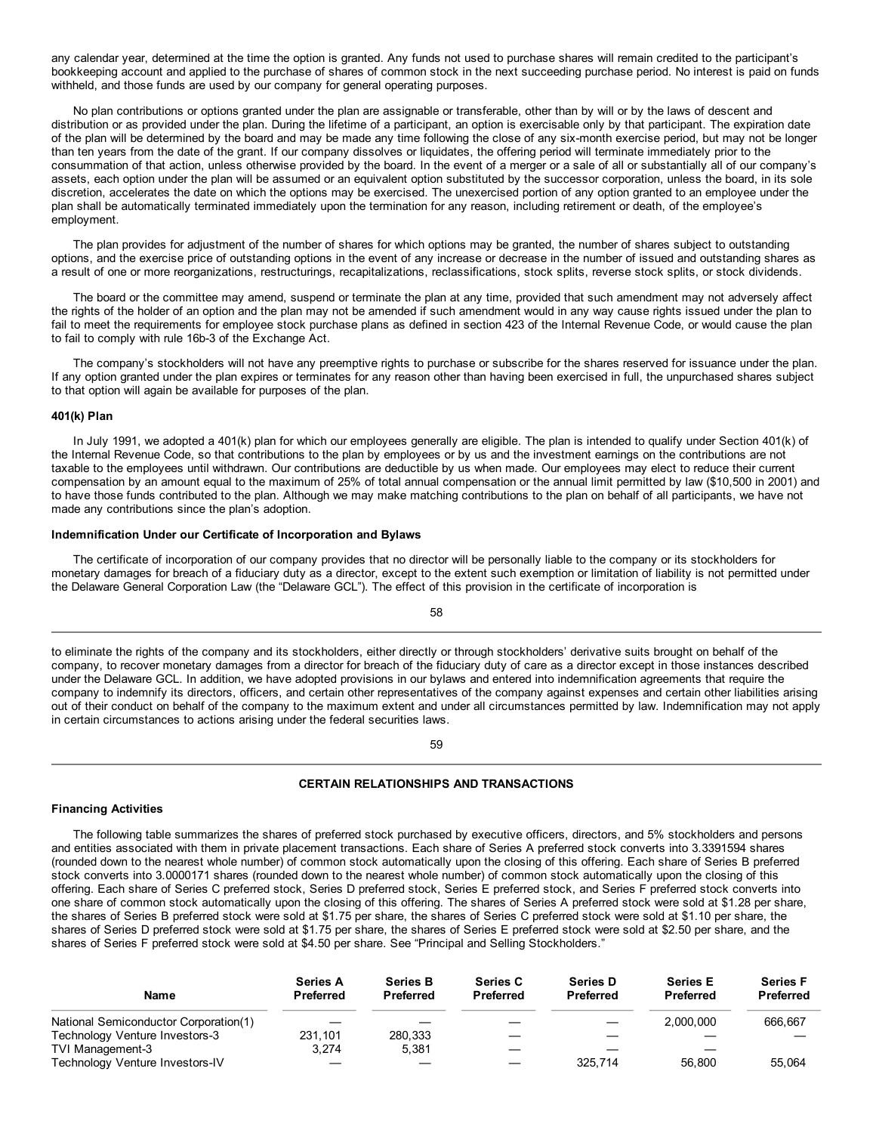any calendar year, determined at the time the option is granted. Any funds not used to purchase shares will remain credited to the participant's bookkeeping account and applied to the purchase of shares of common stock in the next succeeding purchase period. No interest is paid on funds withheld, and those funds are used by our company for general operating purposes.

No plan contributions or options granted under the plan are assignable or transferable, other than by will or by the laws of descent and distribution or as provided under the plan. During the lifetime of a participant, an option is exercisable only by that participant. The expiration date of the plan will be determined by the board and may be made any time following the close of any six-month exercise period, but may not be longer than ten years from the date of the grant. If our company dissolves or liquidates, the offering period will terminate immediately prior to the consummation of that action, unless otherwise provided by the board. In the event of a merger or a sale of all or substantially all of our company's assets, each option under the plan will be assumed or an equivalent option substituted by the successor corporation, unless the board, in its sole discretion, accelerates the date on which the options may be exercised. The unexercised portion of any option granted to an employee under the plan shall be automatically terminated immediately upon the termination for any reason, including retirement or death, of the employee's employment.

The plan provides for adjustment of the number of shares for which options may be granted, the number of shares subject to outstanding options, and the exercise price of outstanding options in the event of any increase or decrease in the number of issued and outstanding shares as a result of one or more reorganizations, restructurings, recapitalizations, reclassifications, stock splits, reverse stock splits, or stock dividends.

The board or the committee may amend, suspend or terminate the plan at any time, provided that such amendment may not adversely affect the rights of the holder of an option and the plan may not be amended if such amendment would in any way cause rights issued under the plan to fail to meet the requirements for employee stock purchase plans as defined in section 423 of the Internal Revenue Code, or would cause the plan to fail to comply with rule 16b-3 of the Exchange Act.

The company's stockholders will not have any preemptive rights to purchase or subscribe for the shares reserved for issuance under the plan. If any option granted under the plan expires or terminates for any reason other than having been exercised in full, the unpurchased shares subject to that option will again be available for purposes of the plan.

## **401(k) Plan**

In July 1991, we adopted a 401(k) plan for which our employees generally are eligible. The plan is intended to qualify under Section 401(k) of the Internal Revenue Code, so that contributions to the plan by employees or by us and the investment earnings on the contributions are not taxable to the employees until withdrawn. Our contributions are deductible by us when made. Our employees may elect to reduce their current compensation by an amount equal to the maximum of 25% of total annual compensation or the annual limit permitted by law (\$10,500 in 2001) and to have those funds contributed to the plan. Although we may make matching contributions to the plan on behalf of all participants, we have not made any contributions since the plan's adoption.

#### **Indemnification Under our Certificate of Incorporation and Bylaws**

The certificate of incorporation of our company provides that no director will be personally liable to the company or its stockholders for monetary damages for breach of a fiduciary duty as a director, except to the extent such exemption or limitation of liability is not permitted under the Delaware General Corporation Law (the "Delaware GCL"). The effect of this provision in the certificate of incorporation is

58

to eliminate the rights of the company and its stockholders, either directly or through stockholders' derivative suits brought on behalf of the company, to recover monetary damages from a director for breach of the fiduciary duty of care as a director except in those instances described under the Delaware GCL. In addition, we have adopted provisions in our bylaws and entered into indemnification agreements that require the company to indemnify its directors, officers, and certain other representatives of the company against expenses and certain other liabilities arising out of their conduct on behalf of the company to the maximum extent and under all circumstances permitted by law. Indemnification may not apply in certain circumstances to actions arising under the federal securities laws.

59

# **CERTAIN RELATIONSHIPS AND TRANSACTIONS**

# **Financing Activities**

The following table summarizes the shares of preferred stock purchased by executive officers, directors, and 5% stockholders and persons and entities associated with them in private placement transactions. Each share of Series A preferred stock converts into 3.3391594 shares (rounded down to the nearest whole number) of common stock automatically upon the closing of this offering. Each share of Series B preferred stock converts into 3.0000171 shares (rounded down to the nearest whole number) of common stock automatically upon the closing of this offering. Each share of Series C preferred stock, Series D preferred stock, Series E preferred stock, and Series F preferred stock converts into one share of common stock automatically upon the closing of this offering. The shares of Series A preferred stock were sold at \$1.28 per share, the shares of Series B preferred stock were sold at \$1.75 per share, the shares of Series C preferred stock were sold at \$1.10 per share, the shares of Series D preferred stock were sold at \$1.75 per share, the shares of Series E preferred stock were sold at \$2.50 per share, and the shares of Series F preferred stock were sold at \$4.50 per share. See "Principal and Selling Stockholders."

| Name                                  | <b>Series A</b><br><b>Preferred</b> | <b>Series B</b><br><b>Preferred</b> | <b>Series C</b><br><b>Preferred</b> | <b>Series D</b><br><b>Preferred</b> | <b>Series E</b><br><b>Preferred</b> | <b>Series F</b><br><b>Preferred</b> |
|---------------------------------------|-------------------------------------|-------------------------------------|-------------------------------------|-------------------------------------|-------------------------------------|-------------------------------------|
| National Semiconductor Corporation(1) |                                     |                                     |                                     |                                     | 2.000.000                           | 666.667                             |
| Technology Venture Investors-3        | 231.101                             | 280.333                             |                                     |                                     |                                     |                                     |
| TVI Management-3                      | 3.274                               | 5.381                               |                                     |                                     |                                     |                                     |
| Technology Venture Investors-IV       |                                     |                                     |                                     | 325.714                             | 56,800                              | 55.064                              |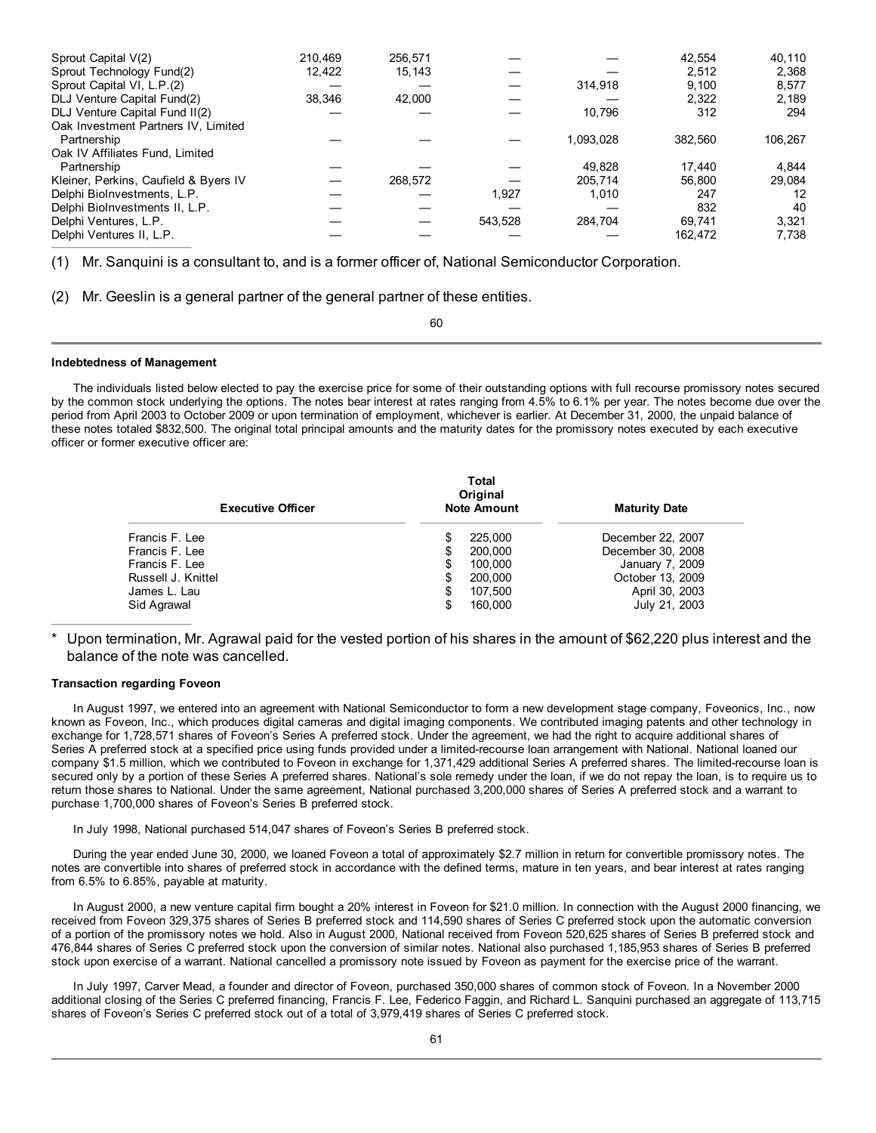| Sprout Capital V(2)                   | 210.469 | 256.571 |         |           | 42,554  | 40,110  |
|---------------------------------------|---------|---------|---------|-----------|---------|---------|
| Sprout Technology Fund(2)             | 12.422  | 15.143  |         |           | 2.512   | 2,368   |
| Sprout Capital VI, L.P.(2)            |         |         |         | 314,918   | 9.100   | 8.577   |
| DLJ Venture Capital Fund(2)           | 38.346  | 42.000  |         |           | 2.322   | 2,189   |
| DLJ Venture Capital Fund II(2)        |         |         |         | 10.796    | 312     | 294     |
| Oak Investment Partners IV, Limited   |         |         |         |           |         |         |
| Partnership                           |         |         |         | 1.093.028 | 382.560 | 106.267 |
| Oak IV Affiliates Fund, Limited       |         |         |         |           |         |         |
| Partnership                           |         |         |         | 49.828    | 17.440  | 4,844   |
| Kleiner, Perkins, Caufield & Byers IV |         | 268.572 |         | 205.714   | 56.800  | 29.084  |
| Delphi BioInvestments, L.P.           |         |         | 1.927   | 1.010     | 247     | 12      |
| Delphi BioInvestments II, L.P.        |         |         |         |           | 832     | 40      |
| Delphi Ventures, L.P.                 |         |         | 543,528 | 284.704   | 69.741  | 3,321   |
| Delphi Ventures II, L.P.              |         |         |         |           | 162.472 | 7.738   |

(1) Mr. Sanquini is a consultant to, and is a former officer of, National Semiconductor Corporation.

(2) Mr. Geeslin is a general partner of the general partner of these entities.

60

#### **Indebtedness of Management**

The individuals listed below elected to pay the exercise price for some of their outstanding options with full recourse promissory notes secured by the common stock underlying the options. The notes bear interest at rates ranging from 4.5% to 6.1% per year. The notes become due over the period from April 2003 to October 2009 or upon termination of employment, whichever is earlier. At December 31, 2000, the unpaid balance of these notes totaled \$832,500. The original total principal amounts and the maturity dates for the promissory notes executed by each executive officer or former executive officer are:

| Total<br>Original<br><b>Note Amount</b> | <b>Maturity Date</b> |  |  |
|-----------------------------------------|----------------------|--|--|
| 225,000<br>S                            | December 22, 2007    |  |  |
| \$<br>200,000                           | December 30, 2008    |  |  |
| \$<br>100,000                           | January 7, 2009      |  |  |
| \$<br>200,000                           | October 13, 2009     |  |  |
| \$<br>107.500                           | April 30, 2003       |  |  |
| \$<br>160,000                           | July 21, 2003        |  |  |
|                                         |                      |  |  |

Upon termination, Mr. Agrawal paid for the vested portion of his shares in the amount of \$62,220 plus interest and the balance of the note was cancelled.

# **Transaction regarding Foveon**

In August 1997, we entered into an agreement with National Semiconductor to form a new development stage company, Foveonics, Inc., now known as Foveon, Inc., which produces digital cameras and digital imaging components. We contributed imaging patents and other technology in exchange for 1,728,571 shares of Foveon's Series A preferred stock. Under the agreement, we had the right to acquire additional shares of Series A preferred stock at a specified price using funds provided under a limited-recourse loan arrangement with National. National loaned our company \$1.5 million, which we contributed to Foveon in exchange for 1,371,429 additional Series A preferred shares. The limited-recourse loan is secured only by a portion of these Series A preferred shares. National's sole remedy under the loan, if we do not repay the loan, is to require us to return those shares to National. Under the same agreement, National purchased 3,200,000 shares of Series A preferred stock and a warrant to purchase 1,700,000 shares of Foveon's Series B preferred stock.

In July 1998, National purchased 514,047 shares of Foveon's Series B preferred stock.

During the year ended June 30, 2000, we loaned Foveon a total of approximately \$2.7 million in return for convertible promissory notes. The notes are convertible into shares of preferred stock in accordance with the defined terms, mature in ten years, and bear interest at rates ranging from 6.5% to 6.85%, payable at maturity.

In August 2000, a new venture capital firm bought a 20% interest in Foveon for \$21.0 million. In connection with the August 2000 financing, we received from Foveon 329,375 shares of Series B preferred stock and 114,590 shares of Series C preferred stock upon the automatic conversion of a portion of the promissory notes we hold. Also in August 2000, National received from Foveon 520,625 shares of Series B preferred stock and 476,844 shares of Series C preferred stock upon the conversion of similar notes. National also purchased 1,185,953 shares of Series B preferred stock upon exercise of a warrant. National cancelled a promissory note issued by Foveon as payment for the exercise price of the warrant.

In July 1997, Carver Mead, a founder and director of Foveon, purchased 350,000 shares of common stock of Foveon. In a November 2000 additional closing of the Series C preferred financing, Francis F. Lee, Federico Faggin, and Richard L. Sanquini purchased an aggregate of 113,715 shares of Foveon's Series C preferred stock out of a total of 3,979,419 shares of Series C preferred stock.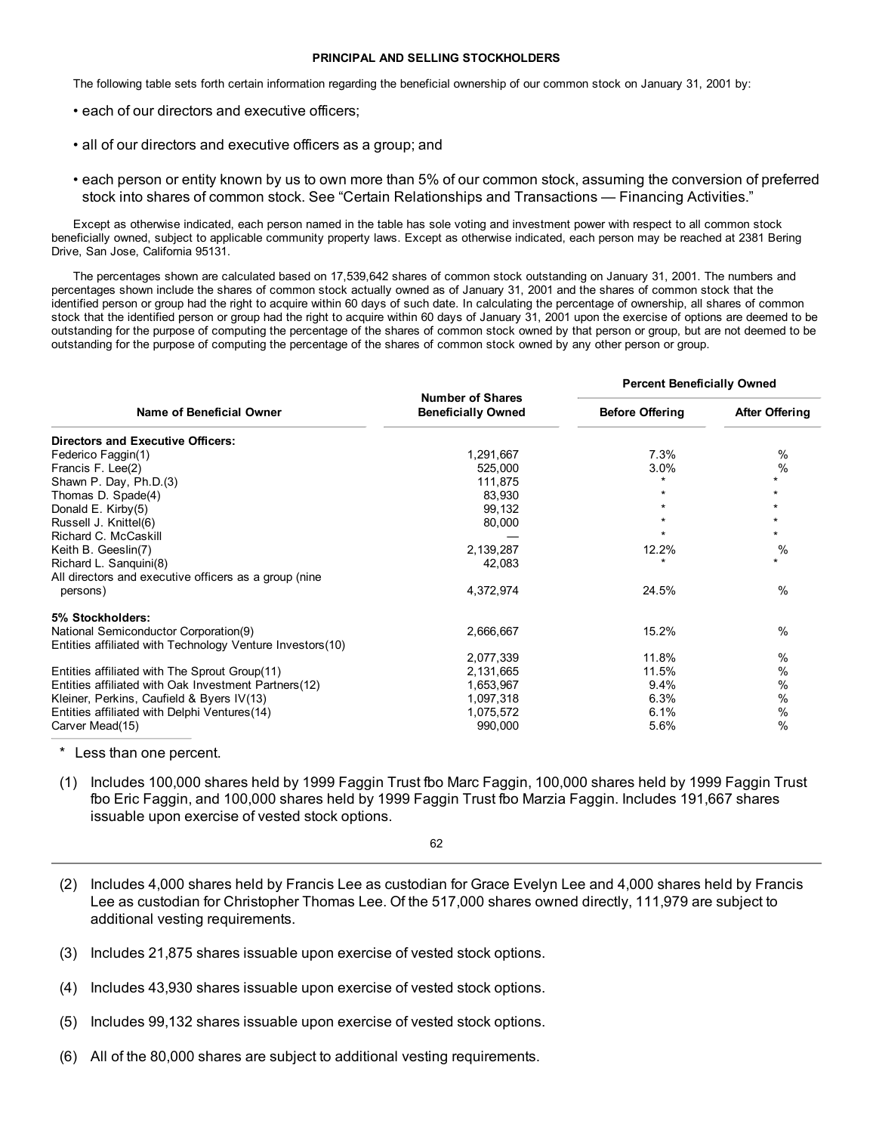# **PRINCIPAL AND SELLING STOCKHOLDERS**

The following table sets forth certain information regarding the beneficial ownership of our common stock on January 31, 2001 by:

- each of our directors and executive officers;
- all of our directors and executive officers as a group; and
- each person or entity known by us to own more than 5% of our common stock, assuming the conversion of preferred stock into shares of common stock. See "Certain Relationships and Transactions — Financing Activities."

Except as otherwise indicated, each person named in the table has sole voting and investment power with respect to all common stock beneficially owned, subject to applicable community property laws. Except as otherwise indicated, each person may be reached at 2381 Bering Drive, San Jose, California 95131.

The percentages shown are calculated based on 17,539,642 shares of common stock outstanding on January 31, 2001. The numbers and percentages shown include the shares of common stock actually owned as of January 31, 2001 and the shares of common stock that the identified person or group had the right to acquire within 60 days of such date. In calculating the percentage of ownership, all shares of common stock that the identified person or group had the right to acquire within 60 days of January 31, 2001 upon the exercise of options are deemed to be outstanding for the purpose of computing the percentage of the shares of common stock owned by that person or group, but are not deemed to be outstanding for the purpose of computing the percentage of the shares of common stock owned by any other person or group.

|                                                           |                                                      | <b>Percent Beneficially Owned</b> |                       |
|-----------------------------------------------------------|------------------------------------------------------|-----------------------------------|-----------------------|
| Name of Beneficial Owner                                  | <b>Number of Shares</b><br><b>Beneficially Owned</b> | <b>Before Offering</b>            | <b>After Offering</b> |
| <b>Directors and Executive Officers:</b>                  |                                                      |                                   |                       |
| Federico Faggin(1)                                        | 1,291,667                                            | 7.3%                              | %                     |
| Francis F. Lee(2)                                         | 525,000                                              | 3.0%                              | %                     |
| Shawn P. Day, Ph.D.(3)                                    | 111,875                                              |                                   | $\star$               |
| Thomas D. Spade(4)                                        | 83,930                                               |                                   | $\star$               |
| Donald E. Kirby(5)                                        | 99,132                                               |                                   | $\star$               |
| Russell J. Knittel(6)                                     | 80,000                                               |                                   | $\star$               |
| Richard C. McCaskill                                      |                                                      |                                   | $\star$               |
| Keith B. Geeslin(7)                                       | 2,139,287                                            | 12.2%                             | $\%$                  |
| Richard L. Sanguini(8)                                    | 42,083                                               |                                   | $\star$               |
| All directors and executive officers as a group (nine     |                                                      |                                   |                       |
| persons)                                                  | 4,372,974                                            | 24.5%                             | $\%$                  |
| 5% Stockholders:                                          |                                                      |                                   |                       |
| National Semiconductor Corporation(9)                     | 2,666,667                                            | 15.2%                             | $\%$                  |
| Entities affiliated with Technology Venture Investors(10) |                                                      |                                   |                       |
|                                                           | 2,077,339                                            | 11.8%                             | %                     |
| Entities affiliated with The Sprout Group(11)             | 2,131,665                                            | 11.5%                             | $\%$                  |
| Entities affiliated with Oak Investment Partners(12)      | 1,653,967                                            | 9.4%                              | %                     |
| Kleiner, Perkins, Caufield & Byers IV(13)                 | 1,097,318                                            | 6.3%                              | %                     |
| Entities affiliated with Delphi Ventures (14)             | 1,075,572                                            | 6.1%                              | $\%$                  |
| Carver Mead(15)                                           | 990,000                                              | 5.6%                              | $\%$                  |
|                                                           |                                                      |                                   |                       |

\* Less than one percent.

(1) Includes 100,000 shares held by 1999 Faggin Trust fbo Marc Faggin, 100,000 shares held by 1999 Faggin Trust fbo Eric Faggin, and 100,000 shares held by 1999 Faggin Trust fbo Marzia Faggin. Includes 191,667 shares issuable upon exercise of vested stock options.

62

- (2) Includes 4,000 shares held by Francis Lee as custodian for Grace Evelyn Lee and 4,000 shares held by Francis Lee as custodian for Christopher Thomas Lee. Of the 517,000 shares owned directly, 111,979 are subject to additional vesting requirements.
- (3) Includes 21,875 shares issuable upon exercise of vested stock options.
- (4) Includes 43,930 shares issuable upon exercise of vested stock options.
- (5) Includes 99,132 shares issuable upon exercise of vested stock options.
- (6) All of the 80,000 shares are subject to additional vesting requirements.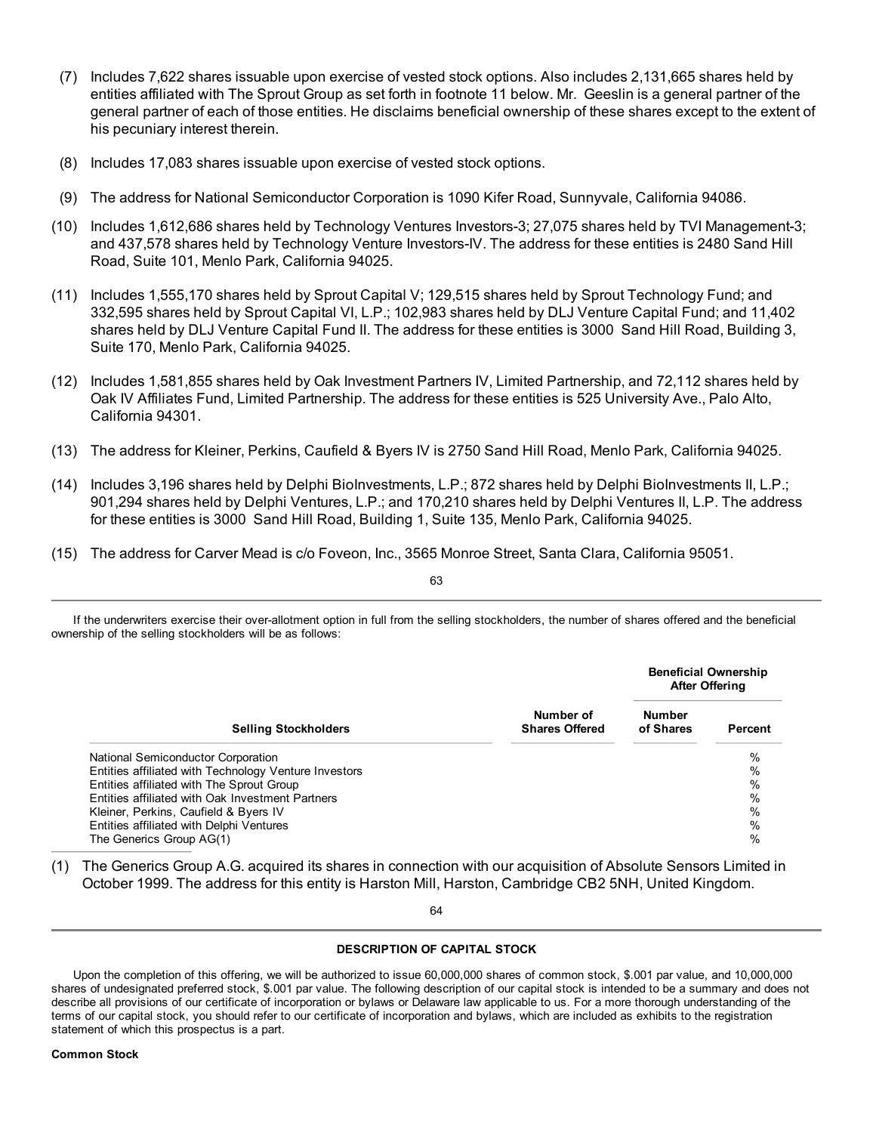- (7) Includes 7,622 shares issuable upon exercise of vested stock options. Also includes 2,131,665 shares held by entities affiliated with The Sprout Group as set forth in footnote 11 below. Mr. Geeslin is a general partner of the general partner of each of those entities. He disclaims beneficial ownership of these shares except to the extent of his pecuniary interest therein.
- (8) Includes 17,083 shares issuable upon exercise of vested stock options.
- (9) The address for National Semiconductor Corporation is 1090 Kifer Road, Sunnyvale, California 94086.
- (10) Includes 1,612,686 shares held by Technology Ventures Investors-3; 27,075 shares held by TVI Management-3; and 437,578 shares held by Technology Venture Investors-IV. The address for these entities is 2480 Sand Hill Road, Suite 101, Menlo Park, California 94025.
- (11) Includes 1,555,170 shares held by Sprout Capital V; 129,515 shares held by Sprout Technology Fund; and 332,595 shares held by Sprout Capital VI, L.P.; 102,983 shares held by DLJ Venture Capital Fund; and 11,402 shares held by DLJ Venture Capital Fund II. The address for these entities is 3000 Sand Hill Road, Building 3, Suite 170, Menlo Park, California 94025.
- (12) Includes 1,581,855 shares held by Oak Investment Partners IV, Limited Partnership, and 72,112 shares held by Oak IV Affiliates Fund, Limited Partnership. The address for these entities is 525 University Ave., Palo Alto, California 94301.
- (13) The address for Kleiner, Perkins, Caufield & Byers IV is 2750 Sand Hill Road, Menlo Park, California 94025.
- (14) Includes 3,196 shares held by Delphi BioInvestments, L.P.; 872 shares held by Delphi BioInvestments II, L.P.; 901,294 shares held by Delphi Ventures, L.P.; and 170,210 shares held by Delphi Ventures II, L.P. The address for these entities is 3000 Sand Hill Road, Building 1, Suite 135, Menlo Park, California 94025.
- (15) The address for Carver Mead is c/o Foveon, Inc., 3565 Monroe Street, Santa Clara, California 95051.

63

If the underwriters exercise their over-allotment option in full from the selling stockholders, the number of shares offered and the beneficial ownership of the selling stockholders will be as follows:

|                                                       |                                    | <b>Beneficial Ownership</b><br><b>After Offering</b> |         |
|-------------------------------------------------------|------------------------------------|------------------------------------------------------|---------|
| <b>Selling Stockholders</b>                           | Number of<br><b>Shares Offered</b> | <b>Number</b><br>of Shares                           | Percent |
| National Semiconductor Corporation                    |                                    |                                                      | $\%$    |
| Entities affiliated with Technology Venture Investors |                                    |                                                      | $\%$    |
| Entities affiliated with The Sprout Group             |                                    |                                                      | $\%$    |
| Entities affiliated with Oak Investment Partners      |                                    |                                                      | $\%$    |
| Kleiner, Perkins, Caufield & Byers IV                 |                                    |                                                      | $\%$    |
| Entities affiliated with Delphi Ventures              |                                    |                                                      | $\%$    |
| The Generics Group AG(1)                              |                                    |                                                      | $\%$    |

(1) The Generics Group A.G. acquired its shares in connection with our acquisition of Absolute Sensors Limited in October 1999. The address for this entity is Harston Mill, Harston, Cambridge CB2 5NH, United Kingdom.

64

# **DESCRIPTION OF CAPITAL STOCK**

Upon the completion of this offering, we will be authorized to issue 60,000,000 shares of common stock, \$.001 par value, and 10,000,000 shares of undesignated preferred stock, \$.001 par value. The following description of our capital stock is intended to be a summary and does not describe all provisions of our certificate of incorporation or bylaws or Delaware law applicable to us. For a more thorough understanding of the terms of our capital stock, you should refer to our certificate of incorporation and bylaws, which are included as exhibits to the registration statement of which this prospectus is a part.

#### **Common Stock**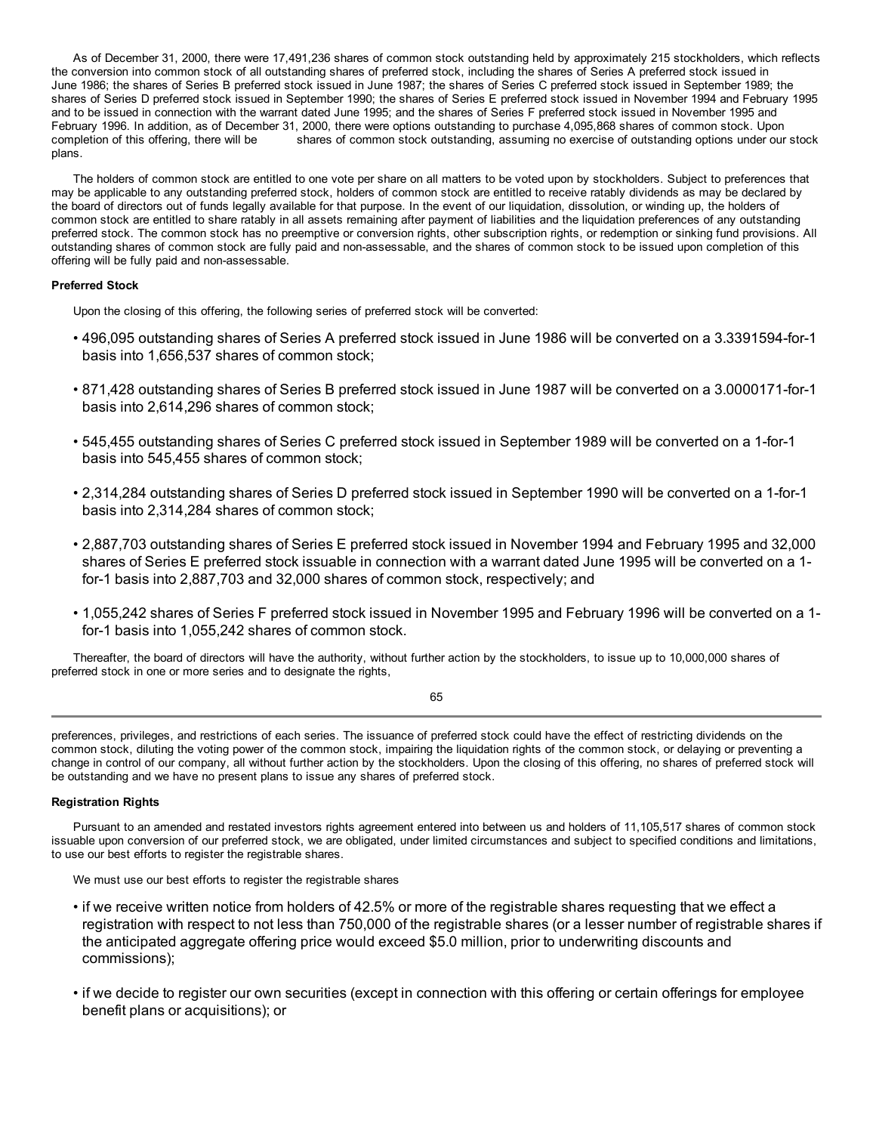As of December 31, 2000, there were 17,491,236 shares of common stock outstanding held by approximately 215 stockholders, which reflects the conversion into common stock of all outstanding shares of preferred stock, including the shares of Series A preferred stock issued in June 1986; the shares of Series B preferred stock issued in June 1987; the shares of Series C preferred stock issued in September 1989; the shares of Series D preferred stock issued in September 1990; the shares of Series E preferred stock issued in November 1994 and February 1995 and to be issued in connection with the warrant dated June 1995; and the shares of Series F preferred stock issued in November 1995 and February 1996. In addition, as of December 31, 2000, there were options outstanding to purchase 4,095,868 shares of common stock. Upon completion of this offering, there will be shares of common stock outstanding, assuming no exercise of outstanding options under our stock plans.

The holders of common stock are entitled to one vote per share on all matters to be voted upon by stockholders. Subject to preferences that may be applicable to any outstanding preferred stock, holders of common stock are entitled to receive ratably dividends as may be declared by the board of directors out of funds legally available for that purpose. In the event of our liquidation, dissolution, or winding up, the holders of common stock are entitled to share ratably in all assets remaining after payment of liabilities and the liquidation preferences of any outstanding preferred stock. The common stock has no preemptive or conversion rights, other subscription rights, or redemption or sinking fund provisions. All outstanding shares of common stock are fully paid and non-assessable, and the shares of common stock to be issued upon completion of this offering will be fully paid and non-assessable.

# **Preferred Stock**

Upon the closing of this offering, the following series of preferred stock will be converted:

- 496,095 outstanding shares of Series A preferred stock issued in June 1986 will be converted on a 3.3391594-for-1 basis into 1,656,537 shares of common stock;
- 871,428 outstanding shares of Series B preferred stock issued in June 1987 will be converted on a 3.0000171-for-1 basis into 2,614,296 shares of common stock;
- 545,455 outstanding shares of Series C preferred stock issued in September 1989 will be converted on a 1-for-1 basis into 545,455 shares of common stock;
- 2,314,284 outstanding shares of Series D preferred stock issued in September 1990 will be converted on a 1-for-1 basis into 2,314,284 shares of common stock;
- 2,887,703 outstanding shares of Series E preferred stock issued in November 1994 and February 1995 and 32,000 shares of Series E preferred stock issuable in connection with a warrant dated June 1995 will be converted on a 1 for-1 basis into 2,887,703 and 32,000 shares of common stock, respectively; and
- 1,055,242 shares of Series F preferred stock issued in November 1995 and February 1996 will be converted on a 1 for-1 basis into 1,055,242 shares of common stock.

Thereafter, the board of directors will have the authority, without further action by the stockholders, to issue up to 10,000,000 shares of preferred stock in one or more series and to designate the rights,

65

preferences, privileges, and restrictions of each series. The issuance of preferred stock could have the effect of restricting dividends on the common stock, diluting the voting power of the common stock, impairing the liquidation rights of the common stock, or delaying or preventing a change in control of our company, all without further action by the stockholders. Upon the closing of this offering, no shares of preferred stock will be outstanding and we have no present plans to issue any shares of preferred stock.

# **Registration Rights**

Pursuant to an amended and restated investors rights agreement entered into between us and holders of 11,105,517 shares of common stock issuable upon conversion of our preferred stock, we are obligated, under limited circumstances and subject to specified conditions and limitations, to use our best efforts to register the registrable shares.

We must use our best efforts to register the registrable shares

- if we receive written notice from holders of 42.5% or more of the registrable shares requesting that we effect a registration with respect to not less than 750,000 of the registrable shares (or a lesser number of registrable shares if the anticipated aggregate offering price would exceed \$5.0 million, prior to underwriting discounts and commissions);
- if we decide to register our own securities (except in connection with this offering or certain offerings for employee benefit plans or acquisitions); or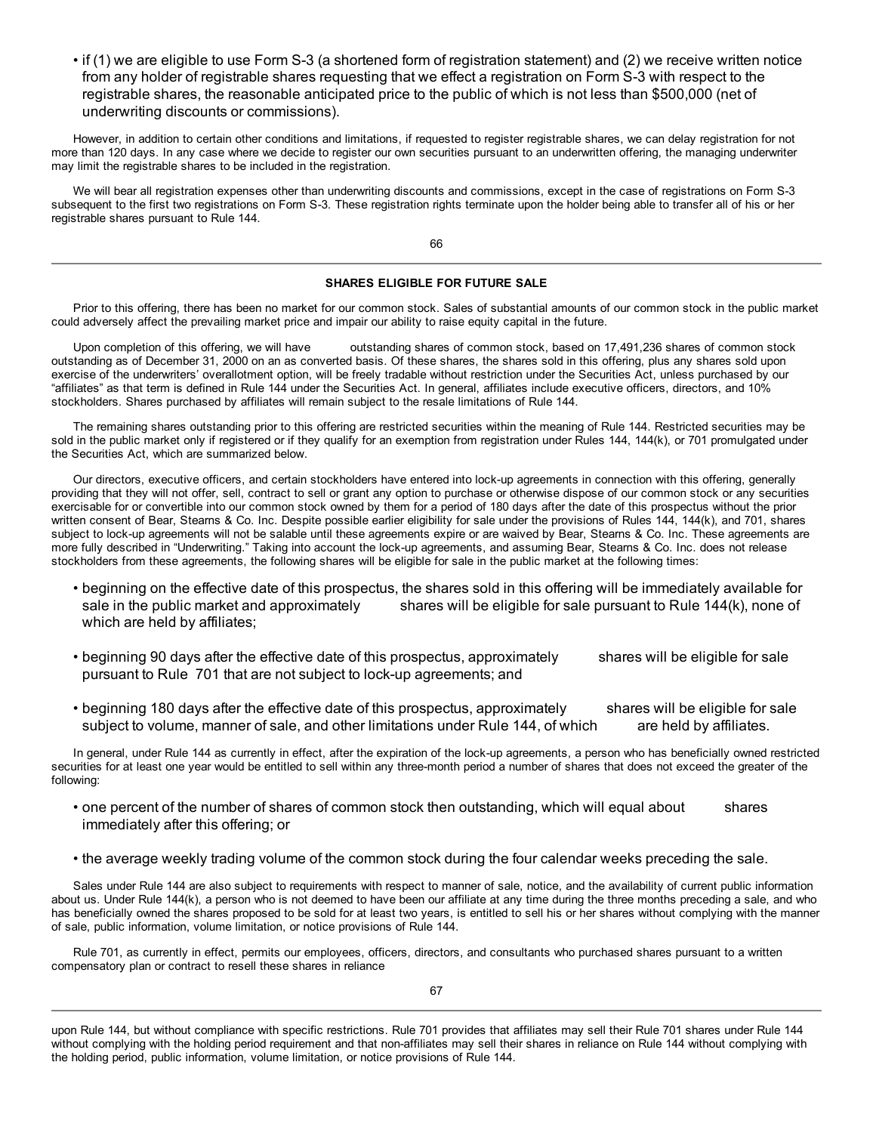• if (1) we are eligible to use Form S-3 (a shortened form of registration statement) and (2) we receive written notice from any holder of registrable shares requesting that we effect a registration on Form S-3 with respect to the registrable shares, the reasonable anticipated price to the public of which is not less than \$500,000 (net of underwriting discounts or commissions).

However, in addition to certain other conditions and limitations, if requested to register registrable shares, we can delay registration for not more than 120 days. In any case where we decide to register our own securities pursuant to an underwritten offering, the managing underwriter may limit the registrable shares to be included in the registration.

We will bear all registration expenses other than underwriting discounts and commissions, except in the case of registrations on Form S-3 subsequent to the first two registrations on Form S-3. These registration rights terminate upon the holder being able to transfer all of his or her registrable shares pursuant to Rule 144.

66

# **SHARES ELIGIBLE FOR FUTURE SALE**

Prior to this offering, there has been no market for our common stock. Sales of substantial amounts of our common stock in the public market could adversely affect the prevailing market price and impair our ability to raise equity capital in the future.

Upon completion of this offering, we will have outstanding shares of common stock, based on 17,491,236 shares of common stock outstanding as of December 31, 2000 on an as converted basis. Of these shares, the shares sold in this offering, plus any shares sold upon exercise of the underwriters' overallotment option, will be freely tradable without restriction under the Securities Act, unless purchased by our "affiliates" as that term is defined in Rule 144 under the Securities Act. In general, affiliates include executive officers, directors, and 10% stockholders. Shares purchased by affiliates will remain subject to the resale limitations of Rule 144.

The remaining shares outstanding prior to this offering are restricted securities within the meaning of Rule 144. Restricted securities may be sold in the public market only if registered or if they qualify for an exemption from registration under Rules 144, 144(k), or 701 promulgated under the Securities Act, which are summarized below.

Our directors, executive officers, and certain stockholders have entered into lock-up agreements in connection with this offering, generally providing that they will not offer, sell, contract to sell or grant any option to purchase or otherwise dispose of our common stock or any securities exercisable for or convertible into our common stock owned by them for a period of 180 days after the date of this prospectus without the prior written consent of Bear, Stearns & Co. Inc. Despite possible earlier eligibility for sale under the provisions of Rules 144, 144(k), and 701, shares subject to lock-up agreements will not be salable until these agreements expire or are waived by Bear, Stearns & Co. Inc. These agreements are more fully described in "Underwriting." Taking into account the lock-up agreements, and assuming Bear, Stearns & Co. Inc. does not release stockholders from these agreements, the following shares will be eligible for sale in the public market at the following times:

- beginning on the effective date of this prospectus, the shares sold in this offering will be immediately available for sale in the public market and approximately shares will be eligible for sale pursuant to Rule 144(k), none of which are held by affiliates;
- beginning 90 days after the effective date of this prospectus, approximately shares will be eligible for sale pursuant to Rule 701 that are not subject to lock-up agreements; and
- beginning 180 days after the effective date of this prospectus, approximately shares will be eligible for sale subject to volume, manner of sale, and other limitations under Rule 144, of which are held by affiliates.

In general, under Rule 144 as currently in effect, after the expiration of the lock-up agreements, a person who has beneficially owned restricted securities for at least one year would be entitled to sell within any three-month period a number of shares that does not exceed the greater of the following:

- one percent of the number of shares of common stock then outstanding, which will equal about shares immediately after this offering; or
- the average weekly trading volume of the common stock during the four calendar weeks preceding the sale.

Sales under Rule 144 are also subject to requirements with respect to manner of sale, notice, and the availability of current public information about us. Under Rule 144(k), a person who is not deemed to have been our affiliate at any time during the three months preceding a sale, and who has beneficially owned the shares proposed to be sold for at least two years, is entitled to sell his or her shares without complying with the manner of sale, public information, volume limitation, or notice provisions of Rule 144.

Rule 701, as currently in effect, permits our employees, officers, directors, and consultants who purchased shares pursuant to a written compensatory plan or contract to resell these shares in reliance

upon Rule 144, but without compliance with specific restrictions. Rule 701 provides that affiliates may sell their Rule 701 shares under Rule 144 without complying with the holding period requirement and that non-affiliates may sell their shares in reliance on Rule 144 without complying with the holding period, public information, volume limitation, or notice provisions of Rule 144.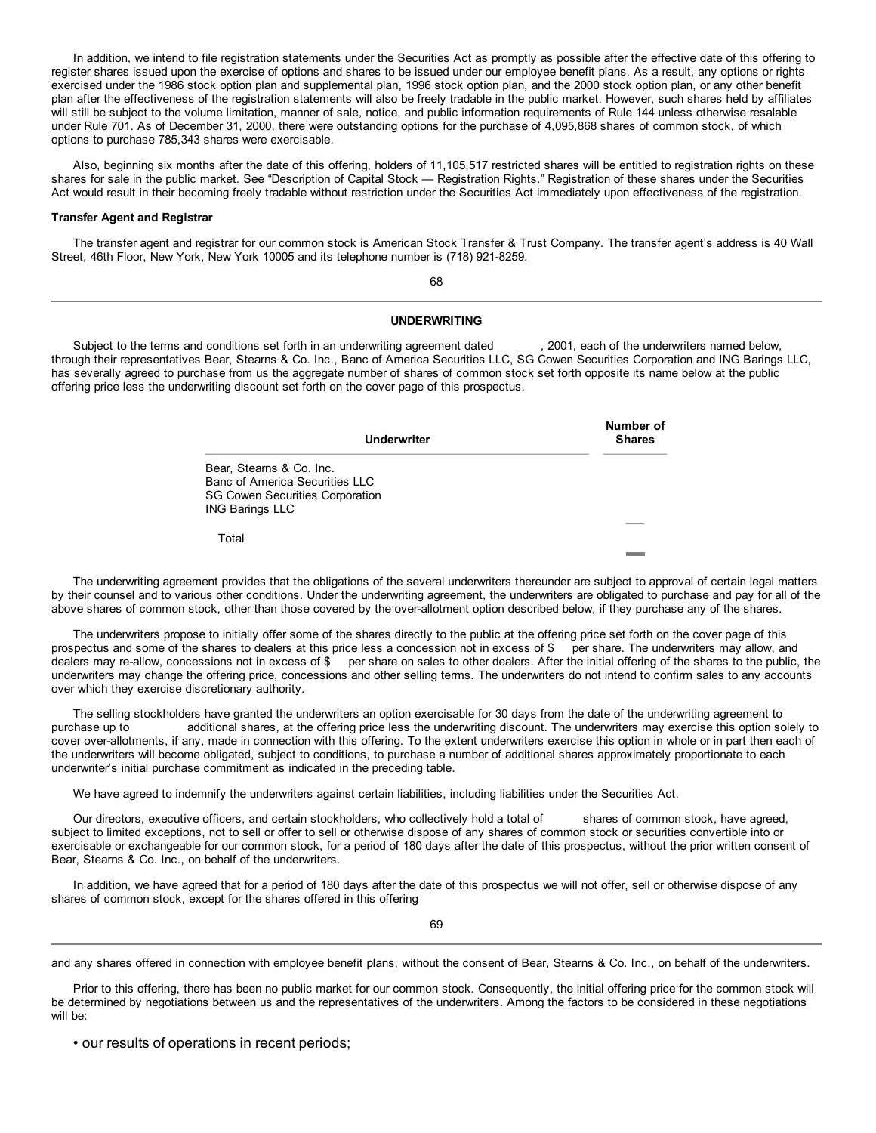In addition, we intend to file registration statements under the Securities Act as promptly as possible after the effective date of this offering to register shares issued upon the exercise of options and shares to be issued under our employee benefit plans. As a result, any options or rights exercised under the 1986 stock option plan and supplemental plan, 1996 stock option plan, and the 2000 stock option plan, or any other benefit plan after the effectiveness of the registration statements will also be freely tradable in the public market. However, such shares held by affiliates will still be subject to the volume limitation, manner of sale, notice, and public information requirements of Rule 144 unless otherwise resalable under Rule 701. As of December 31, 2000, there were outstanding options for the purchase of 4,095,868 shares of common stock, of which options to purchase 785,343 shares were exercisable.

Also, beginning six months after the date of this offering, holders of 11,105,517 restricted shares will be entitled to registration rights on these shares for sale in the public market. See "Description of Capital Stock — Registration Rights." Registration of these shares under the Securities Act would result in their becoming freely tradable without restriction under the Securities Act immediately upon effectiveness of the registration.

#### **Transfer Agent and Registrar**

The transfer agent and registrar for our common stock is American Stock Transfer & Trust Company. The transfer agent's address is 40 Wall Street, 46th Floor, New York, New York 10005 and its telephone number is (718) 921-8259.

68

#### **UNDERWRITING**

Subject to the terms and conditions set forth in an underwriting agreement dated , 2001, each of the underwriters named below, through their representatives Bear, Stearns & Co. Inc., Banc of America Securities LLC, SG Cowen Securities Corporation and ING Barings LLC, has severally agreed to purchase from us the aggregate number of shares of common stock set forth opposite its name below at the public offering price less the underwriting discount set forth on the cover page of this prospectus.

| <b>Underwriter</b>                                                                                                             | Number of<br><b>Shares</b> |
|--------------------------------------------------------------------------------------------------------------------------------|----------------------------|
| Bear, Stearns & Co. Inc.<br>Banc of America Securities LLC<br><b>SG Cowen Securities Corporation</b><br><b>ING Barings LLC</b> |                            |
| Total                                                                                                                          |                            |

The underwriting agreement provides that the obligations of the several underwriters thereunder are subject to approval of certain legal matters by their counsel and to various other conditions. Under the underwriting agreement, the underwriters are obligated to purchase and pay for all of the above shares of common stock, other than those covered by the over-allotment option described below, if they purchase any of the shares.

The underwriters propose to initially offer some of the shares directly to the public at the offering price set forth on the cover page of this prospectus and some of the shares to dealers at this price less a concession not in excess of \$ per share. The underwriters may allow, and dealers may re-allow, concessions not in excess of \$ per share on sales to other dealers. After the initial offering of the shares to the public, the underwriters may change the offering price, concessions and other selling terms. The underwriters do not intend to confirm sales to any accounts over which they exercise discretionary authority.

The selling stockholders have granted the underwriters an option exercisable for 30 days from the date of the underwriting agreement to purchase up to additional shares, at the offering price less the underwriting discount. The underwriters may exercise this option solely to cover over-allotments, if any, made in connection with this offering. To the extent underwriters exercise this option in whole or in part then each of the underwriters will become obligated, subject to conditions, to purchase a number of additional shares approximately proportionate to each underwriter's initial purchase commitment as indicated in the preceding table.

We have agreed to indemnify the underwriters against certain liabilities, including liabilities under the Securities Act.

Our directors, executive officers, and certain stockholders, who collectively hold a total of shares of common stock, have agreed, subject to limited exceptions, not to sell or offer to sell or otherwise dispose of any shares of common stock or securities convertible into or exercisable or exchangeable for our common stock, for a period of 180 days after the date of this prospectus, without the prior written consent of Bear, Stearns & Co. Inc., on behalf of the underwriters.

In addition, we have agreed that for a period of 180 days after the date of this prospectus we will not offer, sell or otherwise dispose of any shares of common stock, except for the shares offered in this offering

69

and any shares offered in connection with employee benefit plans, without the consent of Bear, Stearns & Co. Inc., on behalf of the underwriters.

Prior to this offering, there has been no public market for our common stock. Consequently, the initial offering price for the common stock will be determined by negotiations between us and the representatives of the underwriters. Among the factors to be considered in these negotiations will be:

• our results of operations in recent periods;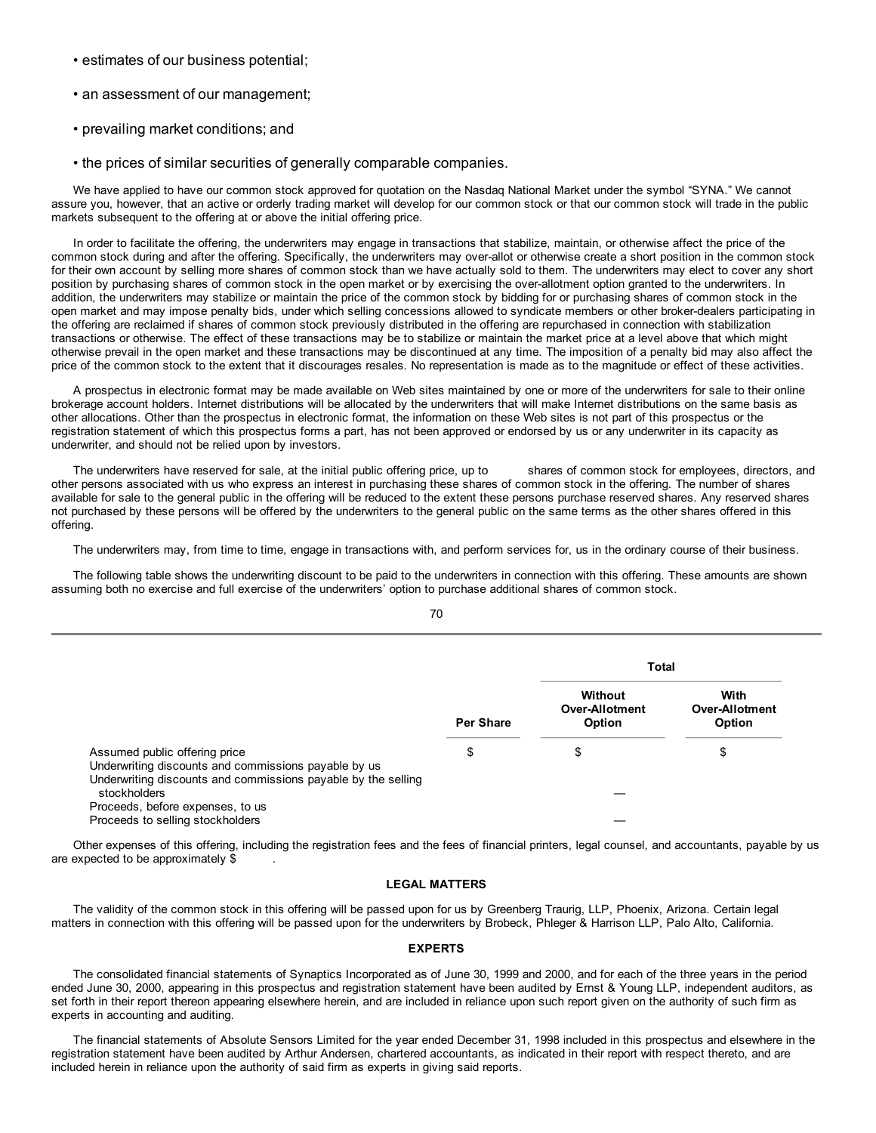- estimates of our business potential;
- an assessment of our management;
- prevailing market conditions; and
- the prices of similar securities of generally comparable companies.

We have applied to have our common stock approved for quotation on the Nasdaq National Market under the symbol "SYNA." We cannot assure you, however, that an active or orderly trading market will develop for our common stock or that our common stock will trade in the public markets subsequent to the offering at or above the initial offering price.

In order to facilitate the offering, the underwriters may engage in transactions that stabilize, maintain, or otherwise affect the price of the common stock during and after the offering. Specifically, the underwriters may over-allot or otherwise create a short position in the common stock for their own account by selling more shares of common stock than we have actually sold to them. The underwriters may elect to cover any short position by purchasing shares of common stock in the open market or by exercising the over-allotment option granted to the underwriters. In addition, the underwriters may stabilize or maintain the price of the common stock by bidding for or purchasing shares of common stock in the open market and may impose penalty bids, under which selling concessions allowed to syndicate members or other broker-dealers participating in the offering are reclaimed if shares of common stock previously distributed in the offering are repurchased in connection with stabilization transactions or otherwise. The effect of these transactions may be to stabilize or maintain the market price at a level above that which might otherwise prevail in the open market and these transactions may be discontinued at any time. The imposition of a penalty bid may also affect the price of the common stock to the extent that it discourages resales. No representation is made as to the magnitude or effect of these activities.

A prospectus in electronic format may be made available on Web sites maintained by one or more of the underwriters for sale to their online brokerage account holders. Internet distributions will be allocated by the underwriters that will make Internet distributions on the same basis as other allocations. Other than the prospectus in electronic format, the information on these Web sites is not part of this prospectus or the registration statement of which this prospectus forms a part, has not been approved or endorsed by us or any underwriter in its capacity as underwriter, and should not be relied upon by investors.

The underwriters have reserved for sale, at the initial public offering price, up to shares of common stock for employees, directors, and other persons associated with us who express an interest in purchasing these shares of common stock in the offering. The number of shares available for sale to the general public in the offering will be reduced to the extent these persons purchase reserved shares. Any reserved shares not purchased by these persons will be offered by the underwriters to the general public on the same terms as the other shares offered in this offering.

The underwriters may, from time to time, engage in transactions with, and perform services for, us in the ordinary course of their business.

The following table shows the underwriting discount to be paid to the underwriters in connection with this offering. These amounts are shown assuming both no exercise and full exercise of the underwriters' option to purchase additional shares of common stock.

|                                                                                       |                  | Total                                      |                                  |  |
|---------------------------------------------------------------------------------------|------------------|--------------------------------------------|----------------------------------|--|
|                                                                                       | <b>Per Share</b> | Without<br><b>Over-Allotment</b><br>Option | With<br>Over-Allotment<br>Option |  |
|                                                                                       |                  |                                            |                                  |  |
| Assumed public offering price<br>Underwriting discounts and commissions payable by us | \$               | \$                                         | \$                               |  |
| Underwriting discounts and commissions payable by the selling                         |                  |                                            |                                  |  |
| stockholders<br>Proceeds, before expenses, to us                                      |                  |                                            |                                  |  |
| Proceeds to selling stockholders                                                      |                  |                                            |                                  |  |

Other expenses of this offering, including the registration fees and the fees of financial printers, legal counsel, and accountants, payable by us are expected to be approximately \$

# **LEGAL MATTERS**

The validity of the common stock in this offering will be passed upon for us by Greenberg Traurig, LLP, Phoenix, Arizona. Certain legal matters in connection with this offering will be passed upon for the underwriters by Brobeck, Phleger & Harrison LLP, Palo Alto, California.

#### **EXPERTS**

The consolidated financial statements of Synaptics Incorporated as of June 30, 1999 and 2000, and for each of the three years in the period ended June 30, 2000, appearing in this prospectus and registration statement have been audited by Ernst & Young LLP, independent auditors, as set forth in their report thereon appearing elsewhere herein, and are included in reliance upon such report given on the authority of such firm as experts in accounting and auditing.

The financial statements of Absolute Sensors Limited for the year ended December 31, 1998 included in this prospectus and elsewhere in the registration statement have been audited by Arthur Andersen, chartered accountants, as indicated in their report with respect thereto, and are included herein in reliance upon the authority of said firm as experts in giving said reports.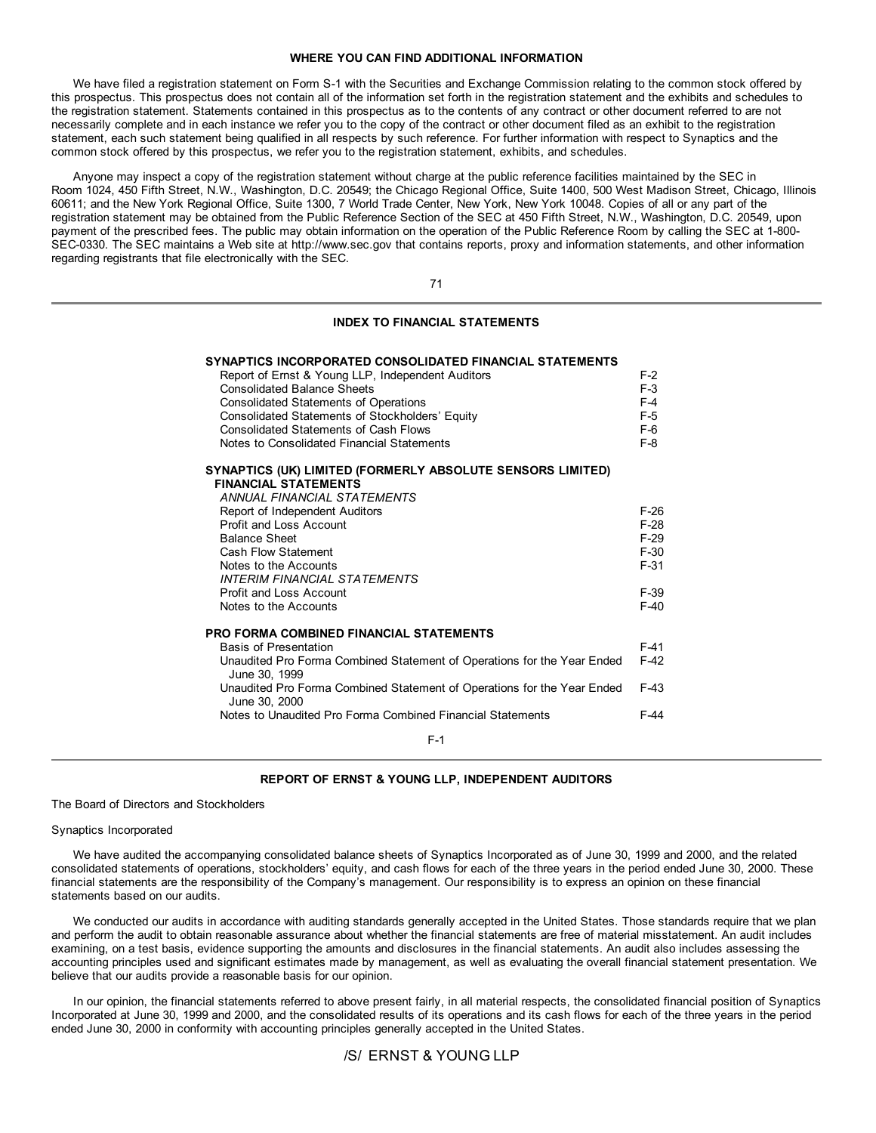## **WHERE YOU CAN FIND ADDITIONAL INFORMATION**

We have filed a registration statement on Form S-1 with the Securities and Exchange Commission relating to the common stock offered by this prospectus. This prospectus does not contain all of the information set forth in the registration statement and the exhibits and schedules to the registration statement. Statements contained in this prospectus as to the contents of any contract or other document referred to are not necessarily complete and in each instance we refer you to the copy of the contract or other document filed as an exhibit to the registration statement, each such statement being qualified in all respects by such reference. For further information with respect to Synaptics and the common stock offered by this prospectus, we refer you to the registration statement, exhibits, and schedules.

Anyone may inspect a copy of the registration statement without charge at the public reference facilities maintained by the SEC in Room 1024, 450 Fifth Street, N.W., Washington, D.C. 20549; the Chicago Regional Office, Suite 1400, 500 West Madison Street, Chicago, Illinois 60611; and the New York Regional Office, Suite 1300, 7 World Trade Center, New York, New York 10048. Copies of all or any part of the registration statement may be obtained from the Public Reference Section of the SEC at 450 Fifth Street, N.W., Washington, D.C. 20549, upon payment of the prescribed fees. The public may obtain information on the operation of the Public Reference Room by calling the SEC at 1-800- SEC-0330. The SEC maintains a Web site at http://www.sec.gov that contains reports, proxy and information statements, and other information regarding registrants that file electronically with the SEC.

71

# **INDEX TO FINANCIAL STATEMENTS**

| SYNAPTICS INCORPORATED CONSOLIDATED FINANCIAL STATEMENTS                                 | F-2              |
|------------------------------------------------------------------------------------------|------------------|
| Report of Ernst & Young LLP, Independent Auditors<br><b>Consolidated Balance Sheets</b>  | $F-3$            |
| <b>Consolidated Statements of Operations</b>                                             | $F-4$            |
| Consolidated Statements of Stockholders' Equity                                          | $F-5$            |
| Consolidated Statements of Cash Flows                                                    | $F-6$            |
| Notes to Consolidated Financial Statements                                               | $F-8$            |
| SYNAPTICS (UK) LIMITED (FORMERLY ABSOLUTE SENSORS LIMITED)                               |                  |
| <b>FINANCIAL STATEMENTS</b>                                                              |                  |
| ANNUAL FINANCIAL STATEMENTS                                                              |                  |
| Report of Independent Auditors                                                           | $F-26$           |
| Profit and Loss Account<br><b>Balance Sheet</b>                                          | $F-28$<br>$F-29$ |
| Cash Flow Statement                                                                      | $F-30$           |
| Notes to the Accounts                                                                    | $F-31$           |
| INTERIM FINANCIAL STATEMENTS                                                             |                  |
| <b>Profit and Loss Account</b>                                                           | $F-39$           |
| Notes to the Accounts                                                                    | $F-40$           |
|                                                                                          |                  |
| PRO FORMA COMBINED FINANCIAL STATEMENTS                                                  |                  |
| <b>Basis of Presentation</b>                                                             | $F-41$           |
| Unaudited Pro Forma Combined Statement of Operations for the Year Ended<br>June 30, 1999 | $F-42$           |
| Unaudited Pro Forma Combined Statement of Operations for the Year Ended<br>June 30, 2000 | $F-43$           |
| Notes to Unaudited Pro Forma Combined Financial Statements                               | $F-44$           |
| $F-1$                                                                                    |                  |

## **REPORT OF ERNST & YOUNG LLP, INDEPENDENT AUDITORS**

The Board of Directors and Stockholders

Synaptics Incorporated

We have audited the accompanying consolidated balance sheets of Synaptics Incorporated as of June 30, 1999 and 2000, and the related consolidated statements of operations, stockholders' equity, and cash flows for each of the three years in the period ended June 30, 2000. These financial statements are the responsibility of the Company's management. Our responsibility is to express an opinion on these financial statements based on our audits.

We conducted our audits in accordance with auditing standards generally accepted in the United States. Those standards require that we plan and perform the audit to obtain reasonable assurance about whether the financial statements are free of material misstatement. An audit includes examining, on a test basis, evidence supporting the amounts and disclosures in the financial statements. An audit also includes assessing the accounting principles used and significant estimates made by management, as well as evaluating the overall financial statement presentation. We believe that our audits provide a reasonable basis for our opinion.

In our opinion, the financial statements referred to above present fairly, in all material respects, the consolidated financial position of Synaptics Incorporated at June 30, 1999 and 2000, and the consolidated results of its operations and its cash flows for each of the three years in the period ended June 30, 2000 in conformity with accounting principles generally accepted in the United States.

# /S/ ERNST & YOUNG LLP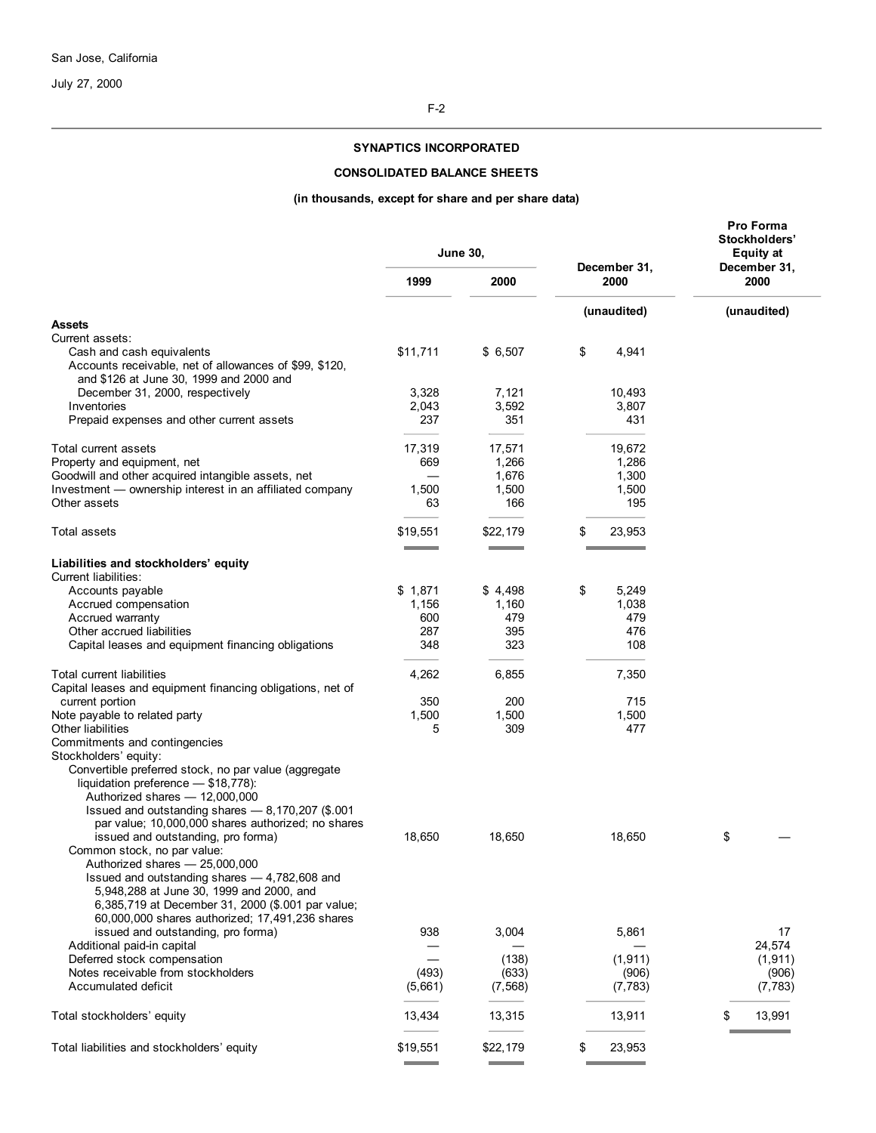July 27, 2000

# **SYNAPTICS INCORPORATED**

# **CONSOLIDATED BALANCE SHEETS**

# **(in thousands, except for share and per share data)**

|                                                                                                                                |              | <b>June 30,</b>   |                      | Pro Forma<br>Stockholders'<br><b>Equity at</b> |
|--------------------------------------------------------------------------------------------------------------------------------|--------------|-------------------|----------------------|------------------------------------------------|
|                                                                                                                                | 1999<br>2000 |                   | December 31,<br>2000 | December 31,<br>2000                           |
|                                                                                                                                |              |                   | (unaudited)          | (unaudited)                                    |
| <b>Assets</b><br>Current assets:                                                                                               |              |                   |                      |                                                |
| Cash and cash equivalents<br>Accounts receivable, net of allowances of \$99, \$120,<br>and \$126 at June 30, 1999 and 2000 and | \$11,711     | \$6,507           | \$<br>4,941          |                                                |
| December 31, 2000, respectively                                                                                                | 3,328        | 7,121             | 10,493               |                                                |
| Inventories                                                                                                                    | 2,043        | 3,592             | 3,807                |                                                |
| Prepaid expenses and other current assets                                                                                      | 237          | 351               | 431                  |                                                |
| Total current assets                                                                                                           | 17,319       | 17,571            | 19,672               |                                                |
| Property and equipment, net                                                                                                    | 669          | 1,266             | 1,286                |                                                |
| Goodwill and other acquired intangible assets, net                                                                             |              | 1,676             | 1,300                |                                                |
| Investment - ownership interest in an affiliated company                                                                       | 1,500        | 1,500             | 1,500                |                                                |
| Other assets                                                                                                                   | 63           | 166               | 195                  |                                                |
| Total assets                                                                                                                   | \$19,551     | \$22,179          | \$<br>23,953         |                                                |
|                                                                                                                                |              |                   |                      |                                                |
| Liabilities and stockholders' equity<br>Current liabilities:                                                                   |              |                   |                      |                                                |
| Accounts payable                                                                                                               | \$1,871      | \$4,498           | \$<br>5,249          |                                                |
| Accrued compensation                                                                                                           | 1,156        | 1,160             | 1,038                |                                                |
| Accrued warranty<br>Other accrued liabilities                                                                                  | 600<br>287   | 479<br>395        | 479<br>476           |                                                |
| Capital leases and equipment financing obligations                                                                             | 348          | 323               | 108                  |                                                |
|                                                                                                                                |              |                   |                      |                                                |
| Total current liabilities<br>Capital leases and equipment financing obligations, net of                                        | 4,262        | 6,855             | 7,350                |                                                |
| current portion                                                                                                                | 350          | 200               | 715                  |                                                |
| Note payable to related party                                                                                                  | 1,500        | 1,500             | 1,500                |                                                |
| <b>Other liabilities</b><br>Commitments and contingencies                                                                      | 5            | 309               | 477                  |                                                |
| Stockholders' equity:                                                                                                          |              |                   |                      |                                                |
| Convertible preferred stock, no par value (aggregate<br>liquidation preference - \$18,778):                                    |              |                   |                      |                                                |
| Authorized shares - 12,000,000<br>Issued and outstanding shares - 8,170,207 (\$.001                                            |              |                   |                      |                                                |
| par value; 10,000,000 shares authorized; no shares                                                                             |              |                   |                      |                                                |
| issued and outstanding, pro forma)                                                                                             | 18,650       | 18,650            | 18,650               | \$                                             |
| Common stock, no par value:                                                                                                    |              |                   |                      |                                                |
| Authorized shares - 25,000,000                                                                                                 |              |                   |                      |                                                |
| Issued and outstanding shares - 4,782,608 and<br>5,948,288 at June 30, 1999 and 2000, and                                      |              |                   |                      |                                                |
| 6,385,719 at December 31, 2000 (\$.001 par value;                                                                              |              |                   |                      |                                                |
| 60,000,000 shares authorized; 17,491,236 shares                                                                                |              |                   |                      |                                                |
| issued and outstanding, pro forma)                                                                                             | 938          | 3,004             | 5,861                | 17                                             |
| Additional paid-in capital                                                                                                     |              |                   |                      | 24,574                                         |
| Deferred stock compensation                                                                                                    |              | (138)             | (1, 911)             | (1, 911)                                       |
| Notes receivable from stockholders<br>Accumulated deficit                                                                      | (493)        | (633)<br>(7, 568) | (906)                | (906)                                          |
|                                                                                                                                | (5,661)      |                   | (7, 783)             | (7, 783)                                       |
| Total stockholders' equity                                                                                                     | 13,434       | 13,315            | 13,911               | \$<br>13,991                                   |
| Total liabilities and stockholders' equity                                                                                     | \$19,551     | \$22,179          | \$<br>23,953         |                                                |
|                                                                                                                                |              |                   |                      |                                                |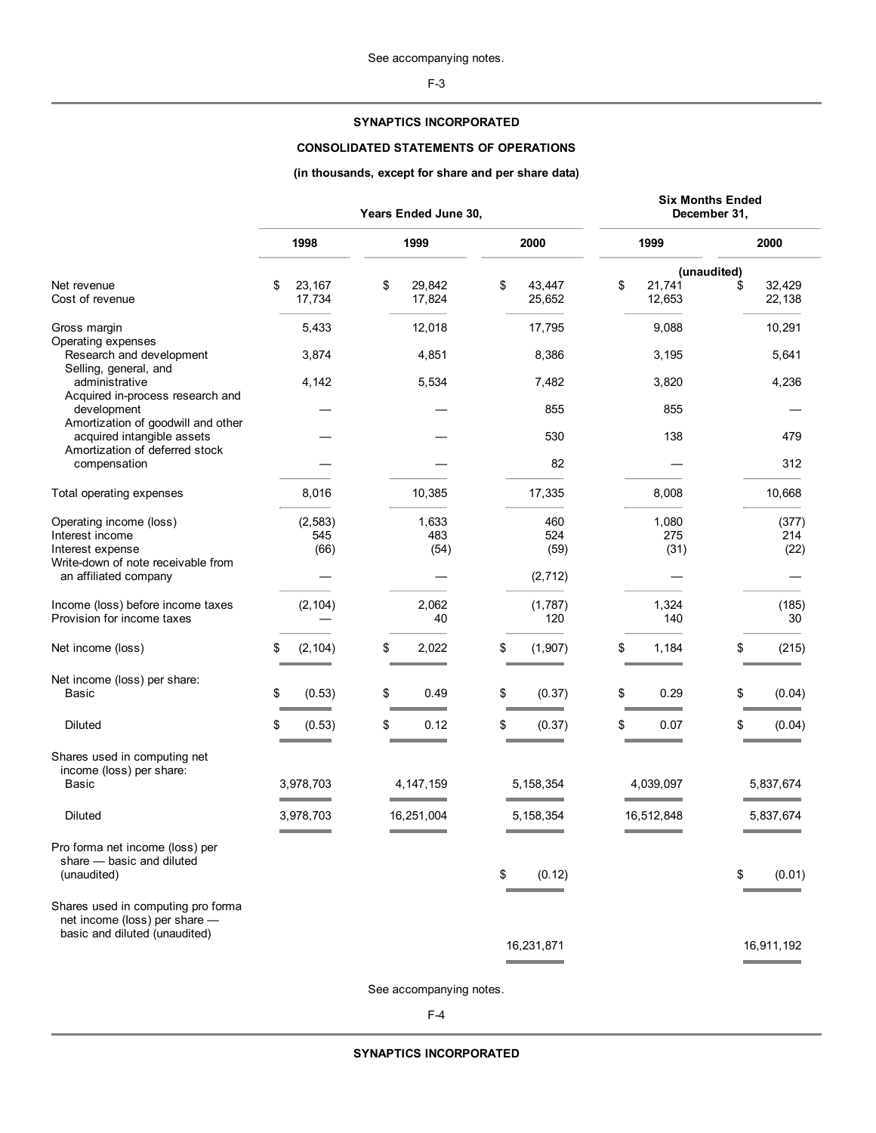F-3

# **SYNAPTICS INCORPORATED**

# **CONSOLIDATED STATEMENTS OF OPERATIONS**

# **(in thousands, except for share and per share data)**

|                                                                                                      | Years Ended June 30, |                         |    | <b>Six Months Ended</b><br>December 31, |                        |    |                      |             |                      |
|------------------------------------------------------------------------------------------------------|----------------------|-------------------------|----|-----------------------------------------|------------------------|----|----------------------|-------------|----------------------|
|                                                                                                      |                      | 1998                    |    | 1999                                    | 2000                   |    | 1999                 |             | 2000                 |
|                                                                                                      |                      |                         |    |                                         |                        |    |                      | (unaudited) |                      |
| Net revenue<br>Cost of revenue                                                                       | \$                   | 23,167<br>17,734        | \$ | 29,842<br>17,824                        | \$<br>43,447<br>25,652 | \$ | 21,741<br>12,653     | \$          | 32,429<br>22,138     |
| Gross margin                                                                                         |                      | 5,433                   |    | 12,018                                  | 17,795                 |    | 9,088                |             | 10,291               |
| Operating expenses<br>Research and development<br>Selling, general, and                              |                      | 3,874                   |    | 4,851                                   | 8,386                  |    | 3,195                |             | 5,641                |
| administrative<br>Acquired in-process research and                                                   |                      | 4,142                   |    | 5,534                                   | 7,482                  |    | 3,820                |             | 4,236                |
| development<br>Amortization of goodwill and other                                                    |                      |                         |    |                                         | 855                    |    | 855                  |             |                      |
| acquired intangible assets<br>Amortization of deferred stock                                         |                      |                         |    |                                         | 530                    |    | 138                  |             | 479                  |
| compensation                                                                                         |                      |                         |    |                                         | 82                     |    |                      |             | 312                  |
| Total operating expenses                                                                             |                      | 8,016                   |    | 10,385                                  | 17,335                 |    | 8,008                |             | 10,668               |
| Operating income (loss)<br>Interest income<br>Interest expense                                       |                      | (2, 583)<br>545<br>(66) |    | 1,633<br>483<br>(54)                    | 460<br>524<br>(59)     |    | 1,080<br>275<br>(31) |             | (377)<br>214<br>(22) |
| Write-down of note receivable from<br>an affiliated company                                          |                      |                         |    |                                         | (2, 712)               |    |                      |             |                      |
| Income (loss) before income taxes<br>Provision for income taxes                                      |                      | (2, 104)                |    | 2,062<br>40                             | (1,787)<br>120         |    | 1,324<br>140         |             | (185)<br>30          |
| Net income (loss)                                                                                    | \$                   | (2, 104)                | \$ | 2,022                                   | \$<br>(1, 907)         | \$ | 1,184                | \$          | (215)                |
| Net income (loss) per share:<br>Basic                                                                | \$                   | (0.53)                  | \$ | 0.49                                    | \$<br>(0.37)           | \$ | 0.29                 | \$          | (0.04)               |
| Diluted                                                                                              | \$                   | (0.53)                  | \$ | 0.12                                    | \$<br>(0.37)           | \$ | 0.07                 | \$          | (0.04)               |
| Shares used in computing net<br>income (loss) per share:<br>Basic                                    |                      | 3,978,703               |    | 4, 147, 159                             | 5, 158, 354            |    | 4,039,097            |             | 5,837,674            |
| Diluted                                                                                              |                      | 3,978,703               |    | 16,251,004                              | 5,158,354              |    | 16,512,848           |             | 5,837,674            |
| Pro forma net income (loss) per<br>share - basic and diluted<br>(unaudited)                          |                      |                         |    |                                         | \$<br>(0.12)           |    |                      | \$          | (0.01)               |
| Shares used in computing pro forma<br>net income (loss) per share -<br>basic and diluted (unaudited) |                      |                         |    |                                         |                        |    |                      |             |                      |
|                                                                                                      |                      |                         |    |                                         | 16,231,871             |    |                      |             | 16,911,192           |

See accompanying notes.

F-4

**SYNAPTICS INCORPORATED**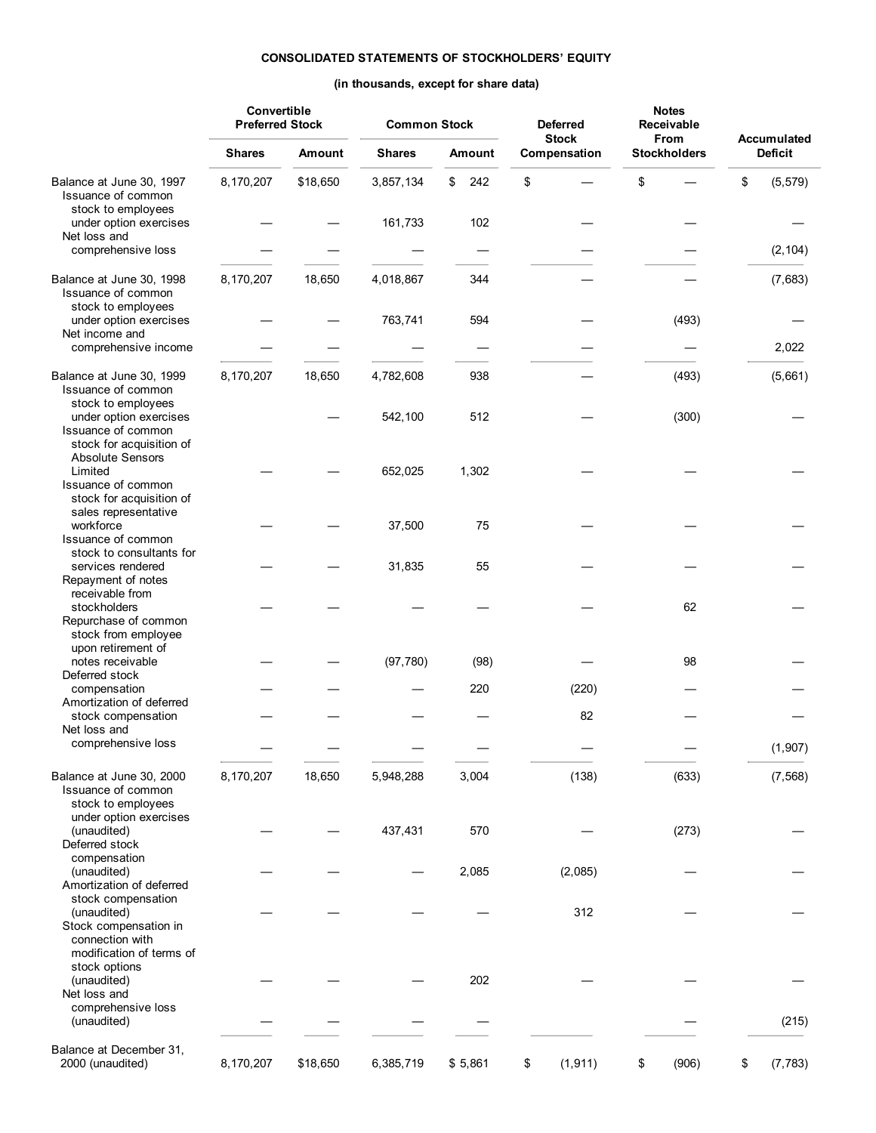# **CONSOLIDATED STATEMENTS OF STOCKHOLDERS' EQUITY**

# **(in thousands, except for share data)**

|                                                                                                      |               | Convertible<br><b>Preferred Stock</b> |               | <b>Common Stock</b> |                | <b>Deferred</b><br><b>Stock</b> | <b>Notes</b><br><b>Receivable</b><br><b>From</b> | <b>Accumulated</b> |
|------------------------------------------------------------------------------------------------------|---------------|---------------------------------------|---------------|---------------------|----------------|---------------------------------|--------------------------------------------------|--------------------|
|                                                                                                      | <b>Shares</b> | Amount                                | <b>Shares</b> | Amount              | Compensation   | <b>Stockholders</b>             | <b>Deficit</b>                                   |                    |
| Balance at June 30, 1997<br>Issuance of common<br>stock to employees                                 | 8,170,207     | \$18,650                              | 3,857,134     | \$<br>242           | \$             | \$                              | \$<br>(5, 579)                                   |                    |
| under option exercises<br>Net loss and                                                               |               |                                       | 161,733       | 102                 |                |                                 |                                                  |                    |
| comprehensive loss                                                                                   |               |                                       |               |                     |                |                                 | (2, 104)                                         |                    |
| Balance at June 30, 1998<br>Issuance of common<br>stock to employees                                 | 8,170,207     | 18,650                                | 4,018,867     | 344                 |                |                                 | (7,683)                                          |                    |
| under option exercises<br>Net income and                                                             |               |                                       | 763,741       | 594                 |                | (493)                           |                                                  |                    |
| comprehensive income                                                                                 |               |                                       |               |                     |                |                                 | 2,022                                            |                    |
| Balance at June 30, 1999<br>Issuance of common<br>stock to employees                                 | 8,170,207     | 18,650                                | 4,782,608     | 938                 |                | (493)                           | (5,661)                                          |                    |
| under option exercises<br>Issuance of common<br>stock for acquisition of<br><b>Absolute Sensors</b>  |               |                                       | 542,100       | 512                 |                | (300)                           |                                                  |                    |
| Limited<br>Issuance of common<br>stock for acquisition of<br>sales representative                    |               |                                       | 652,025       | 1,302               |                |                                 |                                                  |                    |
| workforce<br>Issuance of common<br>stock to consultants for                                          |               |                                       | 37,500        | 75                  |                |                                 |                                                  |                    |
| services rendered<br>Repayment of notes<br>receivable from                                           |               |                                       | 31,835        | 55                  |                |                                 |                                                  |                    |
| stockholders<br>Repurchase of common<br>stock from employee                                          |               |                                       |               |                     |                | 62                              |                                                  |                    |
| upon retirement of<br>notes receivable<br>Deferred stock                                             |               |                                       | (97, 780)     | (98)                |                | 98                              |                                                  |                    |
| compensation<br>Amortization of deferred                                                             |               |                                       |               | 220                 | (220)          |                                 |                                                  |                    |
| stock compensation<br>Net loss and                                                                   |               |                                       |               |                     | 82             |                                 |                                                  |                    |
| comprehensive loss                                                                                   |               |                                       |               |                     |                |                                 | (1,907)                                          |                    |
| Balance at June 30, 2000<br>Issuance of common<br>stock to employees<br>under option exercises       | 8,170,207     | 18,650                                | 5,948,288     | 3,004               | (138)          | (633)                           | (7, 568)                                         |                    |
| (unaudited)<br>Deferred stock<br>compensation                                                        |               |                                       | 437,431       | 570                 |                | (273)                           |                                                  |                    |
| (unaudited)<br>Amortization of deferred<br>stock compensation                                        |               |                                       |               | 2,085               | (2,085)        |                                 |                                                  |                    |
| (unaudited)<br>Stock compensation in<br>connection with<br>modification of terms of<br>stock options |               |                                       |               |                     | 312            |                                 |                                                  |                    |
| (unaudited)<br>Net loss and<br>comprehensive loss                                                    |               |                                       |               | 202                 |                |                                 |                                                  |                    |
| (unaudited)                                                                                          |               |                                       |               |                     |                |                                 | (215)                                            |                    |
| Balance at December 31,<br>2000 (unaudited)                                                          | 8,170,207     | \$18,650                              | 6,385,719     | \$5,861             | \$<br>(1, 911) | \$<br>(906)                     | \$<br>(7, 783)                                   |                    |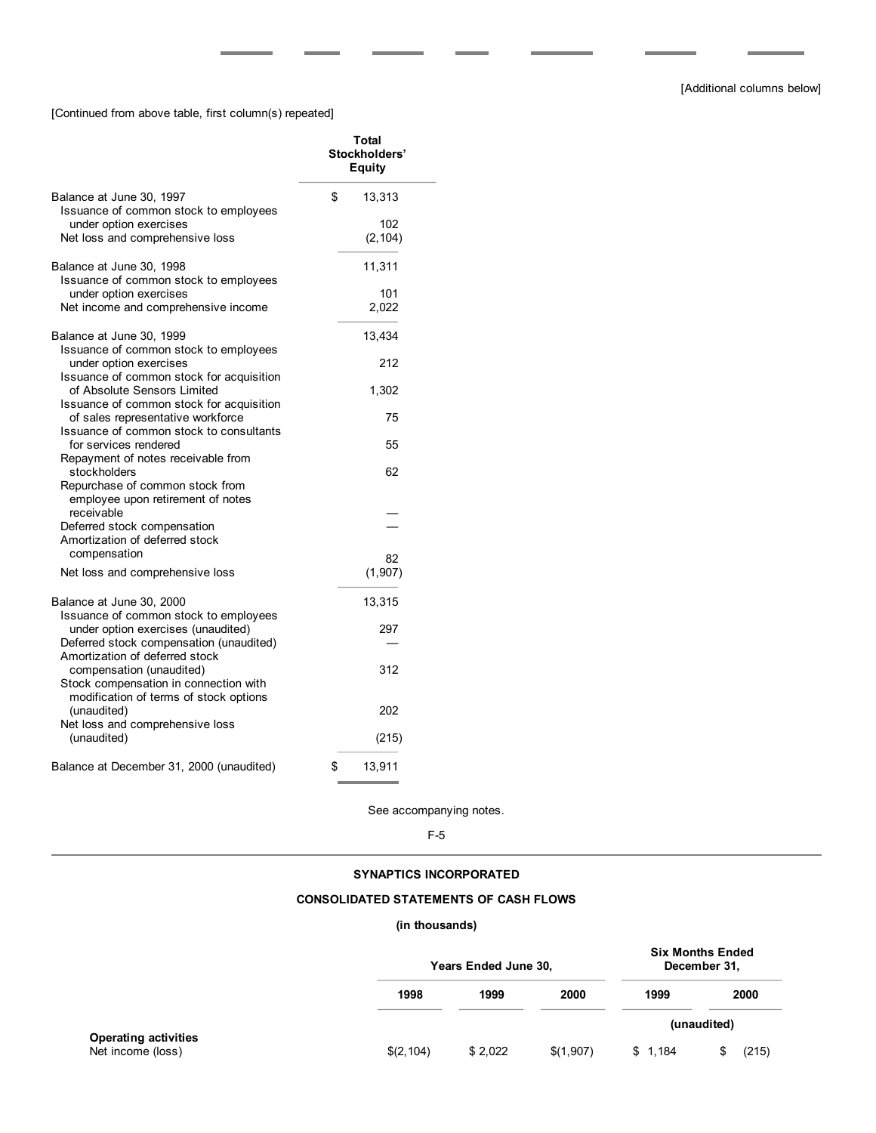[Continued from above table, first column(s) repeated]

|                                                                                                                 | Total<br>Stockholders'<br><b>Equity</b> |
|-----------------------------------------------------------------------------------------------------------------|-----------------------------------------|
| Balance at June 30, 1997<br>Issuance of common stock to employees                                               | \$<br>13,313                            |
| under option exercises<br>Net loss and comprehensive loss                                                       | 102<br>(2, 104)                         |
| Balance at June 30, 1998<br>Issuance of common stock to employees                                               | 11,311                                  |
| under option exercises<br>Net income and comprehensive income                                                   | 101<br>2,022                            |
| Balance at June 30, 1999<br>Issuance of common stock to employees                                               | 13,434                                  |
| under option exercises<br>Issuance of common stock for acquisition                                              | 212                                     |
| of Absolute Sensors Limited<br>Issuance of common stock for acquisition                                         | 1,302                                   |
| of sales representative workforce<br>Issuance of common stock to consultants<br>for services rendered           | 75<br>55                                |
| Repayment of notes receivable from<br>stockholders                                                              | 62                                      |
| Repurchase of common stock from<br>employee upon retirement of notes<br>receivable                              |                                         |
| Deferred stock compensation<br>Amortization of deferred stock                                                   |                                         |
| compensation<br>Net loss and comprehensive loss                                                                 | 82<br>(1, 907)                          |
| Balance at June 30, 2000<br>Issuance of common stock to employees                                               | 13,315                                  |
| under option exercises (unaudited)<br>Deferred stock compensation (unaudited)<br>Amortization of deferred stock | 297                                     |
| compensation (unaudited)<br>Stock compensation in connection with                                               | 312                                     |
| modification of terms of stock options<br>(unaudited)<br>Net loss and comprehensive loss                        | 202                                     |
| (unaudited)                                                                                                     | (215)                                   |
| Balance at December 31, 2000 (unaudited)                                                                        | \$<br>13,911                            |

See accompanying notes.

F-5

# **SYNAPTICS INCORPORATED**

# **CONSOLIDATED STATEMENTS OF CASH FLOWS**

# **(in thousands)**

|                                                  |            | Years Ended June 30, |           |         | <b>Six Months Ended</b><br>December 31, |
|--------------------------------------------------|------------|----------------------|-----------|---------|-----------------------------------------|
|                                                  | 1998       | 1999                 | 2000      | 1999    | 2000                                    |
|                                                  |            |                      |           |         | (unaudited)                             |
| <b>Operating activities</b><br>Net income (loss) | \$(2, 104) | \$2,022              | \$(1,907) | \$1.184 | (215)                                   |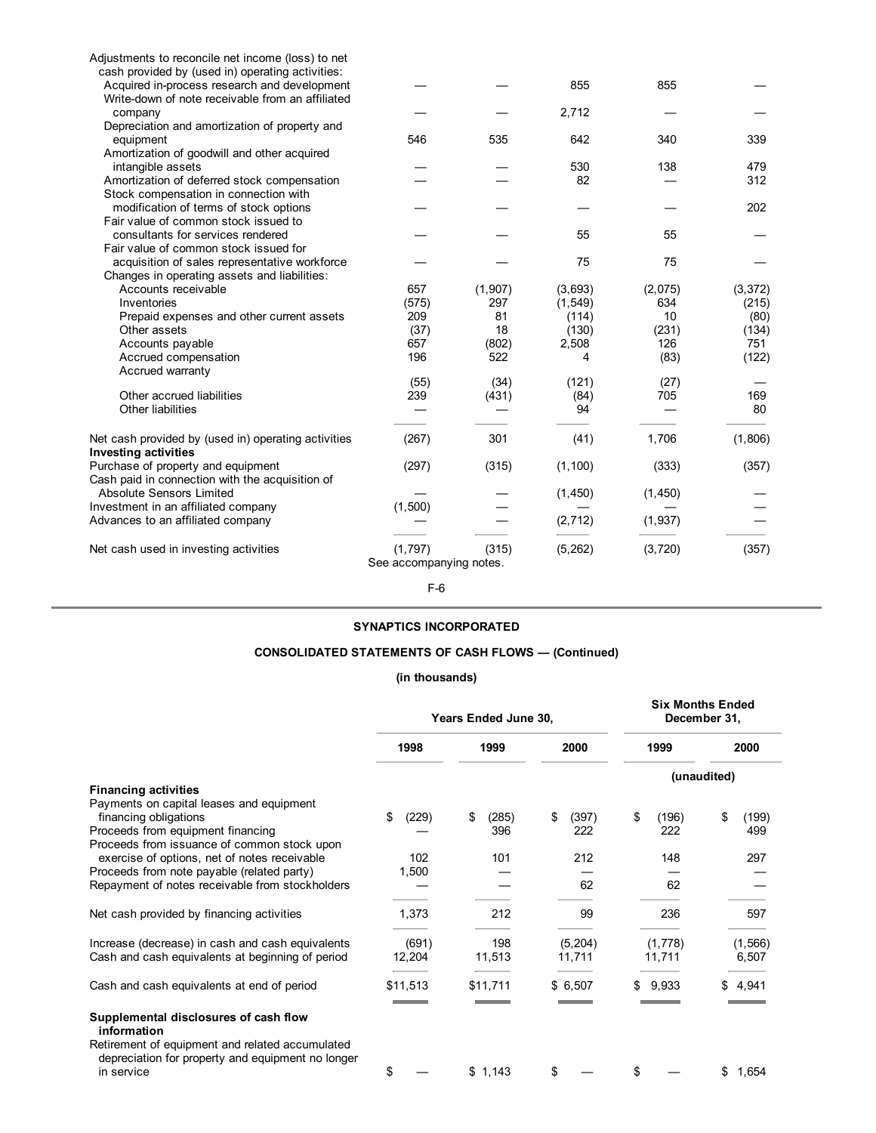| Adjustments to reconcile net income (loss) to net   |                         |         |          |          |          |
|-----------------------------------------------------|-------------------------|---------|----------|----------|----------|
| cash provided by (used in) operating activities:    |                         |         |          |          |          |
| Acquired in-process research and development        |                         |         | 855      | 855      |          |
| Write-down of note receivable from an affiliated    |                         |         |          |          |          |
| company                                             |                         |         | 2,712    |          |          |
| Depreciation and amortization of property and       |                         |         |          |          |          |
| equipment                                           | 546                     | 535     | 642      | 340      | 339      |
| Amortization of goodwill and other acquired         |                         |         |          |          |          |
| intangible assets                                   |                         |         | 530      | 138      | 479      |
| Amortization of deferred stock compensation         |                         |         | 82       |          | 312      |
| Stock compensation in connection with               |                         |         |          |          |          |
| modification of terms of stock options              |                         |         |          |          | 202      |
| Fair value of common stock issued to                |                         |         |          |          |          |
| consultants for services rendered                   |                         |         | 55       | 55       |          |
| Fair value of common stock issued for               |                         |         |          |          |          |
| acquisition of sales representative workforce       |                         |         | 75       | 75       |          |
| Changes in operating assets and liabilities:        |                         |         |          |          |          |
| Accounts receivable                                 | 657                     | (1,907) | (3,693)  | (2,075)  | (3, 372) |
| Inventories                                         | (575)                   | 297     | (1, 549) | 634      | (215)    |
| Prepaid expenses and other current assets           | 209                     | 81      | (114)    | 10       | (80)     |
| Other assets                                        | (37)                    | 18      | (130)    | (231)    | (134)    |
| Accounts payable                                    | 657                     | (802)   | 2,508    | 126      | 751      |
| Accrued compensation                                | 196                     | 522     | 4        | (83)     | (122)    |
| Accrued warranty                                    |                         |         |          |          |          |
|                                                     | (55)                    | (34)    | (121)    | (27)     |          |
| Other accrued liabilities                           | 239                     | (431)   | (84)     | 705      | 169      |
| Other liabilities                                   |                         |         | 94       |          | 80       |
|                                                     |                         |         |          |          |          |
| Net cash provided by (used in) operating activities | (267)                   | 301     | (41)     | 1,706    | (1,806)  |
| <b>Investing activities</b>                         |                         |         |          |          |          |
| Purchase of property and equipment                  | (297)                   | (315)   | (1, 100) | (333)    | (357)    |
| Cash paid in connection with the acquisition of     |                         |         |          |          |          |
| <b>Absolute Sensors Limited</b>                     |                         |         | (1,450)  | (1, 450) |          |
| Investment in an affiliated company                 | (1,500)                 |         |          |          |          |
| Advances to an affiliated company                   |                         |         | (2, 712) | (1,937)  |          |
|                                                     |                         |         |          |          |          |
| Net cash used in investing activities               | (1,797)                 | (315)   | (5, 262) | (3, 720) | (357)    |
|                                                     | See accompanying notes. |         |          |          |          |
|                                                     |                         |         |          |          |          |

F-6

# **SYNAPTICS INCORPORATED**

# **CONSOLIDATED STATEMENTS OF CASH FLOWS — (Continued)**

# **(in thousands)**

|                                                                                                                                                                                      | Years Ended June 30, |               |                    | <b>Six Months Ended</b><br>December 31, |                    |  |
|--------------------------------------------------------------------------------------------------------------------------------------------------------------------------------------|----------------------|---------------|--------------------|-----------------------------------------|--------------------|--|
|                                                                                                                                                                                      | 1998                 | 1999          | 2000               | 1999                                    | 2000               |  |
|                                                                                                                                                                                      |                      |               |                    | (unaudited)                             |                    |  |
| <b>Financing activities</b><br>Payments on capital leases and equipment<br>financing obligations<br>Proceeds from equipment financing<br>Proceeds from issuance of common stock upon | (229)<br>\$          | (285)<br>396  | \$<br>(397)<br>222 | \$<br>(196)<br>222                      | \$<br>(199)<br>499 |  |
| exercise of options, net of notes receivable<br>Proceeds from note payable (related party)                                                                                           | 102<br>1,500         | 101           | 212                | 148                                     | 297                |  |
| Repayment of notes receivable from stockholders                                                                                                                                      |                      |               | 62                 | 62                                      |                    |  |
| Net cash provided by financing activities                                                                                                                                            | 1,373                | 212           | 99                 | 236                                     | 597                |  |
| Increase (decrease) in cash and cash equivalents<br>Cash and cash equivalents at beginning of period                                                                                 | (691)<br>12,204      | 198<br>11,513 | (5,204)<br>11,711  | (1,778)<br>11,711                       | (1, 566)<br>6,507  |  |
| Cash and cash equivalents at end of period                                                                                                                                           | \$11,513             | \$11,711      | \$6,507            | 9.933                                   | 4.941              |  |
| Supplemental disclosures of cash flow<br>information<br>Retirement of equipment and related accumulated                                                                              |                      |               |                    |                                         |                    |  |
| depreciation for property and equipment no longer<br>in service                                                                                                                      | \$                   | \$1,143       | \$                 | \$                                      | \$<br>1,654        |  |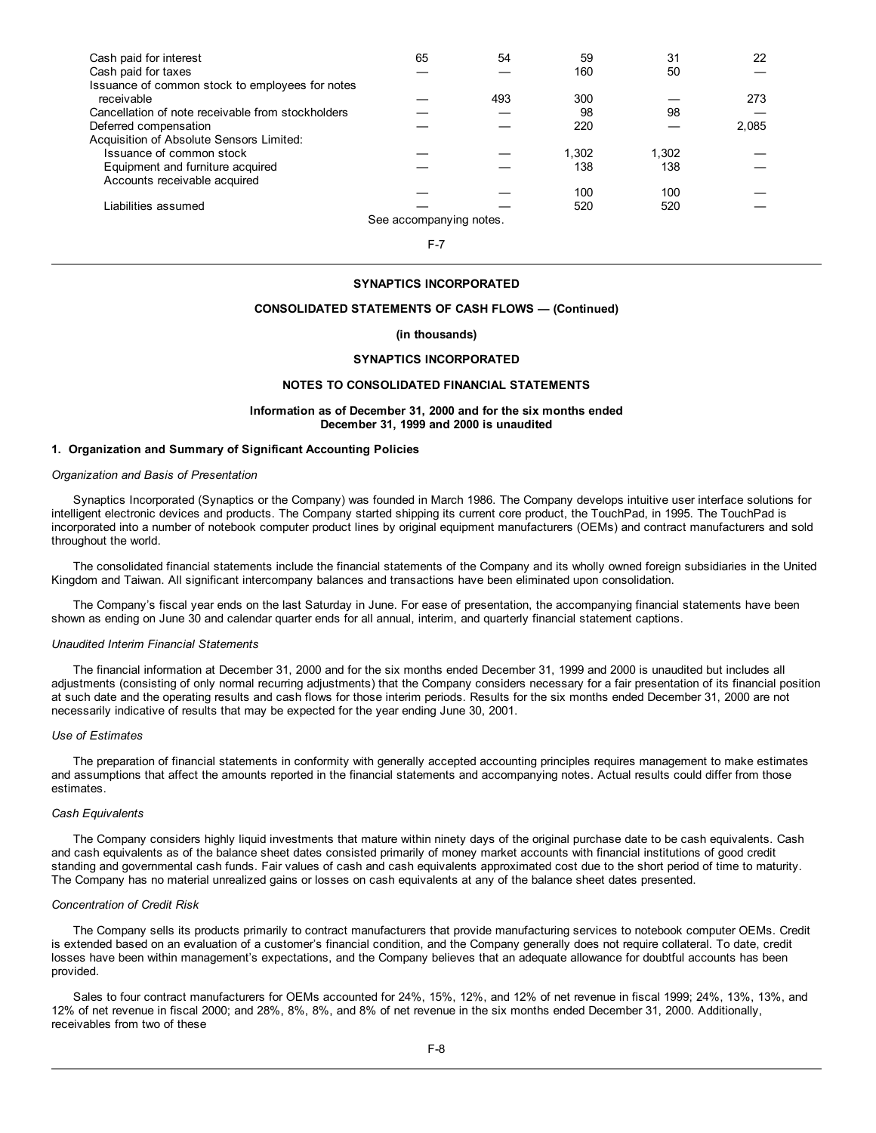| Cash paid for interest                                        | 65                      | 54  | 59    | 31    | 22    |
|---------------------------------------------------------------|-------------------------|-----|-------|-------|-------|
| Cash paid for taxes                                           |                         |     | 160   | 50    |       |
| Issuance of common stock to employees for notes<br>receivable |                         | 493 | 300   |       | 273   |
| Cancellation of note receivable from stockholders             |                         |     | 98    | 98    |       |
| Deferred compensation                                         |                         |     | 220   |       | 2,085 |
| Acquisition of Absolute Sensors Limited:                      |                         |     |       |       |       |
| Issuance of common stock                                      |                         |     | 1.302 | 1,302 |       |
| Equipment and furniture acquired                              |                         |     | 138   | 138   |       |
| Accounts receivable acquired                                  |                         |     |       |       |       |
|                                                               |                         |     | 100   | 100   |       |
| Liabilities assumed                                           |                         |     | 520   | 520   |       |
|                                                               | See accompanying notes. |     |       |       |       |

F-7

# **SYNAPTICS INCORPORATED**

## **CONSOLIDATED STATEMENTS OF CASH FLOWS — (Continued)**

#### **(in thousands)**

# **SYNAPTICS INCORPORATED**

# **NOTES TO CONSOLIDATED FINANCIAL STATEMENTS**

#### **Information as of December 31, 2000 and for the six months ended December 31, 1999 and 2000 is unaudited**

## **1. Organization and Summary of Significant Accounting Policies**

#### *Organization and Basis of Presentation*

Synaptics Incorporated (Synaptics or the Company) was founded in March 1986. The Company develops intuitive user interface solutions for intelligent electronic devices and products. The Company started shipping its current core product, the TouchPad, in 1995. The TouchPad is incorporated into a number of notebook computer product lines by original equipment manufacturers (OEMs) and contract manufacturers and sold throughout the world.

The consolidated financial statements include the financial statements of the Company and its wholly owned foreign subsidiaries in the United Kingdom and Taiwan. All significant intercompany balances and transactions have been eliminated upon consolidation.

The Company's fiscal year ends on the last Saturday in June. For ease of presentation, the accompanying financial statements have been shown as ending on June 30 and calendar quarter ends for all annual, interim, and quarterly financial statement captions.

#### *Unaudited Interim Financial Statements*

The financial information at December 31, 2000 and for the six months ended December 31, 1999 and 2000 is unaudited but includes all adjustments (consisting of only normal recurring adjustments) that the Company considers necessary for a fair presentation of its financial position at such date and the operating results and cash flows for those interim periods. Results for the six months ended December 31, 2000 are not necessarily indicative of results that may be expected for the year ending June 30, 2001.

#### *Use of Estimates*

The preparation of financial statements in conformity with generally accepted accounting principles requires management to make estimates and assumptions that affect the amounts reported in the financial statements and accompanying notes. Actual results could differ from those estimates.

#### *Cash Equivalents*

The Company considers highly liquid investments that mature within ninety days of the original purchase date to be cash equivalents. Cash and cash equivalents as of the balance sheet dates consisted primarily of money market accounts with financial institutions of good credit standing and governmental cash funds. Fair values of cash and cash equivalents approximated cost due to the short period of time to maturity. The Company has no material unrealized gains or losses on cash equivalents at any of the balance sheet dates presented.

#### *Concentration of Credit Risk*

The Company sells its products primarily to contract manufacturers that provide manufacturing services to notebook computer OEMs. Credit is extended based on an evaluation of a customer's financial condition, and the Company generally does not require collateral. To date, credit losses have been within management's expectations, and the Company believes that an adequate allowance for doubtful accounts has been provided.

Sales to four contract manufacturers for OEMs accounted for 24%, 15%, 12%, and 12% of net revenue in fiscal 1999; 24%, 13%, 13%, and 12% of net revenue in fiscal 2000; and 28%, 8%, 8%, and 8% of net revenue in the six months ended December 31, 2000. Additionally, receivables from two of these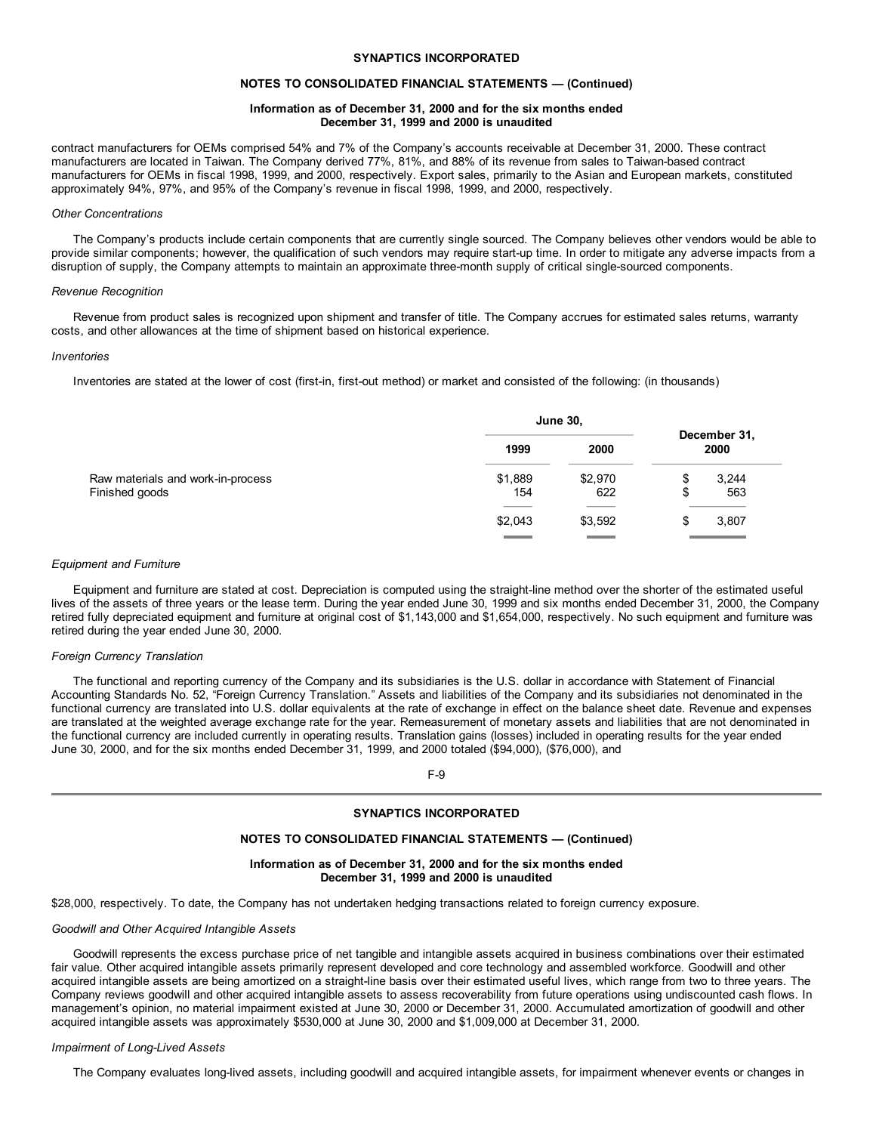## **SYNAPTICS INCORPORATED**

#### **NOTES TO CONSOLIDATED FINANCIAL STATEMENTS — (Continued)**

# **Information as of December 31, 2000 and for the six months ended December 31, 1999 and 2000 is unaudited**

contract manufacturers for OEMs comprised 54% and 7% of the Company's accounts receivable at December 31, 2000. These contract manufacturers are located in Taiwan. The Company derived 77%, 81%, and 88% of its revenue from sales to Taiwan-based contract manufacturers for OEMs in fiscal 1998, 1999, and 2000, respectively. Export sales, primarily to the Asian and European markets, constituted approximately 94%, 97%, and 95% of the Company's revenue in fiscal 1998, 1999, and 2000, respectively.

#### *Other Concentrations*

The Company's products include certain components that are currently single sourced. The Company believes other vendors would be able to provide similar components; however, the qualification of such vendors may require start-up time. In order to mitigate any adverse impacts from a disruption of supply, the Company attempts to maintain an approximate three-month supply of critical single-sourced components.

#### *Revenue Recognition*

Revenue from product sales is recognized upon shipment and transfer of title. The Company accrues for estimated sales returns, warranty costs, and other allowances at the time of shipment based on historical experience.

#### *Inventories*

Inventories are stated at the lower of cost (first-in, first-out method) or market and consisted of the following: (in thousands)

|                                                     | <b>June 30,</b> |                |         |                      |
|-----------------------------------------------------|-----------------|----------------|---------|----------------------|
|                                                     | 1999            | 2000           |         | December 31,<br>2000 |
| Raw materials and work-in-process<br>Finished goods | \$1,889<br>154  | \$2,970<br>622 | Φ<br>\$ | 3,244<br>563         |
|                                                     | \$2,043         | \$3,592        | Ф       | 3,807                |

#### *Equipment and Furniture*

Equipment and furniture are stated at cost. Depreciation is computed using the straight-line method over the shorter of the estimated useful lives of the assets of three years or the lease term. During the year ended June 30, 1999 and six months ended December 31, 2000, the Company retired fully depreciated equipment and furniture at original cost of \$1,143,000 and \$1,654,000, respectively. No such equipment and furniture was retired during the year ended June 30, 2000.

#### *Foreign Currency Translation*

The functional and reporting currency of the Company and its subsidiaries is the U.S. dollar in accordance with Statement of Financial Accounting Standards No. 52, "Foreign Currency Translation." Assets and liabilities of the Company and its subsidiaries not denominated in the functional currency are translated into U.S. dollar equivalents at the rate of exchange in effect on the balance sheet date. Revenue and expenses are translated at the weighted average exchange rate for the year. Remeasurement of monetary assets and liabilities that are not denominated in the functional currency are included currently in operating results. Translation gains (losses) included in operating results for the year ended June 30, 2000, and for the six months ended December 31, 1999, and 2000 totaled (\$94,000), (\$76,000), and

# F-9

# **SYNAPTICS INCORPORATED**

#### **NOTES TO CONSOLIDATED FINANCIAL STATEMENTS — (Continued)**

## **Information as of December 31, 2000 and for the six months ended December 31, 1999 and 2000 is unaudited**

\$28,000, respectively. To date, the Company has not undertaken hedging transactions related to foreign currency exposure.

#### *Goodwill and Other Acquired Intangible Assets*

Goodwill represents the excess purchase price of net tangible and intangible assets acquired in business combinations over their estimated fair value. Other acquired intangible assets primarily represent developed and core technology and assembled workforce. Goodwill and other acquired intangible assets are being amortized on a straight-line basis over their estimated useful lives, which range from two to three years. The Company reviews goodwill and other acquired intangible assets to assess recoverability from future operations using undiscounted cash flows. In management's opinion, no material impairment existed at June 30, 2000 or December 31, 2000. Accumulated amortization of goodwill and other acquired intangible assets was approximately \$530,000 at June 30, 2000 and \$1,009,000 at December 31, 2000.

#### *Impairment of Long-Lived Assets*

The Company evaluates long-lived assets, including goodwill and acquired intangible assets, for impairment whenever events or changes in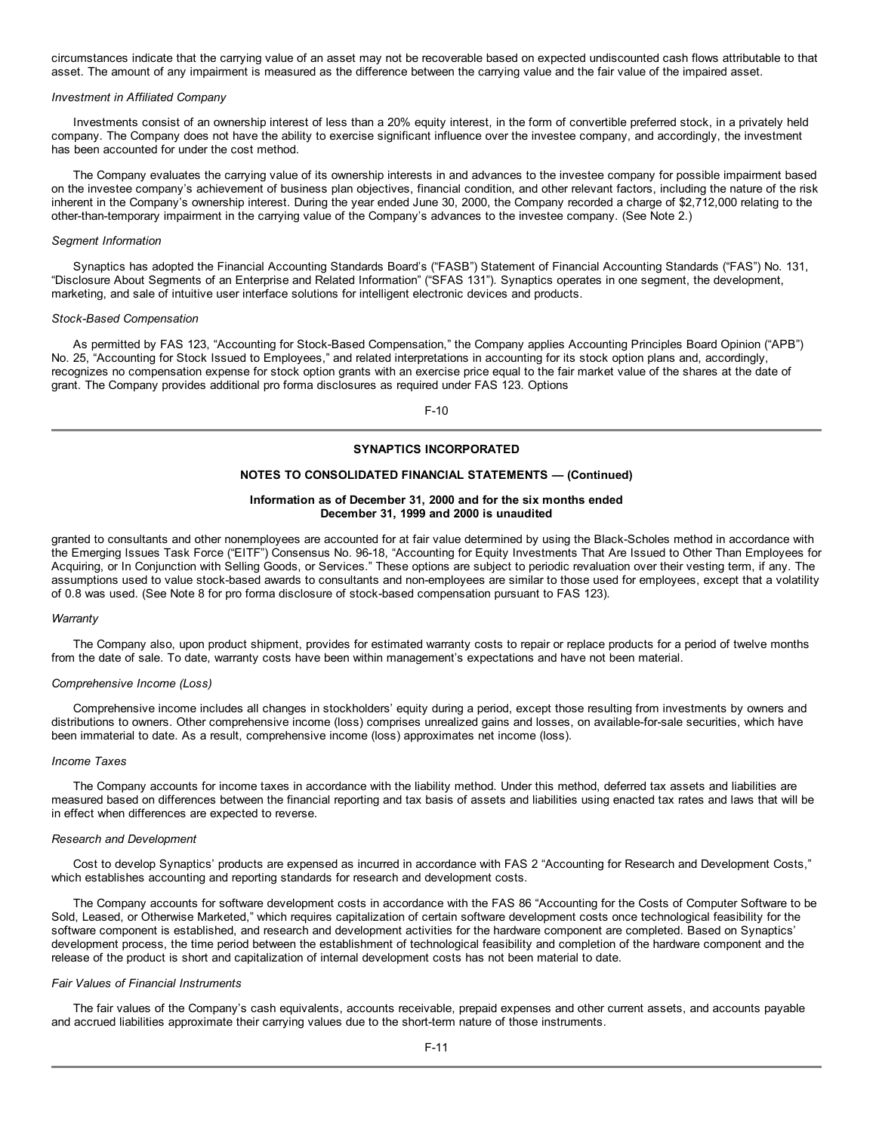circumstances indicate that the carrying value of an asset may not be recoverable based on expected undiscounted cash flows attributable to that asset. The amount of any impairment is measured as the difference between the carrying value and the fair value of the impaired asset.

#### *Investment in Affiliated Company*

Investments consist of an ownership interest of less than a 20% equity interest, in the form of convertible preferred stock, in a privately held company. The Company does not have the ability to exercise significant influence over the investee company, and accordingly, the investment has been accounted for under the cost method.

The Company evaluates the carrying value of its ownership interests in and advances to the investee company for possible impairment based on the investee company's achievement of business plan objectives, financial condition, and other relevant factors, including the nature of the risk inherent in the Company's ownership interest. During the year ended June 30, 2000, the Company recorded a charge of \$2,712,000 relating to the other-than-temporary impairment in the carrying value of the Company's advances to the investee company. (See Note 2.)

#### *Segment Information*

Synaptics has adopted the Financial Accounting Standards Board's ("FASB") Statement of Financial Accounting Standards ("FAS") No. 131, "Disclosure About Segments of an Enterprise and Related Information" ("SFAS 131"). Synaptics operates in one segment, the development, marketing, and sale of intuitive user interface solutions for intelligent electronic devices and products.

#### *Stock-Based Compensation*

As permitted by FAS 123, "Accounting for Stock-Based Compensation," the Company applies Accounting Principles Board Opinion ("APB") No. 25, "Accounting for Stock Issued to Employees," and related interpretations in accounting for its stock option plans and, accordingly, recognizes no compensation expense for stock option grants with an exercise price equal to the fair market value of the shares at the date of grant. The Company provides additional pro forma disclosures as required under FAS 123. Options

F-10

# **SYNAPTICS INCORPORATED**

## **NOTES TO CONSOLIDATED FINANCIAL STATEMENTS — (Continued)**

# **Information as of December 31, 2000 and for the six months ended December 31, 1999 and 2000 is unaudited**

granted to consultants and other nonemployees are accounted for at fair value determined by using the Black-Scholes method in accordance with the Emerging Issues Task Force ("EITF") Consensus No. 96-18, "Accounting for Equity Investments That Are Issued to Other Than Employees for Acquiring, or In Conjunction with Selling Goods, or Services." These options are subject to periodic revaluation over their vesting term, if any. The assumptions used to value stock-based awards to consultants and non-employees are similar to those used for employees, except that a volatility of 0.8 was used. (See Note 8 for pro forma disclosure of stock-based compensation pursuant to FAS 123).

#### *Warranty*

The Company also, upon product shipment, provides for estimated warranty costs to repair or replace products for a period of twelve months from the date of sale. To date, warranty costs have been within management's expectations and have not been material.

#### *Comprehensive Income (Loss)*

Comprehensive income includes all changes in stockholders' equity during a period, except those resulting from investments by owners and distributions to owners. Other comprehensive income (loss) comprises unrealized gains and losses, on available-for-sale securities, which have been immaterial to date. As a result, comprehensive income (loss) approximates net income (loss).

#### *Income Taxes*

The Company accounts for income taxes in accordance with the liability method. Under this method, deferred tax assets and liabilities are measured based on differences between the financial reporting and tax basis of assets and liabilities using enacted tax rates and laws that will be in effect when differences are expected to reverse.

#### *Research and Development*

Cost to develop Synaptics' products are expensed as incurred in accordance with FAS 2 "Accounting for Research and Development Costs," which establishes accounting and reporting standards for research and development costs.

The Company accounts for software development costs in accordance with the FAS 86 "Accounting for the Costs of Computer Software to be Sold, Leased, or Otherwise Marketed," which requires capitalization of certain software development costs once technological feasibility for the software component is established, and research and development activities for the hardware component are completed. Based on Synaptics' development process, the time period between the establishment of technological feasibility and completion of the hardware component and the release of the product is short and capitalization of internal development costs has not been material to date.

#### *Fair Values of Financial Instruments*

The fair values of the Company's cash equivalents, accounts receivable, prepaid expenses and other current assets, and accounts payable and accrued liabilities approximate their carrying values due to the short-term nature of those instruments.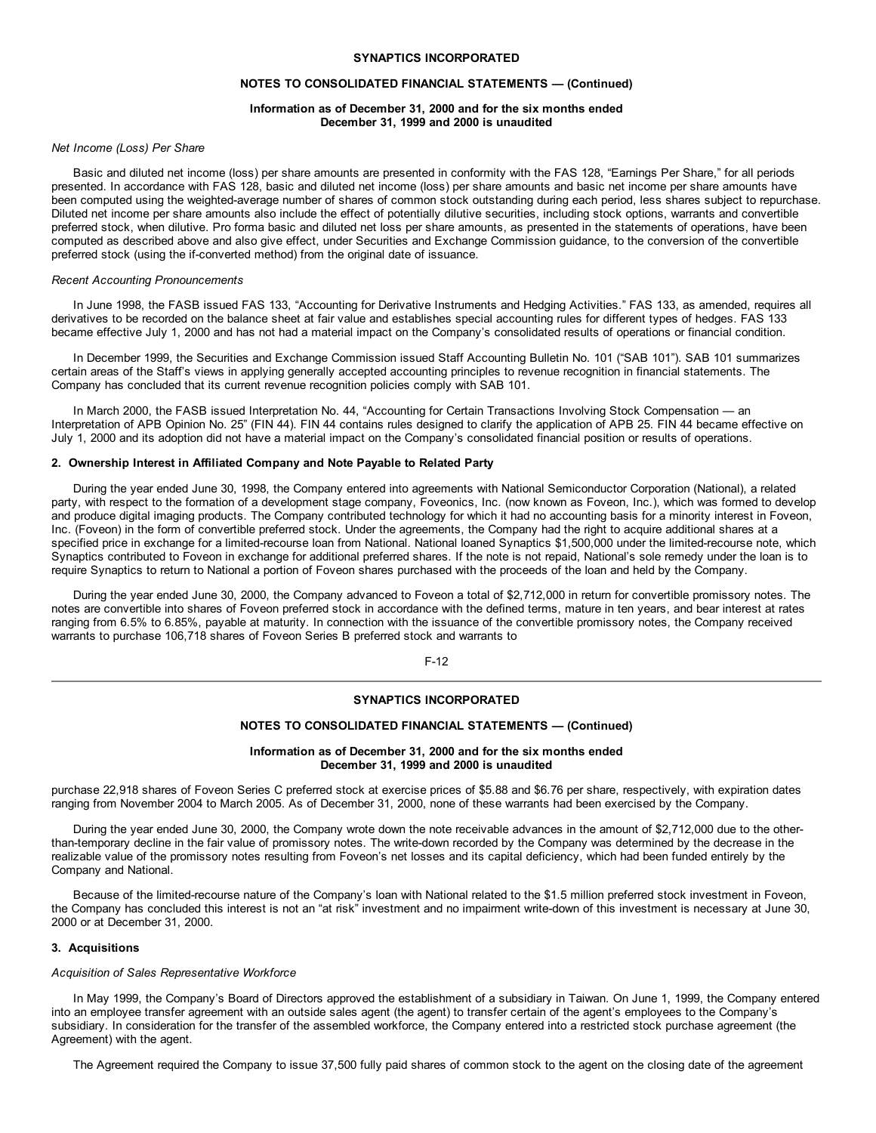## **SYNAPTICS INCORPORATED**

#### **NOTES TO CONSOLIDATED FINANCIAL STATEMENTS — (Continued)**

# **Information as of December 31, 2000 and for the six months ended December 31, 1999 and 2000 is unaudited**

## *Net Income (Loss) Per Share*

Basic and diluted net income (loss) per share amounts are presented in conformity with the FAS 128, "Earnings Per Share," for all periods presented. In accordance with FAS 128, basic and diluted net income (loss) per share amounts and basic net income per share amounts have been computed using the weighted-average number of shares of common stock outstanding during each period, less shares subject to repurchase. Diluted net income per share amounts also include the effect of potentially dilutive securities, including stock options, warrants and convertible preferred stock, when dilutive. Pro forma basic and diluted net loss per share amounts, as presented in the statements of operations, have been computed as described above and also give effect, under Securities and Exchange Commission guidance, to the conversion of the convertible preferred stock (using the if-converted method) from the original date of issuance.

#### *Recent Accounting Pronouncements*

In June 1998, the FASB issued FAS 133, "Accounting for Derivative Instruments and Hedging Activities." FAS 133, as amended, requires all derivatives to be recorded on the balance sheet at fair value and establishes special accounting rules for different types of hedges. FAS 133 became effective July 1, 2000 and has not had a material impact on the Company's consolidated results of operations or financial condition.

In December 1999, the Securities and Exchange Commission issued Staff Accounting Bulletin No. 101 ("SAB 101"). SAB 101 summarizes certain areas of the Staff's views in applying generally accepted accounting principles to revenue recognition in financial statements. The Company has concluded that its current revenue recognition policies comply with SAB 101.

In March 2000, the FASB issued Interpretation No. 44, "Accounting for Certain Transactions Involving Stock Compensation — an Interpretation of APB Opinion No. 25" (FIN 44). FIN 44 contains rules designed to clarify the application of APB 25. FIN 44 became effective on July 1, 2000 and its adoption did not have a material impact on the Company's consolidated financial position or results of operations.

#### **2. Ownership Interest in Affiliated Company and Note Payable to Related Party**

During the year ended June 30, 1998, the Company entered into agreements with National Semiconductor Corporation (National), a related party, with respect to the formation of a development stage company, Foveonics, Inc. (now known as Foveon, Inc.), which was formed to develop and produce digital imaging products. The Company contributed technology for which it had no accounting basis for a minority interest in Foveon, Inc. (Foveon) in the form of convertible preferred stock. Under the agreements, the Company had the right to acquire additional shares at a specified price in exchange for a limited-recourse loan from National. National loaned Synaptics \$1,500,000 under the limited-recourse note, which Synaptics contributed to Foveon in exchange for additional preferred shares. If the note is not repaid, National's sole remedy under the loan is to require Synaptics to return to National a portion of Foveon shares purchased with the proceeds of the loan and held by the Company.

During the year ended June 30, 2000, the Company advanced to Foveon a total of \$2,712,000 in return for convertible promissory notes. The notes are convertible into shares of Foveon preferred stock in accordance with the defined terms, mature in ten years, and bear interest at rates ranging from 6.5% to 6.85%, payable at maturity. In connection with the issuance of the convertible promissory notes, the Company received warrants to purchase 106,718 shares of Foveon Series B preferred stock and warrants to

F-12

# **SYNAPTICS INCORPORATED**

# **NOTES TO CONSOLIDATED FINANCIAL STATEMENTS — (Continued)**

## **Information as of December 31, 2000 and for the six months ended December 31, 1999 and 2000 is unaudited**

purchase 22,918 shares of Foveon Series C preferred stock at exercise prices of \$5.88 and \$6.76 per share, respectively, with expiration dates ranging from November 2004 to March 2005. As of December 31, 2000, none of these warrants had been exercised by the Company.

During the year ended June 30, 2000, the Company wrote down the note receivable advances in the amount of \$2,712,000 due to the otherthan-temporary decline in the fair value of promissory notes. The write-down recorded by the Company was determined by the decrease in the realizable value of the promissory notes resulting from Foveon's net losses and its capital deficiency, which had been funded entirely by the Company and National.

Because of the limited-recourse nature of the Company's loan with National related to the \$1.5 million preferred stock investment in Foveon, the Company has concluded this interest is not an "at risk" investment and no impairment write-down of this investment is necessary at June 30, 2000 or at December 31, 2000.

## **3. Acquisitions**

## *Acquisition of Sales Representative Workforce*

In May 1999, the Company's Board of Directors approved the establishment of a subsidiary in Taiwan. On June 1, 1999, the Company entered into an employee transfer agreement with an outside sales agent (the agent) to transfer certain of the agent's employees to the Company's subsidiary. In consideration for the transfer of the assembled workforce, the Company entered into a restricted stock purchase agreement (the Agreement) with the agent.

The Agreement required the Company to issue 37,500 fully paid shares of common stock to the agent on the closing date of the agreement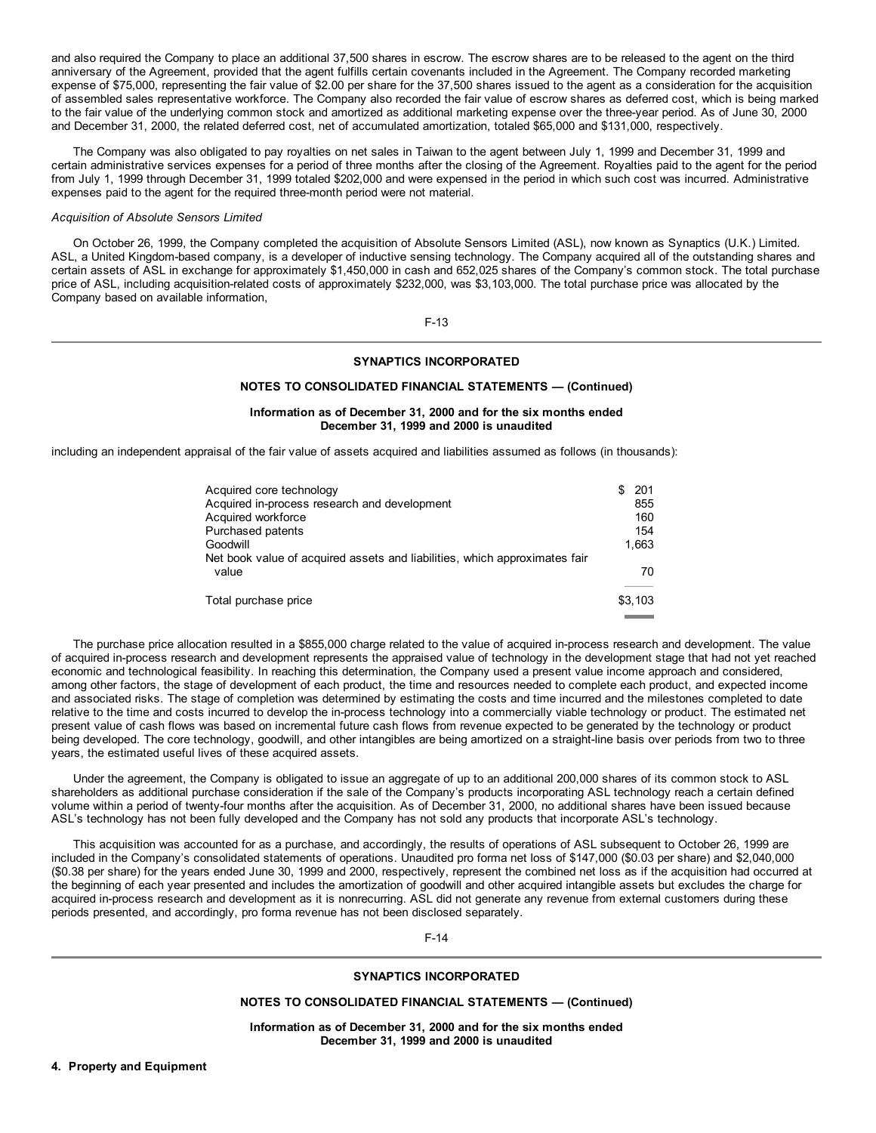and also required the Company to place an additional 37,500 shares in escrow. The escrow shares are to be released to the agent on the third anniversary of the Agreement, provided that the agent fulfills certain covenants included in the Agreement. The Company recorded marketing expense of \$75,000, representing the fair value of \$2.00 per share for the 37,500 shares issued to the agent as a consideration for the acquisition of assembled sales representative workforce. The Company also recorded the fair value of escrow shares as deferred cost, which is being marked to the fair value of the underlying common stock and amortized as additional marketing expense over the three-year period. As of June 30, 2000 and December 31, 2000, the related deferred cost, net of accumulated amortization, totaled \$65,000 and \$131,000, respectively.

The Company was also obligated to pay royalties on net sales in Taiwan to the agent between July 1, 1999 and December 31, 1999 and certain administrative services expenses for a period of three months after the closing of the Agreement. Royalties paid to the agent for the period from July 1, 1999 through December 31, 1999 totaled \$202,000 and were expensed in the period in which such cost was incurred. Administrative expenses paid to the agent for the required three-month period were not material.

#### *Acquisition of Absolute Sensors Limited*

On October 26, 1999, the Company completed the acquisition of Absolute Sensors Limited (ASL), now known as Synaptics (U.K.) Limited. ASL, a United Kingdom-based company, is a developer of inductive sensing technology. The Company acquired all of the outstanding shares and certain assets of ASL in exchange for approximately \$1,450,000 in cash and 652,025 shares of the Company's common stock. The total purchase price of ASL, including acquisition-related costs of approximately \$232,000, was \$3,103,000. The total purchase price was allocated by the Company based on available information,

F-13

#### **SYNAPTICS INCORPORATED**

## **NOTES TO CONSOLIDATED FINANCIAL STATEMENTS — (Continued)**

# **Information as of December 31, 2000 and for the six months ended December 31, 1999 and 2000 is unaudited**

including an independent appraisal of the fair value of assets acquired and liabilities assumed as follows (in thousands):

| Acquired core technology                                                   | 201     |
|----------------------------------------------------------------------------|---------|
| Acquired in-process research and development                               | 855     |
| Acquired workforce                                                         | 160     |
| Purchased patents                                                          | 154     |
| Goodwill                                                                   | 1.663   |
| Net book value of acquired assets and liabilities, which approximates fair |         |
| value                                                                      | 70      |
| Total purchase price                                                       | \$3.103 |

The purchase price allocation resulted in a \$855,000 charge related to the value of acquired in-process research and development. The value of acquired in-process research and development represents the appraised value of technology in the development stage that had not yet reached economic and technological feasibility. In reaching this determination, the Company used a present value income approach and considered, among other factors, the stage of development of each product, the time and resources needed to complete each product, and expected income and associated risks. The stage of completion was determined by estimating the costs and time incurred and the milestones completed to date relative to the time and costs incurred to develop the in-process technology into a commercially viable technology or product. The estimated net present value of cash flows was based on incremental future cash flows from revenue expected to be generated by the technology or product being developed. The core technology, goodwill, and other intangibles are being amortized on a straight-line basis over periods from two to three years, the estimated useful lives of these acquired assets.

Under the agreement, the Company is obligated to issue an aggregate of up to an additional 200,000 shares of its common stock to ASL shareholders as additional purchase consideration if the sale of the Company's products incorporating ASL technology reach a certain defined volume within a period of twenty-four months after the acquisition. As of December 31, 2000, no additional shares have been issued because ASL's technology has not been fully developed and the Company has not sold any products that incorporate ASL's technology.

This acquisition was accounted for as a purchase, and accordingly, the results of operations of ASL subsequent to October 26, 1999 are included in the Company's consolidated statements of operations. Unaudited pro forma net loss of \$147,000 (\$0.03 per share) and \$2,040,000 (\$0.38 per share) for the years ended June 30, 1999 and 2000, respectively, represent the combined net loss as if the acquisition had occurred at the beginning of each year presented and includes the amortization of goodwill and other acquired intangible assets but excludes the charge for acquired in-process research and development as it is nonrecurring. ASL did not generate any revenue from external customers during these periods presented, and accordingly, pro forma revenue has not been disclosed separately.

F-14

## **SYNAPTICS INCORPORATED**

#### **NOTES TO CONSOLIDATED FINANCIAL STATEMENTS — (Continued)**

**Information as of December 31, 2000 and for the six months ended December 31, 1999 and 2000 is unaudited**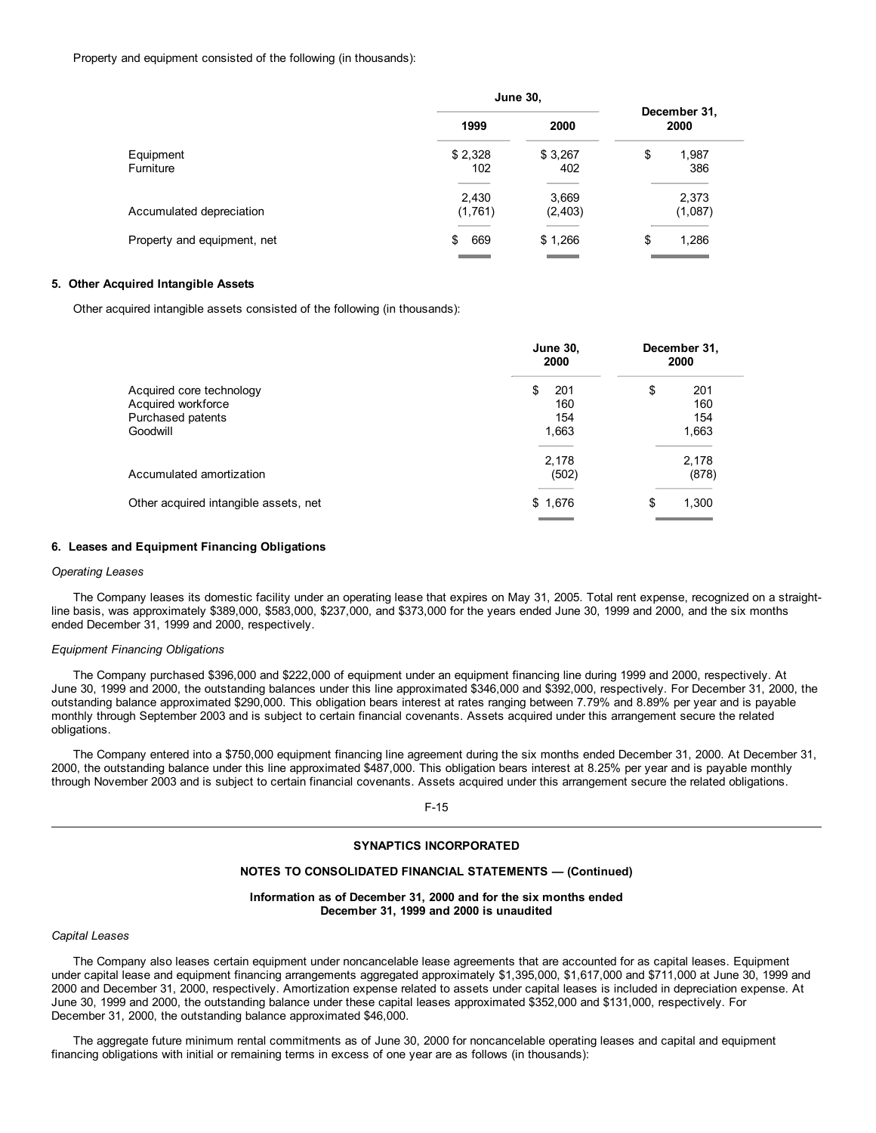Property and equipment consisted of the following (in thousands):

|                             | <b>June 30,</b>  |                   |                      |
|-----------------------------|------------------|-------------------|----------------------|
|                             | 1999             | 2000              | December 31,<br>2000 |
| Equipment<br>Furniture      | \$2,328<br>102   | \$3,267<br>402    | \$<br>1,987<br>386   |
| Accumulated depreciation    | 2,430<br>(1,761) | 3,669<br>(2, 403) | 2,373<br>(1,087)     |
| Property and equipment, net | 669<br>\$        | \$1,266           | \$<br>1,286          |

# **5. Other Acquired Intangible Assets**

Other acquired intangible assets consisted of the following (in thousands):

|                                                | <b>June 30,</b><br>2000 | December 31,<br>2000 |
|------------------------------------------------|-------------------------|----------------------|
| Acquired core technology<br>Acquired workforce | \$<br>201<br>160        | \$<br>201<br>160     |
| Purchased patents                              | 154                     | 154                  |
| Goodwill                                       | 1,663                   | 1,663                |
| Accumulated amortization                       | 2,178<br>(502)          | 2,178<br>(878)       |
| Other acquired intangible assets, net          | \$1,676                 | \$<br>1,300          |

#### **6. Leases and Equipment Financing Obligations**

#### *Operating Leases*

The Company leases its domestic facility under an operating lease that expires on May 31, 2005. Total rent expense, recognized on a straightline basis, was approximately \$389,000, \$583,000, \$237,000, and \$373,000 for the years ended June 30, 1999 and 2000, and the six months ended December 31, 1999 and 2000, respectively.

### *Equipment Financing Obligations*

The Company purchased \$396,000 and \$222,000 of equipment under an equipment financing line during 1999 and 2000, respectively. At June 30, 1999 and 2000, the outstanding balances under this line approximated \$346,000 and \$392,000, respectively. For December 31, 2000, the outstanding balance approximated \$290,000. This obligation bears interest at rates ranging between 7.79% and 8.89% per year and is payable monthly through September 2003 and is subject to certain financial covenants. Assets acquired under this arrangement secure the related obligations.

The Company entered into a \$750,000 equipment financing line agreement during the six months ended December 31, 2000. At December 31, 2000, the outstanding balance under this line approximated \$487,000. This obligation bears interest at 8.25% per year and is payable monthly through November 2003 and is subject to certain financial covenants. Assets acquired under this arrangement secure the related obligations.

F-15

# **SYNAPTICS INCORPORATED**

#### **NOTES TO CONSOLIDATED FINANCIAL STATEMENTS — (Continued)**

**Information as of December 31, 2000 and for the six months ended December 31, 1999 and 2000 is unaudited**

# *Capital Leases*

The Company also leases certain equipment under noncancelable lease agreements that are accounted for as capital leases. Equipment under capital lease and equipment financing arrangements aggregated approximately \$1,395,000, \$1,617,000 and \$711,000 at June 30, 1999 and 2000 and December 31, 2000, respectively. Amortization expense related to assets under capital leases is included in depreciation expense. At June 30, 1999 and 2000, the outstanding balance under these capital leases approximated \$352,000 and \$131,000, respectively. For December 31, 2000, the outstanding balance approximated \$46,000.

The aggregate future minimum rental commitments as of June 30, 2000 for noncancelable operating leases and capital and equipment financing obligations with initial or remaining terms in excess of one year are as follows (in thousands):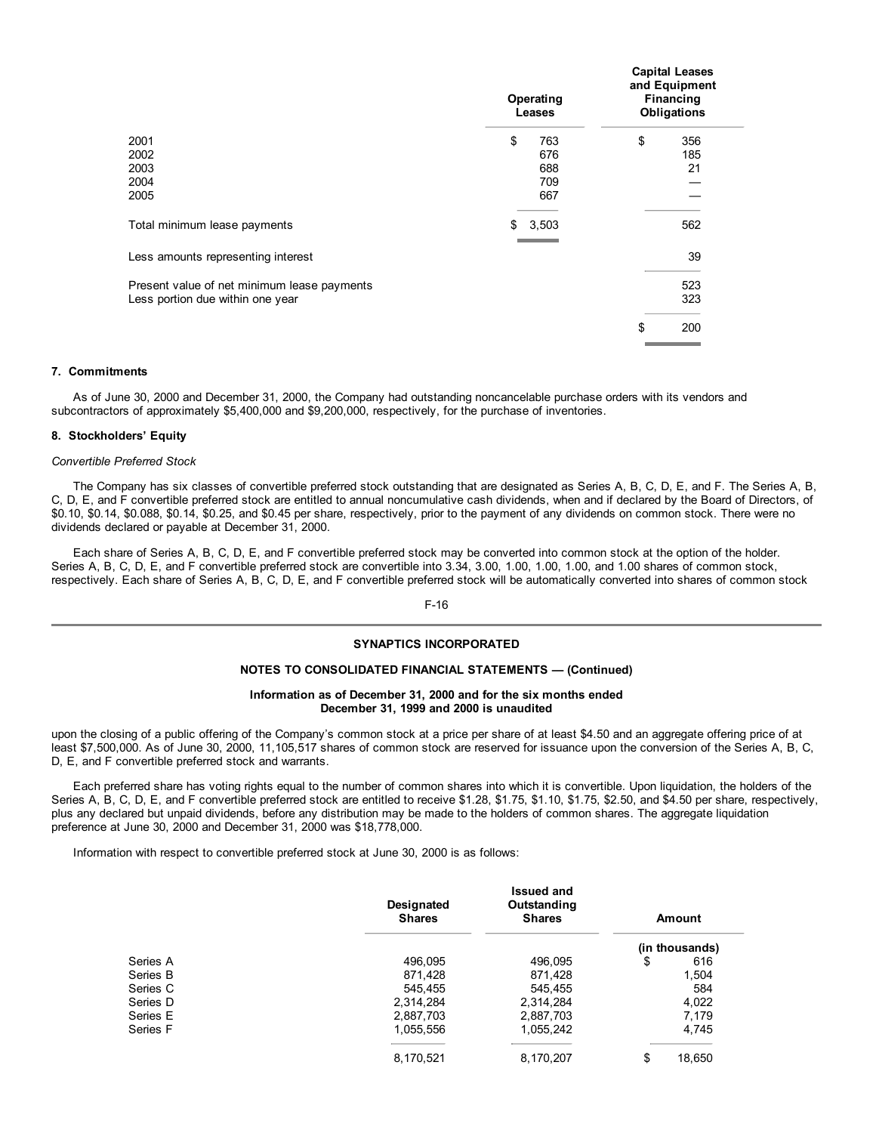|                                             | Operating<br>Leases |       | Capital Leases<br>and Equipment<br>Financing<br><b>Obligations</b> |     |  |
|---------------------------------------------|---------------------|-------|--------------------------------------------------------------------|-----|--|
| 2001                                        | \$                  | 763   | \$                                                                 | 356 |  |
| 2002                                        |                     | 676   |                                                                    | 185 |  |
| 2003                                        |                     | 688   |                                                                    | 21  |  |
| 2004                                        |                     | 709   |                                                                    |     |  |
| 2005                                        |                     | 667   |                                                                    |     |  |
| Total minimum lease payments                | \$                  | 3,503 |                                                                    | 562 |  |
| Less amounts representing interest          |                     |       |                                                                    | 39  |  |
| Present value of net minimum lease payments |                     |       |                                                                    | 523 |  |
| Less portion due within one year            |                     |       |                                                                    | 323 |  |
|                                             |                     |       | \$                                                                 | 200 |  |

**Capital Leases**

# **7. Commitments**

As of June 30, 2000 and December 31, 2000, the Company had outstanding noncancelable purchase orders with its vendors and subcontractors of approximately \$5,400,000 and \$9,200,000, respectively, for the purchase of inventories.

#### **8. Stockholders' Equity**

## *Convertible Preferred Stock*

The Company has six classes of convertible preferred stock outstanding that are designated as Series A, B, C, D, E, and F. The Series A, B, C, D, E, and F convertible preferred stock are entitled to annual noncumulative cash dividends, when and if declared by the Board of Directors, of \$0.10, \$0.14, \$0.088, \$0.14, \$0.25, and \$0.45 per share, respectively, prior to the payment of any dividends on common stock. There were no dividends declared or payable at December 31, 2000.

Each share of Series A, B, C, D, E, and F convertible preferred stock may be converted into common stock at the option of the holder. Series A, B, C, D, E, and F convertible preferred stock are convertible into 3.34, 3.00, 1.00, 1.00, 1.00, and 1.00 shares of common stock, respectively. Each share of Series A, B, C, D, E, and F convertible preferred stock will be automatically converted into shares of common stock

## F-16

## **SYNAPTICS INCORPORATED**

# **NOTES TO CONSOLIDATED FINANCIAL STATEMENTS — (Continued)**

### **Information as of December 31, 2000 and for the six months ended December 31, 1999 and 2000 is unaudited**

upon the closing of a public offering of the Company's common stock at a price per share of at least \$4.50 and an aggregate offering price of at least \$7,500,000. As of June 30, 2000, 11,105,517 shares of common stock are reserved for issuance upon the conversion of the Series A, B, C, D, E, and F convertible preferred stock and warrants.

Each preferred share has voting rights equal to the number of common shares into which it is convertible. Upon liquidation, the holders of the Series A, B, C, D, E, and F convertible preferred stock are entitled to receive \$1.28, \$1.75, \$1.10, \$1.75, \$2.50, and \$4.50 per share, respectively, plus any declared but unpaid dividends, before any distribution may be made to the holders of common shares. The aggregate liquidation preference at June 30, 2000 and December 31, 2000 was \$18,778,000.

Information with respect to convertible preferred stock at June 30, 2000 is as follows:

|          | <b>Designated</b><br><b>Shares</b> | <b>Issued and</b><br>Outstanding<br><b>Shares</b> | Amount         |
|----------|------------------------------------|---------------------------------------------------|----------------|
|          |                                    |                                                   | (in thousands) |
| Series A | 496,095                            | 496.095                                           | \$<br>616      |
| Series B | 871.428                            | 871,428                                           | 1,504          |
| Series C | 545.455                            | 545,455                                           | 584            |
| Series D | 2,314,284                          | 2,314,284                                         | 4,022          |
| Series E | 2,887,703                          | 2,887,703                                         | 7,179          |
| Series F | 1,055,556                          | 1,055,242                                         | 4,745          |
|          | 8.170.521                          | 8.170.207                                         | \$<br>18.650   |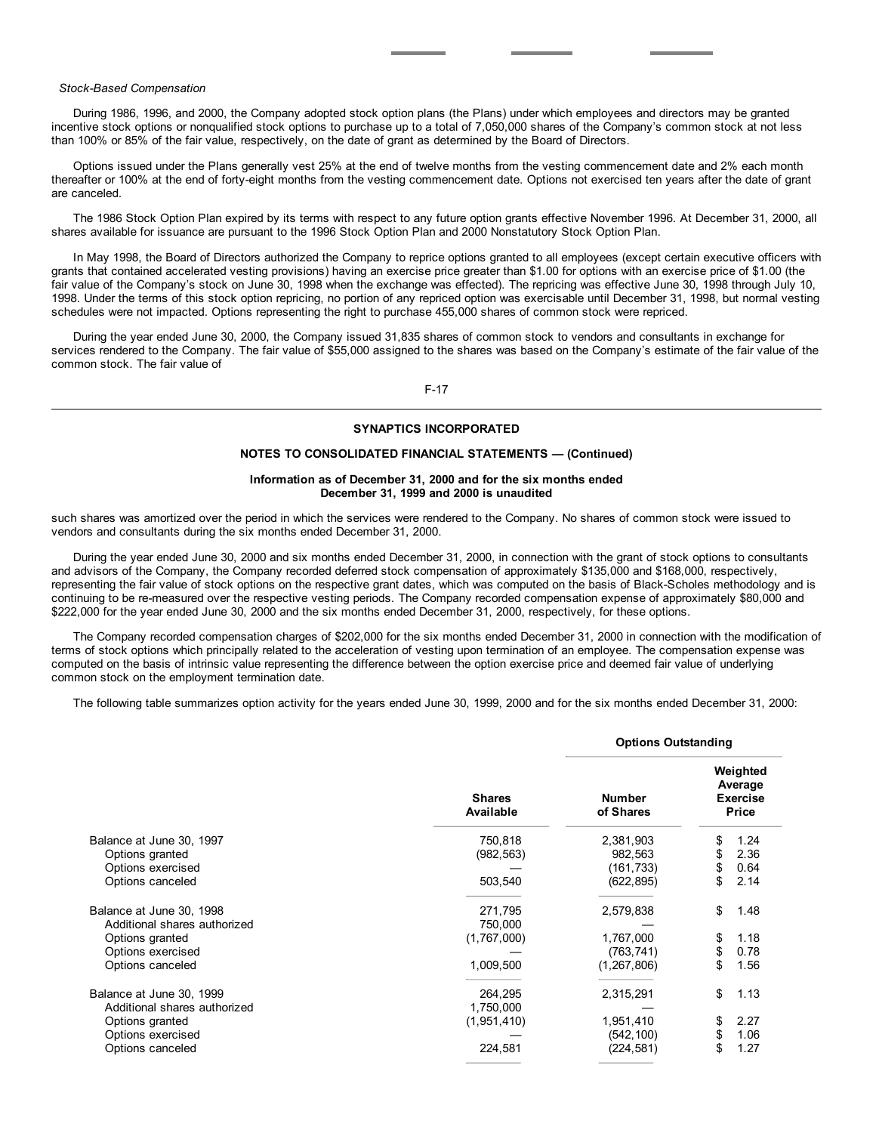# *Stock-Based Compensation*

During 1986, 1996, and 2000, the Company adopted stock option plans (the Plans) under which employees and directors may be granted incentive stock options or nonqualified stock options to purchase up to a total of 7,050,000 shares of the Company's common stock at not less than 100% or 85% of the fair value, respectively, on the date of grant as determined by the Board of Directors.

Options issued under the Plans generally vest 25% at the end of twelve months from the vesting commencement date and 2% each month thereafter or 100% at the end of forty-eight months from the vesting commencement date. Options not exercised ten years after the date of grant are canceled.

The 1986 Stock Option Plan expired by its terms with respect to any future option grants effective November 1996. At December 31, 2000, all shares available for issuance are pursuant to the 1996 Stock Option Plan and 2000 Nonstatutory Stock Option Plan.

In May 1998, the Board of Directors authorized the Company to reprice options granted to all employees (except certain executive officers with grants that contained accelerated vesting provisions) having an exercise price greater than \$1.00 for options with an exercise price of \$1.00 (the fair value of the Company's stock on June 30, 1998 when the exchange was effected). The repricing was effective June 30, 1998 through July 10, 1998. Under the terms of this stock option repricing, no portion of any repriced option was exercisable until December 31, 1998, but normal vesting schedules were not impacted. Options representing the right to purchase 455,000 shares of common stock were repriced.

During the year ended June 30, 2000, the Company issued 31,835 shares of common stock to vendors and consultants in exchange for services rendered to the Company. The fair value of \$55,000 assigned to the shares was based on the Company's estimate of the fair value of the common stock. The fair value of

F-17

# **SYNAPTICS INCORPORATED**

# **NOTES TO CONSOLIDATED FINANCIAL STATEMENTS — (Continued)**

# **Information as of December 31, 2000 and for the six months ended December 31, 1999 and 2000 is unaudited**

such shares was amortized over the period in which the services were rendered to the Company. No shares of common stock were issued to vendors and consultants during the six months ended December 31, 2000.

During the year ended June 30, 2000 and six months ended December 31, 2000, in connection with the grant of stock options to consultants and advisors of the Company, the Company recorded deferred stock compensation of approximately \$135,000 and \$168,000, respectively, representing the fair value of stock options on the respective grant dates, which was computed on the basis of Black-Scholes methodology and is continuing to be re-measured over the respective vesting periods. The Company recorded compensation expense of approximately \$80,000 and \$222,000 for the year ended June 30, 2000 and the six months ended December 31, 2000, respectively, for these options.

The Company recorded compensation charges of \$202,000 for the six months ended December 31, 2000 in connection with the modification of terms of stock options which principally related to the acceleration of vesting upon termination of an employee. The compensation expense was computed on the basis of intrinsic value representing the difference between the option exercise price and deemed fair value of underlying common stock on the employment termination date.

The following table summarizes option activity for the years ended June 30, 1999, 2000 and for the six months ended December 31, 2000:

|                                                          |                                   | <b>Options Outstanding</b> |    |                                                        |
|----------------------------------------------------------|-----------------------------------|----------------------------|----|--------------------------------------------------------|
|                                                          | <b>Shares</b><br><b>Available</b> | <b>Number</b><br>of Shares |    | Weighted<br>Average<br><b>Exercise</b><br><b>Price</b> |
| Balance at June 30, 1997                                 | 750,818                           | 2,381,903                  | \$ | 1.24                                                   |
| Options granted                                          | (982, 563)                        | 982,563                    | \$ | 2.36                                                   |
| Options exercised                                        |                                   | (161,733)                  | \$ | 0.64                                                   |
| Options canceled                                         | 503,540                           | (622, 895)                 | \$ | 2.14                                                   |
| Balance at June 30, 1998<br>Additional shares authorized | 271,795<br>750,000                | 2,579,838                  | \$ | 1.48                                                   |
| Options granted                                          | (1,767,000)                       | 1,767,000                  | \$ | 1.18                                                   |
| Options exercised                                        |                                   | (763, 741)                 | \$ | 0.78                                                   |
| Options canceled                                         | 1,009,500                         | (1, 267, 806)              | \$ | 1.56                                                   |
| Balance at June 30, 1999<br>Additional shares authorized | 264,295<br>1,750,000              | 2,315,291                  | \$ | 1.13                                                   |
|                                                          | (1,951,410)                       | 1,951,410                  | \$ | 2.27                                                   |
| Options granted                                          |                                   |                            | \$ | 1.06                                                   |
| Options exercised                                        |                                   | (542, 100)                 | \$ |                                                        |
| Options canceled                                         | 224,581                           | (224,581)                  |    | 1.27                                                   |

#### **Options Outstanding**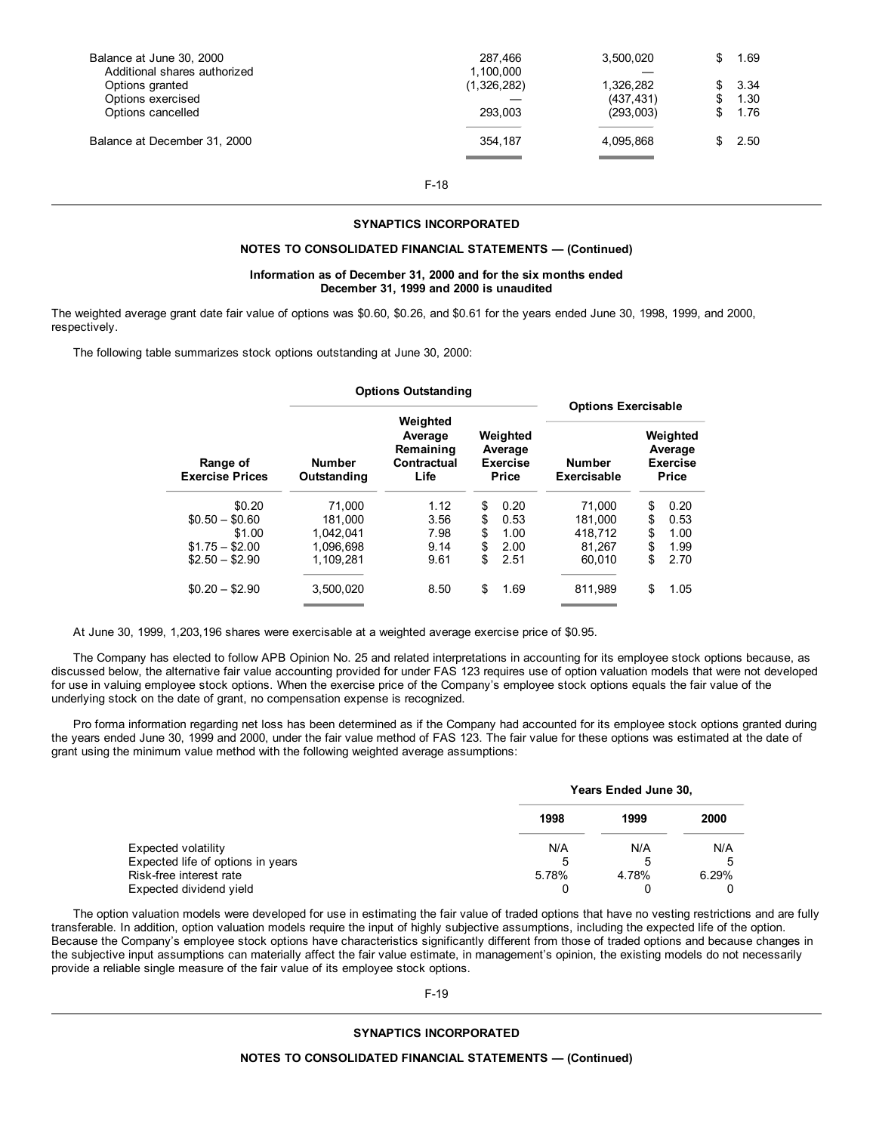| Balance at June 30, 2000     | 287.466     | 3.500.020  |     | 1.69   |
|------------------------------|-------------|------------|-----|--------|
| Additional shares authorized | 1,100,000   |            |     |        |
| Options granted              | (1,326,282) | 1.326.282  | SS. | - 3.34 |
| Options exercised            |             | (437, 431) | \$. | 1.30   |
| Options cancelled            | 293.003     | (293,003)  | \$. | 1.76   |
| Balance at December 31, 2000 | 354.187     | 4.095.868  | SS. | 2.50   |

F-18

#### **SYNAPTICS INCORPORATED**

#### **NOTES TO CONSOLIDATED FINANCIAL STATEMENTS — (Continued)**

#### **Information as of December 31, 2000 and for the six months ended December 31, 1999 and 2000 is unaudited**

The weighted average grant date fair value of options was \$0.60, \$0.26, and \$0.61 for the years ended June 30, 1998, 1999, and 2000, respectively.

The following table summarizes stock options outstanding at June 30, 2000:

|                                    |                              | <b>Options Outstanding</b>                  |                                                        |                              |                                                 |
|------------------------------------|------------------------------|---------------------------------------------|--------------------------------------------------------|------------------------------|-------------------------------------------------|
|                                    |                              | Weighted                                    |                                                        | <b>Options Exercisable</b>   |                                                 |
| Range of<br><b>Exercise Prices</b> | <b>Number</b><br>Outstanding | Average<br>Remaining<br>Contractual<br>Life | Weighted<br>Average<br><b>Exercise</b><br><b>Price</b> | <b>Number</b><br>Exercisable | Weighted<br>Average<br><b>Exercise</b><br>Price |
| \$0.20                             | 71.000                       | 1.12                                        | \$<br>0.20                                             | 71.000                       | \$<br>0.20                                      |
| $$0.50 - $0.60$                    | 181.000                      | 3.56                                        | \$<br>0.53                                             | 181.000                      | \$<br>0.53                                      |
| \$1.00                             | 1.042.041                    | 7.98                                        | \$<br>1.00                                             | 418.712                      | \$<br>1.00                                      |
| $$1.75 - $2.00$                    | 1,096,698                    | 9.14                                        | \$<br>2.00                                             | 81.267                       | \$<br>1.99                                      |
| $$2.50 - $2.90$                    | 1.109.281                    | 9.61                                        | \$<br>2.51                                             | 60.010                       | \$<br>2.70                                      |
| $$0.20 - $2.90$                    | 3.500.020                    | 8.50                                        | \$<br>1.69                                             | 811,989                      | \$<br>1.05                                      |

At June 30, 1999, 1,203,196 shares were exercisable at a weighted average exercise price of \$0.95.

The Company has elected to follow APB Opinion No. 25 and related interpretations in accounting for its employee stock options because, as discussed below, the alternative fair value accounting provided for under FAS 123 requires use of option valuation models that were not developed for use in valuing employee stock options. When the exercise price of the Company's employee stock options equals the fair value of the underlying stock on the date of grant, no compensation expense is recognized.

Pro forma information regarding net loss has been determined as if the Company had accounted for its employee stock options granted during the years ended June 30, 1999 and 2000, under the fair value method of FAS 123. The fair value for these options was estimated at the date of grant using the minimum value method with the following weighted average assumptions:

|                                   | Years Ended June 30, |       |       |  |
|-----------------------------------|----------------------|-------|-------|--|
|                                   | 1998                 | 1999  | 2000  |  |
| Expected volatility               | N/A                  | N/A   | N/A   |  |
| Expected life of options in years | 5                    | .5    | 5     |  |
| Risk-free interest rate           | 5.78%                | 4.78% | 6.29% |  |
| Expected dividend yield           |                      |       |       |  |

The option valuation models were developed for use in estimating the fair value of traded options that have no vesting restrictions and are fully transferable. In addition, option valuation models require the input of highly subjective assumptions, including the expected life of the option. Because the Company's employee stock options have characteristics significantly different from those of traded options and because changes in the subjective input assumptions can materially affect the fair value estimate, in management's opinion, the existing models do not necessarily provide a reliable single measure of the fair value of its employee stock options.

F-19

## **SYNAPTICS INCORPORATED**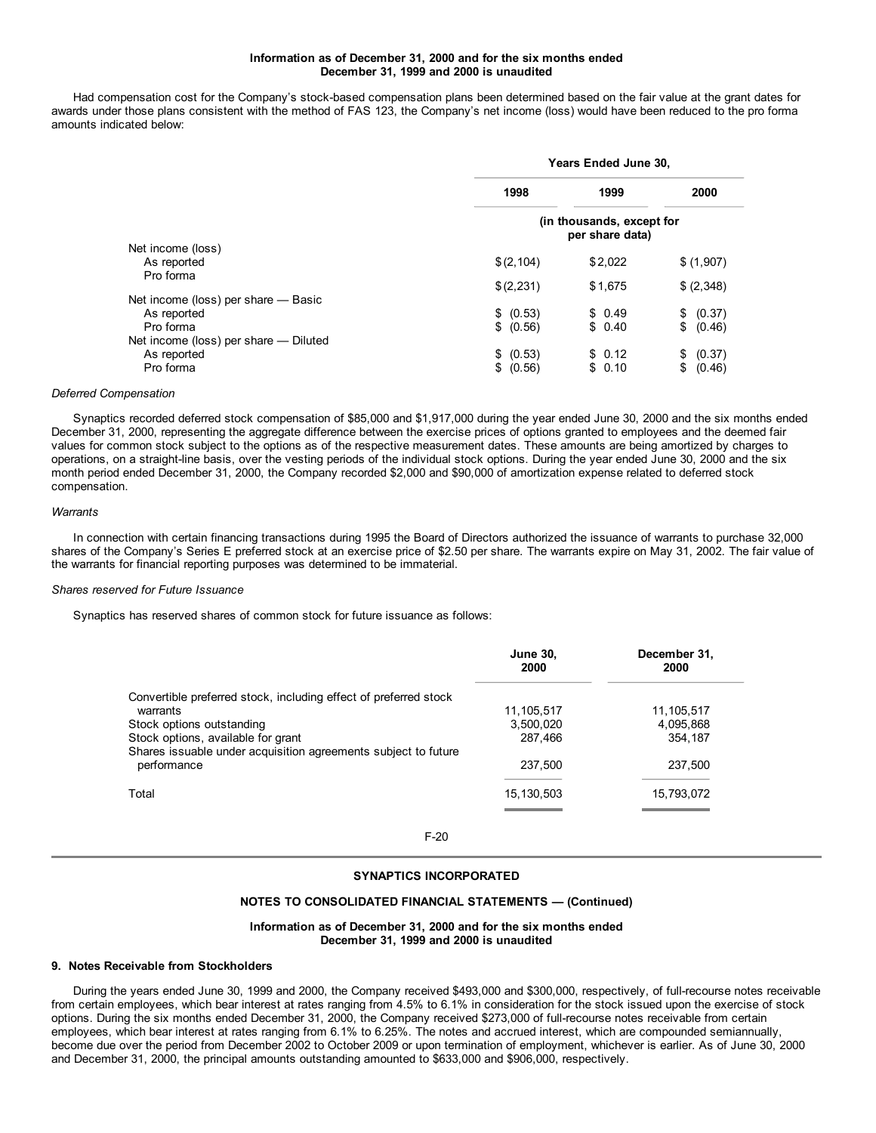## **Information as of December 31, 2000 and for the six months ended December 31, 1999 and 2000 is unaudited**

Had compensation cost for the Company's stock-based compensation plans been determined based on the fair value at the grant dates for awards under those plans consistent with the method of FAS 123, the Company's net income (loss) would have been reduced to the pro forma amounts indicated below:

|                                       | <b>Years Ended June 30,</b>                  |         |              |  |  |
|---------------------------------------|----------------------------------------------|---------|--------------|--|--|
|                                       | 1998                                         | 1999    | 2000         |  |  |
|                                       | (in thousands, except for<br>per share data) |         |              |  |  |
| Net income (loss)                     |                                              |         |              |  |  |
| As reported<br>Pro forma              | \$(2, 104)                                   | \$2,022 | \$(1,907)    |  |  |
|                                       | \$(2,231)                                    | \$1,675 | \$ (2,348)   |  |  |
| Net income (loss) per share - Basic   |                                              |         |              |  |  |
| As reported                           | \$ (0.53)                                    | \$0.49  | \$ (0.37)    |  |  |
| Pro forma                             | \$ (0.56)                                    | \$0.40  | \$<br>(0.46) |  |  |
| Net income (loss) per share - Diluted |                                              |         |              |  |  |
| As reported                           | \$ (0.53)                                    | \$0.12  | (0.37)<br>\$ |  |  |
| Pro forma                             | \$<br>(0.56)                                 | \$0.10  | \$<br>(0.46) |  |  |

# *Deferred Compensation*

Synaptics recorded deferred stock compensation of \$85,000 and \$1,917,000 during the year ended June 30, 2000 and the six months ended December 31, 2000, representing the aggregate difference between the exercise prices of options granted to employees and the deemed fair values for common stock subject to the options as of the respective measurement dates. These amounts are being amortized by charges to operations, on a straight-line basis, over the vesting periods of the individual stock options. During the year ended June 30, 2000 and the six month period ended December 31, 2000, the Company recorded \$2,000 and \$90,000 of amortization expense related to deferred stock compensation.

#### *Warrants*

In connection with certain financing transactions during 1995 the Board of Directors authorized the issuance of warrants to purchase 32,000 shares of the Company's Series E preferred stock at an exercise price of \$2.50 per share. The warrants expire on May 31, 2002. The fair value of the warrants for financial reporting purposes was determined to be immaterial.

#### *Shares reserved for Future Issuance*

Synaptics has reserved shares of common stock for future issuance as follows:

| <b>June 30,</b><br>2000 | December 31,<br>2000 |
|-------------------------|----------------------|
|                         |                      |
| 11,105,517              | 11,105,517           |
| 3,500,020               | 4,095,868            |
| 287.466                 | 354.187              |
| 237.500                 | 237,500              |
| 15, 130, 503            | 15,793,072           |
|                         |                      |

F-20

#### **SYNAPTICS INCORPORATED**

## **NOTES TO CONSOLIDATED FINANCIAL STATEMENTS — (Continued)**

#### **Information as of December 31, 2000 and for the six months ended December 31, 1999 and 2000 is unaudited**

#### **9. Notes Receivable from Stockholders**

During the years ended June 30, 1999 and 2000, the Company received \$493,000 and \$300,000, respectively, of full-recourse notes receivable from certain employees, which bear interest at rates ranging from 4.5% to 6.1% in consideration for the stock issued upon the exercise of stock options. During the six months ended December 31, 2000, the Company received \$273,000 of full-recourse notes receivable from certain employees, which bear interest at rates ranging from 6.1% to 6.25%. The notes and accrued interest, which are compounded semiannually, become due over the period from December 2002 to October 2009 or upon termination of employment, whichever is earlier. As of June 30, 2000 and December 31, 2000, the principal amounts outstanding amounted to \$633,000 and \$906,000, respectively.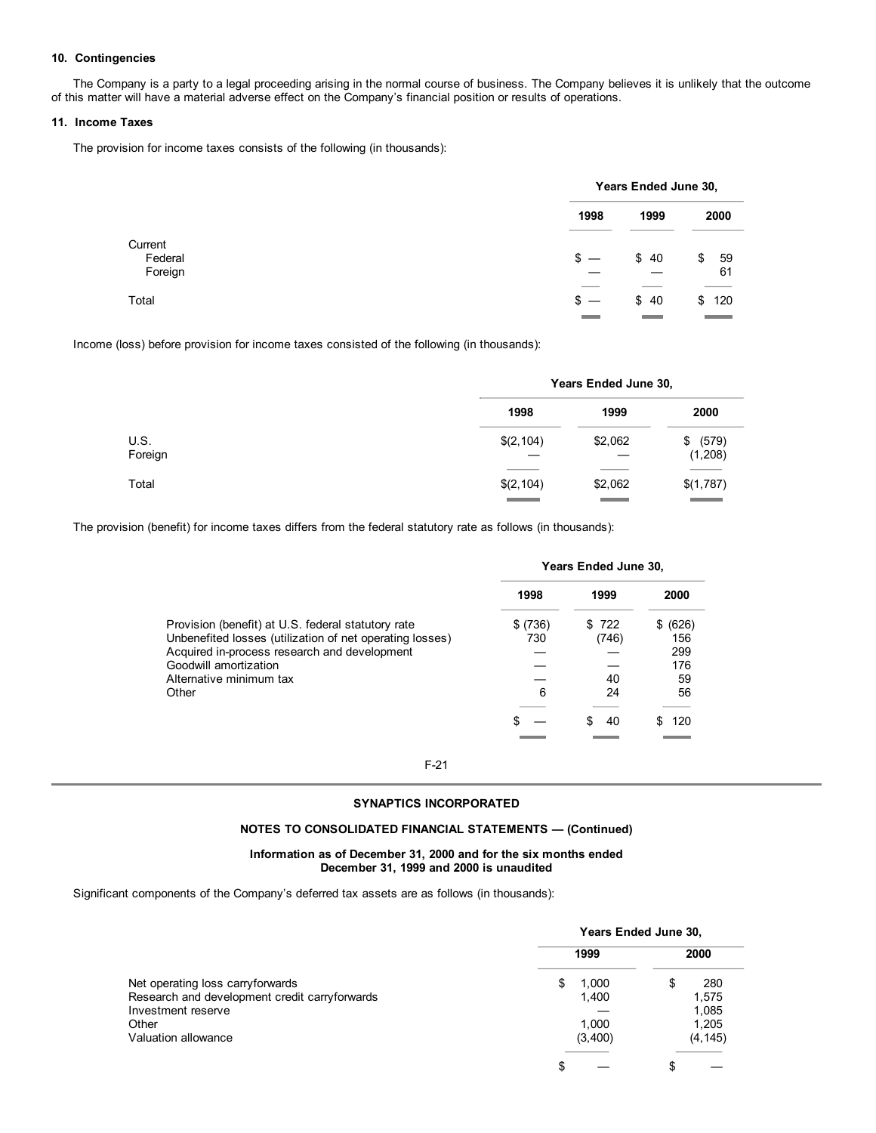# **10. Contingencies**

The Company is a party to a legal proceeding arising in the normal course of business. The Company believes it is unlikely that the outcome of this matter will have a material adverse effect on the Company's financial position or results of operations.

## **11. Income Taxes**

The provision for income taxes consists of the following (in thousands):

|         |        | Years Ended June 30, |                                     |  |
|---------|--------|----------------------|-------------------------------------|--|
|         | 1998   | 1999                 | 2000                                |  |
| Federal | $s -$  | \$40                 | \$<br>- 59                          |  |
|         |        |                      | 61                                  |  |
|         | $s -$  | \$40                 | \$120                               |  |
|         | ______ | ______               | the contract of the contract of the |  |

Income (loss) before provision for income taxes consisted of the following (in thousands):

|                 |            | Years Ended June 30, |                        |  |  |
|-----------------|------------|----------------------|------------------------|--|--|
|                 | 1998       | 1999                 | 2000                   |  |  |
| U.S.<br>Foreign | \$(2, 104) | \$2,062              | (579)<br>\$<br>(1,208) |  |  |
| Total           | \$(2, 104) | \$2,062              | \$(1,787)              |  |  |

The provision (benefit) for income taxes differs from the federal statutory rate as follows (in thousands):

|                                                                                                          | <b>Years Ended June 30,</b> |       |            |
|----------------------------------------------------------------------------------------------------------|-----------------------------|-------|------------|
|                                                                                                          | 1998                        | 1999  | 2000       |
| Provision (benefit) at U.S. federal statutory rate                                                       | (736)                       | \$722 | (626)<br>S |
| Unbenefited losses (utilization of net operating losses)<br>Acquired in-process research and development | 730                         | (746) | 156<br>299 |
| Goodwill amortization                                                                                    |                             |       | 176        |
| Alternative minimum tax                                                                                  |                             | 40    | 59         |
| Other                                                                                                    | 6                           | 24    | 56         |
|                                                                                                          |                             |       |            |
|                                                                                                          |                             | 40    | 120        |
|                                                                                                          |                             |       |            |

F-21

# **SYNAPTICS INCORPORATED**

# **NOTES TO CONSOLIDATED FINANCIAL STATEMENTS — (Continued)**

#### **Information as of December 31, 2000 and for the six months ended December 31, 1999 and 2000 is unaudited**

Significant components of the Company's deferred tax assets are as follows (in thousands):

|                                               | Years Ended June 30, |          |  |
|-----------------------------------------------|----------------------|----------|--|
|                                               | 1999                 | 2000     |  |
| Net operating loss carryforwards              | 1,000<br>S           | 280<br>S |  |
| Research and development credit carryforwards | 1,400                | 1,575    |  |
| Investment reserve                            |                      | 1,085    |  |
| Other                                         | 1,000                | 1,205    |  |
| Valuation allowance                           | (3,400)              | (4, 145) |  |
|                                               | S                    |          |  |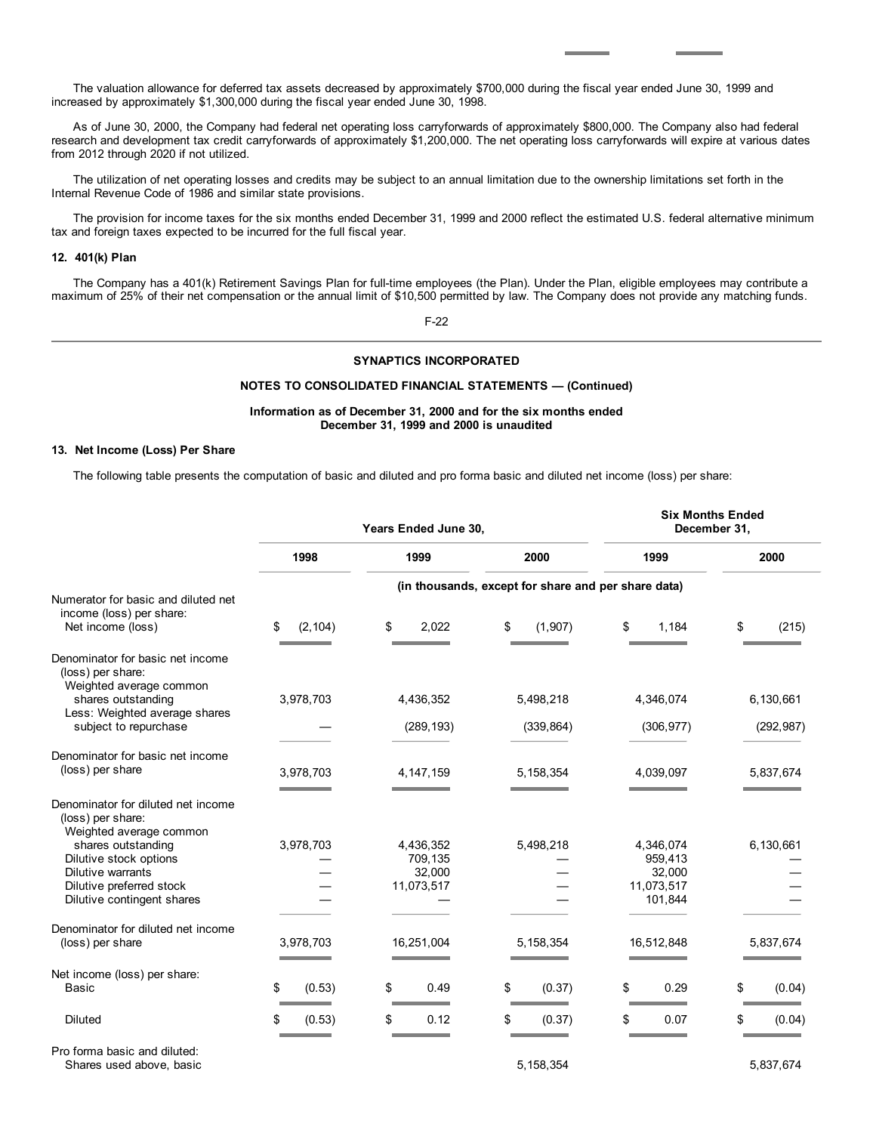The valuation allowance for deferred tax assets decreased by approximately \$700,000 during the fiscal year ended June 30, 1999 and increased by approximately \$1,300,000 during the fiscal year ended June 30, 1998.

As of June 30, 2000, the Company had federal net operating loss carryforwards of approximately \$800,000. The Company also had federal research and development tax credit carryforwards of approximately \$1,200,000. The net operating loss carryforwards will expire at various dates from 2012 through 2020 if not utilized.

The utilization of net operating losses and credits may be subject to an annual limitation due to the ownership limitations set forth in the Internal Revenue Code of 1986 and similar state provisions.

The provision for income taxes for the six months ended December 31, 1999 and 2000 reflect the estimated U.S. federal alternative minimum tax and foreign taxes expected to be incurred for the full fiscal year.

# **12. 401(k) Plan**

The Company has a 401(k) Retirement Savings Plan for full-time employees (the Plan). Under the Plan, eligible employees may contribute a maximum of 25% of their net compensation or the annual limit of \$10,500 permitted by law. The Company does not provide any matching funds.

F-22

# **SYNAPTICS INCORPORATED**

# **NOTES TO CONSOLIDATED FINANCIAL STATEMENTS — (Continued)**

# **Information as of December 31, 2000 and for the six months ended December 31, 1999 and 2000 is unaudited**

#### **13. Net Income (Loss) Per Share**

The following table presents the computation of basic and diluted and pro forma basic and diluted net income (loss) per share:

|                                                                                                                                                                                                                   | Years Ended June 30, |                                              | <b>Six Months Ended</b><br>December 31,             |                                                         |              |
|-------------------------------------------------------------------------------------------------------------------------------------------------------------------------------------------------------------------|----------------------|----------------------------------------------|-----------------------------------------------------|---------------------------------------------------------|--------------|
|                                                                                                                                                                                                                   | 1998                 | 1999                                         | 2000                                                | 1999                                                    | 2000         |
|                                                                                                                                                                                                                   |                      |                                              | (in thousands, except for share and per share data) |                                                         |              |
| Numerator for basic and diluted net<br>income (loss) per share:<br>Net income (loss)                                                                                                                              | \$<br>(2, 104)       | \$<br>2,022                                  | \$<br>(1,907)                                       | \$<br>1,184                                             | \$<br>(215)  |
| Denominator for basic net income<br>(loss) per share:<br>Weighted average common<br>shares outstanding                                                                                                            | 3,978,703            | 4,436,352                                    | 5,498,218                                           | 4,346,074                                               | 6,130,661    |
| Less: Weighted average shares<br>subject to repurchase                                                                                                                                                            |                      | (289, 193)                                   | (339, 864)                                          | (306, 977)                                              | (292, 987)   |
| Denominator for basic net income<br>(loss) per share                                                                                                                                                              | 3,978,703            | 4, 147, 159                                  | 5, 158, 354                                         | 4,039,097                                               | 5,837,674    |
| Denominator for diluted net income<br>(loss) per share:<br>Weighted average common<br>shares outstanding<br>Dilutive stock options<br>Dilutive warrants<br>Dilutive preferred stock<br>Dilutive contingent shares | 3,978,703            | 4,436,352<br>709,135<br>32,000<br>11,073,517 | 5,498,218                                           | 4,346,074<br>959,413<br>32,000<br>11,073,517<br>101,844 | 6,130,661    |
| Denominator for diluted net income<br>(loss) per share                                                                                                                                                            | 3,978,703            | 16,251,004                                   | 5, 158, 354                                         | 16,512,848                                              | 5,837,674    |
| Net income (loss) per share:<br><b>Basic</b>                                                                                                                                                                      | \$<br>(0.53)         | \$<br>0.49                                   | \$<br>(0.37)                                        | \$<br>0.29                                              | \$<br>(0.04) |
| <b>Diluted</b>                                                                                                                                                                                                    | \$<br>(0.53)         | \$<br>0.12                                   | \$<br>(0.37)                                        | \$<br>0.07                                              | \$<br>(0.04) |
| Pro forma basic and diluted:                                                                                                                                                                                      |                      |                                              |                                                     |                                                         |              |

Shares used above, basic 6,837,674 5,837,674 5,837,674 5,837,674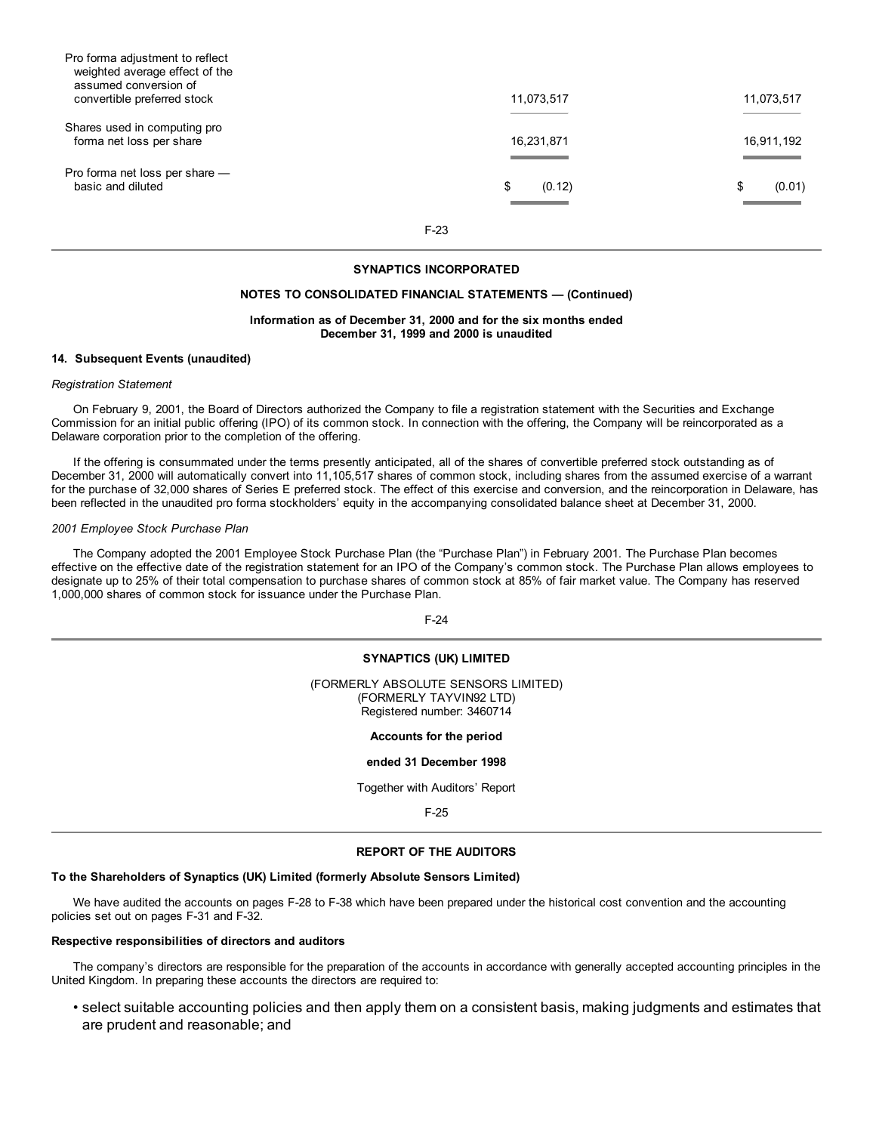| Pro forma adjustment to reflect<br>weighted average effect of the<br>assumed conversion of |              |              |
|--------------------------------------------------------------------------------------------|--------------|--------------|
| convertible preferred stock                                                                | 11,073,517   | 11,073,517   |
| Shares used in computing pro<br>forma net loss per share                                   | 16,231,871   | 16,911,192   |
| Pro forma net loss per share -<br>basic and diluted                                        | \$<br>(0.12) | \$<br>(0.01) |

F-23

# **SYNAPTICS INCORPORATED**

### **NOTES TO CONSOLIDATED FINANCIAL STATEMENTS — (Continued)**

### **Information as of December 31, 2000 and for the six months ended December 31, 1999 and 2000 is unaudited**

#### **14. Subsequent Events (unaudited)**

#### *Registration Statement*

On February 9, 2001, the Board of Directors authorized the Company to file a registration statement with the Securities and Exchange Commission for an initial public offering (IPO) of its common stock. In connection with the offering, the Company will be reincorporated as a Delaware corporation prior to the completion of the offering.

If the offering is consummated under the terms presently anticipated, all of the shares of convertible preferred stock outstanding as of December 31, 2000 will automatically convert into 11,105,517 shares of common stock, including shares from the assumed exercise of a warrant for the purchase of 32,000 shares of Series E preferred stock. The effect of this exercise and conversion, and the reincorporation in Delaware, has been reflected in the unaudited pro forma stockholders' equity in the accompanying consolidated balance sheet at December 31, 2000.

#### *2001 Employee Stock Purchase Plan*

The Company adopted the 2001 Employee Stock Purchase Plan (the "Purchase Plan") in February 2001. The Purchase Plan becomes effective on the effective date of the registration statement for an IPO of the Company's common stock. The Purchase Plan allows employees to designate up to 25% of their total compensation to purchase shares of common stock at 85% of fair market value. The Company has reserved 1,000,000 shares of common stock for issuance under the Purchase Plan.

F-24

# **SYNAPTICS (UK) LIMITED**

(FORMERLY ABSOLUTE SENSORS LIMITED) (FORMERLY TAYVIN92 LTD) Registered number: 3460714

**Accounts for the period**

#### **ended 31 December 1998**

Together with Auditors' Report

F-25

## **REPORT OF THE AUDITORS**

#### **To the Shareholders of Synaptics (UK) Limited (formerly Absolute Sensors Limited)**

We have audited the accounts on pages F-28 to F-38 which have been prepared under the historical cost convention and the accounting policies set out on pages F-31 and F-32.

#### **Respective responsibilities of directors and auditors**

The company's directors are responsible for the preparation of the accounts in accordance with generally accepted accounting principles in the United Kingdom. In preparing these accounts the directors are required to:

• select suitable accounting policies and then apply them on a consistent basis, making judgments and estimates that are prudent and reasonable; and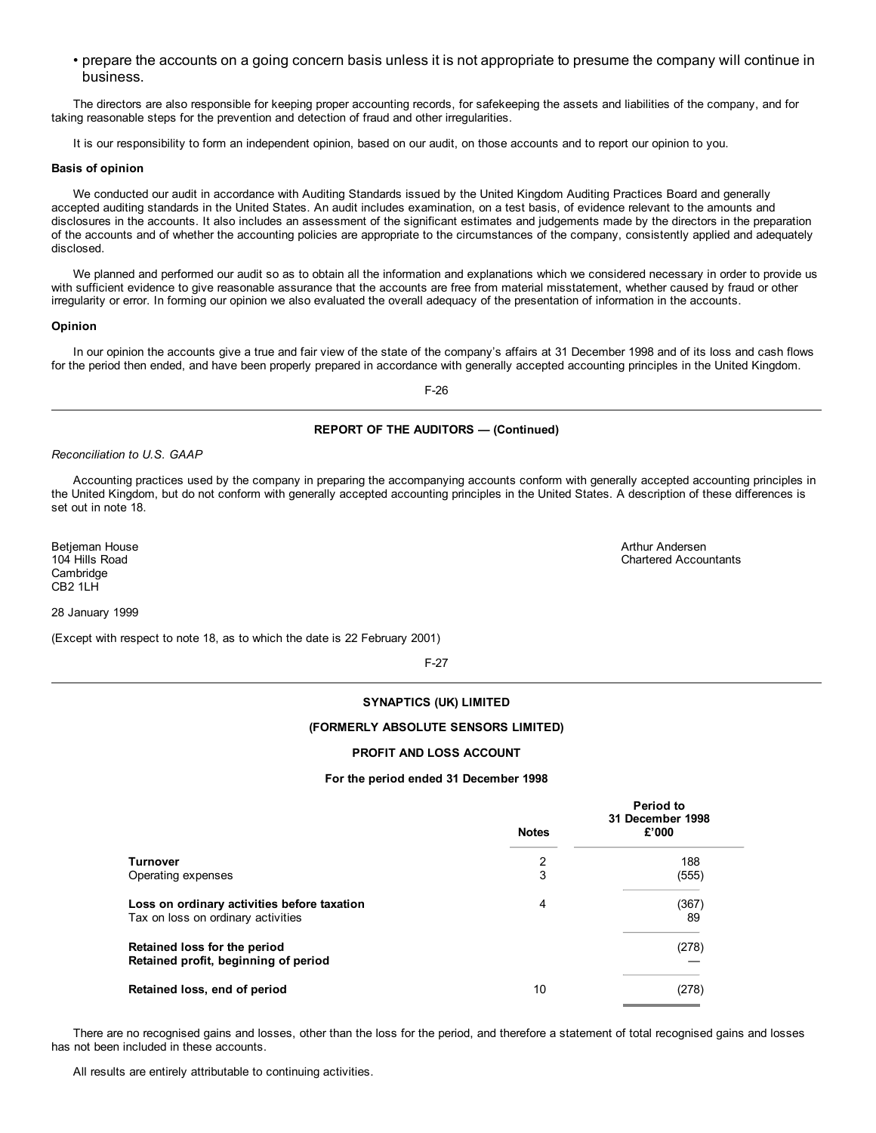• prepare the accounts on a going concern basis unless it is not appropriate to presume the company will continue in business.

The directors are also responsible for keeping proper accounting records, for safekeeping the assets and liabilities of the company, and for taking reasonable steps for the prevention and detection of fraud and other irregularities.

It is our responsibility to form an independent opinion, based on our audit, on those accounts and to report our opinion to you.

## **Basis of opinion**

We conducted our audit in accordance with Auditing Standards issued by the United Kingdom Auditing Practices Board and generally accepted auditing standards in the United States. An audit includes examination, on a test basis, of evidence relevant to the amounts and disclosures in the accounts. It also includes an assessment of the significant estimates and judgements made by the directors in the preparation of the accounts and of whether the accounting policies are appropriate to the circumstances of the company, consistently applied and adequately disclosed.

We planned and performed our audit so as to obtain all the information and explanations which we considered necessary in order to provide us with sufficient evidence to give reasonable assurance that the accounts are free from material misstatement, whether caused by fraud or other irregularity or error. In forming our opinion we also evaluated the overall adequacy of the presentation of information in the accounts.

# **Opinion**

In our opinion the accounts give a true and fair view of the state of the company's affairs at 31 December 1998 and of its loss and cash flows for the period then ended, and have been properly prepared in accordance with generally accepted accounting principles in the United Kingdom.

F-26

# **REPORT OF THE AUDITORS — (Continued)**

*Reconciliation to U.S. GAAP*

Accounting practices used by the company in preparing the accompanying accounts conform with generally accepted accounting principles in the United Kingdom, but do not conform with generally accepted accounting principles in the United States. A description of these differences is set out in note 18.

Betjeman House 104 Hills Road **Cambridge** CB2 1LH

28 January 1999

(Except with respect to note 18, as to which the date is 22 February 2001)

F-27

# **SYNAPTICS (UK) LIMITED**

#### **(FORMERLY ABSOLUTE SENSORS LIMITED)**

## **PROFIT AND LOSS ACCOUNT**

#### **For the period ended 31 December 1998**

|                                                                                   | <b>Notes</b> | <b>Period to</b><br>31 December 1998<br>£'000 |
|-----------------------------------------------------------------------------------|--------------|-----------------------------------------------|
| <b>Turnover</b>                                                                   | 2            | 188                                           |
| Operating expenses                                                                | 3            | (555)                                         |
| Loss on ordinary activities before taxation<br>Tax on loss on ordinary activities | 4            | (367)<br>89                                   |
| Retained loss for the period<br>Retained profit, beginning of period              |              | (278)                                         |
| Retained loss, end of period                                                      | 10           | (278)                                         |

There are no recognised gains and losses, other than the loss for the period, and therefore a statement of total recognised gains and losses has not been included in these accounts.

All results are entirely attributable to continuing activities.

Arthur Andersen Chartered Accountants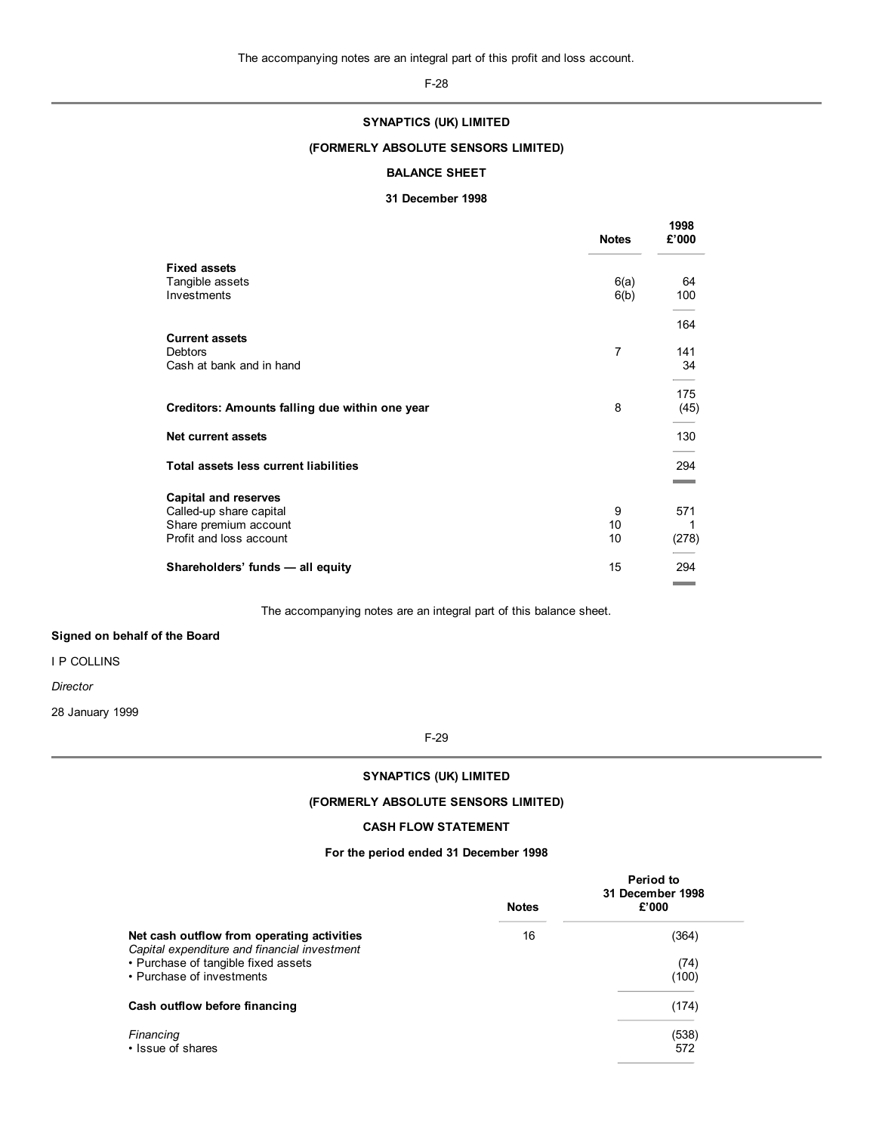F-28

# **SYNAPTICS (UK) LIMITED**

# **(FORMERLY ABSOLUTE SENSORS LIMITED)**

# **BALANCE SHEET**

# **31 December 1998**

|                                                        | <b>Notes</b> | 1998<br>£'000                   |
|--------------------------------------------------------|--------------|---------------------------------|
| <b>Fixed assets</b><br>Tangible assets                 | 6(a)         | 64                              |
| Investments                                            | 6(b)         | 100<br>164                      |
| <b>Current assets</b><br>Debtors                       | 7            | 141                             |
| Cash at bank and in hand                               |              | 34                              |
| Creditors: Amounts falling due within one year         | 8            | 175<br>(45)                     |
| Net current assets                                     |              | 130                             |
| Total assets less current liabilities                  |              | 294                             |
| <b>Capital and reserves</b><br>Called-up share capital | 9            | 571                             |
| Share premium account<br>Profit and loss account       | 10<br>10     | 1<br>(278)                      |
| Shareholders' funds - all equity                       | 15           | 294<br><b>Contract Contract</b> |

The accompanying notes are an integral part of this balance sheet.

# **Signed on behalf of the Board**

I P COLLINS

*Director*

28 January 1999

F-29

# **SYNAPTICS (UK) LIMITED**

# **(FORMERLY ABSOLUTE SENSORS LIMITED)**

# **CASH FLOW STATEMENT**

# **For the period ended 31 December 1998**

|                                                                                            | <b>Notes</b> | Period to<br>31 December 1998<br>£'000 |
|--------------------------------------------------------------------------------------------|--------------|----------------------------------------|
| Net cash outflow from operating activities<br>Capital expenditure and financial investment | 16           | (364)                                  |
| • Purchase of tangible fixed assets<br>• Purchase of investments                           |              | (74)<br>(100)                          |
| Cash outflow before financing                                                              |              | (174)                                  |
| Financing<br>. Issue of shares                                                             |              | (538)<br>572                           |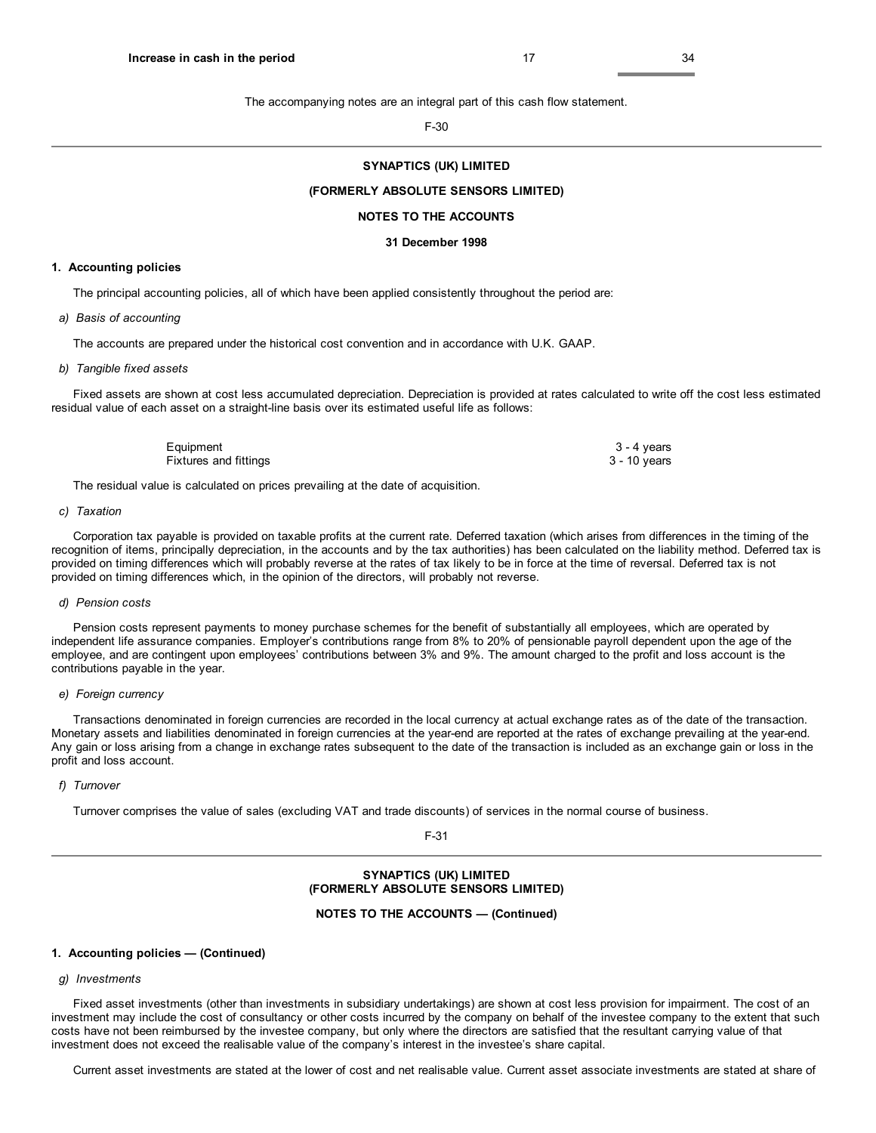The accompanying notes are an integral part of this cash flow statement.

F-30

# **SYNAPTICS (UK) LIMITED**

#### **(FORMERLY ABSOLUTE SENSORS LIMITED)**

#### **NOTES TO THE ACCOUNTS**

#### **31 December 1998**

#### **1. Accounting policies**

The principal accounting policies, all of which have been applied consistently throughout the period are:

#### *a) Basis of accounting*

The accounts are prepared under the historical cost convention and in accordance with U.K. GAAP.

#### *b) Tangible fixed assets*

Fixed assets are shown at cost less accumulated depreciation. Depreciation is provided at rates calculated to write off the cost less estimated residual value of each asset on a straight-line basis over its estimated useful life as follows:

| Equipment             | 3 - 4 years  |
|-----------------------|--------------|
| Fixtures and fittings | 3 - 10 years |

The residual value is calculated on prices prevailing at the date of acquisition.

# *c) Taxation*

Corporation tax payable is provided on taxable profits at the current rate. Deferred taxation (which arises from differences in the timing of the recognition of items, principally depreciation, in the accounts and by the tax authorities) has been calculated on the liability method. Deferred tax is provided on timing differences which will probably reverse at the rates of tax likely to be in force at the time of reversal. Deferred tax is not provided on timing differences which, in the opinion of the directors, will probably not reverse.

#### *d) Pension costs*

Pension costs represent payments to money purchase schemes for the benefit of substantially all employees, which are operated by independent life assurance companies. Employer's contributions range from 8% to 20% of pensionable payroll dependent upon the age of the employee, and are contingent upon employees' contributions between 3% and 9%. The amount charged to the profit and loss account is the contributions payable in the year.

#### *e) Foreign currency*

Transactions denominated in foreign currencies are recorded in the local currency at actual exchange rates as of the date of the transaction. Monetary assets and liabilities denominated in foreign currencies at the year-end are reported at the rates of exchange prevailing at the year-end. Any gain or loss arising from a change in exchange rates subsequent to the date of the transaction is included as an exchange gain or loss in the profit and loss account.

#### *f) Turnover*

Turnover comprises the value of sales (excluding VAT and trade discounts) of services in the normal course of business.

F-31

## **SYNAPTICS (UK) LIMITED (FORMERLY ABSOLUTE SENSORS LIMITED)**

#### **NOTES TO THE ACCOUNTS — (Continued)**

#### **1. Accounting policies — (Continued)**

# *g) Investments*

Fixed asset investments (other than investments in subsidiary undertakings) are shown at cost less provision for impairment. The cost of an investment may include the cost of consultancy or other costs incurred by the company on behalf of the investee company to the extent that such costs have not been reimbursed by the investee company, but only where the directors are satisfied that the resultant carrying value of that investment does not exceed the realisable value of the company's interest in the investee's share capital.

Current asset investments are stated at the lower of cost and net realisable value. Current asset associate investments are stated at share of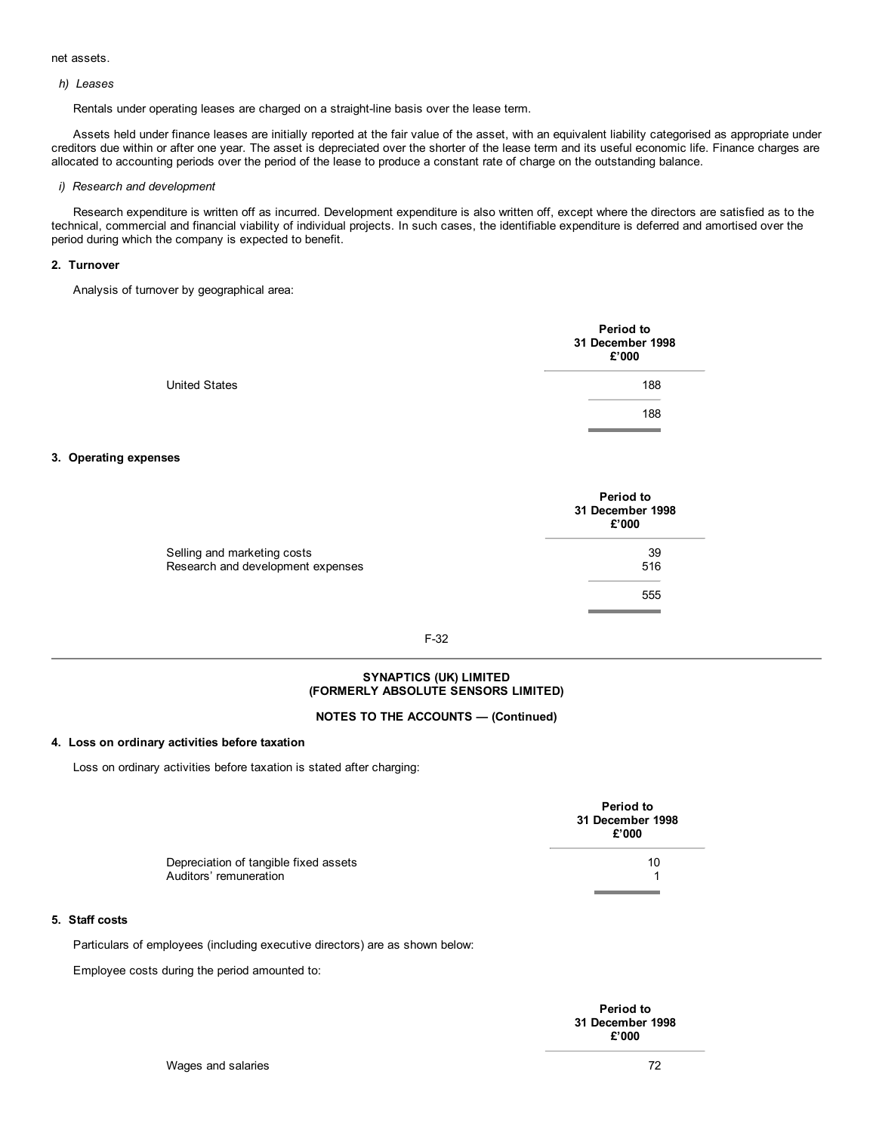# net assets.

### *h) Leases*

Rentals under operating leases are charged on a straight-line basis over the lease term.

Assets held under finance leases are initially reported at the fair value of the asset, with an equivalent liability categorised as appropriate under creditors due within or after one year. The asset is depreciated over the shorter of the lease term and its useful economic life. Finance charges are allocated to accounting periods over the period of the lease to produce a constant rate of charge on the outstanding balance.

# *i) Research and development*

Research expenditure is written off as incurred. Development expenditure is also written off, except where the directors are satisfied as to the technical, commercial and financial viability of individual projects. In such cases, the identifiable expenditure is deferred and amortised over the period during which the company is expected to benefit.

#### **2. Turnover**

Analysis of turnover by geographical area:

|                      | <b>Period to</b><br>31 December 1998<br>£'000 |
|----------------------|-----------------------------------------------|
| <b>United States</b> | 188                                           |
|                      | 188                                           |

# **3. Operating expenses**

|                                   | Period to<br>31 December 1998<br>£'000 |
|-----------------------------------|----------------------------------------|
| Selling and marketing costs       | 39                                     |
| Research and development expenses | 516                                    |
|                                   | 555                                    |

# F-32

# **SYNAPTICS (UK) LIMITED (FORMERLY ABSOLUTE SENSORS LIMITED)**

# **NOTES TO THE ACCOUNTS — (Continued)**

#### **4. Loss on ordinary activities before taxation**

Loss on ordinary activities before taxation is stated after charging:

|                                                                 | Period to<br>31 December 1998<br>£'000 |
|-----------------------------------------------------------------|----------------------------------------|
| Depreciation of tangible fixed assets<br>Auditors' remuneration | 10                                     |
|                                                                 |                                        |

# **5. Staff costs**

Particulars of employees (including executive directors) are as shown below:

Employee costs during the period amounted to:

| Period to        |
|------------------|
| 31 December 1998 |
| £'000            |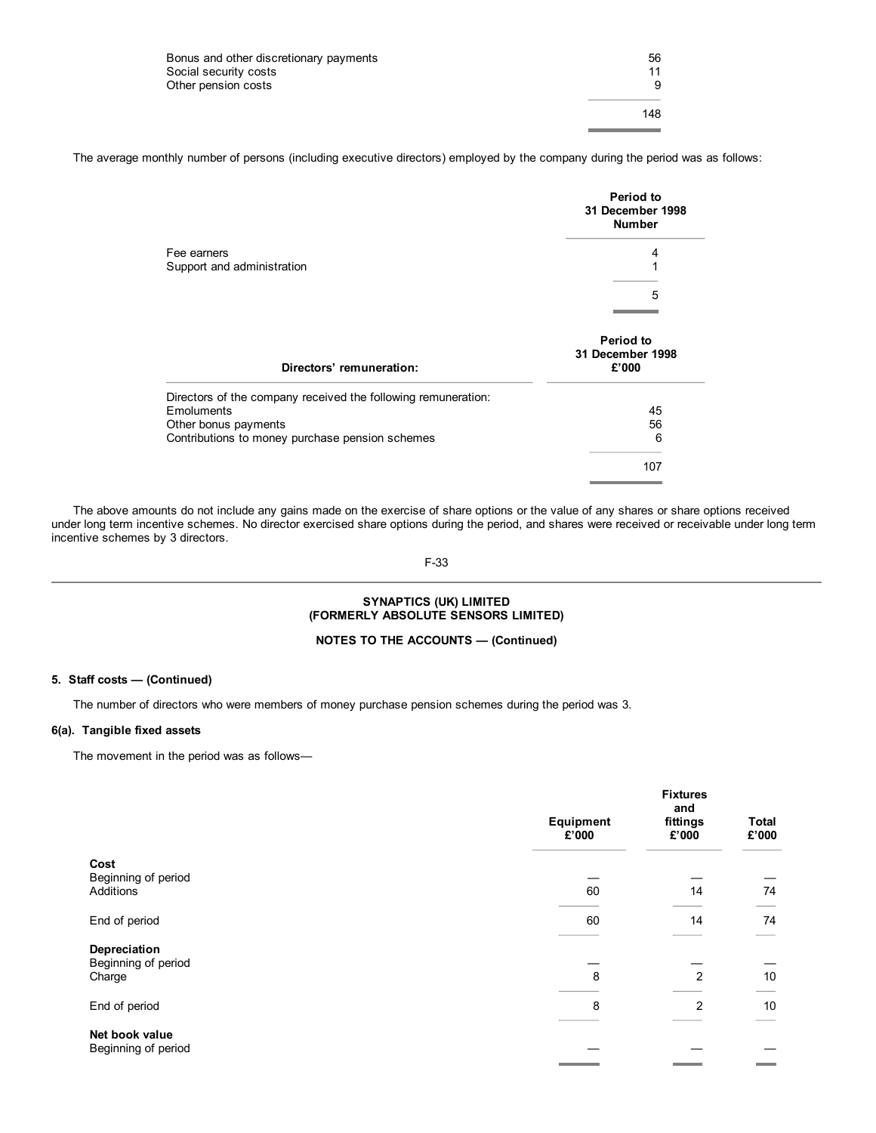| Bonus and other discretionary payments<br>Social security costs | 56<br>11 |
|-----------------------------------------------------------------|----------|
| Other pension costs                                             |          |
|                                                                 | 148      |
|                                                                 |          |

The average monthly number of persons (including executive directors) employed by the company during the period was as follows:

|                                                               | <b>Period to</b><br>31 December 1998<br><b>Number</b> |
|---------------------------------------------------------------|-------------------------------------------------------|
| Fee earners                                                   | 4                                                     |
| Support and administration                                    | 1                                                     |
|                                                               | 5                                                     |
|                                                               |                                                       |
| Directors' remuneration:                                      | Period to<br>31 December 1998<br>£'000                |
| Directors of the company received the following remuneration: |                                                       |
| Emoluments                                                    | 45                                                    |
| Other bonus payments                                          | 56                                                    |
| Contributions to money purchase pension schemes               | 6                                                     |
|                                                               | 107                                                   |
|                                                               |                                                       |

The above amounts do not include any gains made on the exercise of share options or the value of any shares or share options received under long term incentive schemes. No director exercised share options during the period, and shares were received or receivable under long term incentive schemes by 3 directors.

#### F-33

#### **SYNAPTICS (UK) LIMITED (FORMERLY ABSOLUTE SENSORS LIMITED)**

### **NOTES TO THE ACCOUNTS — (Continued)**

### **5. Staff costs — (Continued)**

The number of directors who were members of money purchase pension schemes during the period was 3.

### **6(a). Tangible fixed assets**

The movement in the period was as follows—

|                                          | <b>Fixtures</b><br>and |                   |                 |
|------------------------------------------|------------------------|-------------------|-----------------|
|                                          | Equipment<br>£'000     | fittings<br>£'000 | Total<br>£'000  |
| Cost<br>Beginning of period<br>Additions | 60                     | 14                | 74              |
|                                          |                        |                   |                 |
| End of period                            | 60                     | 14                | 74              |
| Depreciation<br>Beginning of period      |                        |                   |                 |
| Charge                                   | 8                      | 2                 | 10 <sup>°</sup> |
| End of period                            | 8                      | 2                 | 10              |
| Net book value<br>Beginning of period    |                        |                   |                 |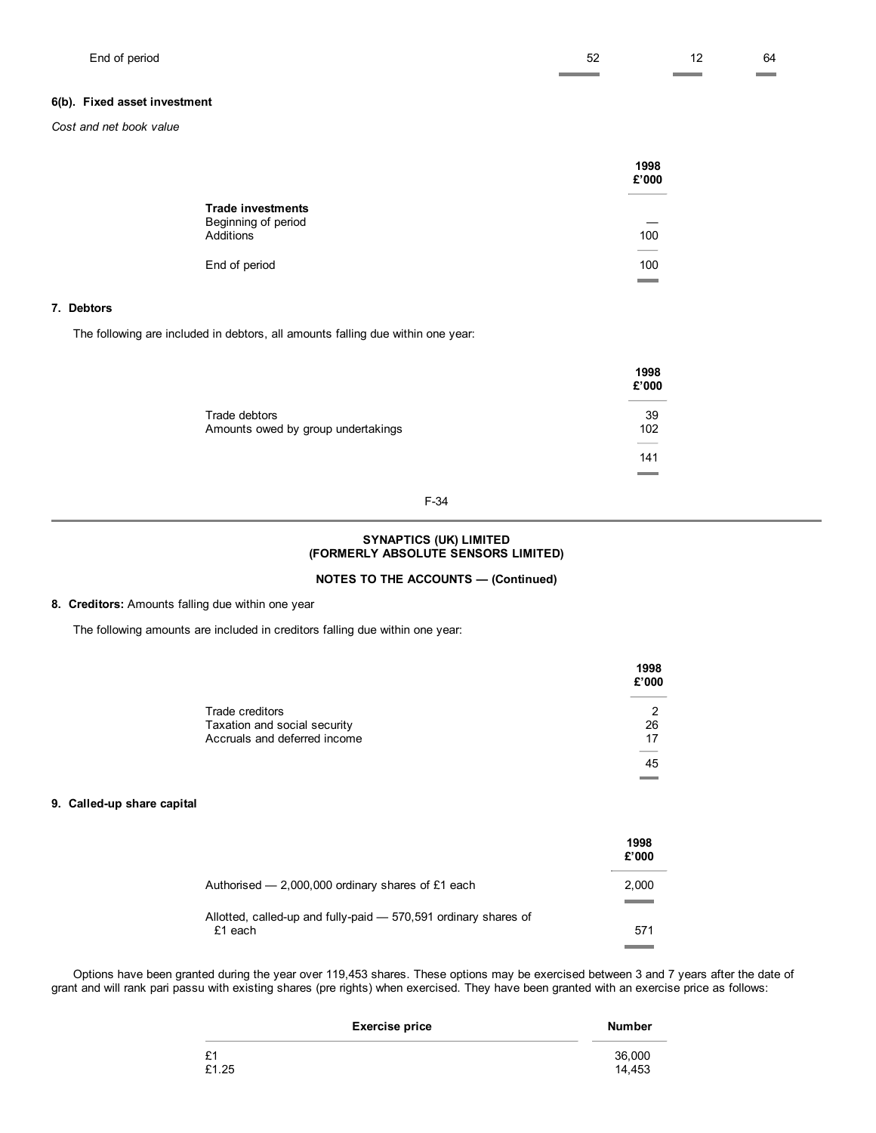### **6(b). Fixed asset investment**

*Cost and net book value*

|                                                              | 1998<br>£'000 |
|--------------------------------------------------------------|---------------|
| <b>Trade investments</b><br>Beginning of period<br>Additions | 100           |
| End of period                                                | ___<br>100    |
|                                                              |               |

### **7. Debtors**

The following are included in debtors, all amounts falling due within one year:

|                                                     | 1998<br>£'000 |
|-----------------------------------------------------|---------------|
| Trade debtors<br>Amounts owed by group undertakings | 39<br>102     |
|                                                     |               |
|                                                     | 141           |
|                                                     |               |

#### F-34

#### **SYNAPTICS (UK) LIMITED (FORMERLY ABSOLUTE SENSORS LIMITED)**

### **NOTES TO THE ACCOUNTS — (Continued)**

#### **8. Creditors:** Amounts falling due within one year

 $\overline{a}$ 

The following amounts are included in creditors falling due within one year:

|                                                                                 | 1998<br>£'000 |
|---------------------------------------------------------------------------------|---------------|
| Trade creditors<br>Taxation and social security<br>Accruals and deferred income | 2<br>26<br>17 |
|                                                                                 | 45            |

#### **9. Called-up share capital**

|                                                                            | 1998<br>£'000 |
|----------------------------------------------------------------------------|---------------|
| Authorised $-2,000,000$ ordinary shares of £1 each                         | 2.000         |
| Allotted, called-up and fully-paid – 570,591 ordinary shares of<br>£1 each | 571           |

Options have been granted during the year over 119,453 shares. These options may be exercised between 3 and 7 years after the date of grant and will rank pari passu with existing shares (pre rights) when exercised. They have been granted with an exercise price as follows:

| <b>Exercise price</b> | <b>Number</b> |
|-----------------------|---------------|
| £1                    | 36,000        |
| £1.25                 | 14.453        |
|                       |               |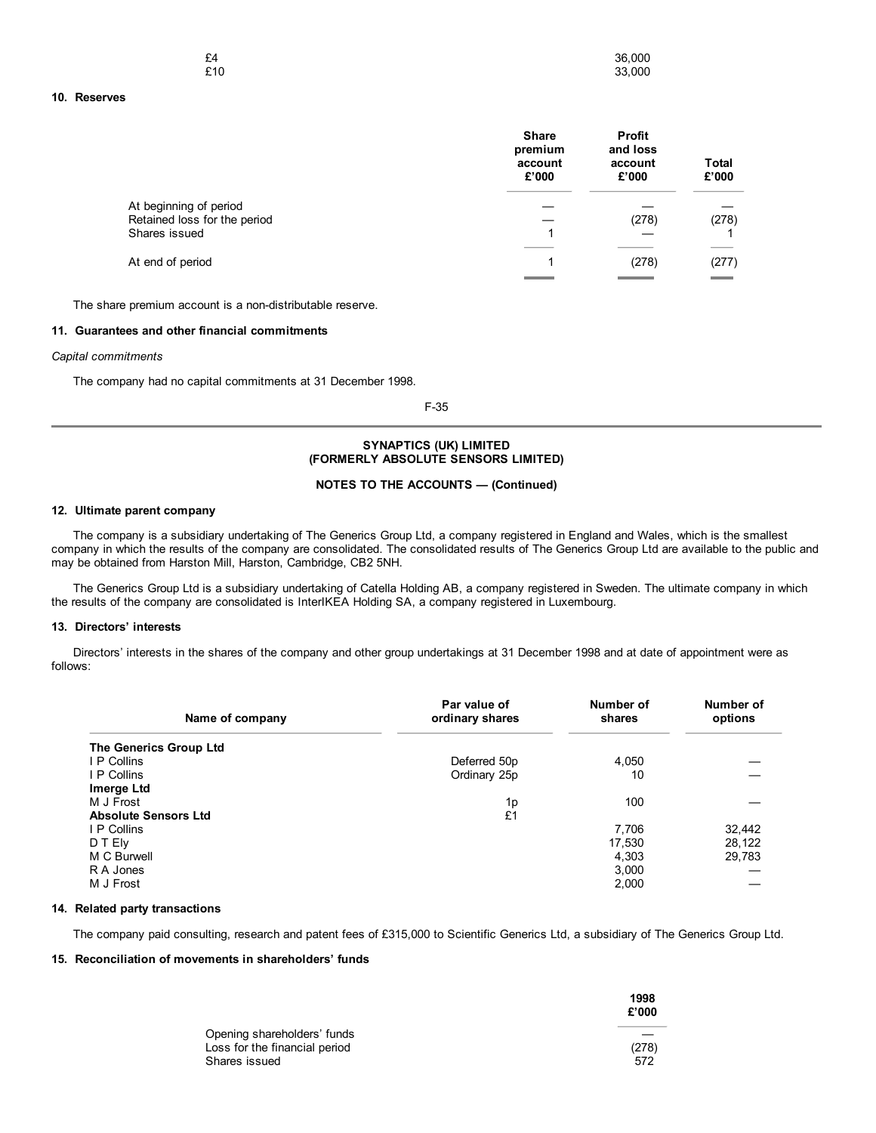| £4  | 36,000 |
|-----|--------|
| £10 | 33,000 |

#### **10. Reserves**

|                                                        | <b>Share</b><br>premium<br>account<br>£'000 | Profit<br>and loss<br>account<br>£'000 | <b>Total</b><br>£'000 |
|--------------------------------------------------------|---------------------------------------------|----------------------------------------|-----------------------|
| At beginning of period<br>Retained loss for the period |                                             | (278)                                  | (278)                 |
| Shares issued                                          |                                             |                                        |                       |
| At end of period                                       |                                             | (278)                                  | (277)                 |

The share premium account is a non-distributable reserve.

### **11. Guarantees and other financial commitments**

*Capital commitments*

The company had no capital commitments at 31 December 1998.

F-35

#### **SYNAPTICS (UK) LIMITED (FORMERLY ABSOLUTE SENSORS LIMITED)**

#### **NOTES TO THE ACCOUNTS — (Continued)**

### **12. Ultimate parent company**

The company is a subsidiary undertaking of The Generics Group Ltd, a company registered in England and Wales, which is the smallest company in which the results of the company are consolidated. The consolidated results of The Generics Group Ltd are available to the public and may be obtained from Harston Mill, Harston, Cambridge, CB2 5NH.

The Generics Group Ltd is a subsidiary undertaking of Catella Holding AB, a company registered in Sweden. The ultimate company in which the results of the company are consolidated is InterIKEA Holding SA, a company registered in Luxembourg.

#### **13. Directors' interests**

Directors' interests in the shares of the company and other group undertakings at 31 December 1998 and at date of appointment were as follows:

| Name of company             | Par value of<br>ordinary shares | Number of<br>shares | Number of<br>options |
|-----------------------------|---------------------------------|---------------------|----------------------|
| The Generics Group Ltd      |                                 |                     |                      |
| I P Collins                 | Deferred 50p                    | 4.050               |                      |
| I P Collins                 | Ordinary 25p                    | 10                  |                      |
| Imerge Ltd                  |                                 |                     |                      |
| M J Frost                   | 1p                              | 100                 |                      |
| <b>Absolute Sensors Ltd</b> | £1                              |                     |                      |
| I P Collins                 |                                 | 7,706               | 32,442               |
| D T Ely                     |                                 | 17,530              | 28,122               |
| M C Burwell                 |                                 | 4.303               | 29,783               |
| R A Jones                   |                                 | 3.000               |                      |
| M J Frost                   |                                 | 2,000               |                      |

### **14. Related party transactions**

The company paid consulting, research and patent fees of £315,000 to Scientific Generics Ltd, a subsidiary of The Generics Group Ltd.

#### **15. Reconciliation of movements in shareholders' funds**

|                               | 1998<br>£'000 |
|-------------------------------|---------------|
| Opening shareholders' funds   |               |
| Loss for the financial period | (278)         |
| Shares issued                 | 572           |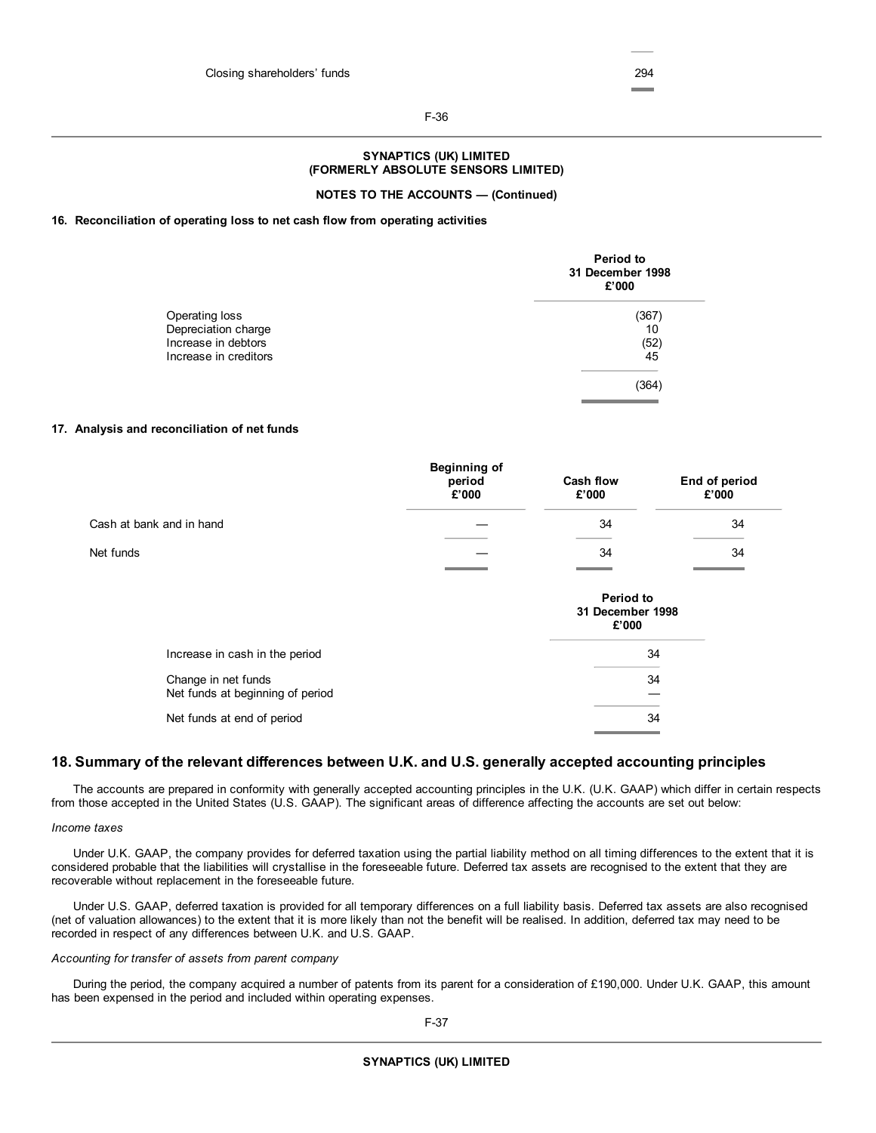#### F-36

### **SYNAPTICS (UK) LIMITED (FORMERLY ABSOLUTE SENSORS LIMITED)**

#### **NOTES TO THE ACCOUNTS — (Continued)**

#### **16. Reconciliation of operating loss to net cash flow from operating activities**

|                       | Period to<br>31 December 1998<br>£'000 |
|-----------------------|----------------------------------------|
| Operating loss        | (367                                   |
| Depreciation charge   | 10                                     |
| Increase in debtors   | (52)                                   |
| Increase in creditors | 45                                     |
|                       | (364                                   |

#### **17. Analysis and reconciliation of net funds**

|                          | <b>Beginning of</b><br>period<br>£'000 | <b>Cash flow</b><br>£'000 | End of period<br>£'000 |
|--------------------------|----------------------------------------|---------------------------|------------------------|
| Cash at bank and in hand |                                        | 34                        | 34                     |
| Net funds                |                                        | 34                        | 34                     |
|                          |                                        | <b>CONTRACTOR</b>         |                        |

|                                                         | Period to<br>31 December 1998<br>£'000 |
|---------------------------------------------------------|----------------------------------------|
| Increase in cash in the period                          | 34                                     |
| Change in net funds<br>Net funds at beginning of period | 34                                     |
| Net funds at end of period                              | 34                                     |

### **18. Summary of the relevant differences between U.K. and U.S. generally accepted accounting principles**

The accounts are prepared in conformity with generally accepted accounting principles in the U.K. (U.K. GAAP) which differ in certain respects from those accepted in the United States (U.S. GAAP). The significant areas of difference affecting the accounts are set out below:

#### *Income taxes*

Under U.K. GAAP, the company provides for deferred taxation using the partial liability method on all timing differences to the extent that it is considered probable that the liabilities will crystallise in the foreseeable future. Deferred tax assets are recognised to the extent that they are recoverable without replacement in the foreseeable future.

Under U.S. GAAP, deferred taxation is provided for all temporary differences on a full liability basis. Deferred tax assets are also recognised (net of valuation allowances) to the extent that it is more likely than not the benefit will be realised. In addition, deferred tax may need to be recorded in respect of any differences between U.K. and U.S. GAAP.

#### *Accounting for transfer of assets from parent company*

During the period, the company acquired a number of patents from its parent for a consideration of £190,000. Under U.K. GAAP, this amount has been expensed in the period and included within operating expenses.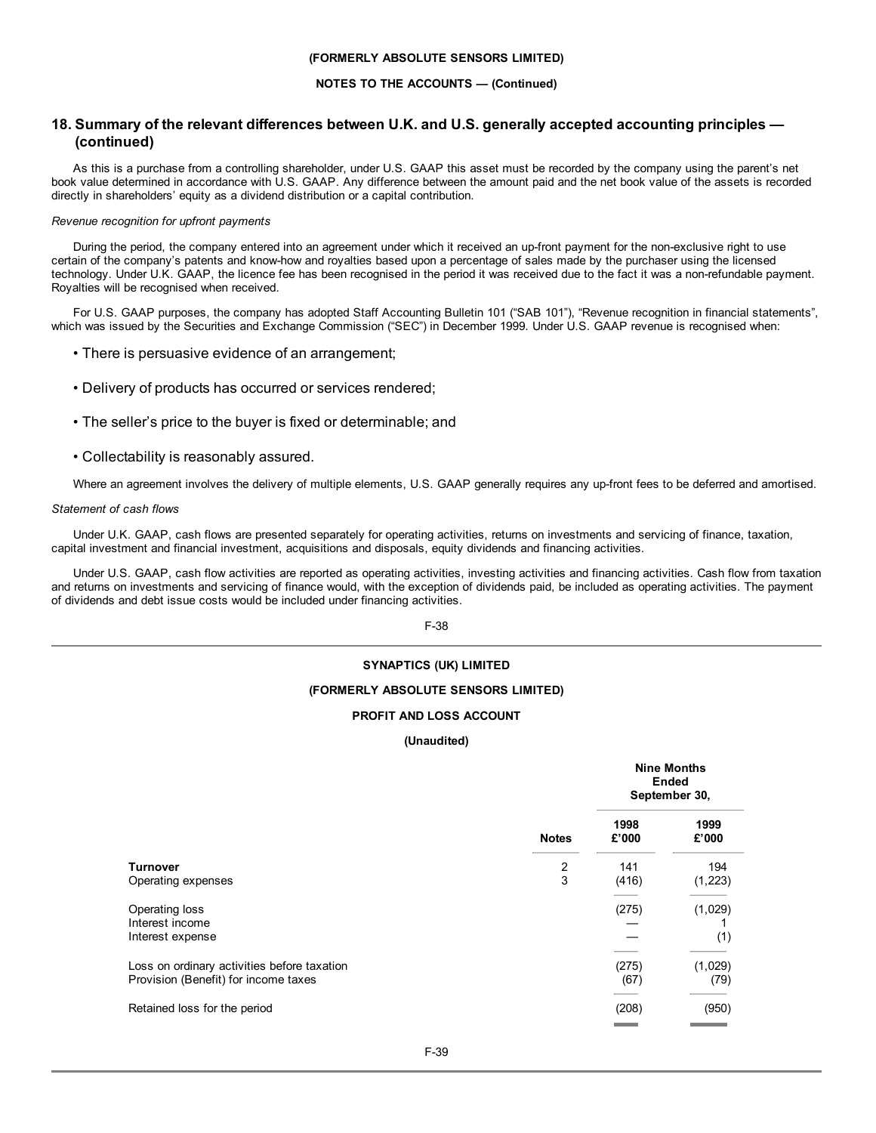#### **(FORMERLY ABSOLUTE SENSORS LIMITED)**

#### **NOTES TO THE ACCOUNTS — (Continued)**

### **18. Summary of the relevant differences between U.K. and U.S. generally accepted accounting principles — (continued)**

As this is a purchase from a controlling shareholder, under U.S. GAAP this asset must be recorded by the company using the parent's net book value determined in accordance with U.S. GAAP. Any difference between the amount paid and the net book value of the assets is recorded directly in shareholders' equity as a dividend distribution or a capital contribution.

#### *Revenue recognition for upfront payments*

During the period, the company entered into an agreement under which it received an up-front payment for the non-exclusive right to use certain of the company's patents and know-how and royalties based upon a percentage of sales made by the purchaser using the licensed technology. Under U.K. GAAP, the licence fee has been recognised in the period it was received due to the fact it was a non-refundable payment. Royalties will be recognised when received.

For U.S. GAAP purposes, the company has adopted Staff Accounting Bulletin 101 ("SAB 101"), "Revenue recognition in financial statements", which was issued by the Securities and Exchange Commission ("SEC") in December 1999. Under U.S. GAAP revenue is recognised when:

- There is persuasive evidence of an arrangement;
- Delivery of products has occurred or services rendered;
- The seller's price to the buyer is fixed or determinable; and
- Collectability is reasonably assured.

Where an agreement involves the delivery of multiple elements, U.S. GAAP generally requires any up-front fees to be deferred and amortised.

#### *Statement of cash flows*

Under U.K. GAAP, cash flows are presented separately for operating activities, returns on investments and servicing of finance, taxation, capital investment and financial investment, acquisitions and disposals, equity dividends and financing activities.

Under U.S. GAAP, cash flow activities are reported as operating activities, investing activities and financing activities. Cash flow from taxation and returns on investments and servicing of finance would, with the exception of dividends paid, be included as operating activities. The payment of dividends and debt issue costs would be included under financing activities.

F-38

#### **SYNAPTICS (UK) LIMITED**

#### **(FORMERLY ABSOLUTE SENSORS LIMITED)**

#### **PROFIT AND LOSS ACCOUNT**

**(Unaudited)**

|                                                                                     |                     | <b>Nine Months</b><br><b>Ended</b><br>September 30, |                 |  |
|-------------------------------------------------------------------------------------|---------------------|-----------------------------------------------------|-----------------|--|
|                                                                                     | <b>Notes</b>        | 1998<br>£'000                                       | 1999<br>£'000   |  |
| <b>Turnover</b><br>Operating expenses                                               | $\overline{2}$<br>3 | 141<br>(416)                                        | 194<br>(1,223)  |  |
| Operating loss<br>Interest income<br>Interest expense                               |                     | (275)                                               | (1,029)<br>(1)  |  |
| Loss on ordinary activities before taxation<br>Provision (Benefit) for income taxes |                     | (275)<br>(67)                                       | (1,029)<br>(79) |  |
| Retained loss for the period                                                        |                     | (208)                                               | (950)           |  |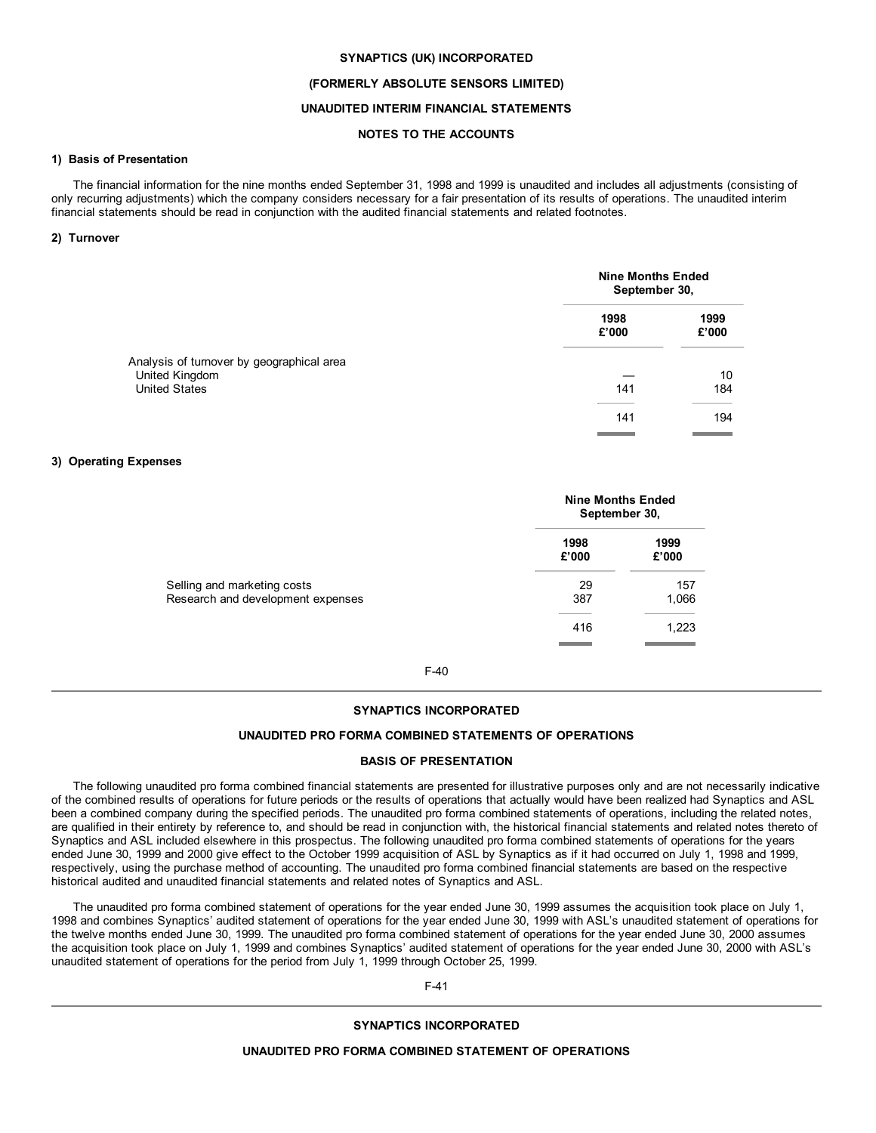#### **SYNAPTICS (UK) INCORPORATED**

#### **(FORMERLY ABSOLUTE SENSORS LIMITED)**

#### **UNAUDITED INTERIM FINANCIAL STATEMENTS**

### **NOTES TO THE ACCOUNTS**

#### **1) Basis of Presentation**

The financial information for the nine months ended September 31, 1998 and 1999 is unaudited and includes all adjustments (consisting of only recurring adjustments) which the company considers necessary for a fair presentation of its results of operations. The unaudited interim financial statements should be read in conjunction with the audited financial statements and related footnotes.

#### **2) Turnover**

|                                                             | <b>Nine Months Ended</b><br>September 30, |               |  |
|-------------------------------------------------------------|-------------------------------------------|---------------|--|
|                                                             | 1998<br>£'000                             | 1999<br>£'000 |  |
| Analysis of turnover by geographical area<br>United Kingdom |                                           | 10            |  |
| <b>United States</b>                                        | 141                                       | 184           |  |
|                                                             | 141                                       | 194           |  |

#### **3) Operating Expenses**

|                                                                  | <b>Nine Months Ended</b><br>September 30, |               |  |
|------------------------------------------------------------------|-------------------------------------------|---------------|--|
|                                                                  | 1998<br>£'000                             | 1999<br>£'000 |  |
| Selling and marketing costs<br>Research and development expenses | 29<br>387                                 | 157<br>1,066  |  |
|                                                                  | 416                                       | 1,223         |  |
|                                                                  |                                           |               |  |

#### F-40

#### **SYNAPTICS INCORPORATED**

#### **UNAUDITED PRO FORMA COMBINED STATEMENTS OF OPERATIONS**

#### **BASIS OF PRESENTATION**

The following unaudited pro forma combined financial statements are presented for illustrative purposes only and are not necessarily indicative of the combined results of operations for future periods or the results of operations that actually would have been realized had Synaptics and ASL been a combined company during the specified periods. The unaudited pro forma combined statements of operations, including the related notes, are qualified in their entirety by reference to, and should be read in conjunction with, the historical financial statements and related notes thereto of Synaptics and ASL included elsewhere in this prospectus. The following unaudited pro forma combined statements of operations for the years ended June 30, 1999 and 2000 give effect to the October 1999 acquisition of ASL by Synaptics as if it had occurred on July 1, 1998 and 1999, respectively, using the purchase method of accounting. The unaudited pro forma combined financial statements are based on the respective historical audited and unaudited financial statements and related notes of Synaptics and ASL.

The unaudited pro forma combined statement of operations for the year ended June 30, 1999 assumes the acquisition took place on July 1, 1998 and combines Synaptics' audited statement of operations for the year ended June 30, 1999 with ASL's unaudited statement of operations for the twelve months ended June 30, 1999. The unaudited pro forma combined statement of operations for the year ended June 30, 2000 assumes the acquisition took place on July 1, 1999 and combines Synaptics' audited statement of operations for the year ended June 30, 2000 with ASL's unaudited statement of operations for the period from July 1, 1999 through October 25, 1999.

F-41

#### **SYNAPTICS INCORPORATED**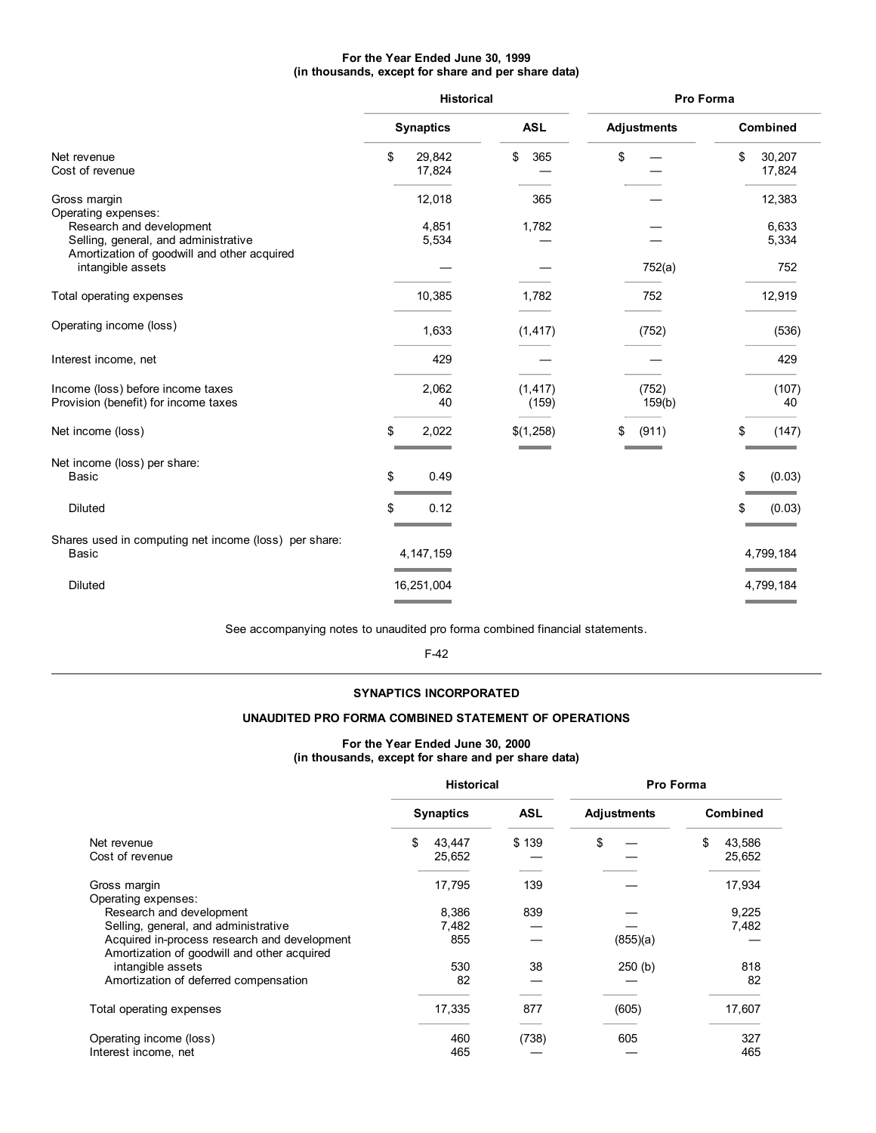### **For the Year Ended June 30, 1999 (in thousands, except for share and per share data)**

|                                                                                                                 |                                                                     | <b>Historical</b> |    |                    | Pro Forma |                                       |
|-----------------------------------------------------------------------------------------------------------------|---------------------------------------------------------------------|-------------------|----|--------------------|-----------|---------------------------------------|
|                                                                                                                 | <b>Synaptics</b>                                                    | <b>ASL</b>        |    | <b>Adjustments</b> |           | <b>Combined</b>                       |
| Net revenue<br>Cost of revenue                                                                                  | \$<br>29,842<br>17,824                                              | \$<br>365         | \$ |                    | \$        | 30,207<br>17,824                      |
| Gross margin<br>Operating expenses:                                                                             | 12,018                                                              | 365               |    |                    |           | 12,383                                |
| Research and development<br>Selling, general, and administrative<br>Amortization of goodwill and other acquired | 4,851<br>5,534                                                      | 1,782             |    |                    |           | 6,633<br>5,334                        |
| intangible assets                                                                                               |                                                                     |                   |    | 752(a)             |           | 752                                   |
| Total operating expenses                                                                                        | 10,385                                                              | 1,782             |    | 752                |           | 12,919                                |
| Operating income (loss)                                                                                         | 1,633                                                               | (1, 417)          |    | (752)              |           | (536)                                 |
| Interest income, net                                                                                            | 429                                                                 |                   |    |                    |           | 429                                   |
| Income (loss) before income taxes<br>Provision (benefit) for income taxes                                       | 2,062<br>40                                                         | (1, 417)<br>(159) |    | (752)<br>159(b)    |           | (107)<br>40                           |
| Net income (loss)                                                                                               | \$<br>2,022                                                         | \$(1,258)         | \$ | (911)              | \$        | (147)                                 |
| Net income (loss) per share:<br>Basic                                                                           | \$<br>0.49                                                          |                   |    |                    | \$        | (0.03)                                |
| Diluted                                                                                                         | \$<br>0.12                                                          |                   |    |                    |           | (0.03)                                |
| Shares used in computing net income (loss) per share:<br>Basic                                                  | 4, 147, 159<br><b>Service Control of the Control of the Control</b> |                   |    |                    |           | 4,799,184<br><b>Contract Contract</b> |
| <b>Diluted</b>                                                                                                  | 16,251,004                                                          |                   |    |                    |           | 4,799,184                             |

See accompanying notes to unaudited pro forma combined financial statements.

F-42

### **SYNAPTICS INCORPORATED**

### **UNAUDITED PRO FORMA COMBINED STATEMENT OF OPERATIONS**

### **For the Year Ended June 30, 2000 (in thousands, except for share and per share data)**

|                                                                                             | <b>Historical</b>      |       | <b>Pro Forma</b> |                        |
|---------------------------------------------------------------------------------------------|------------------------|-------|------------------|------------------------|
|                                                                                             | <b>Synaptics</b>       | ASL   | Adjustments      | <b>Combined</b>        |
| Net revenue<br>Cost of revenue                                                              | \$<br>43,447<br>25,652 | \$139 | \$               | \$<br>43,586<br>25,652 |
| Gross margin<br>Operating expenses:                                                         | 17,795                 | 139   |                  | 17,934                 |
| Research and development                                                                    | 8,386                  | 839   |                  | 9,225                  |
| Selling, general, and administrative                                                        | 7,482                  |       |                  | 7,482                  |
| Acquired in-process research and development<br>Amortization of goodwill and other acquired | 855                    |       | (855)(a)         |                        |
| intangible assets                                                                           | 530                    | 38    | 250(b)           | 818                    |
| Amortization of deferred compensation                                                       | 82                     |       |                  | 82                     |
| Total operating expenses                                                                    | 17,335                 | 877   | (605)            | 17,607                 |
| Operating income (loss)                                                                     | 460                    | (738) | 605              | 327                    |
| Interest income, net                                                                        | 465                    |       |                  | 465                    |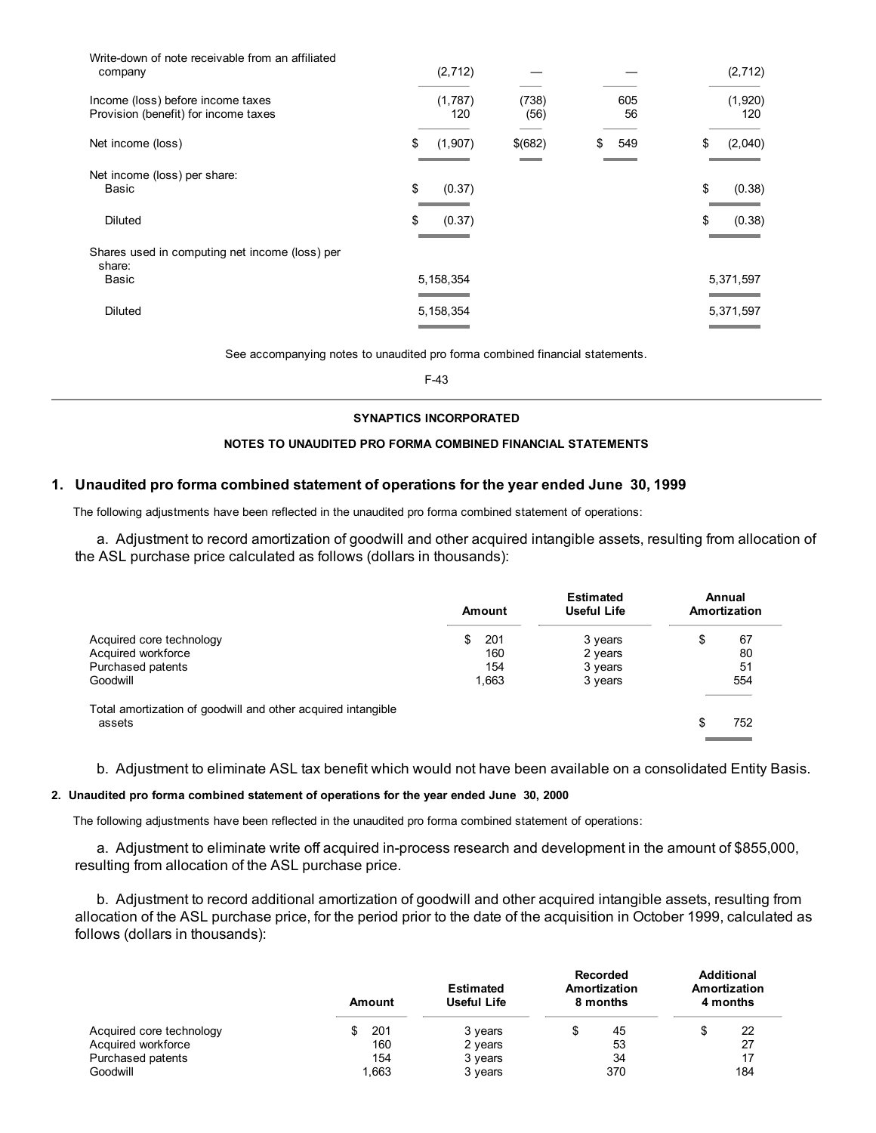| Write-down of note receivable from an affiliated<br>company               | (2, 712)       |               |           | (2, 712)       |
|---------------------------------------------------------------------------|----------------|---------------|-----------|----------------|
| Income (loss) before income taxes<br>Provision (benefit) for income taxes | (1,787)<br>120 | (738)<br>(56) | 605<br>56 | (1,920)<br>120 |
| Net income (loss)                                                         | \$<br>(1, 907) | \$(682)       | \$<br>549 | \$<br>(2,040)  |
| Net income (loss) per share:<br>Basic                                     | \$<br>(0.37)   |               |           | \$<br>(0.38)   |
| Diluted                                                                   | \$<br>(0.37)   |               |           | \$<br>(0.38)   |
| Shares used in computing net income (loss) per<br>share:                  |                |               |           |                |
| Basic                                                                     | 5, 158, 354    |               |           | 5,371,597      |
| <b>Diluted</b>                                                            | 5, 158, 354    |               |           | 5,371,597      |
|                                                                           |                |               |           |                |

See accompanying notes to unaudited pro forma combined financial statements.

F-43

### **SYNAPTICS INCORPORATED**

### **NOTES TO UNAUDITED PRO FORMA COMBINED FINANCIAL STATEMENTS**

### **1. Unaudited pro forma combined statement of operations for the year ended June 30, 1999**

The following adjustments have been reflected in the unaudited pro forma combined statement of operations:

a. Adjustment to record amortization of goodwill and other acquired intangible assets, resulting from allocation of the ASL purchase price calculated as follows (dollars in thousands):

|                                                              |     | Amount | <b>Estimated</b><br><b>Useful Life</b> | Annual<br>Amortization |
|--------------------------------------------------------------|-----|--------|----------------------------------------|------------------------|
| Acquired core technology                                     | \$. | 201    | 3 years                                | \$<br>67               |
| Acquired workforce                                           |     | 160    | 2 years                                | 80                     |
| Purchased patents                                            |     | 154    | 3 years                                | 51                     |
| Goodwill                                                     |     | 1,663  | 3 years                                | 554                    |
| Total amortization of goodwill and other acquired intangible |     |        |                                        |                        |
| assets                                                       |     |        |                                        | \$<br>752              |
|                                                              |     |        |                                        |                        |

b. Adjustment to eliminate ASL tax benefit which would not have been available on a consolidated Entity Basis.

### **2. Unaudited pro forma combined statement of operations for the year ended June 30, 2000**

The following adjustments have been reflected in the unaudited pro forma combined statement of operations:

a. Adjustment to eliminate write off acquired in-process research and development in the amount of \$855,000, resulting from allocation of the ASL purchase price.

b. Adjustment to record additional amortization of goodwill and other acquired intangible assets, resulting from allocation of the ASL purchase price, for the period prior to the date of the acquisition in October 1999, calculated as follows (dollars in thousands):

|                          | Amount | <b>Estimated</b><br>Useful Life | <b>Recorded</b><br>Amortization<br>8 months | <b>Additional</b><br>Amortization<br>4 months |
|--------------------------|--------|---------------------------------|---------------------------------------------|-----------------------------------------------|
| Acquired core technology | 201    | 3 years                         | 45<br>Œ                                     | S<br>22                                       |
| Acquired workforce       | 160    | 2 years                         | 53                                          | 27                                            |
| Purchased patents        | 154    | 3 years                         | 34                                          | 17                                            |
| Goodwill                 | 1.663  | 3 years                         | 370                                         | 184                                           |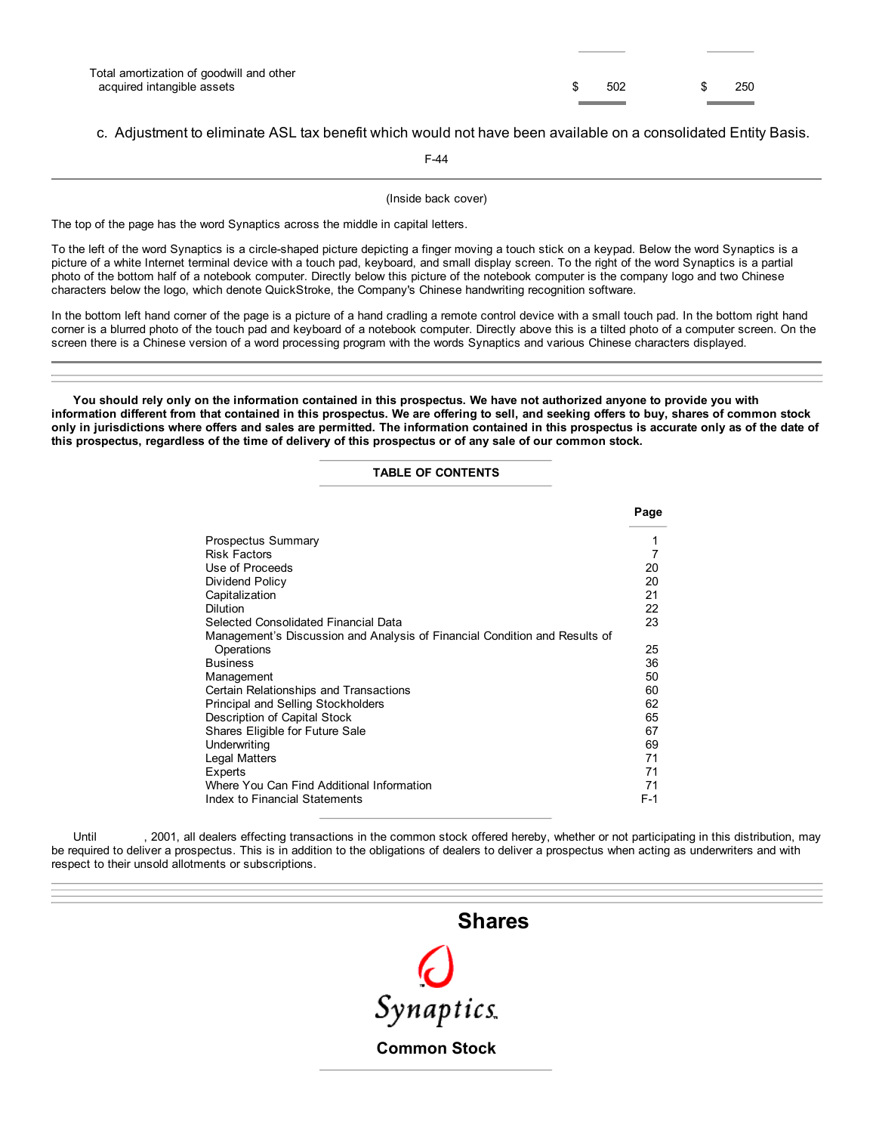| Total amortization of goodwill and other |     |     |
|------------------------------------------|-----|-----|
| acquired intangible assets               | 502 | 250 |

### c. Adjustment to eliminate ASL tax benefit which would not have been available on a consolidated Entity Basis.

F-44

(Inside back cover)

The top of the page has the word Synaptics across the middle in capital letters.

To the left of the word Synaptics is a circle-shaped picture depicting a finger moving a touch stick on a keypad. Below the word Synaptics is a picture of a white Internet terminal device with a touch pad, keyboard, and small display screen. To the right of the word Synaptics is a partial photo of the bottom half of a notebook computer. Directly below this picture of the notebook computer is the company logo and two Chinese characters below the logo, which denote QuickStroke, the Company's Chinese handwriting recognition software.

In the bottom left hand corner of the page is a picture of a hand cradling a remote control device with a small touch pad. In the bottom right hand corner is a blurred photo of the touch pad and keyboard of a notebook computer. Directly above this is a tilted photo of a computer screen. On the screen there is a Chinese version of a word processing program with the words Synaptics and various Chinese characters displayed.

You should rely only on the information contained in this prospectus. We have not authorized anyone to provide you with information different from that contained in this prospectus. We are offering to sell, and seeking offers to buy, shares of common stock only in jurisdictions where offers and sales are permitted. The information contained in this prospectus is accurate only as of the date of this prospectus, regardless of the time of delivery of this prospectus or of any sale of our common stock.

### **TABLE OF CONTENTS**

|                                                                            | Page  |
|----------------------------------------------------------------------------|-------|
| <b>Prospectus Summary</b>                                                  | 1     |
| Risk Factors                                                               | 7     |
| Use of Proceeds                                                            | 20    |
| Dividend Policy                                                            | 20    |
| Capitalization                                                             | 21    |
| <b>Dilution</b>                                                            | 22    |
| Selected Consolidated Financial Data                                       | 23    |
| Management's Discussion and Analysis of Financial Condition and Results of |       |
| Operations                                                                 | 25    |
| <b>Business</b>                                                            | 36    |
| Management                                                                 | 50    |
| Certain Relationships and Transactions                                     | 60    |
| <b>Principal and Selling Stockholders</b>                                  | 62    |
| Description of Capital Stock                                               | 65    |
| Shares Eligible for Future Sale                                            | 67    |
| Underwriting                                                               | 69    |
| Legal Matters                                                              | 71    |
| Experts                                                                    | 71    |
| Where You Can Find Additional Information                                  | 71    |
| Index to Financial Statements                                              | $F-1$ |

Until , 2001, all dealers effecting transactions in the common stock offered hereby, whether or not participating in this distribution, may be required to deliver a prospectus. This is in addition to the obligations of dealers to deliver a prospectus when acting as underwriters and with respect to their unsold allotments or subscriptions.

# **Shares**

Synaptics

**Common Stock**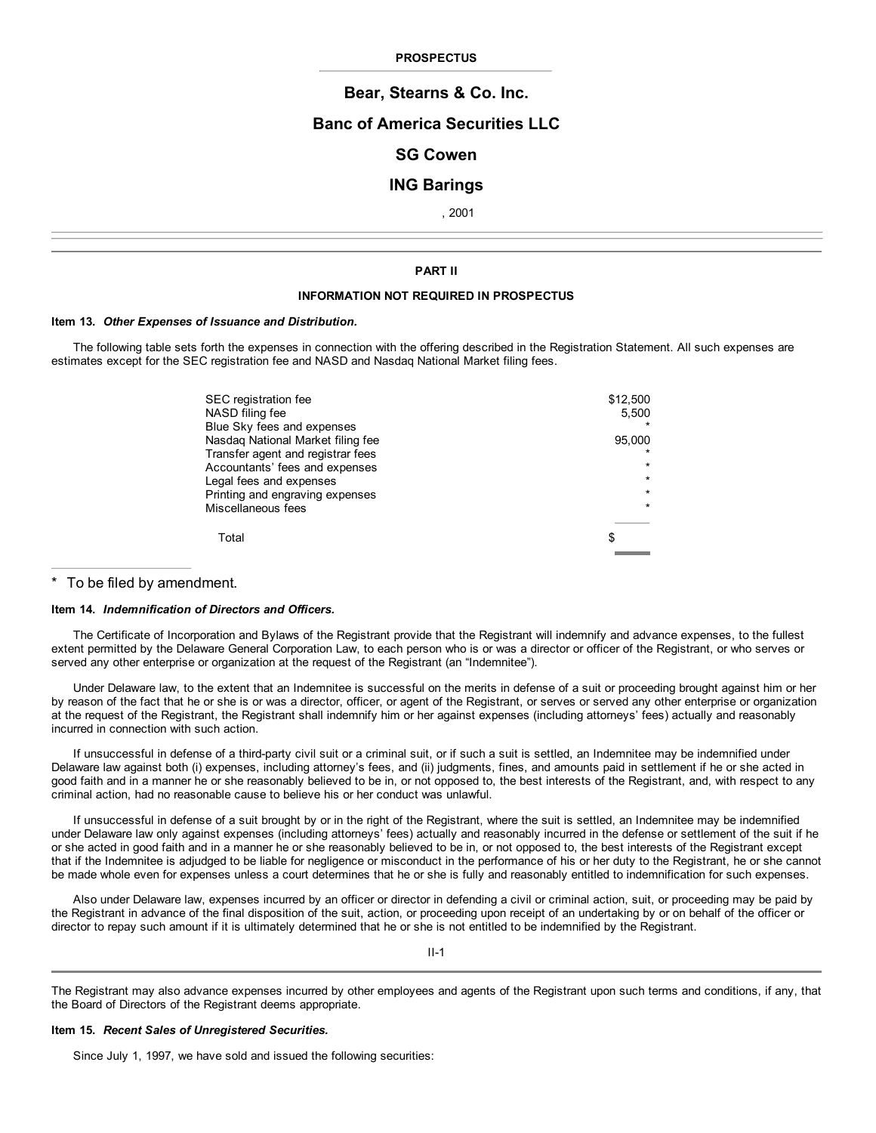#### **PROSPECTUS**

### **Bear, Stearns & Co. Inc.**

### **Banc of America Securities LLC**

## **SG Cowen**

### **ING Barings**

, 2001

#### **PART II**

#### **INFORMATION NOT REQUIRED IN PROSPECTUS**

#### **Item 13.** *Other Expenses of Issuance and Distribution.*

The following table sets forth the expenses in connection with the offering described in the Registration Statement. All such expenses are estimates except for the SEC registration fee and NASD and Nasdaq National Market filing fees.

| SEC registration fee<br>NASD filing fee<br>Blue Sky fees and expenses | \$12,500<br>5,500 |
|-----------------------------------------------------------------------|-------------------|
| Nasdag National Market filing fee                                     | 95.000            |
| Transfer agent and registrar fees                                     |                   |
| Accountants' fees and expenses                                        | ÷                 |
| Legal fees and expenses                                               |                   |
| Printing and engraving expenses                                       |                   |
| Miscellaneous fees                                                    |                   |
| Total                                                                 | S                 |
|                                                                       |                   |

### To be filed by amendment.

#### **Item 14.** *Indemnification of Directors and Officers.*

The Certificate of Incorporation and Bylaws of the Registrant provide that the Registrant will indemnify and advance expenses, to the fullest extent permitted by the Delaware General Corporation Law, to each person who is or was a director or officer of the Registrant, or who serves or served any other enterprise or organization at the request of the Registrant (an "Indemnitee").

Under Delaware law, to the extent that an Indemnitee is successful on the merits in defense of a suit or proceeding brought against him or her by reason of the fact that he or she is or was a director, officer, or agent of the Registrant, or serves or served any other enterprise or organization at the request of the Registrant, the Registrant shall indemnify him or her against expenses (including attorneys' fees) actually and reasonably incurred in connection with such action.

If unsuccessful in defense of a third-party civil suit or a criminal suit, or if such a suit is settled, an Indemnitee may be indemnified under Delaware law against both (i) expenses, including attorney's fees, and (ii) judgments, fines, and amounts paid in settlement if he or she acted in good faith and in a manner he or she reasonably believed to be in, or not opposed to, the best interests of the Registrant, and, with respect to any criminal action, had no reasonable cause to believe his or her conduct was unlawful.

If unsuccessful in defense of a suit brought by or in the right of the Registrant, where the suit is settled, an Indemnitee may be indemnified under Delaware law only against expenses (including attorneys' fees) actually and reasonably incurred in the defense or settlement of the suit if he or she acted in good faith and in a manner he or she reasonably believed to be in, or not opposed to, the best interests of the Registrant except that if the Indemnitee is adjudged to be liable for negligence or misconduct in the performance of his or her duty to the Registrant, he or she cannot be made whole even for expenses unless a court determines that he or she is fully and reasonably entitled to indemnification for such expenses.

Also under Delaware law, expenses incurred by an officer or director in defending a civil or criminal action, suit, or proceeding may be paid by the Registrant in advance of the final disposition of the suit, action, or proceeding upon receipt of an undertaking by or on behalf of the officer or director to repay such amount if it is ultimately determined that he or she is not entitled to be indemnified by the Registrant.

II-1

The Registrant may also advance expenses incurred by other employees and agents of the Registrant upon such terms and conditions, if any, that the Board of Directors of the Registrant deems appropriate.

#### **Item 15.** *Recent Sales of Unregistered Securities.*

Since July 1, 1997, we have sold and issued the following securities: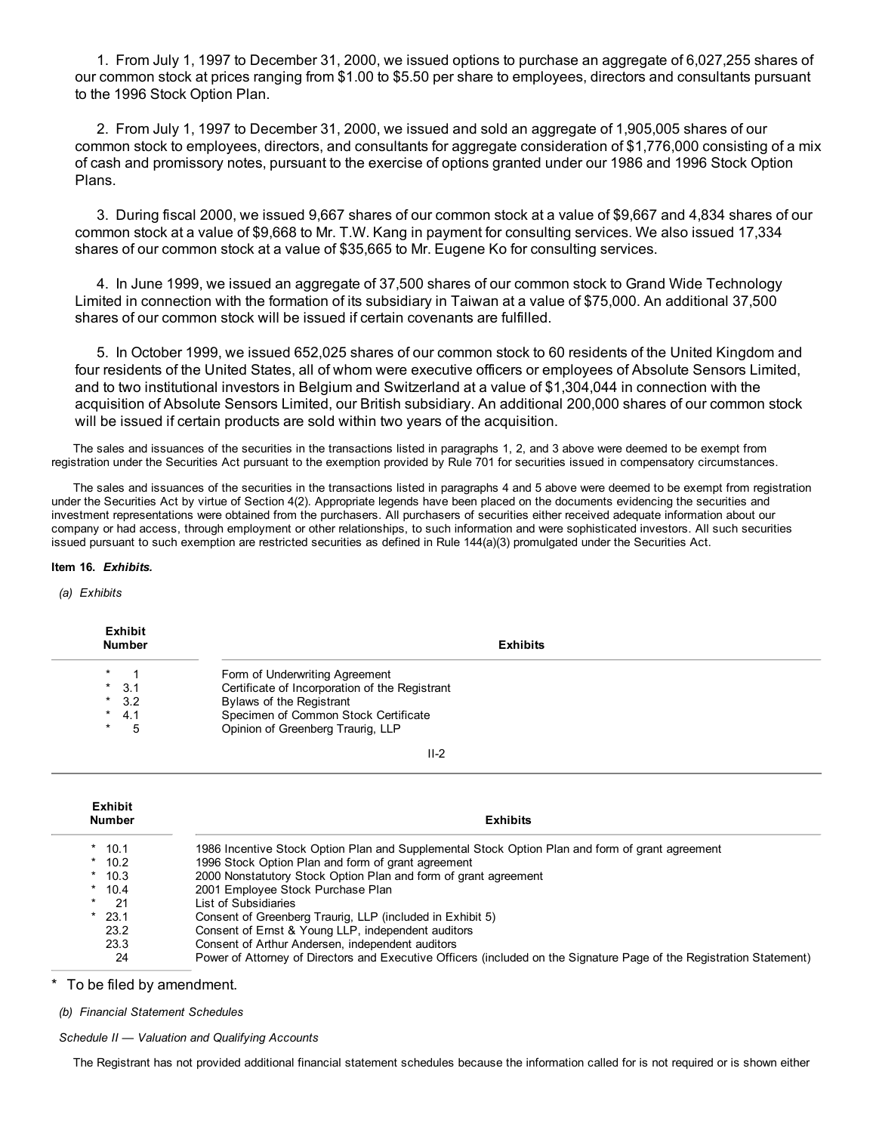1. From July 1, 1997 to December 31, 2000, we issued options to purchase an aggregate of 6,027,255 shares of our common stock at prices ranging from \$1.00 to \$5.50 per share to employees, directors and consultants pursuant to the 1996 Stock Option Plan.

2. From July 1, 1997 to December 31, 2000, we issued and sold an aggregate of 1,905,005 shares of our common stock to employees, directors, and consultants for aggregate consideration of \$1,776,000 consisting of a mix of cash and promissory notes, pursuant to the exercise of options granted under our 1986 and 1996 Stock Option Plans.

3. During fiscal 2000, we issued 9,667 shares of our common stock at a value of \$9,667 and 4,834 shares of our common stock at a value of \$9,668 to Mr. T.W. Kang in payment for consulting services. We also issued 17,334 shares of our common stock at a value of \$35,665 to Mr. Eugene Ko for consulting services.

4. In June 1999, we issued an aggregate of 37,500 shares of our common stock to Grand Wide Technology Limited in connection with the formation of its subsidiary in Taiwan at a value of \$75,000. An additional 37,500 shares of our common stock will be issued if certain covenants are fulfilled.

5. In October 1999, we issued 652,025 shares of our common stock to 60 residents of the United Kingdom and four residents of the United States, all of whom were executive officers or employees of Absolute Sensors Limited, and to two institutional investors in Belgium and Switzerland at a value of \$1,304,044 in connection with the acquisition of Absolute Sensors Limited, our British subsidiary. An additional 200,000 shares of our common stock will be issued if certain products are sold within two years of the acquisition.

The sales and issuances of the securities in the transactions listed in paragraphs 1, 2, and 3 above were deemed to be exempt from registration under the Securities Act pursuant to the exemption provided by Rule 701 for securities issued in compensatory circumstances.

The sales and issuances of the securities in the transactions listed in paragraphs 4 and 5 above were deemed to be exempt from registration under the Securities Act by virtue of Section 4(2). Appropriate legends have been placed on the documents evidencing the securities and investment representations were obtained from the purchasers. All purchasers of securities either received adequate information about our company or had access, through employment or other relationships, to such information and were sophisticated investors. All such securities issued pursuant to such exemption are restricted securities as defined in Rule 144(a)(3) promulgated under the Securities Act.

### **Item 16.** *Exhibits.*

**Exhibit**

*(a) Exhibits*

| EXIIIDIL<br><b>Number</b> | <b>Exhibits</b>                                |
|---------------------------|------------------------------------------------|
| $\star$                   | Form of Underwriting Agreement                 |
| $*$ 3.1                   | Certificate of Incorporation of the Registrant |
| $*3.2$                    | Bylaws of the Registrant                       |
| 4.1<br>*                  | Specimen of Common Stock Certificate           |
| $\ast$                    | Opinion of Greenberg Traurig, LLP              |
|                           |                                                |

II-2

| <b>Exhibit</b><br><b>Number</b> | <b>Exhibits</b>                                                                                                      |
|---------------------------------|----------------------------------------------------------------------------------------------------------------------|
| $*$ 10.1                        | 1986 Incentive Stock Option Plan and Supplemental Stock Option Plan and form of grant agreement                      |
| $*$ 10.2                        | 1996 Stock Option Plan and form of grant agreement                                                                   |
| $*10.3$                         | 2000 Nonstatutory Stock Option Plan and form of grant agreement                                                      |
| $*$ 10.4                        | 2001 Employee Stock Purchase Plan                                                                                    |
| -21<br>$\star$                  | List of Subsidiaries                                                                                                 |
| $*$ 23.1                        | Consent of Greenberg Traurig, LLP (included in Exhibit 5)                                                            |
| 23.2                            | Consent of Ernst & Young LLP, independent auditors                                                                   |
| 23.3                            | Consent of Arthur Andersen, independent auditors                                                                     |
| 24                              | Power of Attorney of Directors and Executive Officers (included on the Signature Page of the Registration Statement) |

To be filed by amendment.

*(b) Financial Statement Schedules*

*Schedule II — Valuation and Qualifying Accounts*

The Registrant has not provided additional financial statement schedules because the information called for is not required or is shown either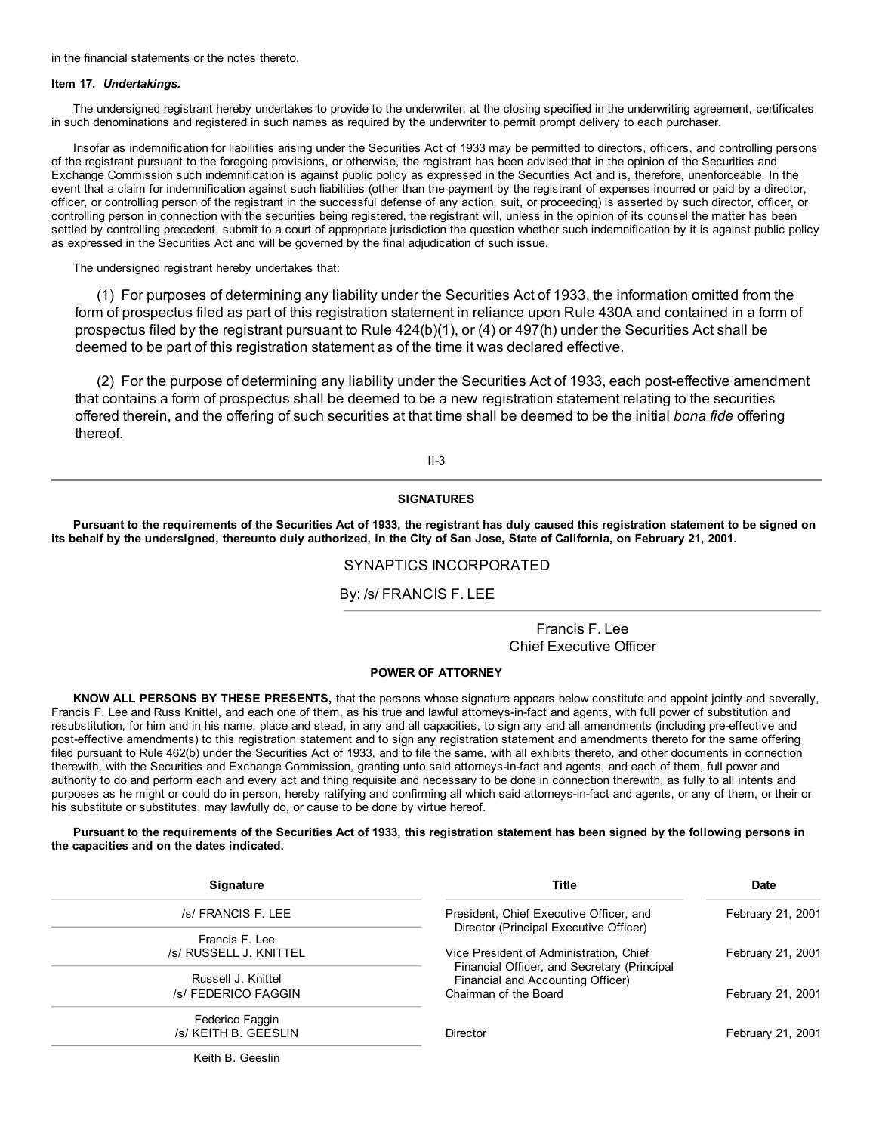in the financial statements or the notes thereto.

#### **Item 17.** *Undertakings.*

The undersigned registrant hereby undertakes to provide to the underwriter, at the closing specified in the underwriting agreement, certificates in such denominations and registered in such names as required by the underwriter to permit prompt delivery to each purchaser.

Insofar as indemnification for liabilities arising under the Securities Act of 1933 may be permitted to directors, officers, and controlling persons of the registrant pursuant to the foregoing provisions, or otherwise, the registrant has been advised that in the opinion of the Securities and Exchange Commission such indemnification is against public policy as expressed in the Securities Act and is, therefore, unenforceable. In the event that a claim for indemnification against such liabilities (other than the payment by the registrant of expenses incurred or paid by a director, officer, or controlling person of the registrant in the successful defense of any action, suit, or proceeding) is asserted by such director, officer, or controlling person in connection with the securities being registered, the registrant will, unless in the opinion of its counsel the matter has been settled by controlling precedent, submit to a court of appropriate jurisdiction the question whether such indemnification by it is against public policy as expressed in the Securities Act and will be governed by the final adjudication of such issue.

The undersigned registrant hereby undertakes that:

(1) For purposes of determining any liability under the Securities Act of 1933, the information omitted from the form of prospectus filed as part of this registration statement in reliance upon Rule 430A and contained in a form of prospectus filed by the registrant pursuant to Rule 424(b)(1), or (4) or 497(h) under the Securities Act shall be deemed to be part of this registration statement as of the time it was declared effective.

(2) For the purpose of determining any liability under the Securities Act of 1933, each post-effective amendment that contains a form of prospectus shall be deemed to be a new registration statement relating to the securities offered therein, and the offering of such securities at that time shall be deemed to be the initial *bona fide* offering thereof.

II-3

#### **SIGNATURES**

Pursuant to the requirements of the Securities Act of 1933, the registrant has duly caused this registration statement to be signed on its behalf by the undersigned, thereunto duly authorized, in the City of San Jose, State of California, on February 21, 2001.

SYNAPTICS INCORPORATED

### By: /s/ FRANCIS F. LEE

Francis F. Lee Chief Executive Officer

#### **POWER OF ATTORNEY**

**KNOW ALL PERSONS BY THESE PRESENTS,** that the persons whose signature appears below constitute and appoint jointly and severally, Francis F. Lee and Russ Knittel, and each one of them, as his true and lawful attorneys-in-fact and agents, with full power of substitution and resubstitution, for him and in his name, place and stead, in any and all capacities, to sign any and all amendments (including pre-effective and post-effective amendments) to this registration statement and to sign any registration statement and amendments thereto for the same offering filed pursuant to Rule 462(b) under the Securities Act of 1933, and to file the same, with all exhibits thereto, and other documents in connection therewith, with the Securities and Exchange Commission, granting unto said attorneys-in-fact and agents, and each of them, full power and authority to do and perform each and every act and thing requisite and necessary to be done in connection therewith, as fully to all intents and purposes as he might or could do in person, hereby ratifying and confirming all which said attorneys-in-fact and agents, or any of them, or their or his substitute or substitutes, may lawfully do, or cause to be done by virtue hereof.

Pursuant to the requirements of the Securities Act of 1933, this registration statement has been signed by the following persons in **the capacities and on the dates indicated.**

| <b>Signature</b>       | Title                                                                                  | <b>Date</b>       |
|------------------------|----------------------------------------------------------------------------------------|-------------------|
| /s/ FRANCIS F. LEE     | President, Chief Executive Officer, and<br>Director (Principal Executive Officer)      | February 21, 2001 |
| Francis F. Lee         |                                                                                        |                   |
| /s/ RUSSELL J. KNITTEL | Vice President of Administration, Chief<br>Financial Officer, and Secretary (Principal | February 21, 2001 |
| Russell J. Knittel     | Financial and Accounting Officer)                                                      |                   |
| /s/ FEDERICO FAGGIN    | Chairman of the Board                                                                  | February 21, 2001 |
| Federico Faggin        |                                                                                        |                   |
| /s/ KEITH B. GEESLIN   | <b>Director</b>                                                                        | February 21, 2001 |
| Keith B. Geeslin       |                                                                                        |                   |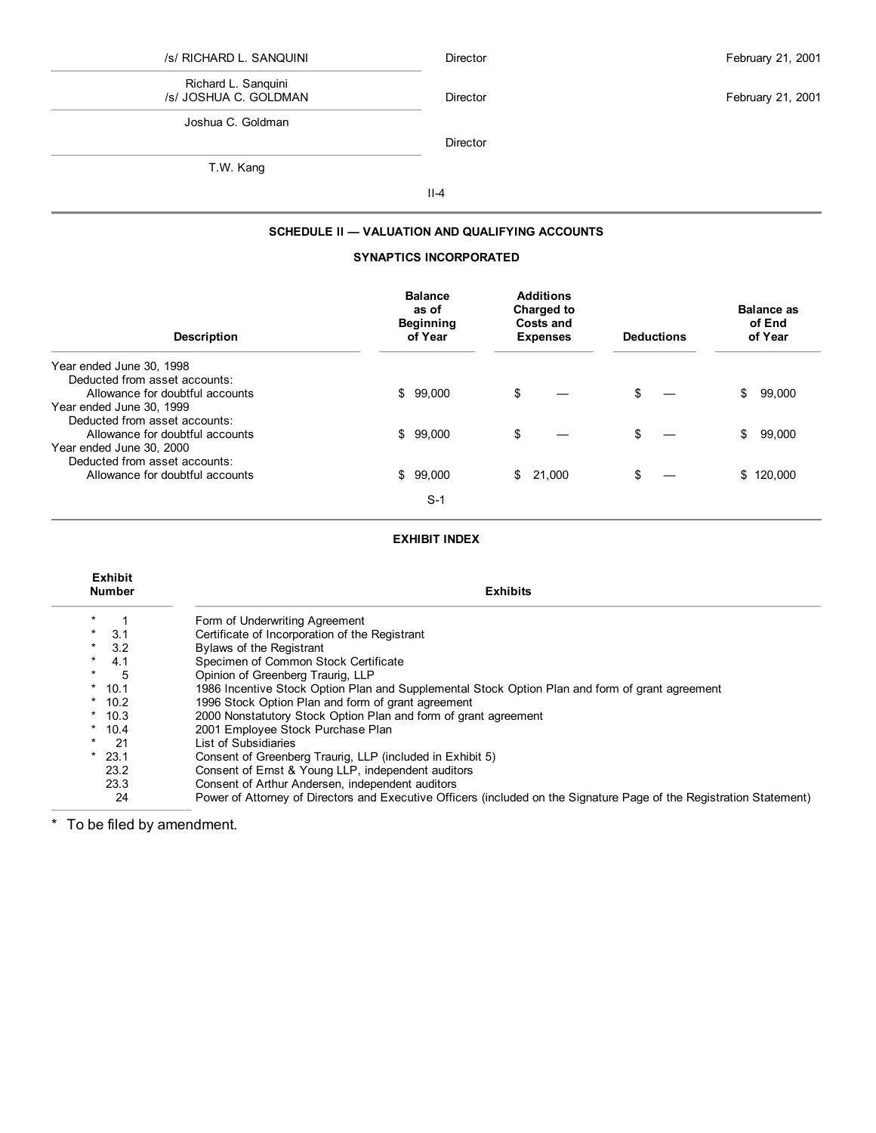# /s/ RICHARD L. SANQUINI Richard L. Sanquini

Director **February 21, 2001** 

/s/ JOSHUA C. GOLDMAN Joshua C. Goldman

Director

T.W. Kang

II-4

### **SCHEDULE II — VALUATION AND QUALIFYING ACCOUNTS**

## **SYNAPTICS INCORPORATED**

| <b>Description</b>              | <b>Balance</b><br>as of<br><b>Beginning</b><br>of Year | <b>Additions</b><br><b>Charged to</b><br>Costs and<br><b>Expenses</b> | <b>Deductions</b> | <b>Balance as</b><br>of End<br>of Year |
|---------------------------------|--------------------------------------------------------|-----------------------------------------------------------------------|-------------------|----------------------------------------|
| Year ended June 30, 1998        |                                                        |                                                                       |                   |                                        |
| Deducted from asset accounts:   |                                                        |                                                                       |                   |                                        |
| Allowance for doubtful accounts | \$99,000                                               | \$                                                                    | \$.               | \$<br>99,000                           |
| Year ended June 30, 1999        |                                                        |                                                                       |                   |                                        |
| Deducted from asset accounts:   |                                                        |                                                                       |                   |                                        |
| Allowance for doubtful accounts | \$99,000                                               | \$                                                                    | \$                | \$<br>99,000                           |
| Year ended June 30, 2000        |                                                        |                                                                       |                   |                                        |
| Deducted from asset accounts:   |                                                        |                                                                       |                   |                                        |
| Allowance for doubtful accounts | \$99,000                                               | \$<br>21,000                                                          | \$                | \$120,000                              |
|                                 |                                                        |                                                                       |                   |                                        |
|                                 | $S-1$                                                  |                                                                       |                   |                                        |

### **EXHIBIT INDEX**

| <b>Exhibit</b><br><b>Number</b> | <b>Exhibits</b>                                                                                                      |
|---------------------------------|----------------------------------------------------------------------------------------------------------------------|
|                                 | Form of Underwriting Agreement                                                                                       |
| 3.1<br>$\star$                  | Certificate of Incorporation of the Registrant                                                                       |
| $*$ 3.2                         | <b>Bylaws of the Registrant</b>                                                                                      |
| 4.1<br>$\star$                  | Specimen of Common Stock Certificate                                                                                 |
| 5<br>*                          | Opinion of Greenberg Traurig, LLP                                                                                    |
| $*$ 10.1                        | 1986 Incentive Stock Option Plan and Supplemental Stock Option Plan and form of grant agreement                      |
| $*$ 10.2                        | 1996 Stock Option Plan and form of grant agreement                                                                   |
| $*10.3$                         | 2000 Nonstatutory Stock Option Plan and form of grant agreement                                                      |
| $*10.4$                         | 2001 Employee Stock Purchase Plan                                                                                    |
| -21<br>$\star$ .                | List of Subsidiaries                                                                                                 |
| $*$ 23.1                        | Consent of Greenberg Traurig, LLP (included in Exhibit 5)                                                            |
| 23.2                            | Consent of Ernst & Young LLP, independent auditors                                                                   |
| 23.3                            | Consent of Arthur Andersen, independent auditors                                                                     |
| 24                              | Power of Attorney of Directors and Executive Officers (included on the Signature Page of the Registration Statement) |

\* To be filed by amendment.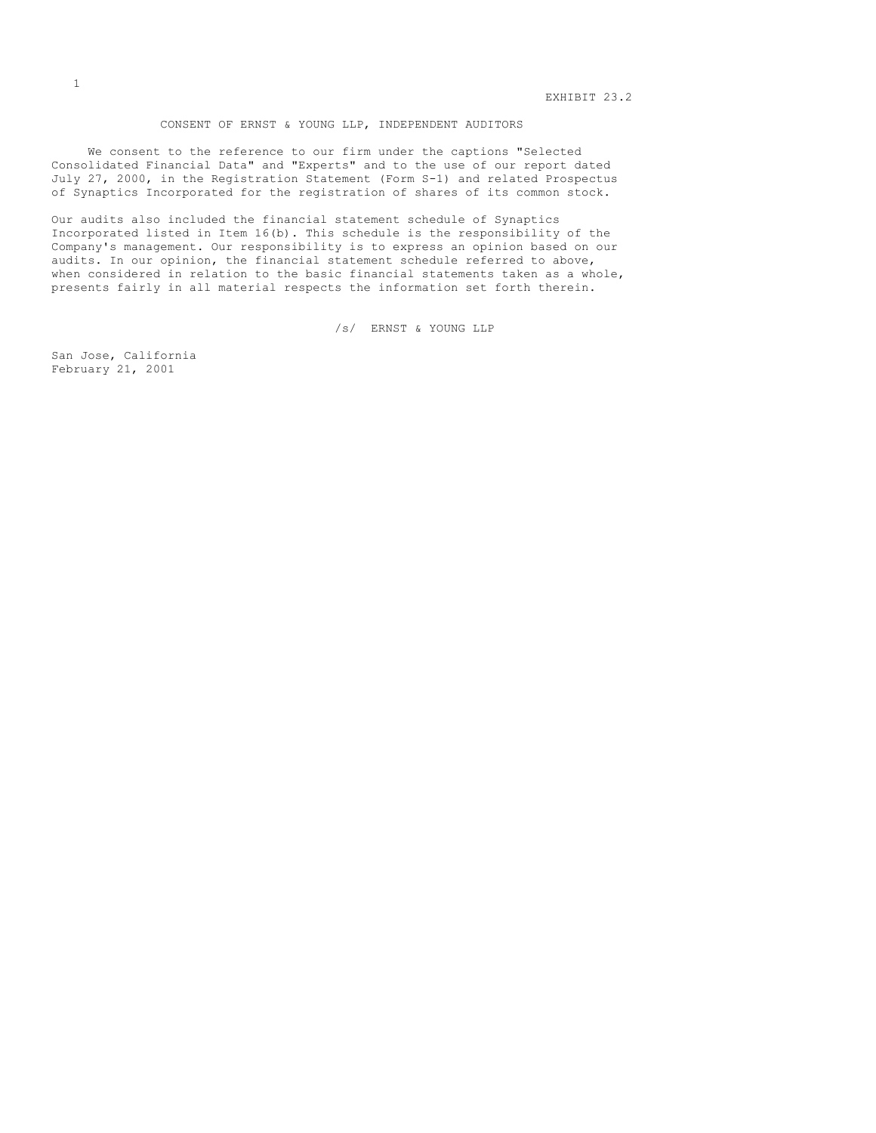#### CONSENT OF ERNST & YOUNG LLP, INDEPENDENT AUDITORS

We consent to the reference to our firm under the captions "Selected Consolidated Financial Data" and "Experts" and to the use of our report dated July 27, 2000, in the Registration Statement (Form S-1) and related Prospectus of Synaptics Incorporated for the registration of shares of its common stock.

Our audits also included the financial statement schedule of Synaptics Incorporated listed in Item 16(b). This schedule is the responsibility of the Company's management. Our responsibility is to express an opinion based on our audits. In our opinion, the financial statement schedule referred to above, when considered in relation to the basic financial statements taken as a whole, presents fairly in all material respects the information set forth therein.

/s/ ERNST & YOUNG LLP

San Jose, California February 21, 2001